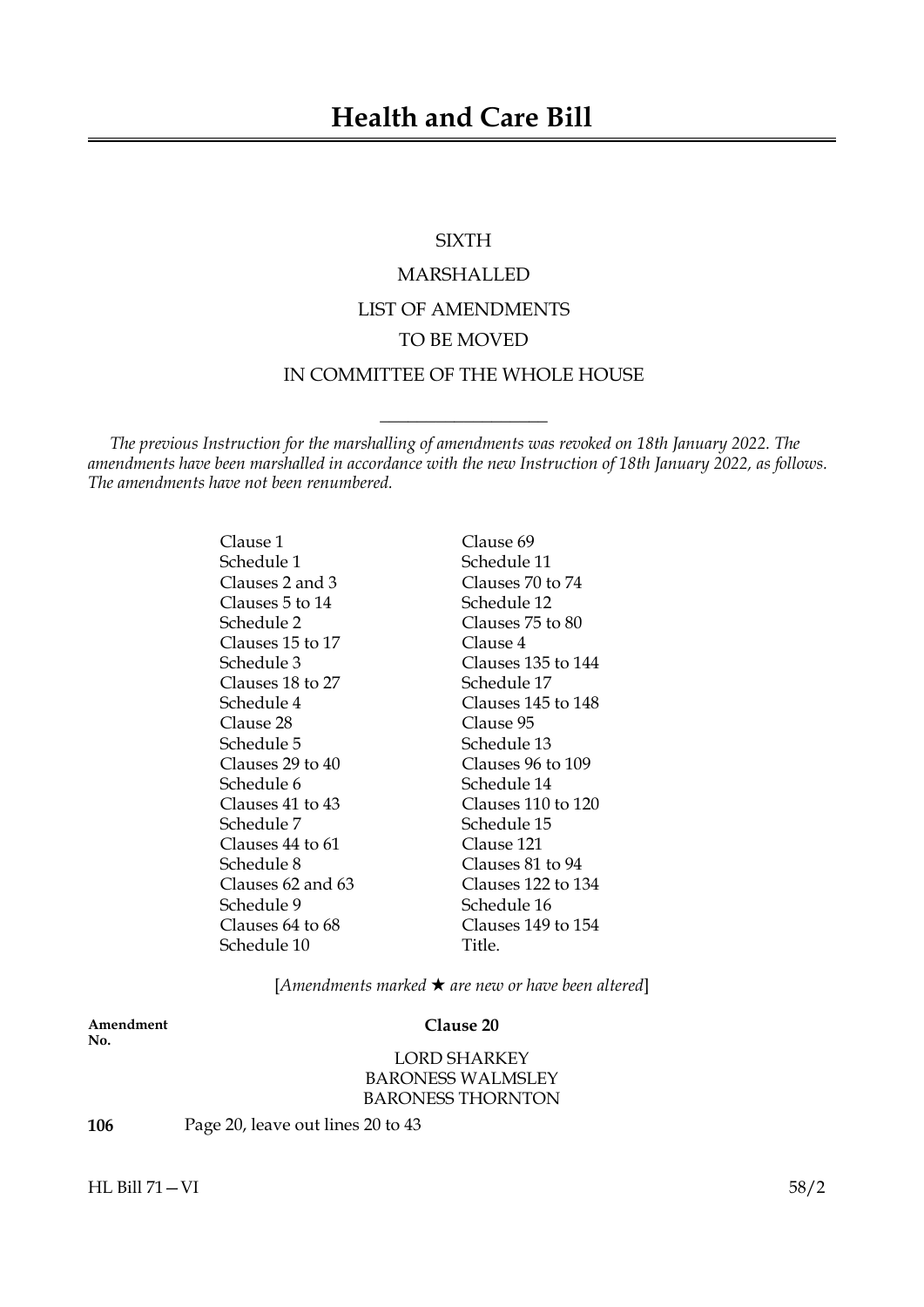# SIXTH

# MARSHALLED LIST OF AMENDMENTS TO BE MOVED

# IN COMMITTEE OF THE WHOLE HOUSE

 $\_$ 

*The previous Instruction for the marshalling of amendments was revoked on 18th January 2022. The amendments have been marshalled in accordance with the new Instruction of 18th January 2022, as follows. The amendments have not been renumbered.*

> Clause 1 Clause 69 Schedule 1 Schedule 11 Clauses 2 and 3 Clauses 70 to 74 Clauses 5 to 14 Schedule 12 Schedule 2 Clauses 75 to 80 Clauses 15 to 17 Clause 4 Schedule 3 Clauses 135 to 144 Clauses 18 to 27 Schedule 17 Schedule 4 Clauses 145 to 148 Clause 28 Clause 95 Schedule 5 Schedule 13 Clauses 29 to 40 Clauses 96 to 109 Schedule 6 Schedule 14 Clauses 41 to 43 Clauses 110 to 120 Schedule 7 Schedule 15 Clauses 44 to 61 Clause 121 Schedule 8 Clauses 81 to 94 Clauses 62 and 63 Clauses 122 to 134 Schedule 9 Schedule 16 Clauses 64 to 68 Clauses 149 to 154

Schedule 10 Title.

[*Amendments marked* \* *are new or have been altered*]

**Amendment Clause 20 No.**

LORD SHARKEY BARONESS WALMSLEY BARONESS THORNTON

**106** Page 20, leave out lines 20 to 43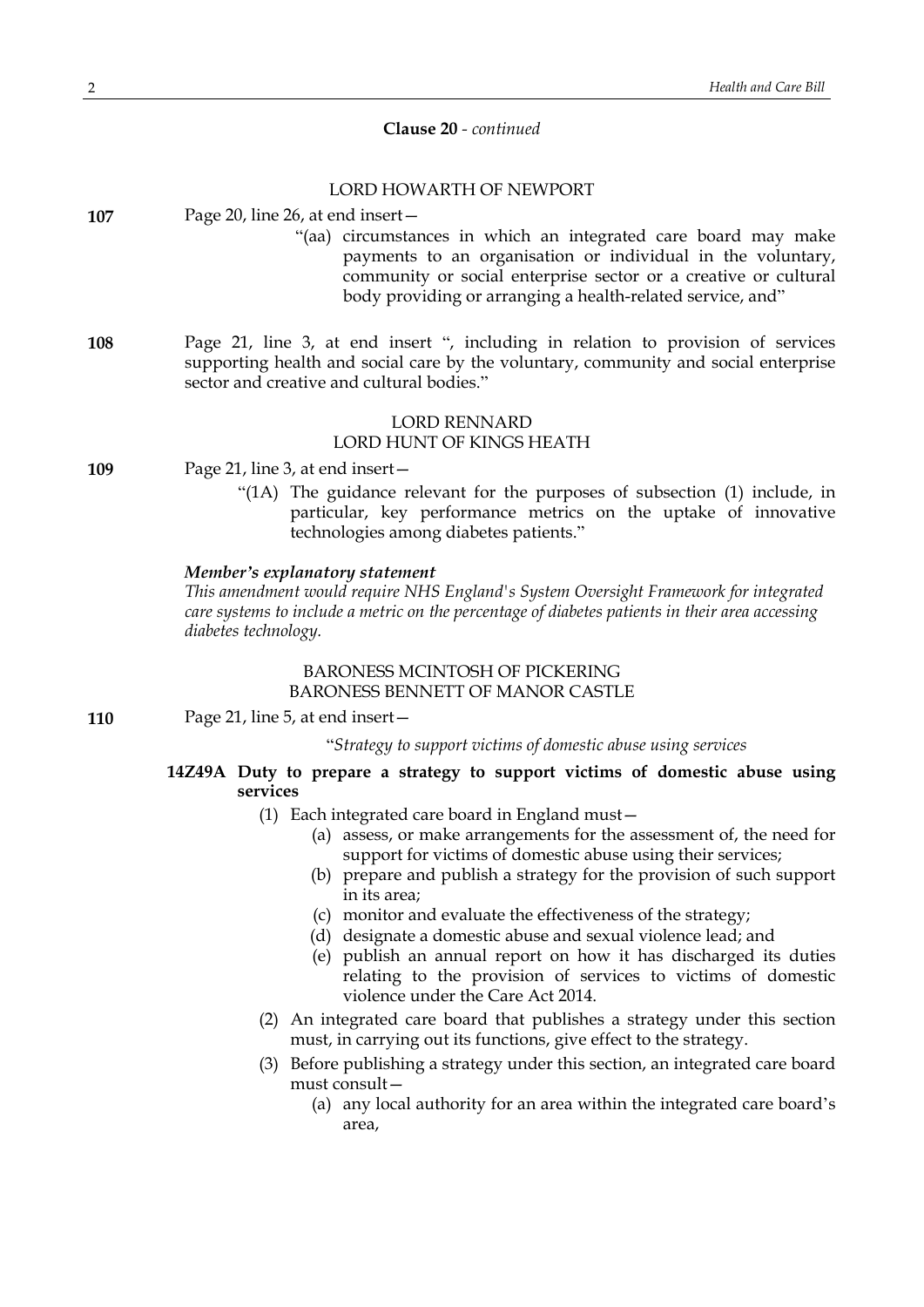# **Clause 20** *- continued*

# LORD HOWARTH OF NEWPORT **107** Page 20, line 26, at end insert— "(aa) circumstances in which an integrated care board may make payments to an organisation or individual in the voluntary, community or social enterprise sector or a creative or cultural body providing or arranging a health-related service, and" **108** Page 21, line 3, at end insert ", including in relation to provision of services supporting health and social care by the voluntary, community and social enterprise sector and creative and cultural bodies." LORD RENNARD LORD HUNT OF KINGS HEATH **109** Page 21, line 3, at end insert— "(1A) The guidance relevant for the purposes of subsection (1) include, in particular, key performance metrics on the uptake of innovative technologies among diabetes patients." *Member's explanatory statement This amendment would require NHS England's System Oversight Framework for integrated care systems to include a metric on the percentage of diabetes patients in their area accessing diabetes technology.* BARONESS MCINTOSH OF PICKERING BARONESS BENNETT OF MANOR CASTLE **110** Page 21, line 5, at end insert— "*Strategy to support victims of domestic abuse using services* **14Z49A Duty to prepare a strategy to support victims of domestic abuse using services** (1) Each integrated care board in England must— (a) assess, or make arrangements for the assessment of, the need for support for victims of domestic abuse using their services; (b) prepare and publish a strategy for the provision of such support in its area; (c) monitor and evaluate the effectiveness of the strategy; (d) designate a domestic abuse and sexual violence lead; and (e) publish an annual report on how it has discharged its duties relating to the provision of services to victims of domestic violence under the Care Act 2014.

- (2) An integrated care board that publishes a strategy under this section must, in carrying out its functions, give effect to the strategy.
- (3) Before publishing a strategy under this section, an integrated care board must consult—
	- (a) any local authority for an area within the integrated care board's area,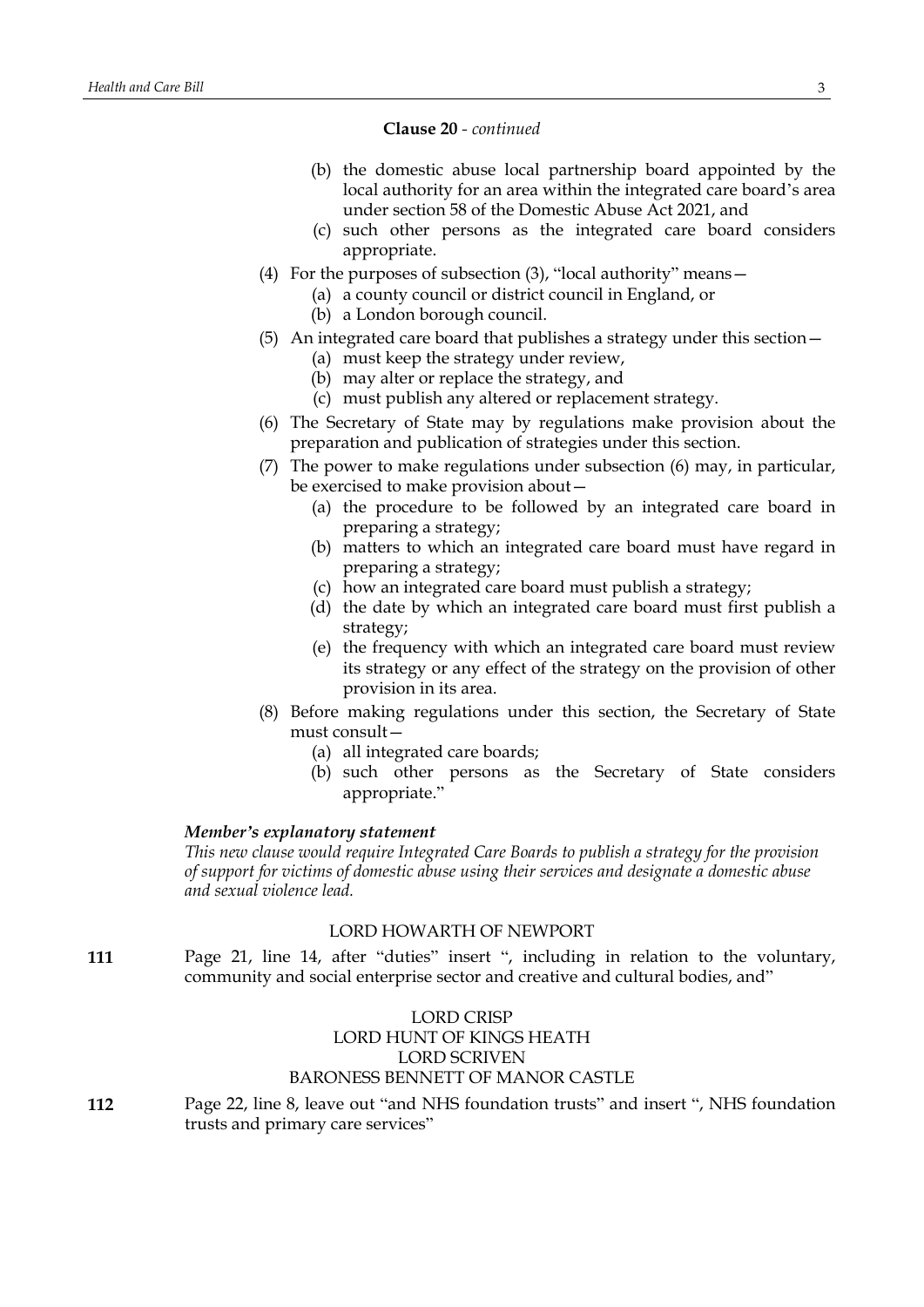#### **Clause 20** *- continued*

- (b) the domestic abuse local partnership board appointed by the local authority for an area within the integrated care board's area under section 58 of the Domestic Abuse Act 2021, and
- (c) such other persons as the integrated care board considers appropriate.
- (4) For the purposes of subsection (3), "local authority" means—
	- (a) a county council or district council in England, or
	- (b) a London borough council.
- (5) An integrated care board that publishes a strategy under this section—
	- (a) must keep the strategy under review,
	- (b) may alter or replace the strategy, and
	- (c) must publish any altered or replacement strategy.
- (6) The Secretary of State may by regulations make provision about the preparation and publication of strategies under this section.
- (7) The power to make regulations under subsection (6) may, in particular, be exercised to make provision about—
	- (a) the procedure to be followed by an integrated care board in preparing a strategy;
	- (b) matters to which an integrated care board must have regard in preparing a strategy;
	- (c) how an integrated care board must publish a strategy;
	- (d) the date by which an integrated care board must first publish a strategy;
	- (e) the frequency with which an integrated care board must review its strategy or any effect of the strategy on the provision of other provision in its area.
- (8) Before making regulations under this section, the Secretary of State must consult—
	- (a) all integrated care boards;
	- (b) such other persons as the Secretary of State considers appropriate."

# *Member's explanatory statement*

*This new clause would require Integrated Care Boards to publish a strategy for the provision of support for victims of domestic abuse using their services and designate a domestic abuse and sexual violence lead.*

# LORD HOWARTH OF NEWPORT

**111** Page 21, line 14, after "duties" insert ", including in relation to the voluntary, community and social enterprise sector and creative and cultural bodies, and"

# LORD CRISP LORD HUNT OF KINGS HEATH LORD SCRIVEN BARONESS BENNETT OF MANOR CASTLE

**112** Page 22, line 8, leave out "and NHS foundation trusts" and insert ", NHS foundation trusts and primary care services"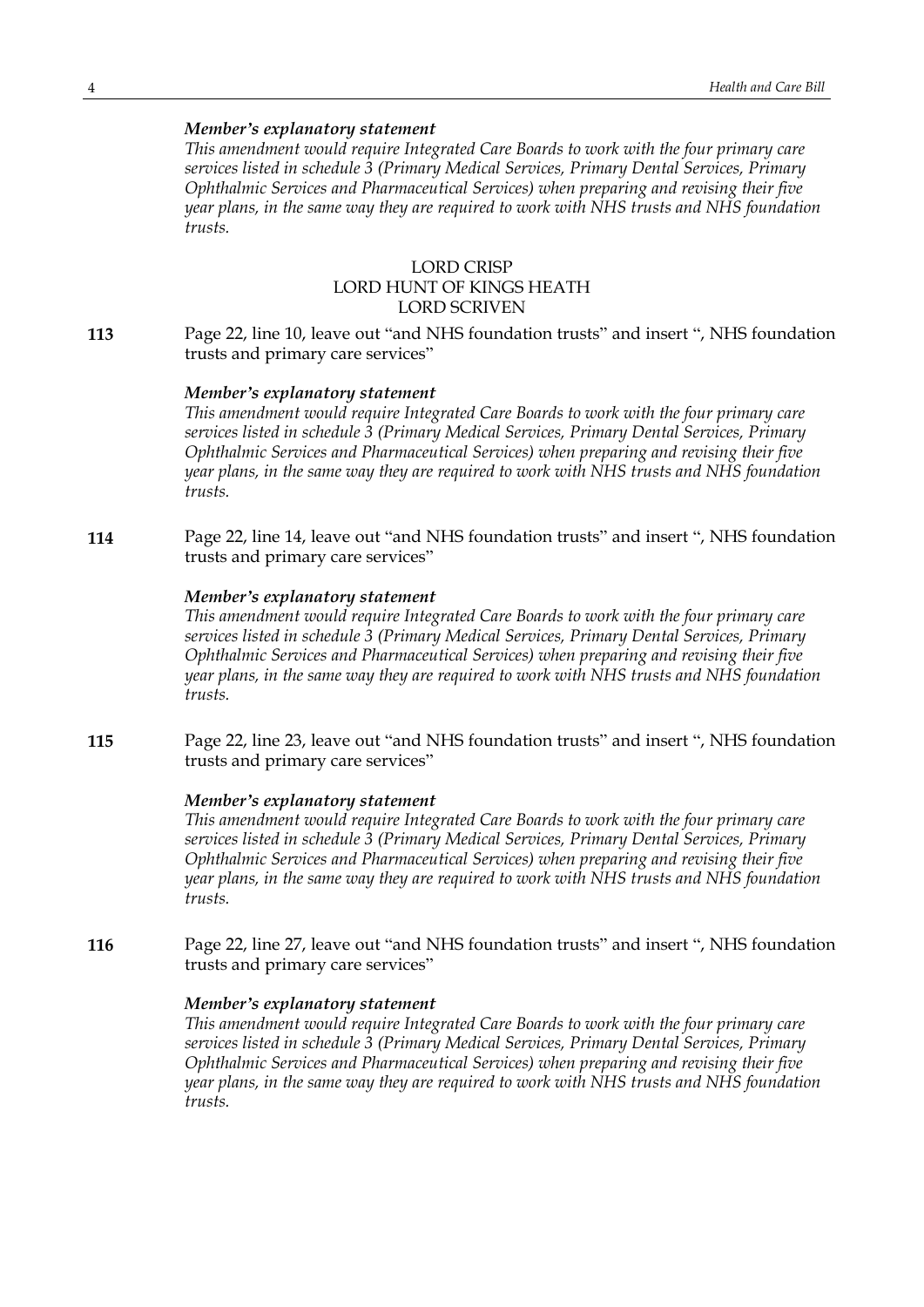*This amendment would require Integrated Care Boards to work with the four primary care services listed in schedule 3 (Primary Medical Services, Primary Dental Services, Primary Ophthalmic Services and Pharmaceutical Services) when preparing and revising their five year plans, in the same way they are required to work with NHS trusts and NHS foundation trusts.*

# LORD CRISP LORD HUNT OF KINGS HEATH LORD SCRIVEN

**113** Page 22, line 10, leave out "and NHS foundation trusts" and insert ", NHS foundation trusts and primary care services"

#### *Member's explanatory statement*

*This amendment would require Integrated Care Boards to work with the four primary care services listed in schedule 3 (Primary Medical Services, Primary Dental Services, Primary Ophthalmic Services and Pharmaceutical Services) when preparing and revising their five year plans, in the same way they are required to work with NHS trusts and NHS foundation trusts.*

**114** Page 22, line 14, leave out "and NHS foundation trusts" and insert ", NHS foundation trusts and primary care services"

#### *Member's explanatory statement*

*This amendment would require Integrated Care Boards to work with the four primary care services listed in schedule 3 (Primary Medical Services, Primary Dental Services, Primary Ophthalmic Services and Pharmaceutical Services) when preparing and revising their five year plans, in the same way they are required to work with NHS trusts and NHS foundation trusts.*

**115** Page 22, line 23, leave out "and NHS foundation trusts" and insert ", NHS foundation trusts and primary care services"

#### *Member's explanatory statement*

*This amendment would require Integrated Care Boards to work with the four primary care services listed in schedule 3 (Primary Medical Services, Primary Dental Services, Primary Ophthalmic Services and Pharmaceutical Services) when preparing and revising their five year plans, in the same way they are required to work with NHS trusts and NHS foundation trusts.*

**116** Page 22, line 27, leave out "and NHS foundation trusts" and insert ", NHS foundation trusts and primary care services"

#### *Member's explanatory statement*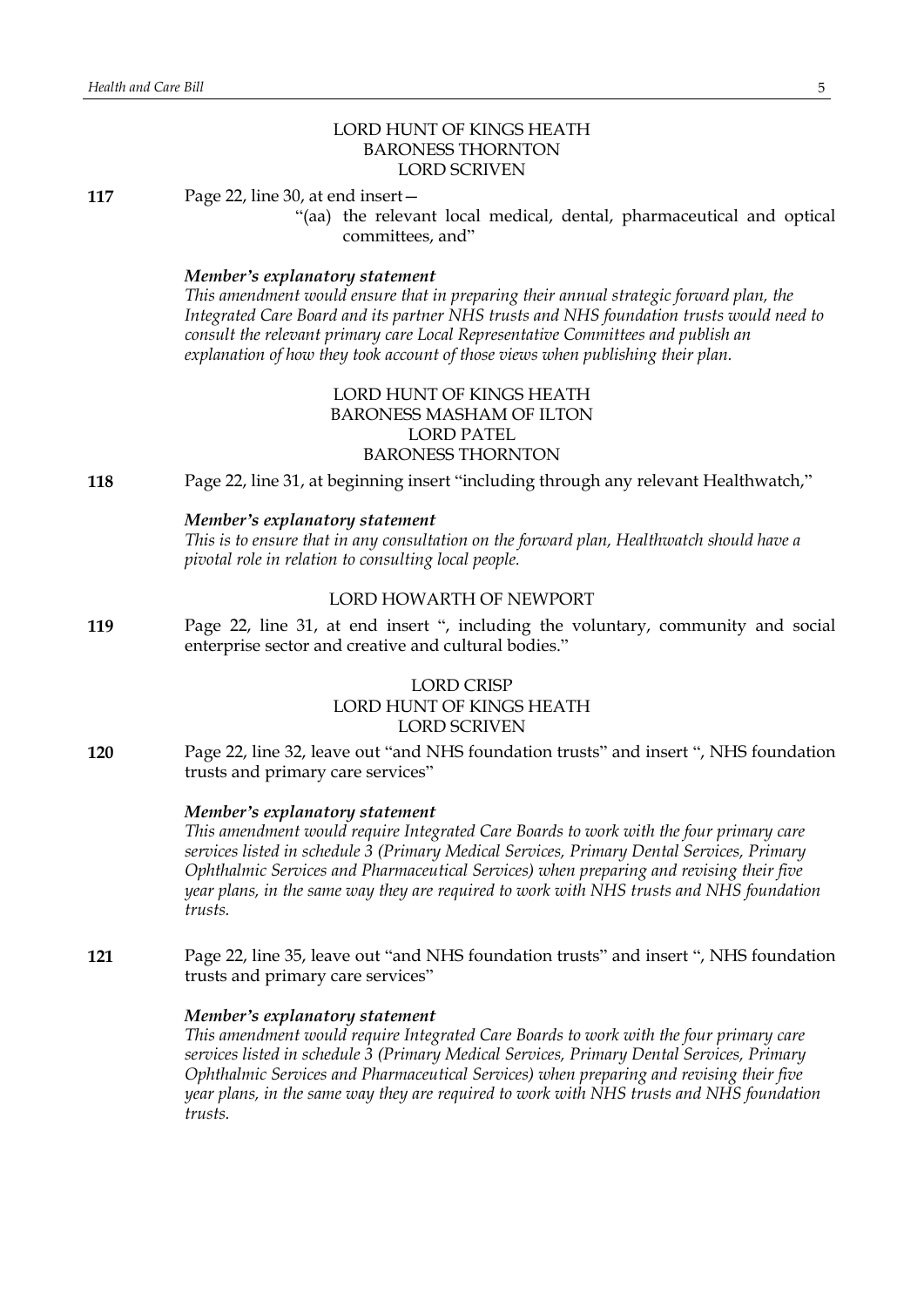# LORD HUNT OF KINGS HEATH BARONESS THORNTON LORD SCRIVEN

**117** Page 22, line 30, at end insert—

"(aa) the relevant local medical, dental, pharmaceutical and optical committees, and"

#### *Member's explanatory statement*

*This amendment would ensure that in preparing their annual strategic forward plan, the Integrated Care Board and its partner NHS trusts and NHS foundation trusts would need to consult the relevant primary care Local Representative Committees and publish an explanation of how they took account of those views when publishing their plan.*

# LORD HUNT OF KINGS HEATH BARONESS MASHAM OF ILTON LORD PATEL BARONESS THORNTON

**118** Page 22, line 31, at beginning insert "including through any relevant Healthwatch,"

#### *Member's explanatory statement*

*This is to ensure that in any consultation on the forward plan, Healthwatch should have a pivotal role in relation to consulting local people.*

#### LORD HOWARTH OF NEWPORT

**119** Page 22, line 31, at end insert ", including the voluntary, community and social enterprise sector and creative and cultural bodies."

# LORD CRISP LORD HUNT OF KINGS HEATH LORD SCRIVEN

**120** Page 22, line 32, leave out "and NHS foundation trusts" and insert ", NHS foundation trusts and primary care services"

#### *Member's explanatory statement*

*This amendment would require Integrated Care Boards to work with the four primary care services listed in schedule 3 (Primary Medical Services, Primary Dental Services, Primary Ophthalmic Services and Pharmaceutical Services) when preparing and revising their five year plans, in the same way they are required to work with NHS trusts and NHS foundation trusts.*

**121** Page 22, line 35, leave out "and NHS foundation trusts" and insert ", NHS foundation trusts and primary care services"

# *Member's explanatory statement*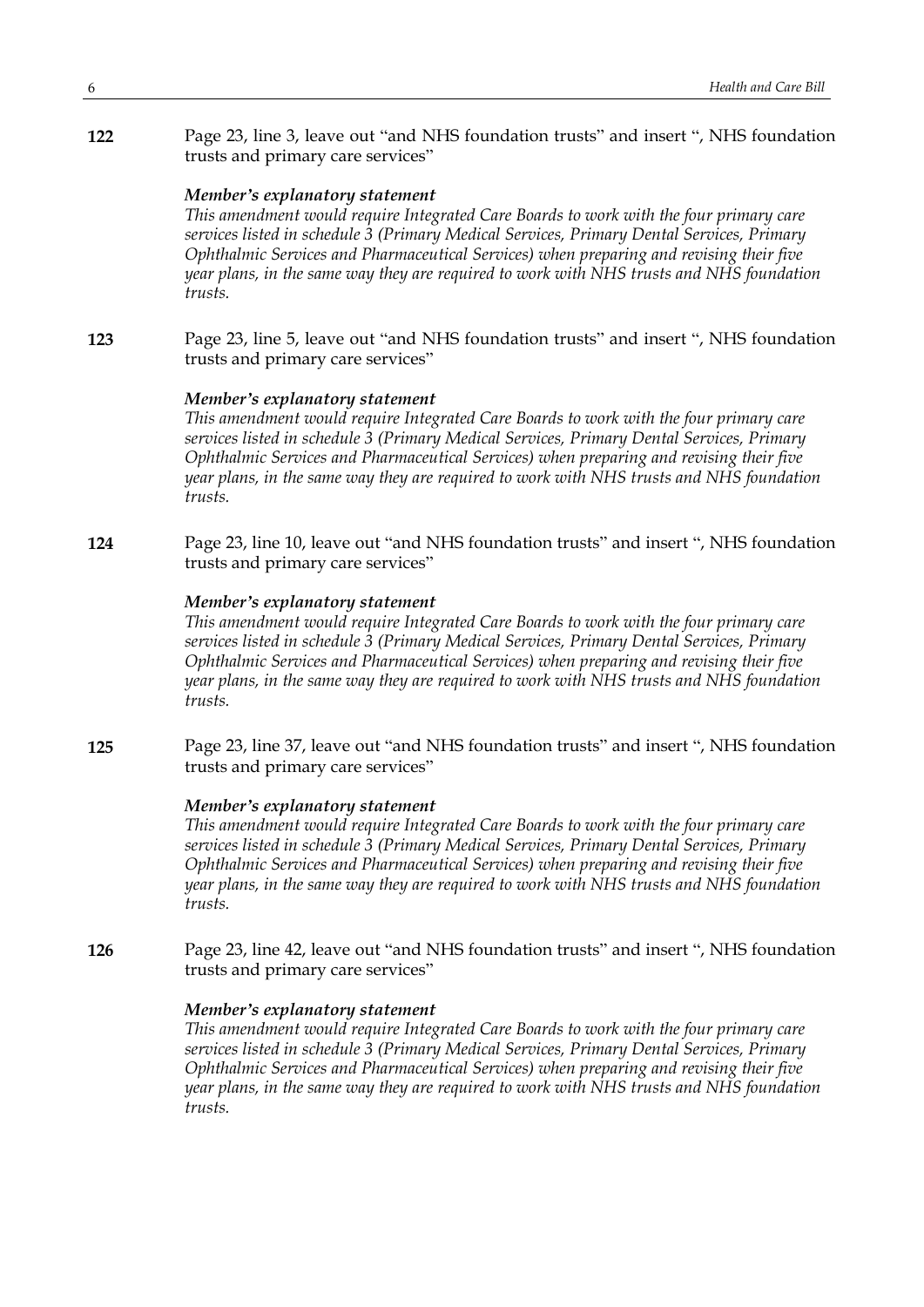**122** Page 23, line 3, leave out "and NHS foundation trusts" and insert ", NHS foundation trusts and primary care services"

# *Member's explanatory statement*

*This amendment would require Integrated Care Boards to work with the four primary care services listed in schedule 3 (Primary Medical Services, Primary Dental Services, Primary Ophthalmic Services and Pharmaceutical Services) when preparing and revising their five year plans, in the same way they are required to work with NHS trusts and NHS foundation trusts.*

**123** Page 23, line 5, leave out "and NHS foundation trusts" and insert ", NHS foundation trusts and primary care services"

# *Member's explanatory statement*

*This amendment would require Integrated Care Boards to work with the four primary care services listed in schedule 3 (Primary Medical Services, Primary Dental Services, Primary Ophthalmic Services and Pharmaceutical Services) when preparing and revising their five year plans, in the same way they are required to work with NHS trusts and NHS foundation trusts.*

**124** Page 23, line 10, leave out "and NHS foundation trusts" and insert ", NHS foundation trusts and primary care services"

# *Member's explanatory statement*

*This amendment would require Integrated Care Boards to work with the four primary care services listed in schedule 3 (Primary Medical Services, Primary Dental Services, Primary Ophthalmic Services and Pharmaceutical Services) when preparing and revising their five year plans, in the same way they are required to work with NHS trusts and NHS foundation trusts.*

**125** Page 23, line 37, leave out "and NHS foundation trusts" and insert ", NHS foundation trusts and primary care services"

#### *Member's explanatory statement*

*This amendment would require Integrated Care Boards to work with the four primary care services listed in schedule 3 (Primary Medical Services, Primary Dental Services, Primary Ophthalmic Services and Pharmaceutical Services) when preparing and revising their five year plans, in the same way they are required to work with NHS trusts and NHS foundation trusts.*

**126** Page 23, line 42, leave out "and NHS foundation trusts" and insert ", NHS foundation trusts and primary care services"

#### *Member's explanatory statement*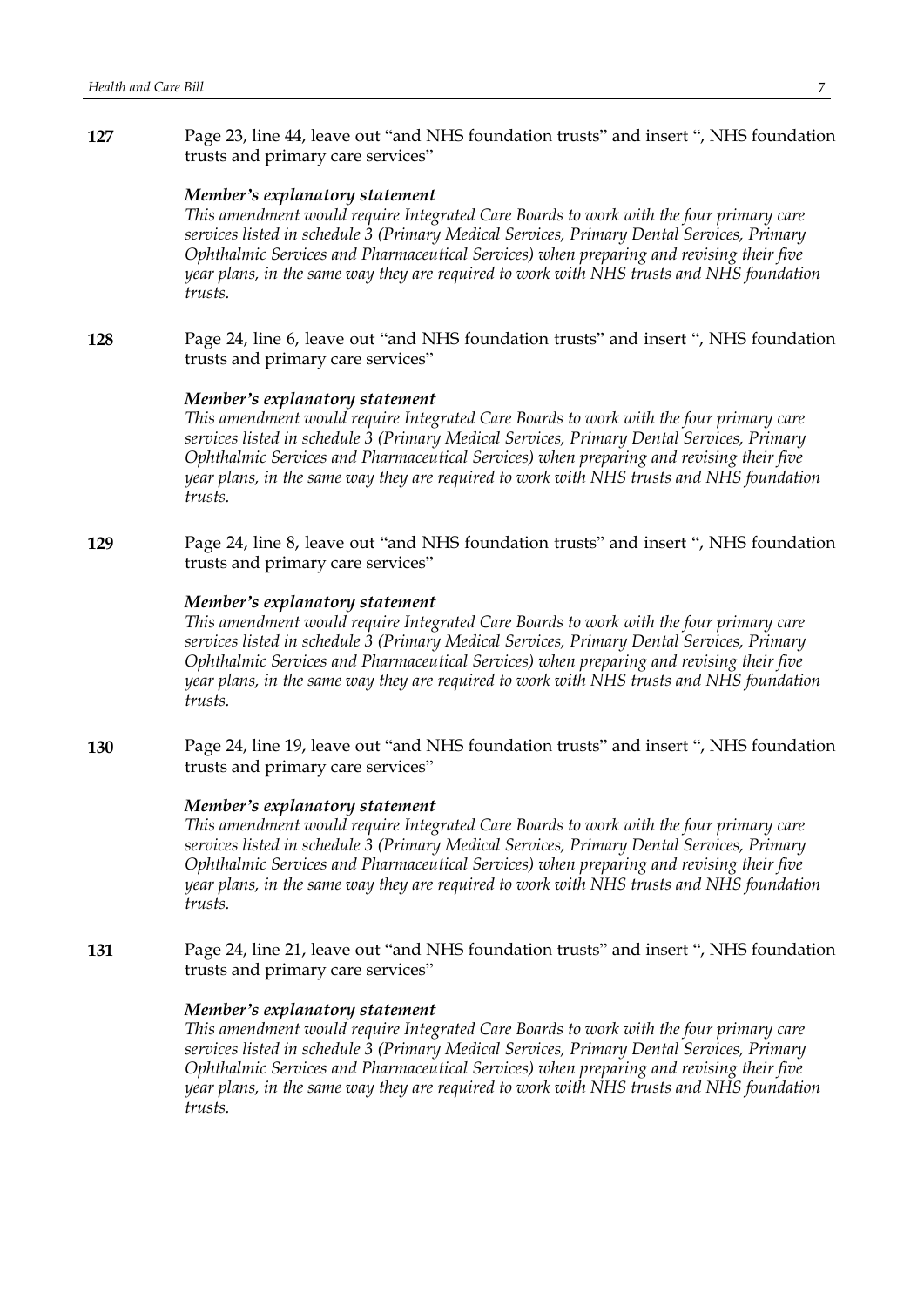**127** Page 23, line 44, leave out "and NHS foundation trusts" and insert ", NHS foundation trusts and primary care services"

#### *Member's explanatory statement*

*This amendment would require Integrated Care Boards to work with the four primary care services listed in schedule 3 (Primary Medical Services, Primary Dental Services, Primary Ophthalmic Services and Pharmaceutical Services) when preparing and revising their five year plans, in the same way they are required to work with NHS trusts and NHS foundation trusts.*

**128** Page 24, line 6, leave out "and NHS foundation trusts" and insert ", NHS foundation trusts and primary care services"

#### *Member's explanatory statement*

*This amendment would require Integrated Care Boards to work with the four primary care services listed in schedule 3 (Primary Medical Services, Primary Dental Services, Primary Ophthalmic Services and Pharmaceutical Services) when preparing and revising their five year plans, in the same way they are required to work with NHS trusts and NHS foundation trusts.*

**129** Page 24, line 8, leave out "and NHS foundation trusts" and insert ", NHS foundation trusts and primary care services"

#### *Member's explanatory statement*

*This amendment would require Integrated Care Boards to work with the four primary care services listed in schedule 3 (Primary Medical Services, Primary Dental Services, Primary Ophthalmic Services and Pharmaceutical Services) when preparing and revising their five year plans, in the same way they are required to work with NHS trusts and NHS foundation trusts.*

**130** Page 24, line 19, leave out "and NHS foundation trusts" and insert ", NHS foundation trusts and primary care services"

#### *Member's explanatory statement*

*This amendment would require Integrated Care Boards to work with the four primary care services listed in schedule 3 (Primary Medical Services, Primary Dental Services, Primary Ophthalmic Services and Pharmaceutical Services) when preparing and revising their five year plans, in the same way they are required to work with NHS trusts and NHS foundation trusts.*

**131** Page 24, line 21, leave out "and NHS foundation trusts" and insert ", NHS foundation trusts and primary care services"

#### *Member's explanatory statement*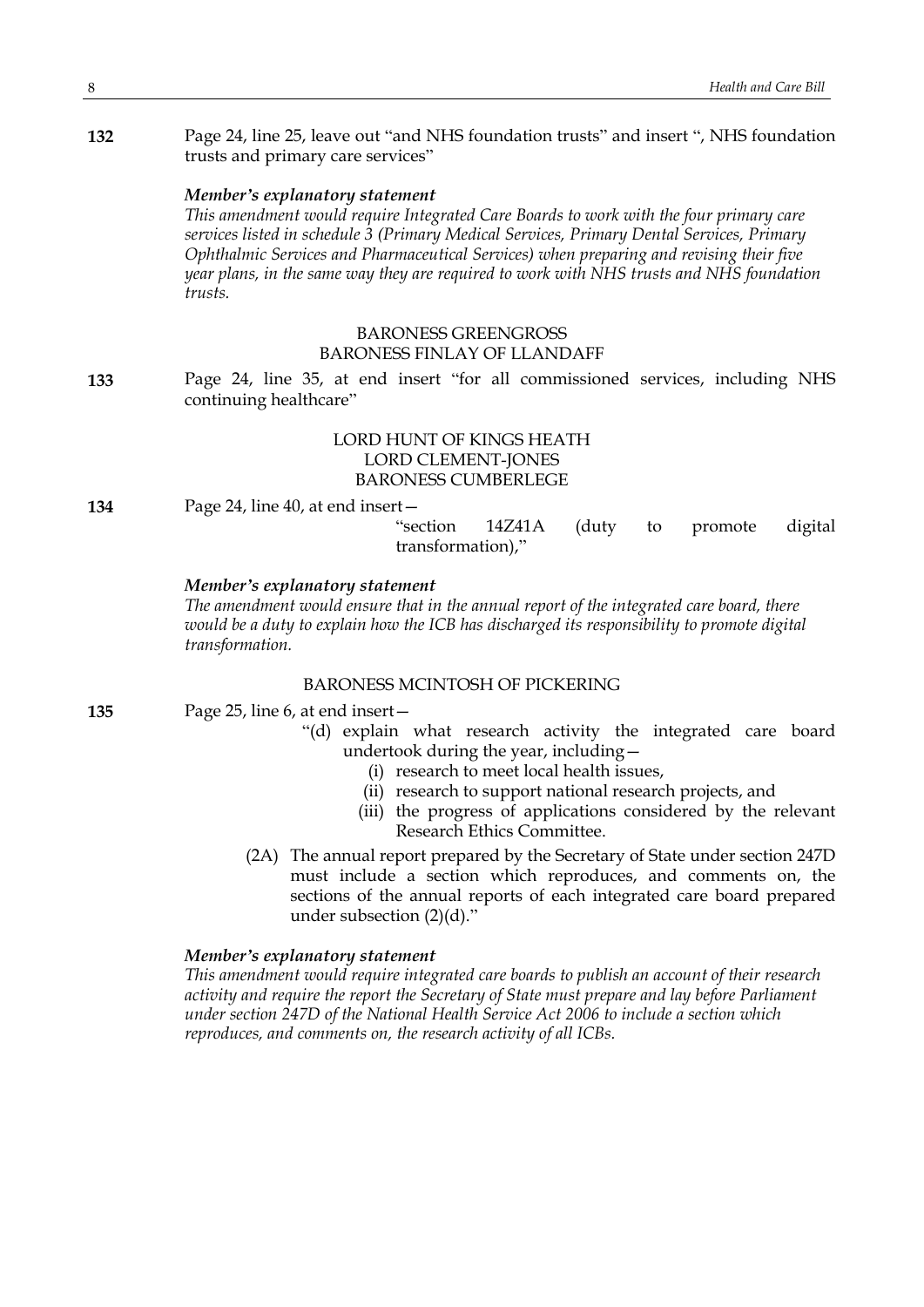**132** Page 24, line 25, leave out "and NHS foundation trusts" and insert ", NHS foundation trusts and primary care services"

#### *Member's explanatory statement*

*This amendment would require Integrated Care Boards to work with the four primary care services listed in schedule 3 (Primary Medical Services, Primary Dental Services, Primary Ophthalmic Services and Pharmaceutical Services) when preparing and revising their five year plans, in the same way they are required to work with NHS trusts and NHS foundation trusts.*

# BARONESS GREENGROSS BARONESS FINLAY OF LLANDAFF

**133** Page 24, line 35, at end insert "for all commissioned services, including NHS continuing healthcare"

# LORD HUNT OF KINGS HEATH LORD CLEMENT-JONES BARONESS CUMBERLEGE

**134** Page 24, line 40, at end insert—

"section 14Z41A (duty to promote digital transformation),"

# *Member's explanatory statement*

*The amendment would ensure that in the annual report of the integrated care board, there would be a duty to explain how the ICB has discharged its responsibility to promote digital transformation.*

# BARONESS MCINTOSH OF PICKERING

- **135** Page 25, line 6, at end insert—
	- "(d) explain what research activity the integrated care board undertook during the year, including—
		- (i) research to meet local health issues,
		- (ii) research to support national research projects, and
		- (iii) the progress of applications considered by the relevant Research Ethics Committee.
	- (2A) The annual report prepared by the Secretary of State under section 247D must include a section which reproduces, and comments on, the sections of the annual reports of each integrated care board prepared under subsection (2)(d)."

#### *Member's explanatory statement*

*This amendment would require integrated care boards to publish an account of their research activity and require the report the Secretary of State must prepare and lay before Parliament under section 247D of the National Health Service Act 2006 to include a section which reproduces, and comments on, the research activity of all ICBs.*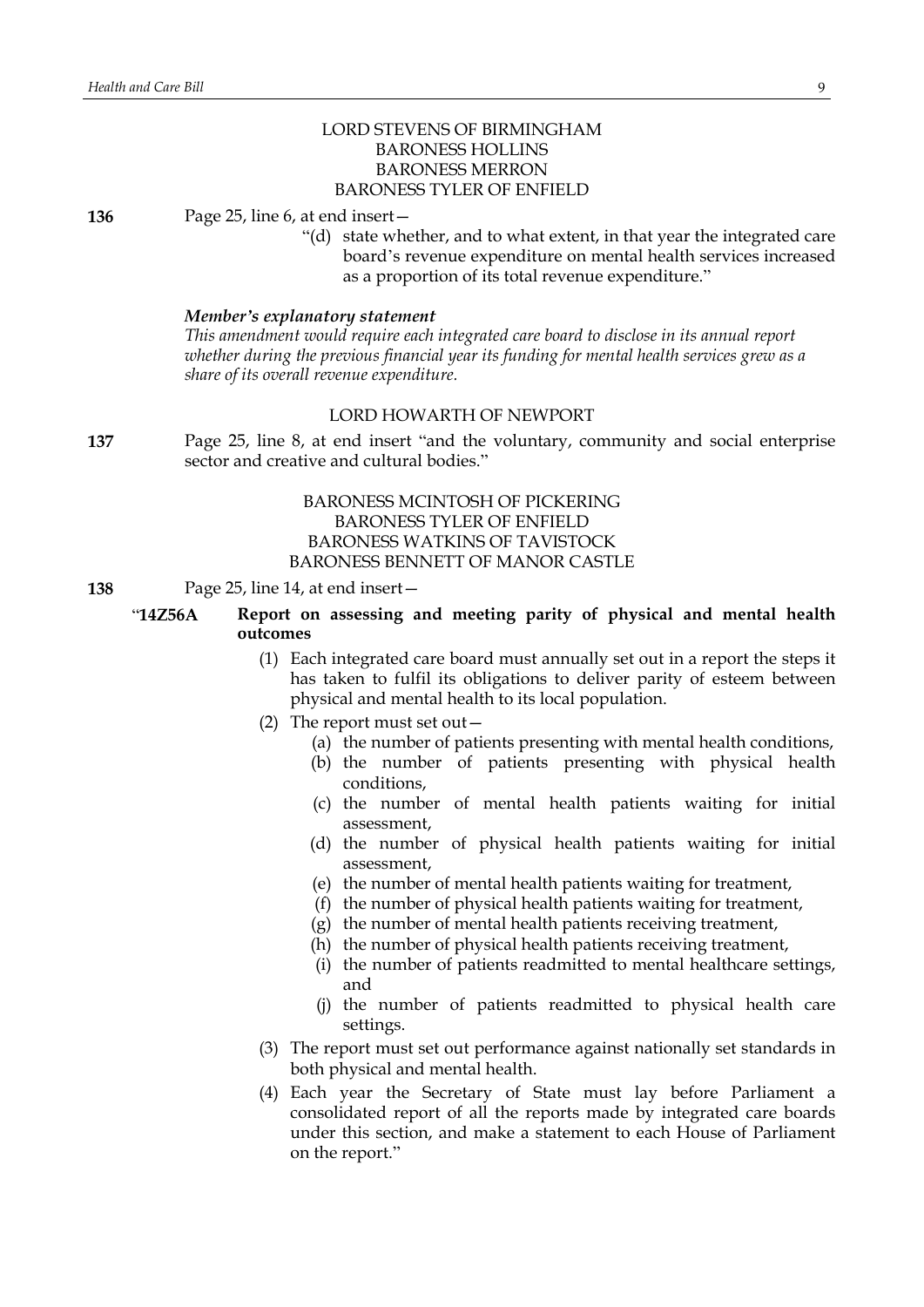# LORD STEVENS OF BIRMINGHAM BARONESS HOLLINS BARONESS MERRON BARONESS TYLER OF ENFIELD

**136** Page 25, line 6, at end insert—

"(d) state whether, and to what extent, in that year the integrated care board's revenue expenditure on mental health services increased as a proportion of its total revenue expenditure."

#### *Member's explanatory statement*

*This amendment would require each integrated care board to disclose in its annual report whether during the previous financial year its funding for mental health services grew as a share of its overall revenue expenditure.*

# LORD HOWARTH OF NEWPORT

**137** Page 25, line 8, at end insert "and the voluntary, community and social enterprise sector and creative and cultural bodies."

# BARONESS MCINTOSH OF PICKERING BARONESS TYLER OF ENFIELD BARONESS WATKINS OF TAVISTOCK BARONESS BENNETT OF MANOR CASTLE

# **138** Page 25, line 14, at end insert—

# "**14Z56A Report on assessing and meeting parity of physical and mental health outcomes**

- (1) Each integrated care board must annually set out in a report the steps it has taken to fulfil its obligations to deliver parity of esteem between physical and mental health to its local population.
- (2) The report must set out—
	- (a) the number of patients presenting with mental health conditions,
	- (b) the number of patients presenting with physical health conditions,
	- (c) the number of mental health patients waiting for initial assessment,
	- (d) the number of physical health patients waiting for initial assessment,
	- (e) the number of mental health patients waiting for treatment,
	- (f) the number of physical health patients waiting for treatment,
	- (g) the number of mental health patients receiving treatment,
	- (h) the number of physical health patients receiving treatment,
	- (i) the number of patients readmitted to mental healthcare settings, and
	- (j) the number of patients readmitted to physical health care settings.
- (3) The report must set out performance against nationally set standards in both physical and mental health.
- (4) Each year the Secretary of State must lay before Parliament a consolidated report of all the reports made by integrated care boards under this section, and make a statement to each House of Parliament on the report."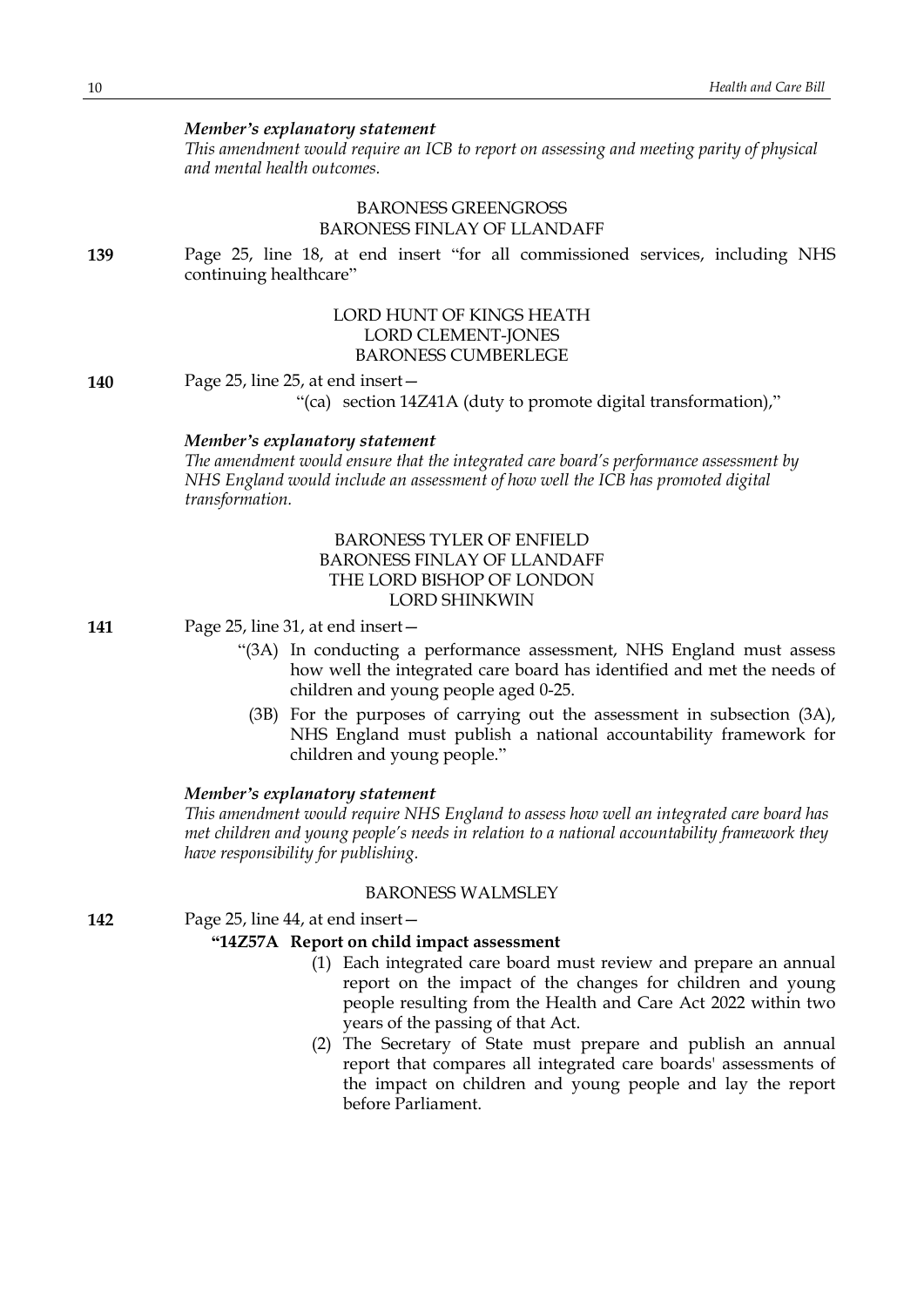*This amendment would require an ICB to report on assessing and meeting parity of physical and mental health outcomes.*

# BARONESS GREENGROSS BARONESS FINLAY OF LLANDAFF

**139** Page 25, line 18, at end insert "for all commissioned services, including NHS continuing healthcare"

# LORD HUNT OF KINGS HEATH LORD CLEMENT-JONES BARONESS CUMBERLEGE

#### **140** Page 25, line 25, at end insert—

"(ca) section 14Z41A (duty to promote digital transformation),"

## *Member's explanatory statement*

*The amendment would ensure that the integrated care board's performance assessment by NHS England would include an assessment of how well the ICB has promoted digital transformation.*

# BARONESS TYLER OF ENFIELD BARONESS FINLAY OF LLANDAFF THE LORD BISHOP OF LONDON LORD SHINKWIN

**141** Page 25, line 31, at end insert—

- "(3A) In conducting a performance assessment, NHS England must assess how well the integrated care board has identified and met the needs of children and young people aged 0-25.
	- (3B) For the purposes of carrying out the assessment in subsection (3A), NHS England must publish a national accountability framework for children and young people."

# *Member's explanatory statement*

*This amendment would require NHS England to assess how well an integrated care board has met children and young people's needs in relation to a national accountability framework they have responsibility for publishing.*

#### BARONESS WALMSLEY

**142** Page 25, line 44, at end insert—

# **"14Z57A Report on child impact assessment**

- (1) Each integrated care board must review and prepare an annual report on the impact of the changes for children and young people resulting from the Health and Care Act 2022 within two years of the passing of that Act.
- (2) The Secretary of State must prepare and publish an annual report that compares all integrated care boards' assessments of the impact on children and young people and lay the report before Parliament.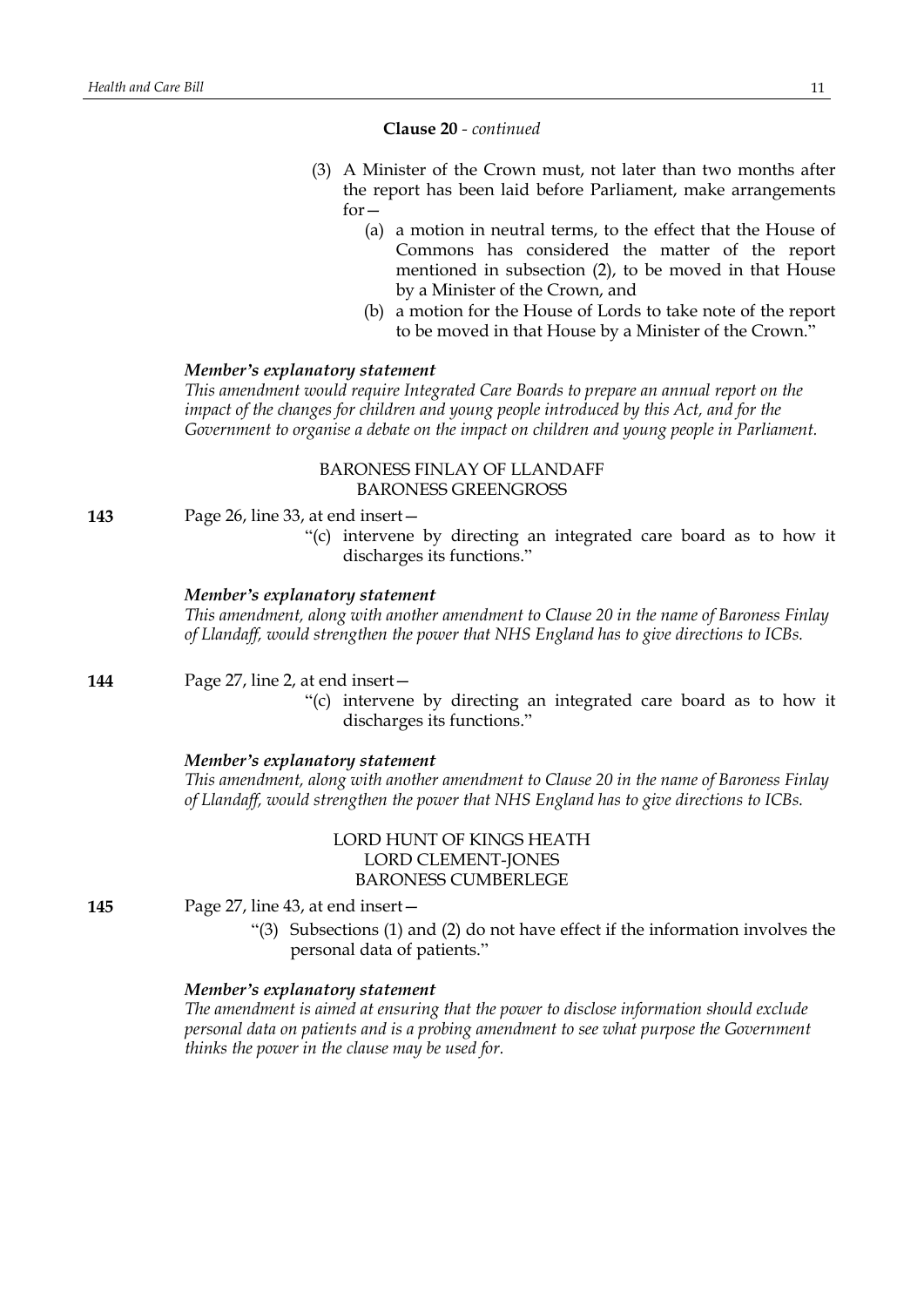#### **Clause 20** *- continued*

- (3) A Minister of the Crown must, not later than two months after the report has been laid before Parliament, make arrangements  $for -$ 
	- (a) a motion in neutral terms, to the effect that the House of Commons has considered the matter of the report mentioned in subsection (2), to be moved in that House by a Minister of the Crown, and
	- (b) a motion for the House of Lords to take note of the report to be moved in that House by a Minister of the Crown."

#### *Member's explanatory statement*

*This amendment would require Integrated Care Boards to prepare an annual report on the impact of the changes for children and young people introduced by this Act, and for the Government to organise a debate on the impact on children and young people in Parliament.*

# BARONESS FINLAY OF LLANDAFF BARONESS GREENGROSS

**143** Page 26, line 33, at end insert—

"(c) intervene by directing an integrated care board as to how it discharges its functions."

#### *Member's explanatory statement*

*This amendment, along with another amendment to Clause 20 in the name of Baroness Finlay of Llandaff, would strengthen the power that NHS England has to give directions to ICBs.*

**144** Page 27, line 2, at end insert—

"(c) intervene by directing an integrated care board as to how it discharges its functions."

#### *Member's explanatory statement*

*This amendment, along with another amendment to Clause 20 in the name of Baroness Finlay of Llandaff, would strengthen the power that NHS England has to give directions to ICBs.*

# LORD HUNT OF KINGS HEATH LORD CLEMENT-JONES BARONESS CUMBERLEGE

**145** Page 27, line 43, at end insert—

"(3) Subsections (1) and (2) do not have effect if the information involves the personal data of patients."

#### *Member's explanatory statement*

*The amendment is aimed at ensuring that the power to disclose information should exclude personal data on patients and is a probing amendment to see what purpose the Government thinks the power in the clause may be used for.*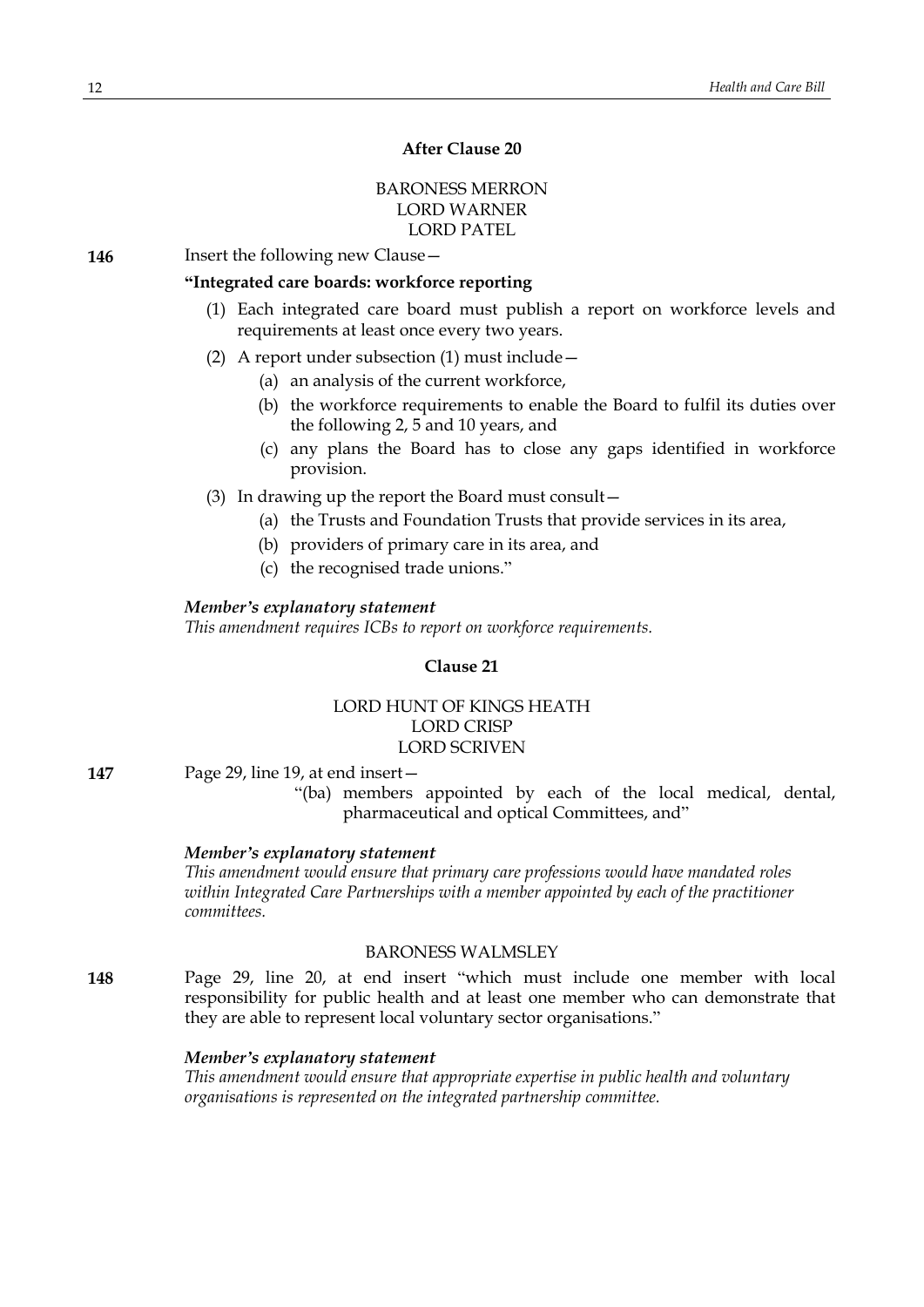# **After Clause 20**

# BARONESS MERRON LORD WARNER LORD PATEL

**146** Insert the following new Clause -

# **"Integrated care boards: workforce reporting**

- (1) Each integrated care board must publish a report on workforce levels and requirements at least once every two years.
- (2) A report under subsection (1) must include—
	- (a) an analysis of the current workforce,
	- (b) the workforce requirements to enable the Board to fulfil its duties over the following 2, 5 and 10 years, and
	- (c) any plans the Board has to close any gaps identified in workforce provision.

(3) In drawing up the report the Board must consult—

- (a) the Trusts and Foundation Trusts that provide services in its area,
- (b) providers of primary care in its area, and
- (c) the recognised trade unions."

#### *Member's explanatory statement*

*This amendment requires ICBs to report on workforce requirements.*

#### **Clause 21**

# LORD HUNT OF KINGS HEATH LORD CRISP LORD SCRIVEN

- **147** Page 29, line 19, at end insert—
	- "(ba) members appointed by each of the local medical, dental, pharmaceutical and optical Committees, and"

#### *Member's explanatory statement*

*This amendment would ensure that primary care professions would have mandated roles within Integrated Care Partnerships with a member appointed by each of the practitioner committees.*

# BARONESS WALMSLEY

**148** Page 29, line 20, at end insert "which must include one member with local responsibility for public health and at least one member who can demonstrate that they are able to represent local voluntary sector organisations."

#### *Member's explanatory statement*

*This amendment would ensure that appropriate expertise in public health and voluntary organisations is represented on the integrated partnership committee.*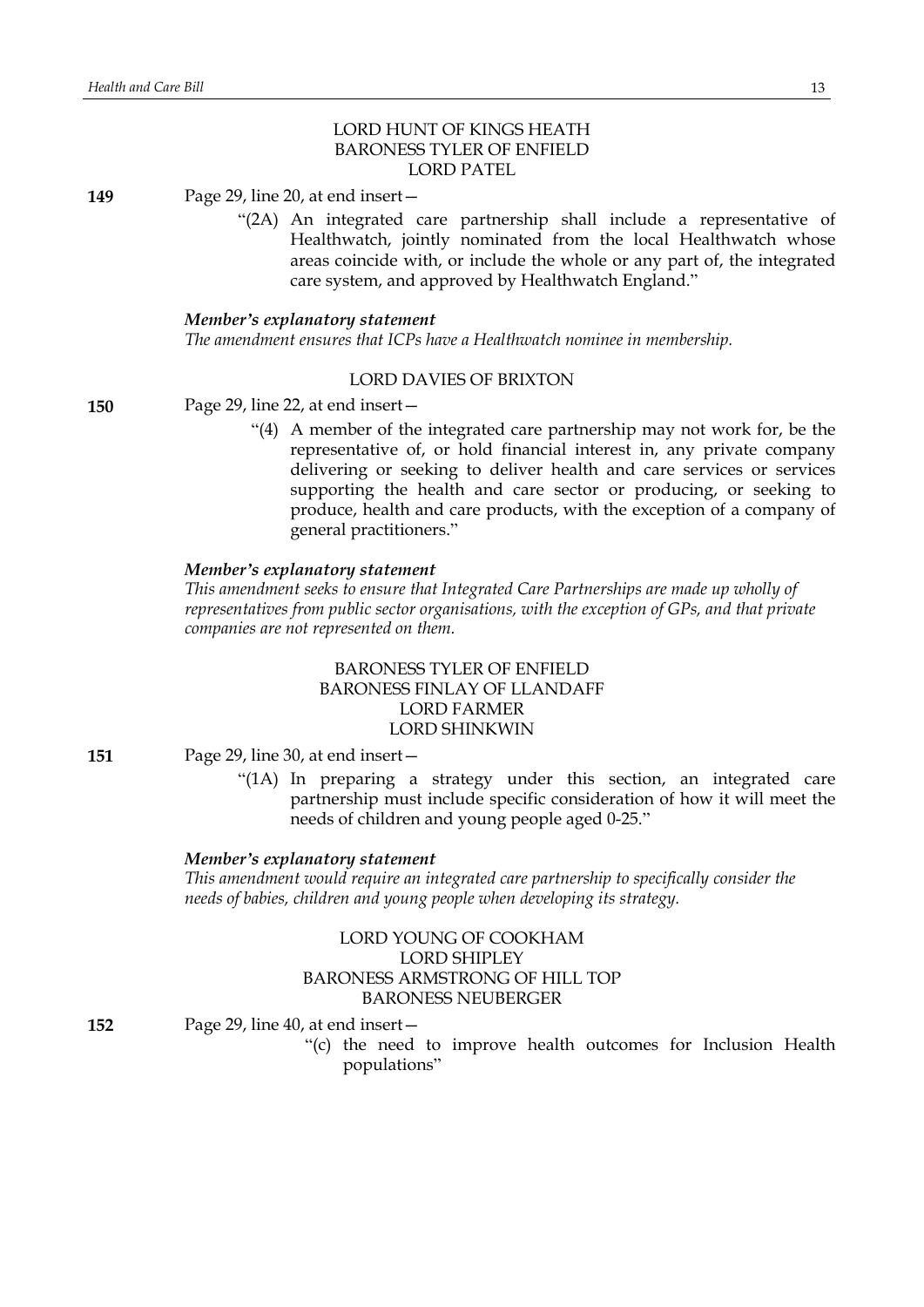# LORD HUNT OF KINGS HEATH BARONESS TYLER OF ENFIELD LORD PATEL

**149** Page 29, line 20, at end insert—

"(2A) An integrated care partnership shall include a representative of Healthwatch, jointly nominated from the local Healthwatch whose areas coincide with, or include the whole or any part of, the integrated care system, and approved by Healthwatch England."

#### *Member's explanatory statement*

*The amendment ensures that ICPs have a Healthwatch nominee in membership.*

#### LORD DAVIES OF BRIXTON

**150** Page 29, line 22, at end insert—

"(4) A member of the integrated care partnership may not work for, be the representative of, or hold financial interest in, any private company delivering or seeking to deliver health and care services or services supporting the health and care sector or producing, or seeking to produce, health and care products, with the exception of a company of general practitioners."

# *Member's explanatory statement*

*This amendment seeks to ensure that Integrated Care Partnerships are made up wholly of representatives from public sector organisations, with the exception of GPs, and that private companies are not represented on them.*

# BARONESS TYLER OF ENFIELD BARONESS FINLAY OF LLANDAFF LORD FARMER LORD SHINKWIN

**151** Page 29, line 30, at end insert—

"(1A) In preparing a strategy under this section, an integrated care partnership must include specific consideration of how it will meet the needs of children and young people aged 0-25."

# *Member's explanatory statement*

*This amendment would require an integrated care partnership to specifically consider the needs of babies, children and young people when developing its strategy.*

# LORD YOUNG OF COOKHAM LORD SHIPLEY BARONESS ARMSTRONG OF HILL TOP BARONESS NEUBERGER

**152** Page 29, line 40, at end insert—

"(c) the need to improve health outcomes for Inclusion Health populations"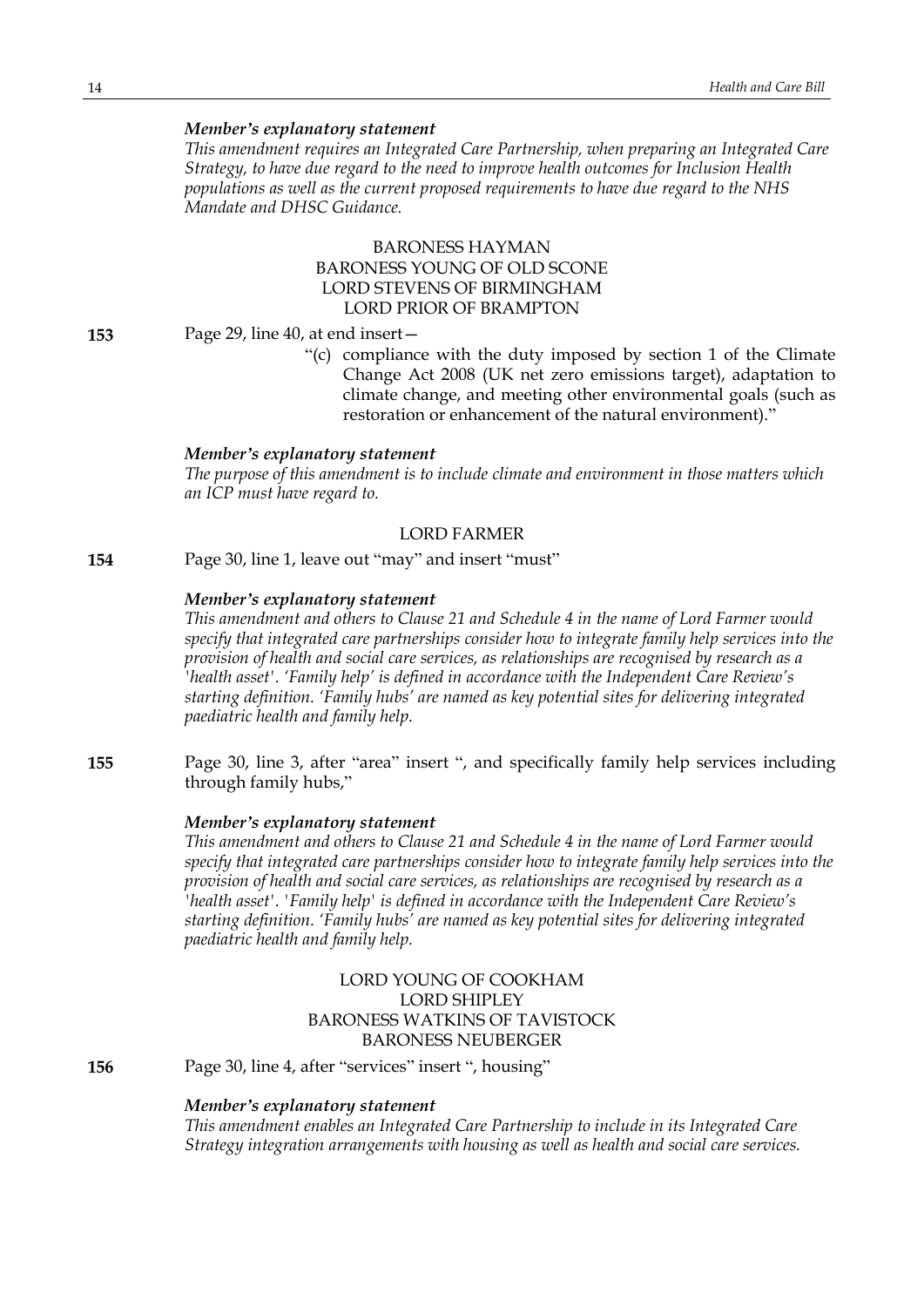*This amendment requires an Integrated Care Partnership, when preparing an Integrated Care Strategy, to have due regard to the need to improve health outcomes for Inclusion Health populations as well as the current proposed requirements to have due regard to the NHS Mandate and DHSC Guidance.*

# BARONESS HAYMAN BARONESS YOUNG OF OLD SCONE LORD STEVENS OF BIRMINGHAM LORD PRIOR OF BRAMPTON

#### **153** Page 29, line 40, at end insert—

"(c) compliance with the duty imposed by section 1 of the Climate Change Act 2008 (UK net zero emissions target), adaptation to climate change, and meeting other environmental goals (such as restoration or enhancement of the natural environment)."

#### *Member's explanatory statement*

*The purpose of this amendment is to include climate and environment in those matters which an ICP must have regard to.*

# LORD FARMER

**154** Page 30, line 1, leave out "may" and insert "must"

#### *Member's explanatory statement*

*This amendment and others to Clause 21 and Schedule 4 in the name of Lord Farmer would specify that integrated care partnerships consider how to integrate family help services into the provision of health and social care services, as relationships are recognised by research as a 'health asset'. 'Family help' is defined in accordance with the Independent Care Review's starting definition. 'Family hubs' are named as key potential sites for delivering integrated paediatric health and family help.*

**155** Page 30, line 3, after "area" insert ", and specifically family help services including through family hubs,"

#### *Member's explanatory statement*

*This amendment and others to Clause 21 and Schedule 4 in the name of Lord Farmer would specify that integrated care partnerships consider how to integrate family help services into the provision of health and social care services, as relationships are recognised by research as a 'health asset'. 'Family help' is defined in accordance with the Independent Care Review's starting definition. 'Family hubs' are named as key potential sites for delivering integrated paediatric health and family help.*

# LORD YOUNG OF COOKHAM LORD SHIPLEY BARONESS WATKINS OF TAVISTOCK BARONESS NEUBERGER

**156** Page 30, line 4, after "services" insert ", housing"

# *Member's explanatory statement*

*This amendment enables an Integrated Care Partnership to include in its Integrated Care Strategy integration arrangements with housing as well as health and social care services.*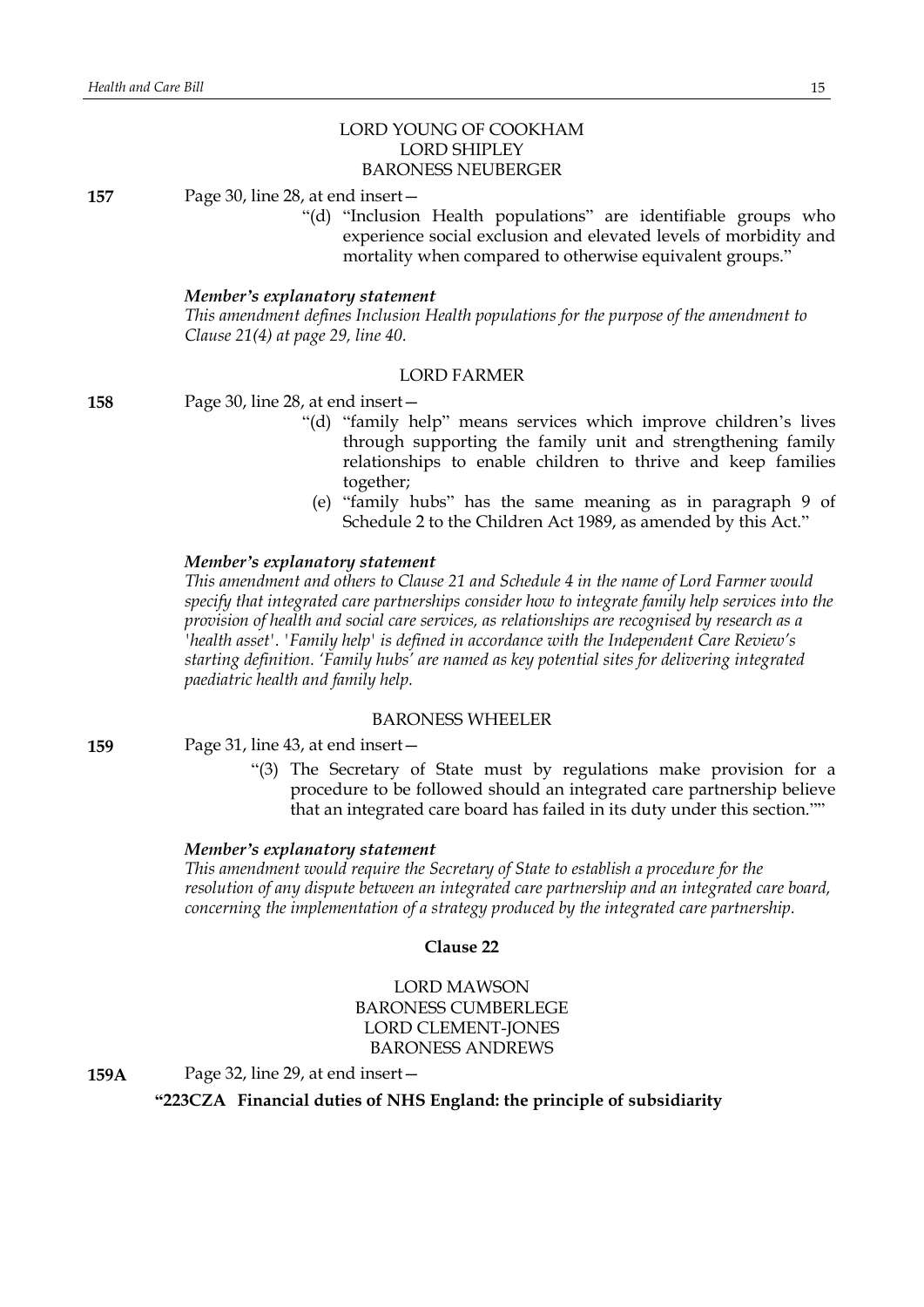# LORD YOUNG OF COOKHAM LORD SHIPLEY BARONESS NEUBERGER

**157** Page 30, line 28, at end insert—

"(d) "Inclusion Health populations" are identifiable groups who experience social exclusion and elevated levels of morbidity and mortality when compared to otherwise equivalent groups."

#### *Member's explanatory statement*

*This amendment defines Inclusion Health populations for the purpose of the amendment to Clause 21(4) at page 29, line 40.*

#### LORD FARMER

**158** Page 30, line 28, at end insert—

- "(d) "family help" means services which improve children's lives through supporting the family unit and strengthening family relationships to enable children to thrive and keep families together;
- (e) "family hubs" has the same meaning as in paragraph 9 of Schedule 2 to the Children Act 1989, as amended by this Act."

# *Member's explanatory statement*

*This amendment and others to Clause 21 and Schedule 4 in the name of Lord Farmer would specify that integrated care partnerships consider how to integrate family help services into the provision of health and social care services, as relationships are recognised by research as a 'health asset'. 'Family help' is defined in accordance with the Independent Care Review's starting definition. 'Family hubs' are named as key potential sites for delivering integrated paediatric health and family help.*

#### BARONESS WHEELER

**159** Page 31, line 43, at end insert—

"(3) The Secretary of State must by regulations make provision for a procedure to be followed should an integrated care partnership believe that an integrated care board has failed in its duty under this section.""

#### *Member's explanatory statement*

*This amendment would require the Secretary of State to establish a procedure for the resolution of any dispute between an integrated care partnership and an integrated care board, concerning the implementation of a strategy produced by the integrated care partnership.*

#### **Clause 22**

# LORD MAWSON BARONESS CUMBERLEGE LORD CLEMENT-JONES BARONESS ANDREWS

**159A** Page 32, line 29, at end insert—

**"223CZA Financial duties of NHS England: the principle of subsidiarity**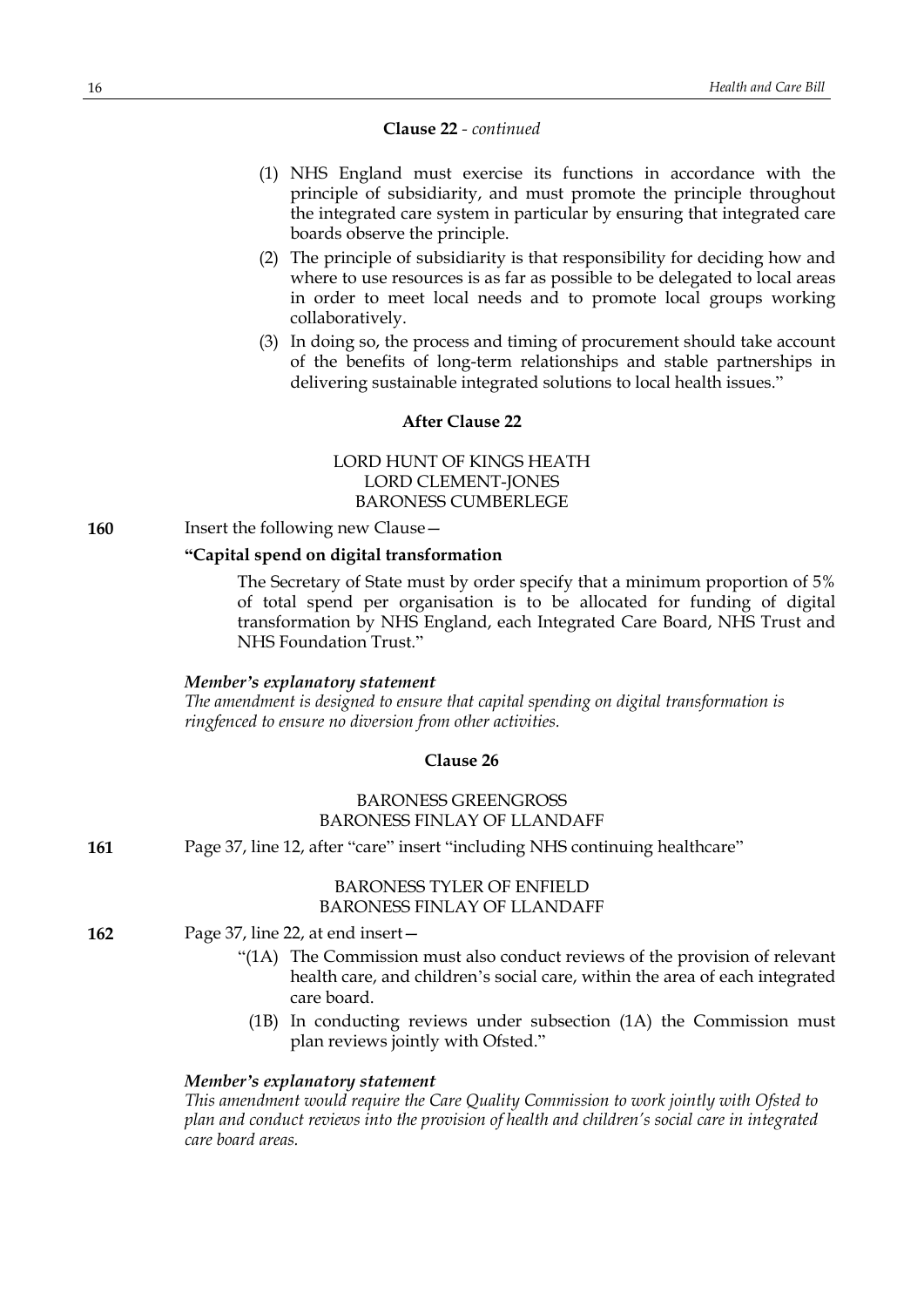# **Clause 22** *- continued*

- (1) NHS England must exercise its functions in accordance with the principle of subsidiarity, and must promote the principle throughout the integrated care system in particular by ensuring that integrated care boards observe the principle.
- (2) The principle of subsidiarity is that responsibility for deciding how and where to use resources is as far as possible to be delegated to local areas in order to meet local needs and to promote local groups working collaboratively.
- (3) In doing so, the process and timing of procurement should take account of the benefits of long-term relationships and stable partnerships in delivering sustainable integrated solutions to local health issues."

# **After Clause 22**

# LORD HUNT OF KINGS HEATH LORD CLEMENT-JONES BARONESS CUMBERLEGE

**160** Insert the following new Clause—

# **"Capital spend on digital transformation**

The Secretary of State must by order specify that a minimum proportion of 5% of total spend per organisation is to be allocated for funding of digital transformation by NHS England, each Integrated Care Board, NHS Trust and NHS Foundation Trust."

#### *Member's explanatory statement*

*The amendment is designed to ensure that capital spending on digital transformation is ringfenced to ensure no diversion from other activities.*

#### **Clause 26**

# BARONESS GREENGROSS BARONESS FINLAY OF LLANDAFF

| 161 |  |  |  | Page 37, line 12, after "care" insert "including NHS continuing healthcare" |
|-----|--|--|--|-----------------------------------------------------------------------------|
|-----|--|--|--|-----------------------------------------------------------------------------|

# BARONESS TYLER OF ENFIELD BARONESS FINLAY OF LLANDAFF

- **162** Page 37, line 22, at end insert—
	- "(1A) The Commission must also conduct reviews of the provision of relevant health care, and children's social care, within the area of each integrated care board.
		- (1B) In conducting reviews under subsection (1A) the Commission must plan reviews jointly with Ofsted."

# *Member's explanatory statement*

*This amendment would require the Care Quality Commission to work jointly with Ofsted to plan and conduct reviews into the provision of health and children's social care in integrated care board areas.*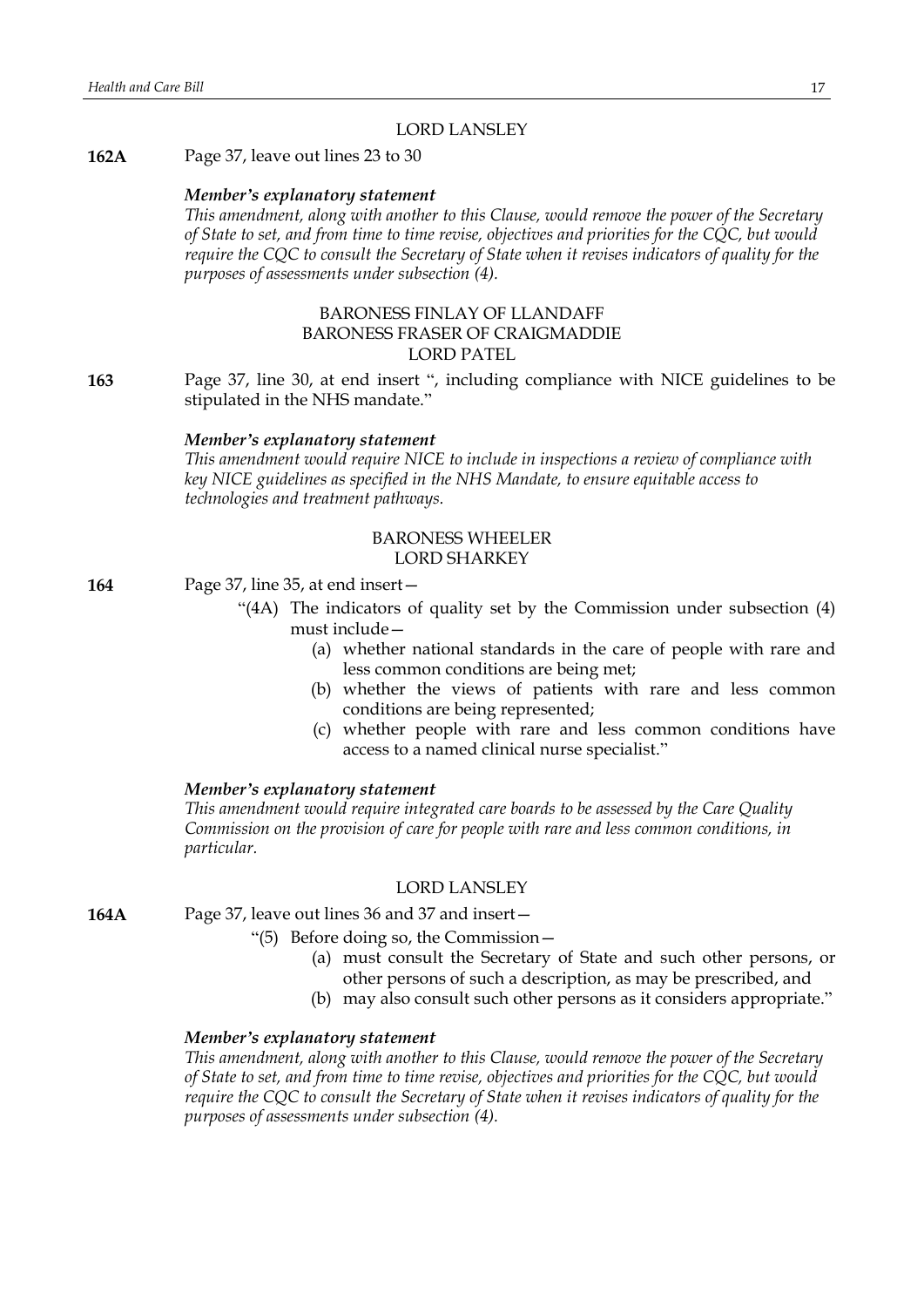#### LORD LANSLEY

#### **162A** Page 37, leave out lines 23 to 30

#### *Member's explanatory statement*

*This amendment, along with another to this Clause, would remove the power of the Secretary of State to set, and from time to time revise, objectives and priorities for the CQC, but would require the CQC to consult the Secretary of State when it revises indicators of quality for the purposes of assessments under subsection (4).*

# BARONESS FINLAY OF LLANDAFF BARONESS FRASER OF CRAIGMADDIE LORD PATEL

**163** Page 37, line 30, at end insert ", including compliance with NICE guidelines to be stipulated in the NHS mandate."

#### *Member's explanatory statement*

*This amendment would require NICE to include in inspections a review of compliance with key NICE guidelines as specified in the NHS Mandate, to ensure equitable access to technologies and treatment pathways.*

#### BARONESS WHEELER LORD SHARKEY

**164** Page 37, line 35, at end insert—

- "(4A) The indicators of quality set by the Commission under subsection (4) must include—
	- (a) whether national standards in the care of people with rare and less common conditions are being met;
	- (b) whether the views of patients with rare and less common conditions are being represented;
	- (c) whether people with rare and less common conditions have access to a named clinical nurse specialist."

#### *Member's explanatory statement*

*This amendment would require integrated care boards to be assessed by the Care Quality Commission on the provision of care for people with rare and less common conditions, in particular.*

#### LORD LANSLEY

**164A** Page 37, leave out lines 36 and 37 and insert—

- "(5) Before doing so, the Commission—
	- (a) must consult the Secretary of State and such other persons, or other persons of such a description, as may be prescribed, and
	- (b) may also consult such other persons as it considers appropriate."

#### *Member's explanatory statement*

*This amendment, along with another to this Clause, would remove the power of the Secretary of State to set, and from time to time revise, objectives and priorities for the CQC, but would require the CQC to consult the Secretary of State when it revises indicators of quality for the purposes of assessments under subsection (4).*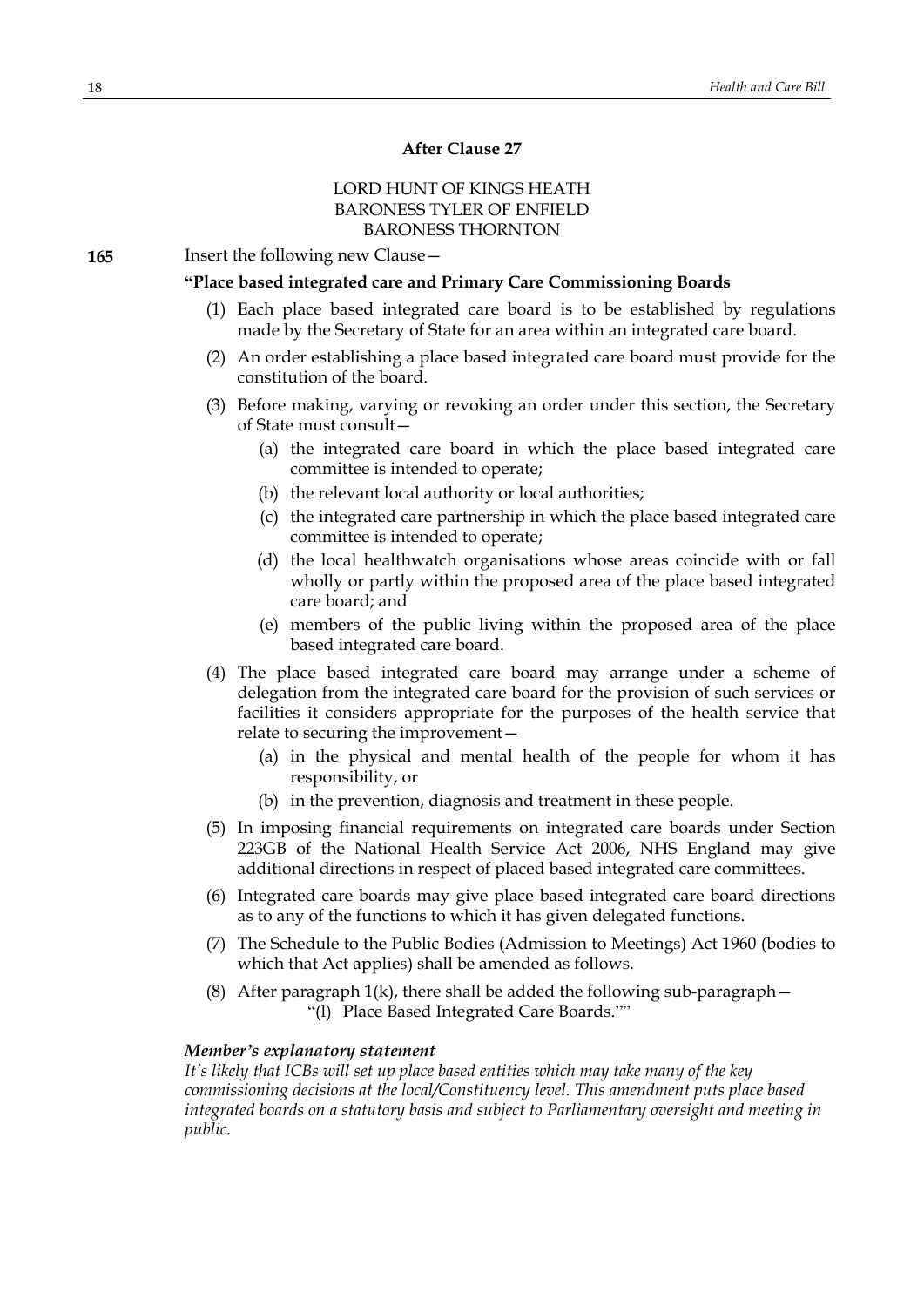# **After Clause 27**

# LORD HUNT OF KINGS HEATH BARONESS TYLER OF ENFIELD BARONESS THORNTON

**165** Insert the following new Clause—

#### **"Place based integrated care and Primary Care Commissioning Boards**

- (1) Each place based integrated care board is to be established by regulations made by the Secretary of State for an area within an integrated care board.
- (2) An order establishing a place based integrated care board must provide for the constitution of the board.
- (3) Before making, varying or revoking an order under this section, the Secretary of State must consult—
	- (a) the integrated care board in which the place based integrated care committee is intended to operate;
	- (b) the relevant local authority or local authorities;
	- (c) the integrated care partnership in which the place based integrated care committee is intended to operate;
	- (d) the local healthwatch organisations whose areas coincide with or fall wholly or partly within the proposed area of the place based integrated care board; and
	- (e) members of the public living within the proposed area of the place based integrated care board.
- (4) The place based integrated care board may arrange under a scheme of delegation from the integrated care board for the provision of such services or facilities it considers appropriate for the purposes of the health service that relate to securing the improvement—
	- (a) in the physical and mental health of the people for whom it has responsibility, or
	- (b) in the prevention, diagnosis and treatment in these people.
- (5) In imposing financial requirements on integrated care boards under Section 223GB of the National Health Service Act 2006, NHS England may give additional directions in respect of placed based integrated care committees.
- (6) Integrated care boards may give place based integrated care board directions as to any of the functions to which it has given delegated functions.
- (7) The Schedule to the Public Bodies (Admission to Meetings) Act 1960 (bodies to which that Act applies) shall be amended as follows.
- (8) After paragraph 1(k), there shall be added the following sub-paragraph— "(l) Place Based Integrated Care Boards.""

#### *Member's explanatory statement*

*It's likely that ICBs will set up place based entities which may take many of the key commissioning decisions at the local/Constituency level. This amendment puts place based integrated boards on a statutory basis and subject to Parliamentary oversight and meeting in public.*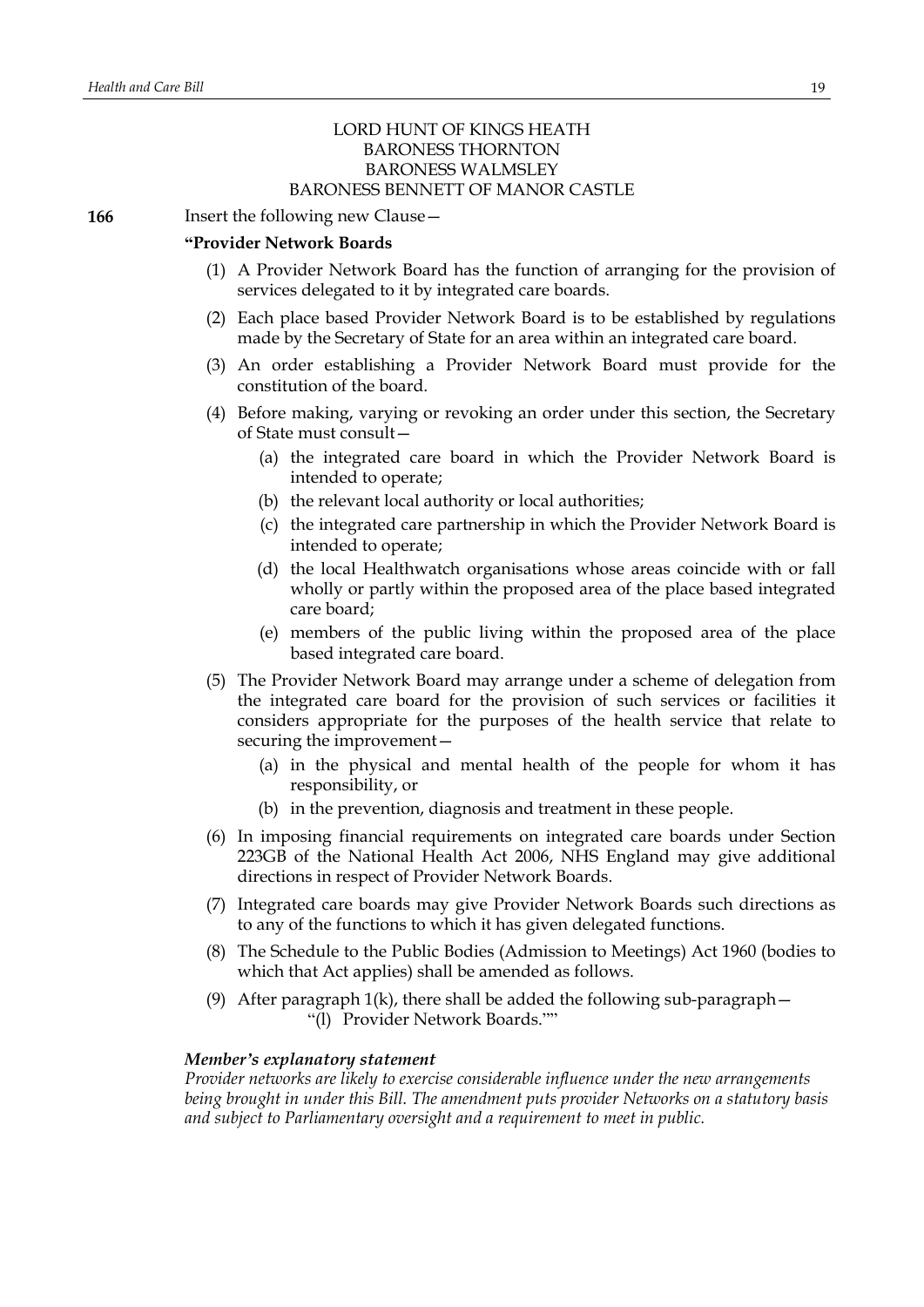# LORD HUNT OF KINGS HEATH BARONESS THORNTON BARONESS WALMSLEY BARONESS BENNETT OF MANOR CASTLE

**166** Insert the following new Clause -

#### **"Provider Network Boards**

- (1) A Provider Network Board has the function of arranging for the provision of services delegated to it by integrated care boards.
- (2) Each place based Provider Network Board is to be established by regulations made by the Secretary of State for an area within an integrated care board.
- (3) An order establishing a Provider Network Board must provide for the constitution of the board.
- (4) Before making, varying or revoking an order under this section, the Secretary of State must consult—
	- (a) the integrated care board in which the Provider Network Board is intended to operate;
	- (b) the relevant local authority or local authorities;
	- (c) the integrated care partnership in which the Provider Network Board is intended to operate;
	- (d) the local Healthwatch organisations whose areas coincide with or fall wholly or partly within the proposed area of the place based integrated care board;
	- (e) members of the public living within the proposed area of the place based integrated care board.
- (5) The Provider Network Board may arrange under a scheme of delegation from the integrated care board for the provision of such services or facilities it considers appropriate for the purposes of the health service that relate to securing the improvement—
	- (a) in the physical and mental health of the people for whom it has responsibility, or
	- (b) in the prevention, diagnosis and treatment in these people.
- (6) In imposing financial requirements on integrated care boards under Section 223GB of the National Health Act 2006, NHS England may give additional directions in respect of Provider Network Boards.
- (7) Integrated care boards may give Provider Network Boards such directions as to any of the functions to which it has given delegated functions.
- (8) The Schedule to the Public Bodies (Admission to Meetings) Act 1960 (bodies to which that Act applies) shall be amended as follows.
- (9) After paragraph  $1(k)$ , there shall be added the following sub-paragraph  $-$ "(l) Provider Network Boards.""

# *Member's explanatory statement*

*Provider networks are likely to exercise considerable influence under the new arrangements being brought in under this Bill. The amendment puts provider Networks on a statutory basis and subject to Parliamentary oversight and a requirement to meet in public.*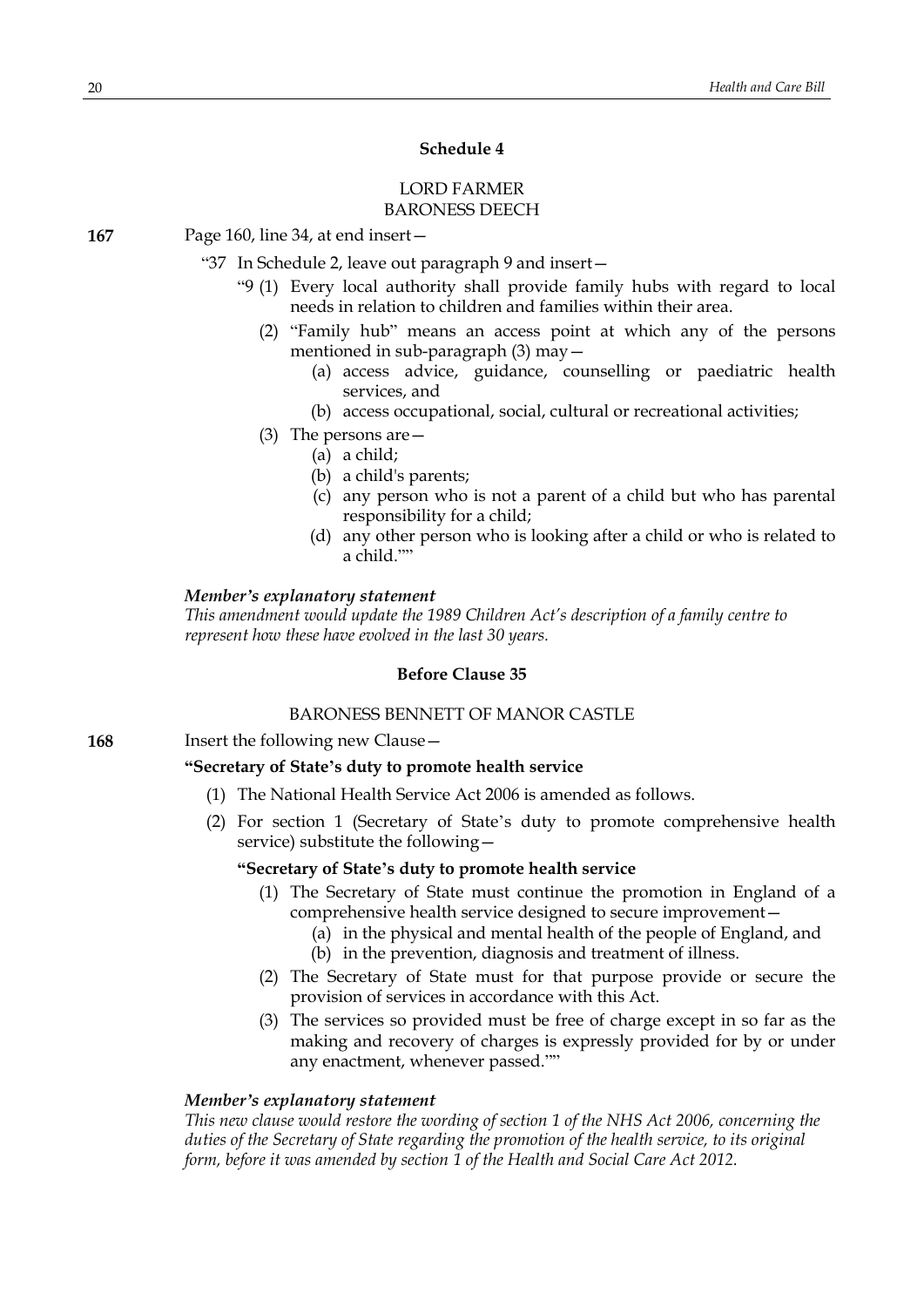# **Schedule 4**

# LORD FARMER BARONESS DEECH

**167** Page 160, line 34, at end insert—

"37 In Schedule 2, leave out paragraph 9 and insert—

- "9 (1) Every local authority shall provide family hubs with regard to local needs in relation to children and families within their area.
	- (2) "Family hub" means an access point at which any of the persons mentioned in sub-paragraph (3) may—
		- (a) access advice, guidance, counselling or paediatric health services, and
		- (b) access occupational, social, cultural or recreational activities;
	- (3) The persons are—
		- (a) a child;
		- (b) a child's parents;
		- (c) any person who is not a parent of a child but who has parental responsibility for a child;
		- (d) any other person who is looking after a child or who is related to a child.""

#### *Member's explanatory statement*

*This amendment would update the 1989 Children Act's description of a family centre to represent how these have evolved in the last 30 years.*

#### **Before Clause 35**

#### BARONESS BENNETT OF MANOR CASTLE

**168** Insert the following new Clause—

#### **"Secretary of State's duty to promote health service**

- (1) The National Health Service Act 2006 is amended as follows.
- (2) For section 1 (Secretary of State's duty to promote comprehensive health service) substitute the following—

# **"Secretary of State's duty to promote health service**

- (1) The Secretary of State must continue the promotion in England of a comprehensive health service designed to secure improvement—
	- (a) in the physical and mental health of the people of England, and
	- (b) in the prevention, diagnosis and treatment of illness.
- (2) The Secretary of State must for that purpose provide or secure the provision of services in accordance with this Act.
- (3) The services so provided must be free of charge except in so far as the making and recovery of charges is expressly provided for by or under any enactment, whenever passed.""

#### *Member's explanatory statement*

*This new clause would restore the wording of section 1 of the NHS Act 2006, concerning the duties of the Secretary of State regarding the promotion of the health service, to its original form, before it was amended by section 1 of the Health and Social Care Act 2012.*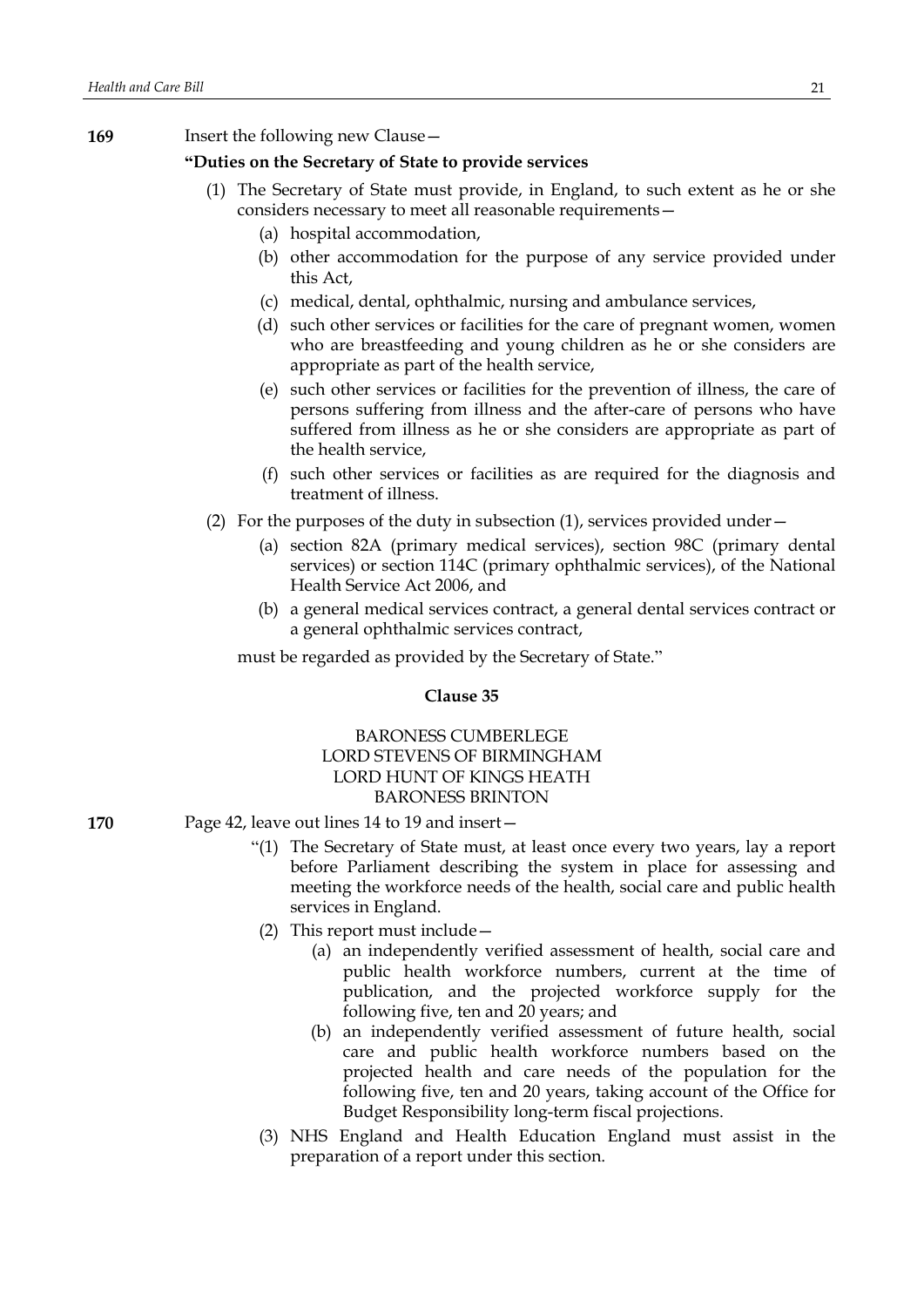**169** Insert the following new Clause—

# **"Duties on the Secretary of State to provide services**

- (1) The Secretary of State must provide, in England, to such extent as he or she considers necessary to meet all reasonable requirements—
	- (a) hospital accommodation,
	- (b) other accommodation for the purpose of any service provided under this Act,
	- (c) medical, dental, ophthalmic, nursing and ambulance services,
	- (d) such other services or facilities for the care of pregnant women, women who are breastfeeding and young children as he or she considers are appropriate as part of the health service,
	- (e) such other services or facilities for the prevention of illness, the care of persons suffering from illness and the after-care of persons who have suffered from illness as he or she considers are appropriate as part of the health service,
	- (f) such other services or facilities as are required for the diagnosis and treatment of illness.
- (2) For the purposes of the duty in subsection (1), services provided under—
	- (a) section 82A (primary medical services), section 98C (primary dental services) or section 114C (primary ophthalmic services), of the National Health Service Act 2006, and
	- (b) a general medical services contract, a general dental services contract or a general ophthalmic services contract,

must be regarded as provided by the Secretary of State."

#### **Clause 35**

# BARONESS CUMBERLEGE LORD STEVENS OF BIRMINGHAM LORD HUNT OF KINGS HEATH BARONESS BRINTON

- **170** Page 42, leave out lines 14 to 19 and insert—
	- "(1) The Secretary of State must, at least once every two years, lay a report before Parliament describing the system in place for assessing and meeting the workforce needs of the health, social care and public health services in England.
	- (2) This report must include—
		- (a) an independently verified assessment of health, social care and public health workforce numbers, current at the time of publication, and the projected workforce supply for the following five, ten and 20 years; and
		- (b) an independently verified assessment of future health, social care and public health workforce numbers based on the projected health and care needs of the population for the following five, ten and 20 years, taking account of the Office for Budget Responsibility long-term fiscal projections.
	- (3) NHS England and Health Education England must assist in the preparation of a report under this section.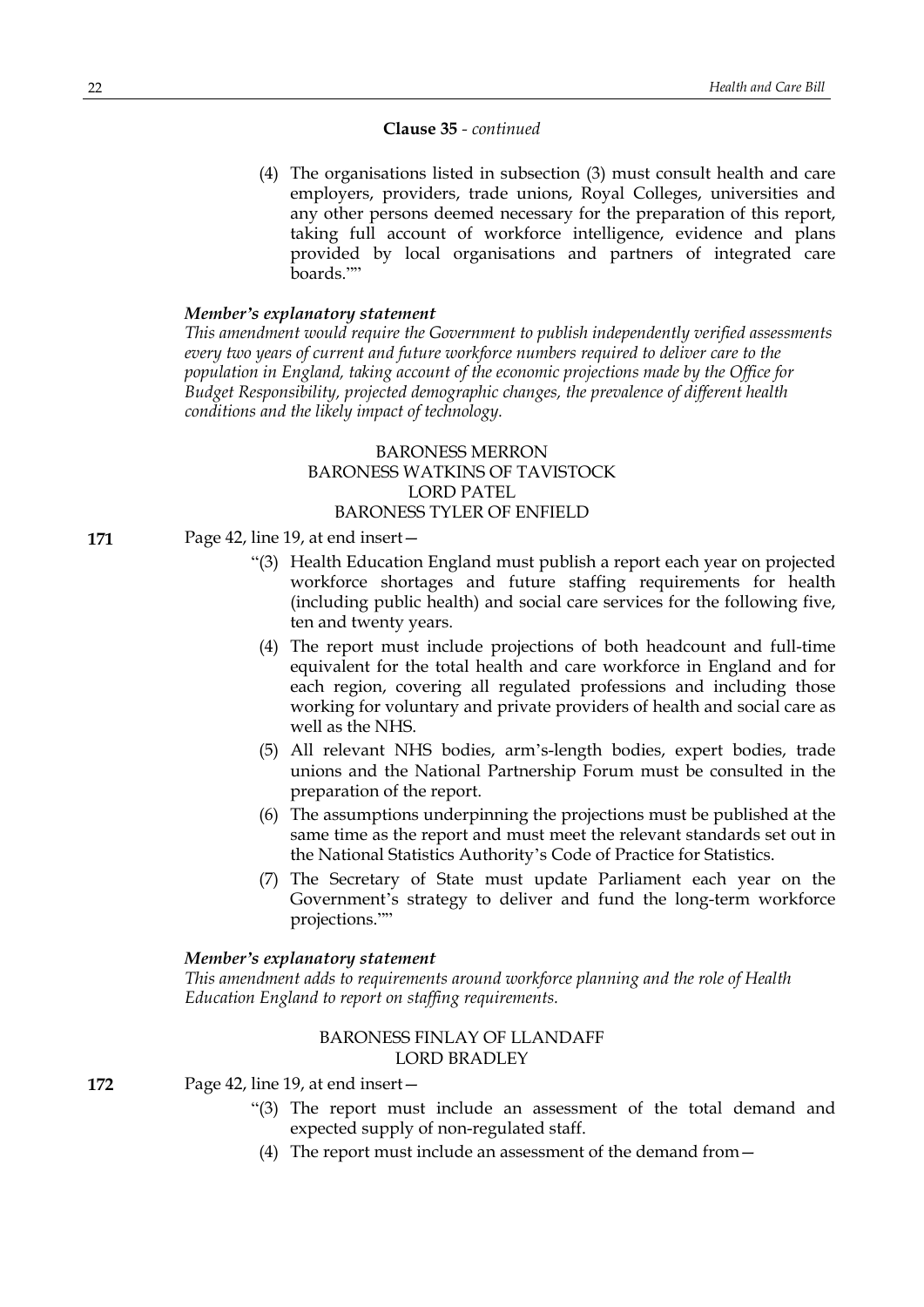# **Clause 35** *- continued*

(4) The organisations listed in subsection (3) must consult health and care employers, providers, trade unions, Royal Colleges, universities and any other persons deemed necessary for the preparation of this report, taking full account of workforce intelligence, evidence and plans provided by local organisations and partners of integrated care boards.""

#### *Member's explanatory statement*

*This amendment would require the Government to publish independently verified assessments every two years of current and future workforce numbers required to deliver care to the population in England, taking account of the economic projections made by the Office for Budget Responsibility, projected demographic changes, the prevalence of different health conditions and the likely impact of technology.*

# BARONESS MERRON BARONESS WATKINS OF TAVISTOCK LORD PATEL BARONESS TYLER OF ENFIELD

- **171** Page 42, line 19, at end insert—
	- "(3) Health Education England must publish a report each year on projected workforce shortages and future staffing requirements for health (including public health) and social care services for the following five, ten and twenty years.
	- (4) The report must include projections of both headcount and full-time equivalent for the total health and care workforce in England and for each region, covering all regulated professions and including those working for voluntary and private providers of health and social care as well as the NHS.
	- (5) All relevant NHS bodies, arm's-length bodies, expert bodies, trade unions and the National Partnership Forum must be consulted in the preparation of the report.
	- (6) The assumptions underpinning the projections must be published at the same time as the report and must meet the relevant standards set out in the National Statistics Authority's Code of Practice for Statistics.
	- (7) The Secretary of State must update Parliament each year on the Government's strategy to deliver and fund the long-term workforce projections.""

# *Member's explanatory statement*

*This amendment adds to requirements around workforce planning and the role of Health Education England to report on staffing requirements.*

# BARONESS FINLAY OF LLANDAFF LORD BRADLEY

**172** Page 42, line 19, at end insert—

- "(3) The report must include an assessment of the total demand and expected supply of non-regulated staff.
- (4) The report must include an assessment of the demand from—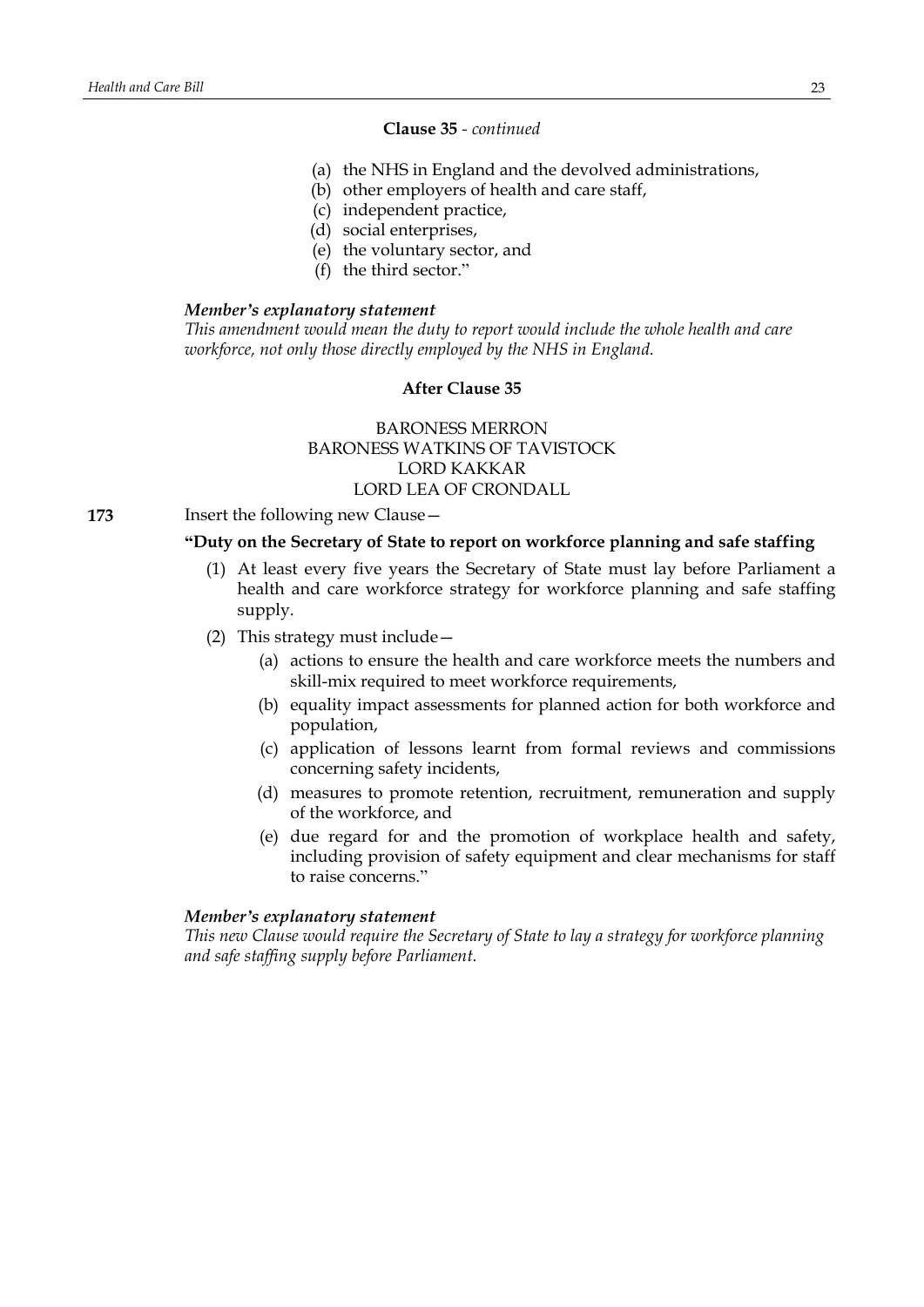# **Clause 35** *- continued*

- (a) the NHS in England and the devolved administrations,
- (b) other employers of health and care staff,
	- (c) independent practice,
	- (d) social enterprises,
	- (e) the voluntary sector, and
	- (f) the third sector."

# *Member's explanatory statement*

*This amendment would mean the duty to report would include the whole health and care workforce, not only those directly employed by the NHS in England.*

# **After Clause 35**

# BARONESS MERRON BARONESS WATKINS OF TAVISTOCK LORD KAKKAR LORD LEA OF CRONDALL

**173** Insert the following new Clause—

# **"Duty on the Secretary of State to report on workforce planning and safe staffing**

- (1) At least every five years the Secretary of State must lay before Parliament a health and care workforce strategy for workforce planning and safe staffing supply.
- (2) This strategy must include—
	- (a) actions to ensure the health and care workforce meets the numbers and skill-mix required to meet workforce requirements,
	- (b) equality impact assessments for planned action for both workforce and population,
	- (c) application of lessons learnt from formal reviews and commissions concerning safety incidents,
	- (d) measures to promote retention, recruitment, remuneration and supply of the workforce, and
	- (e) due regard for and the promotion of workplace health and safety, including provision of safety equipment and clear mechanisms for staff to raise concerns."

#### *Member's explanatory statement*

*This new Clause would require the Secretary of State to lay a strategy for workforce planning and safe staffing supply before Parliament.*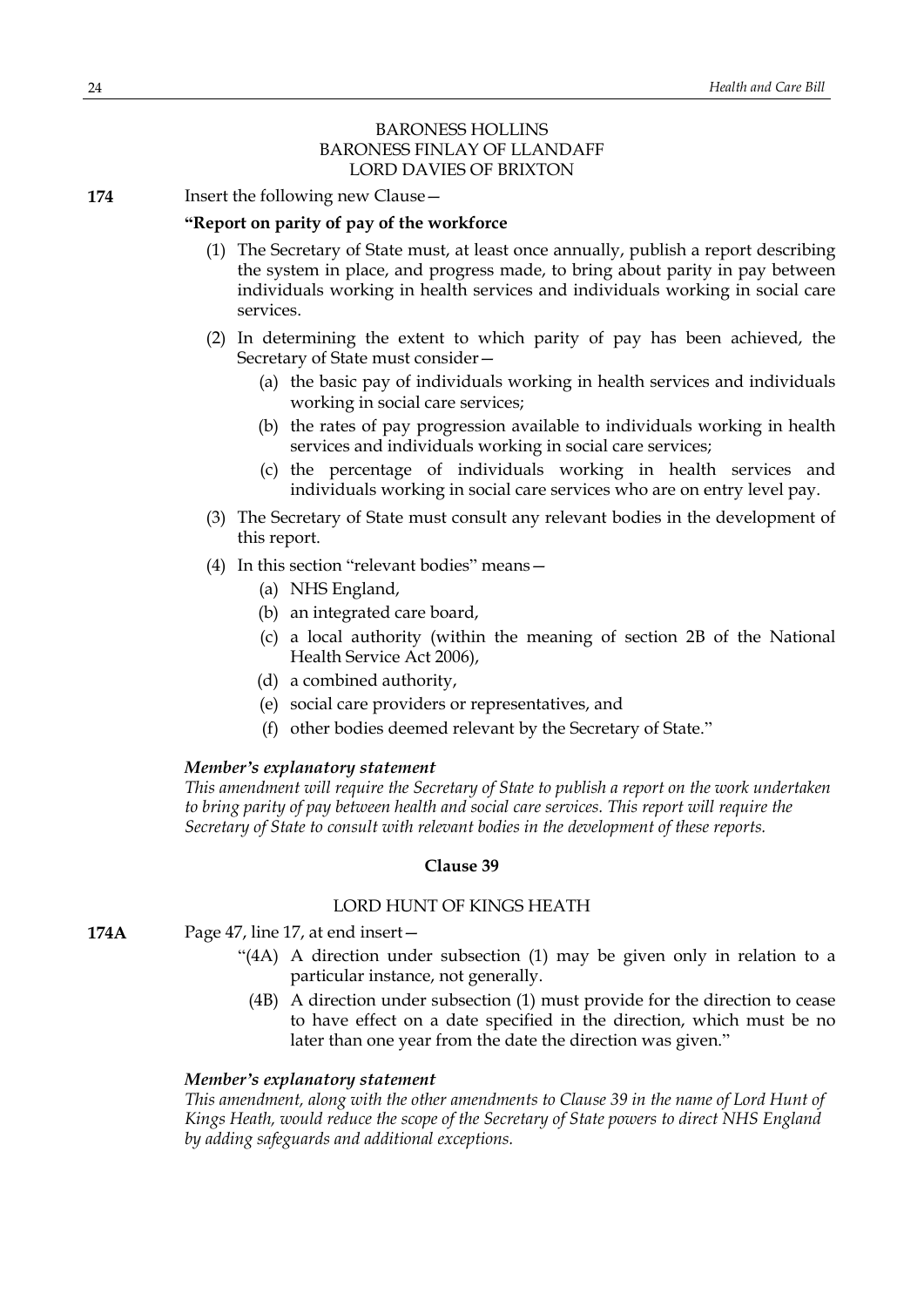# BARONESS HOLLINS BARONESS FINLAY OF LLANDAFF LORD DAVIES OF BRIXTON

**174** Insert the following new Clause —

# **"Report on parity of pay of the workforce**

- (1) The Secretary of State must, at least once annually, publish a report describing the system in place, and progress made, to bring about parity in pay between individuals working in health services and individuals working in social care services.
- (2) In determining the extent to which parity of pay has been achieved, the Secretary of State must consider—
	- (a) the basic pay of individuals working in health services and individuals working in social care services;
	- (b) the rates of pay progression available to individuals working in health services and individuals working in social care services;
	- (c) the percentage of individuals working in health services and individuals working in social care services who are on entry level pay.
- (3) The Secretary of State must consult any relevant bodies in the development of this report.
- (4) In this section "relevant bodies" means—
	- (a) NHS England,
	- (b) an integrated care board,
	- (c) a local authority (within the meaning of section 2B of the National Health Service Act 2006),
	- (d) a combined authority,
	- (e) social care providers or representatives, and
	- (f) other bodies deemed relevant by the Secretary of State."

#### *Member's explanatory statement*

*This amendment will require the Secretary of State to publish a report on the work undertaken to bring parity of pay between health and social care services. This report will require the Secretary of State to consult with relevant bodies in the development of these reports.*

#### **Clause 39**

# LORD HUNT OF KINGS HEATH

- **174A** Page 47, line 17, at end insert—
	- "(4A) A direction under subsection (1) may be given only in relation to a particular instance, not generally.
		- (4B) A direction under subsection (1) must provide for the direction to cease to have effect on a date specified in the direction, which must be no later than one year from the date the direction was given."

# *Member's explanatory statement*

*This amendment, along with the other amendments to Clause 39 in the name of Lord Hunt of Kings Heath, would reduce the scope of the Secretary of State powers to direct NHS England by adding safeguards and additional exceptions.*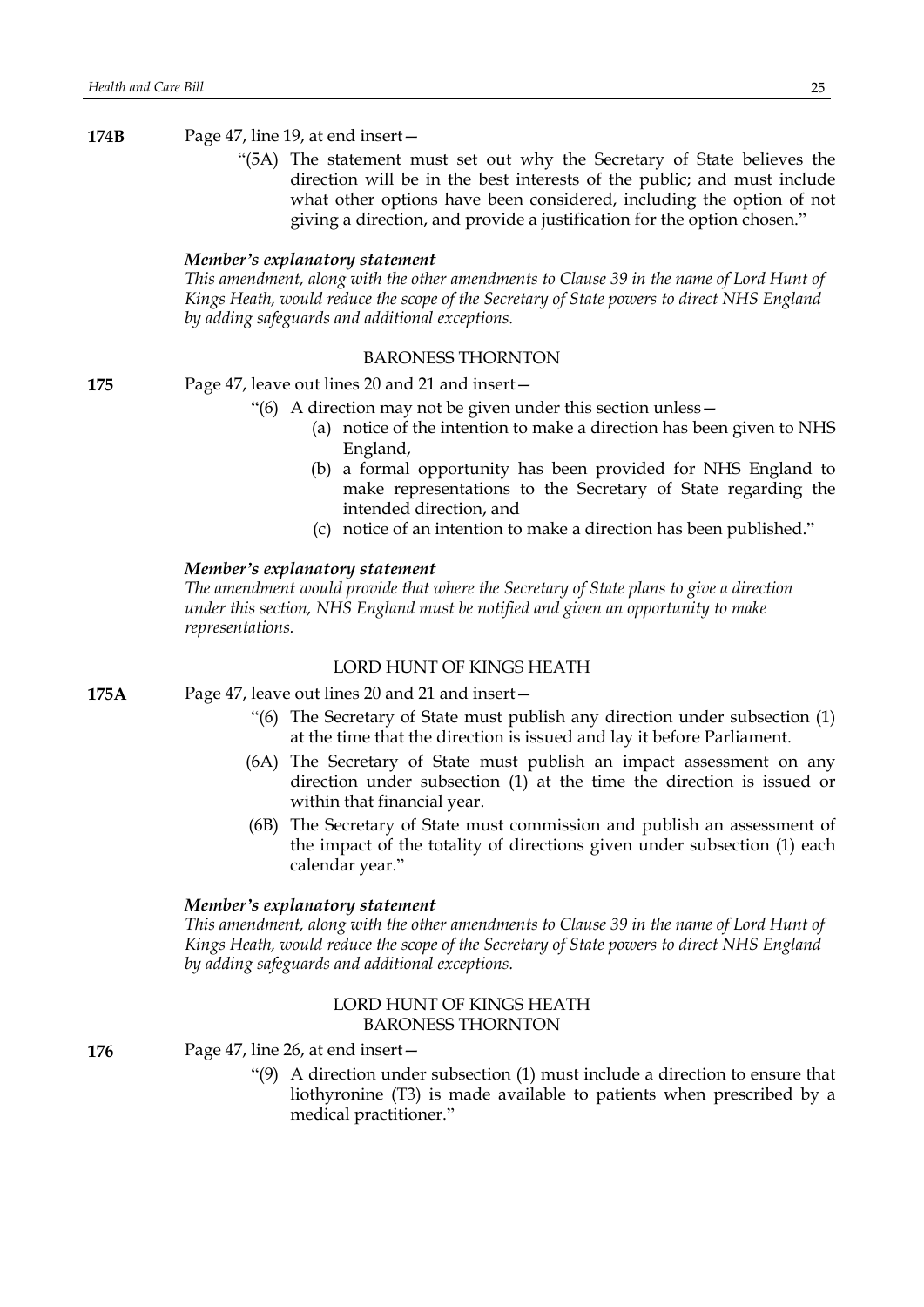**174B** Page 47, line 19, at end insert—

"(5A) The statement must set out why the Secretary of State believes the direction will be in the best interests of the public; and must include what other options have been considered, including the option of not giving a direction, and provide a justification for the option chosen."

#### *Member's explanatory statement*

*This amendment, along with the other amendments to Clause 39 in the name of Lord Hunt of Kings Heath, would reduce the scope of the Secretary of State powers to direct NHS England by adding safeguards and additional exceptions.*

#### BARONESS THORNTON

**175** Page 47, leave out lines 20 and 21 and insert—

- "(6) A direction may not be given under this section unless—
	- (a) notice of the intention to make a direction has been given to NHS England,
	- (b) a formal opportunity has been provided for NHS England to make representations to the Secretary of State regarding the intended direction, and
	- (c) notice of an intention to make a direction has been published."

#### *Member's explanatory statement*

*The amendment would provide that where the Secretary of State plans to give a direction under this section, NHS England must be notified and given an opportunity to make representations.*

#### LORD HUNT OF KINGS HEATH

- **175A** Page 47, leave out lines 20 and 21 and insert—
	- "(6) The Secretary of State must publish any direction under subsection (1) at the time that the direction is issued and lay it before Parliament.
	- (6A) The Secretary of State must publish an impact assessment on any direction under subsection (1) at the time the direction is issued or within that financial year.
	- (6B) The Secretary of State must commission and publish an assessment of the impact of the totality of directions given under subsection (1) each calendar year."

#### *Member's explanatory statement*

*This amendment, along with the other amendments to Clause 39 in the name of Lord Hunt of Kings Heath, would reduce the scope of the Secretary of State powers to direct NHS England by adding safeguards and additional exceptions.*

# LORD HUNT OF KINGS HEATH BARONESS THORNTON

**176** Page 47, line 26, at end insert—

"(9) A direction under subsection (1) must include a direction to ensure that liothyronine (T3) is made available to patients when prescribed by a medical practitioner."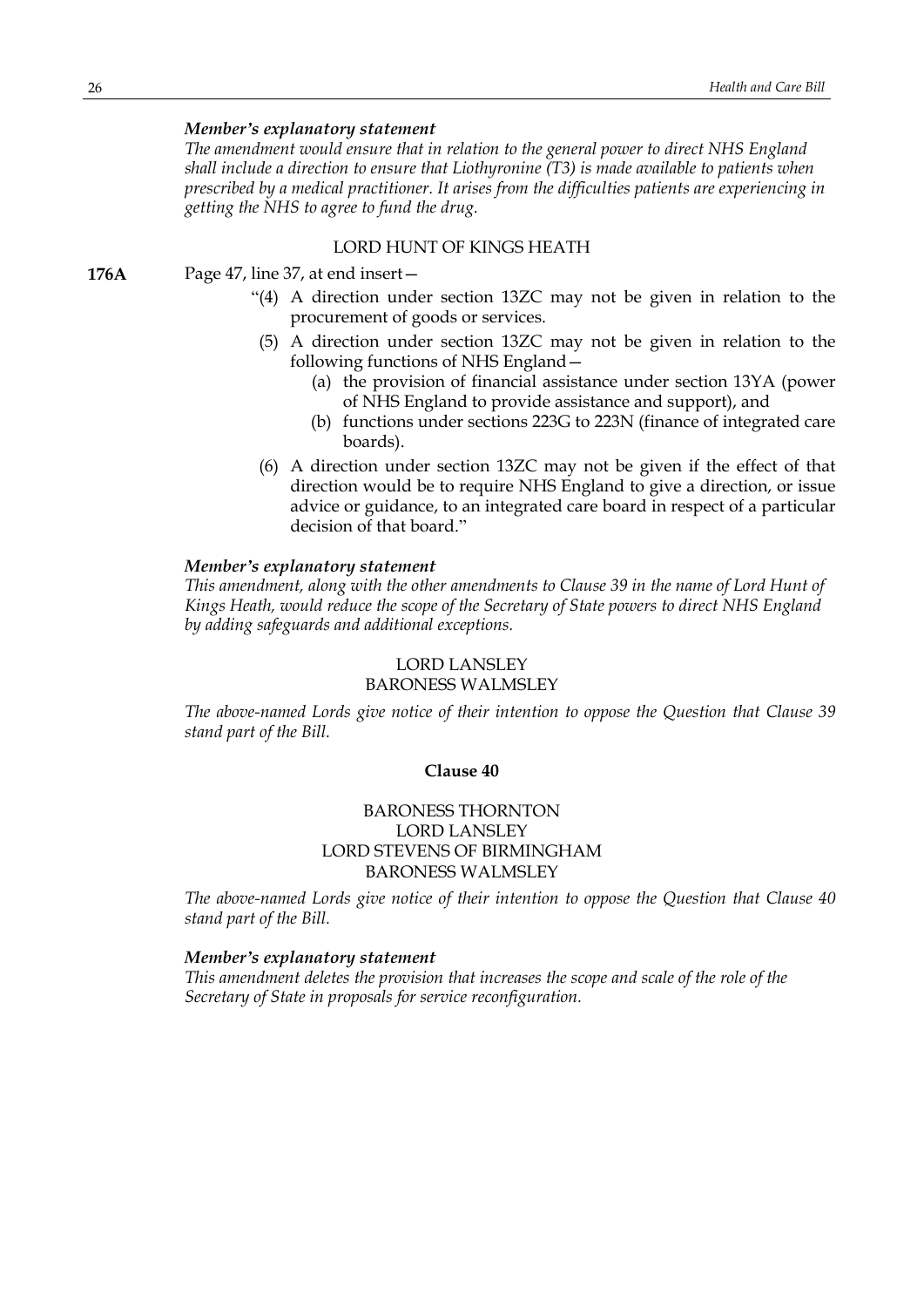*The amendment would ensure that in relation to the general power to direct NHS England shall include a direction to ensure that Liothyronine (T3) is made available to patients when prescribed by a medical practitioner. It arises from the difficulties patients are experiencing in getting the NHS to agree to fund the drug.*

#### LORD HUNT OF KINGS HEATH

- **176A** Page 47, line 37, at end insert—
	- "(4) A direction under section 13ZC may not be given in relation to the procurement of goods or services.
	- (5) A direction under section 13ZC may not be given in relation to the following functions of NHS England—
		- (a) the provision of financial assistance under section 13YA (power of NHS England to provide assistance and support), and
		- (b) functions under sections 223G to 223N (finance of integrated care boards).
	- (6) A direction under section 13ZC may not be given if the effect of that direction would be to require NHS England to give a direction, or issue advice or guidance, to an integrated care board in respect of a particular decision of that board."

#### *Member's explanatory statement*

*This amendment, along with the other amendments to Clause 39 in the name of Lord Hunt of Kings Heath, would reduce the scope of the Secretary of State powers to direct NHS England by adding safeguards and additional exceptions.*

# LORD LANSLEY

#### BARONESS WALMSLEY

*The above-named Lords give notice of their intention to oppose the Question that Clause 39 stand part of the Bill.*

# **Clause 40**

# BARONESS THORNTON LORD LANSLEY LORD STEVENS OF BIRMINGHAM BARONESS WALMSLEY

*The above-named Lords give notice of their intention to oppose the Question that Clause 40 stand part of the Bill.*

#### *Member's explanatory statement*

*This amendment deletes the provision that increases the scope and scale of the role of the Secretary of State in proposals for service reconfiguration.*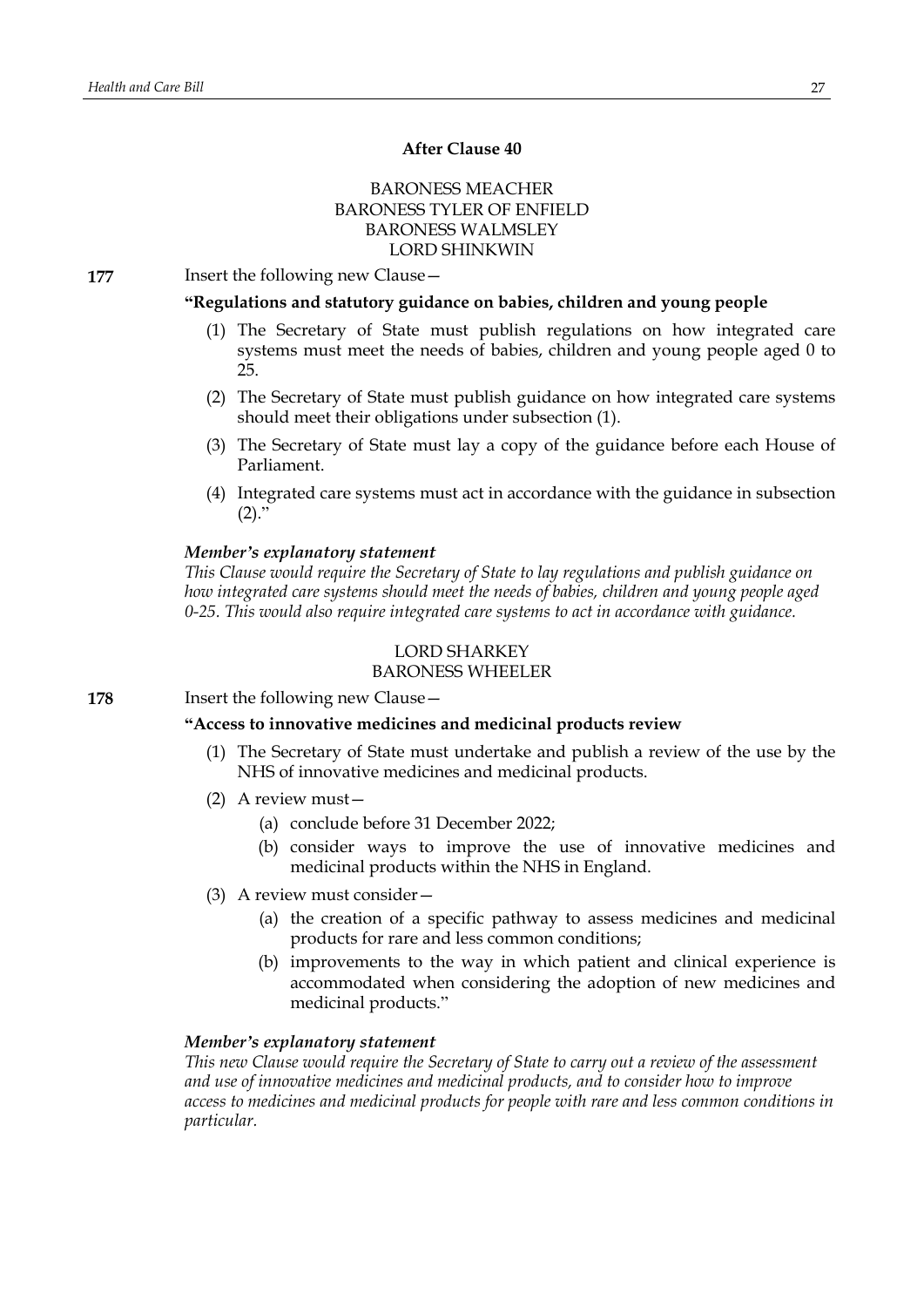# **After Clause 40**

# BARONESS MEACHER BARONESS TYLER OF ENFIELD BARONESS WALMSLEY LORD SHINKWIN

**177** Insert the following new Clause -

# **"Regulations and statutory guidance on babies, children and young people**

- (1) The Secretary of State must publish regulations on how integrated care systems must meet the needs of babies, children and young people aged 0 to 25.
- (2) The Secretary of State must publish guidance on how integrated care systems should meet their obligations under subsection (1).
- (3) The Secretary of State must lay a copy of the guidance before each House of Parliament.
- (4) Integrated care systems must act in accordance with the guidance in subsection  $(2)$ ."

#### *Member's explanatory statement*

*This Clause would require the Secretary of State to lay regulations and publish guidance on how integrated care systems should meet the needs of babies, children and young people aged 0-25. This would also require integrated care systems to act in accordance with guidance.*

#### LORD SHARKEY BARONESS WHEELER

**178** Insert the following new Clause —

# **"Access to innovative medicines and medicinal products review**

- (1) The Secretary of State must undertake and publish a review of the use by the NHS of innovative medicines and medicinal products.
- (2) A review must—
	- (a) conclude before 31 December 2022;
	- (b) consider ways to improve the use of innovative medicines and medicinal products within the NHS in England.
- (3) A review must consider—
	- (a) the creation of a specific pathway to assess medicines and medicinal products for rare and less common conditions;
	- (b) improvements to the way in which patient and clinical experience is accommodated when considering the adoption of new medicines and medicinal products."

# *Member's explanatory statement*

*This new Clause would require the Secretary of State to carry out a review of the assessment and use of innovative medicines and medicinal products, and to consider how to improve access to medicines and medicinal products for people with rare and less common conditions in particular.*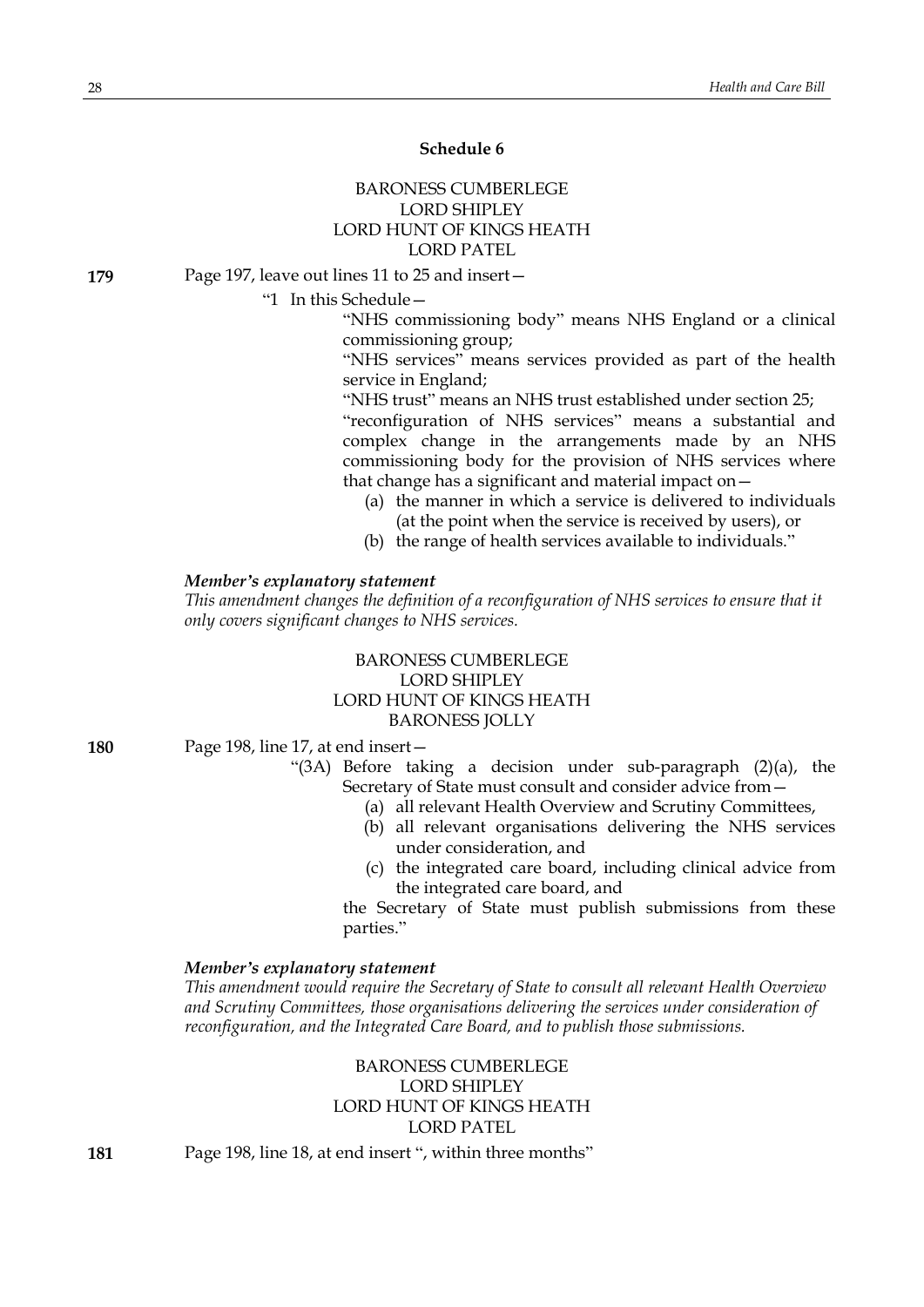# **Schedule 6**

# BARONESS CUMBERLEGE LORD SHIPLEY LORD HUNT OF KINGS HEATH LORD PATEL

**179** Page 197, leave out lines 11 to 25 and insert—

"1 In this Schedule—

"NHS commissioning body" means NHS England or a clinical commissioning group;

"NHS services" means services provided as part of the health service in England;

"NHS trust" means an NHS trust established under section 25;

"reconfiguration of NHS services" means a substantial and complex change in the arrangements made by an NHS commissioning body for the provision of NHS services where that change has a significant and material impact on—

- (a) the manner in which a service is delivered to individuals (at the point when the service is received by users), or
- (b) the range of health services available to individuals."

# *Member's explanatory statement*

*This amendment changes the definition of a reconfiguration of NHS services to ensure that it only covers significant changes to NHS services.*

# BARONESS CUMBERLEGE LORD SHIPLEY LORD HUNT OF KINGS HEATH BARONESS JOLLY

- **180** Page 198, line 17, at end insert—
	- "(3A) Before taking a decision under sub-paragraph (2)(a), the Secretary of State must consult and consider advice from—
		- (a) all relevant Health Overview and Scrutiny Committees,
		- (b) all relevant organisations delivering the NHS services under consideration, and
		- (c) the integrated care board, including clinical advice from the integrated care board, and

the Secretary of State must publish submissions from these parties."

#### *Member's explanatory statement*

*This amendment would require the Secretary of State to consult all relevant Health Overview and Scrutiny Committees, those organisations delivering the services under consideration of reconfiguration, and the Integrated Care Board, and to publish those submissions.*

> BARONESS CUMBERLEGE LORD SHIPLEY LORD HUNT OF KINGS HEATH LORD PATEL

**181** Page 198, line 18, at end insert ", within three months"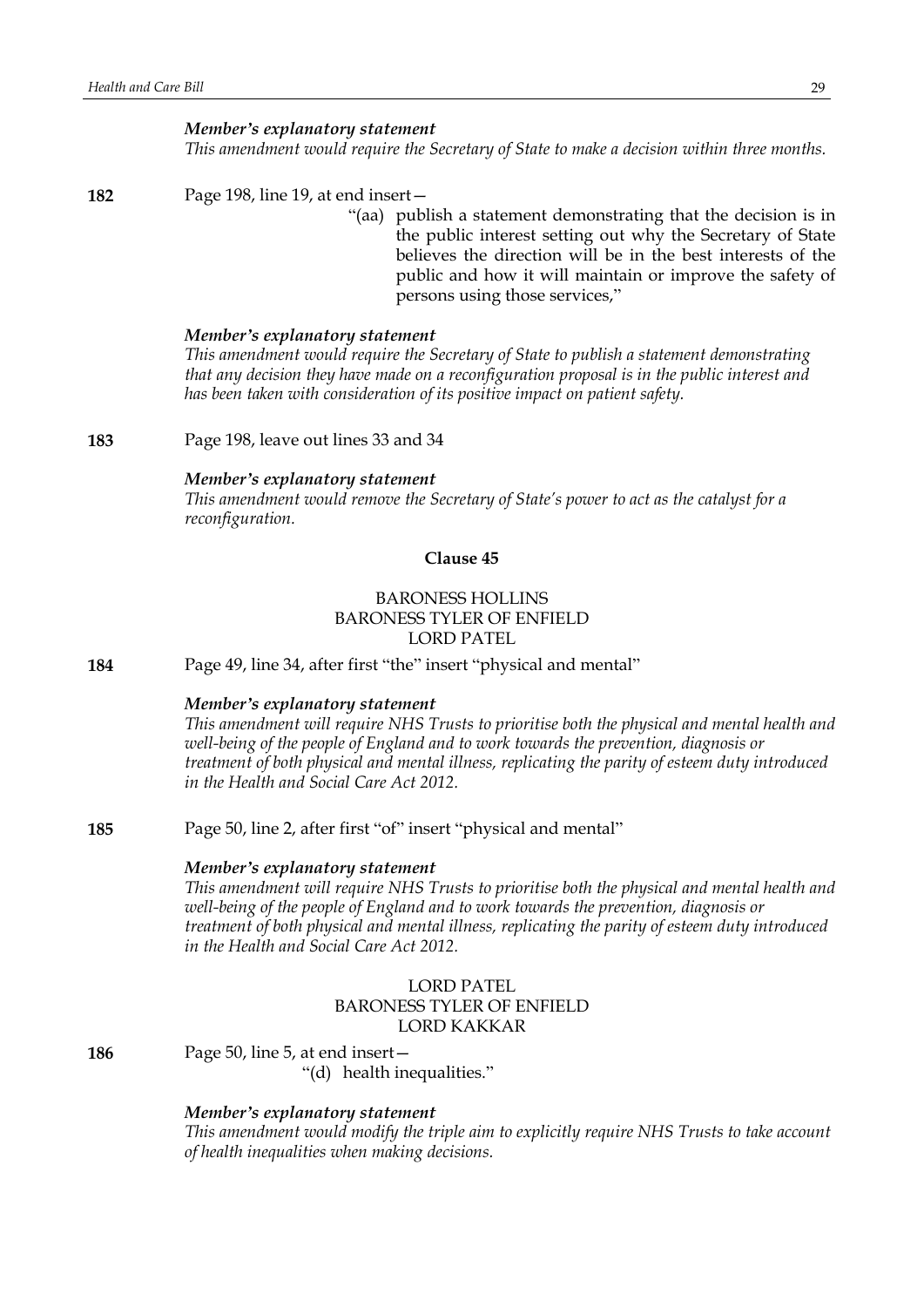*This amendment would require the Secretary of State to make a decision within three months.*

#### **182** Page 198, line 19, at end insert—

"(aa) publish a statement demonstrating that the decision is in the public interest setting out why the Secretary of State believes the direction will be in the best interests of the public and how it will maintain or improve the safety of persons using those services,"

#### *Member's explanatory statement*

*This amendment would require the Secretary of State to publish a statement demonstrating that any decision they have made on a reconfiguration proposal is in the public interest and has been taken with consideration of its positive impact on patient safety.*

**183** Page 198, leave out lines 33 and 34

#### *Member's explanatory statement*

*This amendment would remove the Secretary of State's power to act as the catalyst for a reconfiguration.*

# **Clause 45**

# BARONESS HOLLINS BARONESS TYLER OF ENFIELD LORD PATEL

**184** Page 49, line 34, after first "the" insert "physical and mental"

# *Member's explanatory statement*

*This amendment will require NHS Trusts to prioritise both the physical and mental health and well-being of the people of England and to work towards the prevention, diagnosis or treatment of both physical and mental illness, replicating the parity of esteem duty introduced in the Health and Social Care Act 2012.*

**185** Page 50, line 2, after first "of" insert "physical and mental"

#### *Member's explanatory statement*

*This amendment will require NHS Trusts to prioritise both the physical and mental health and well-being of the people of England and to work towards the prevention, diagnosis or treatment of both physical and mental illness, replicating the parity of esteem duty introduced in the Health and Social Care Act 2012.*

# LORD PATEL BARONESS TYLER OF ENFIELD LORD KAKKAR

**186** Page 50, line 5, at end insert—

"(d) health inequalities."

#### *Member's explanatory statement*

*This amendment would modify the triple aim to explicitly require NHS Trusts to take account of health inequalities when making decisions.*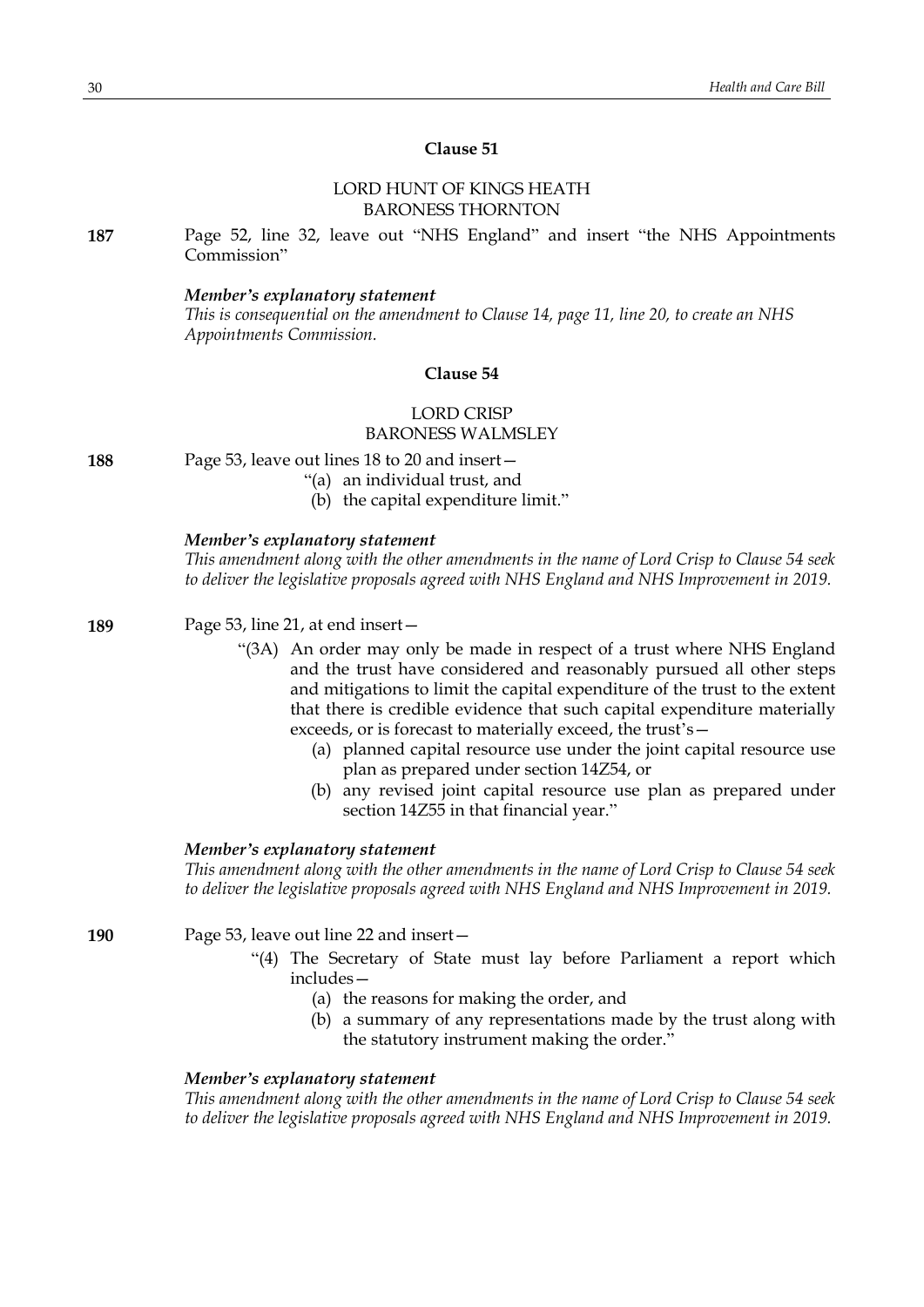# **Clause 51**

# LORD HUNT OF KINGS HEATH BARONESS THORNTON

**187** Page 52, line 32, leave out "NHS England" and insert "the NHS Appointments Commission"

#### *Member's explanatory statement*

*This is consequential on the amendment to Clause 14, page 11, line 20, to create an NHS Appointments Commission.*

#### **Clause 54**

# LORD CRISP BARONESS WALMSLEY

| 188 | Page 53, leave out lines 18 to 20 and insert- |
|-----|-----------------------------------------------|
|-----|-----------------------------------------------|

"(a) an individual trust, and

(b) the capital expenditure limit."

#### *Member's explanatory statement*

*This amendment along with the other amendments in the name of Lord Crisp to Clause 54 seek to deliver the legislative proposals agreed with NHS England and NHS Improvement in 2019.*

**189** Page 53, line 21, at end insert—

- "(3A) An order may only be made in respect of a trust where NHS England and the trust have considered and reasonably pursued all other steps and mitigations to limit the capital expenditure of the trust to the extent that there is credible evidence that such capital expenditure materially exceeds, or is forecast to materially exceed, the trust's—
	- (a) planned capital resource use under the joint capital resource use plan as prepared under section 14Z54, or
	- (b) any revised joint capital resource use plan as prepared under section 14Z55 in that financial year."

# *Member's explanatory statement*

*This amendment along with the other amendments in the name of Lord Crisp to Clause 54 seek to deliver the legislative proposals agreed with NHS England and NHS Improvement in 2019.*

**190** Page 53, leave out line 22 and insert—

- "(4) The Secretary of State must lay before Parliament a report which includes—
	- (a) the reasons for making the order, and
	- (b) a summary of any representations made by the trust along with the statutory instrument making the order."

# *Member's explanatory statement*

*This amendment along with the other amendments in the name of Lord Crisp to Clause 54 seek to deliver the legislative proposals agreed with NHS England and NHS Improvement in 2019.*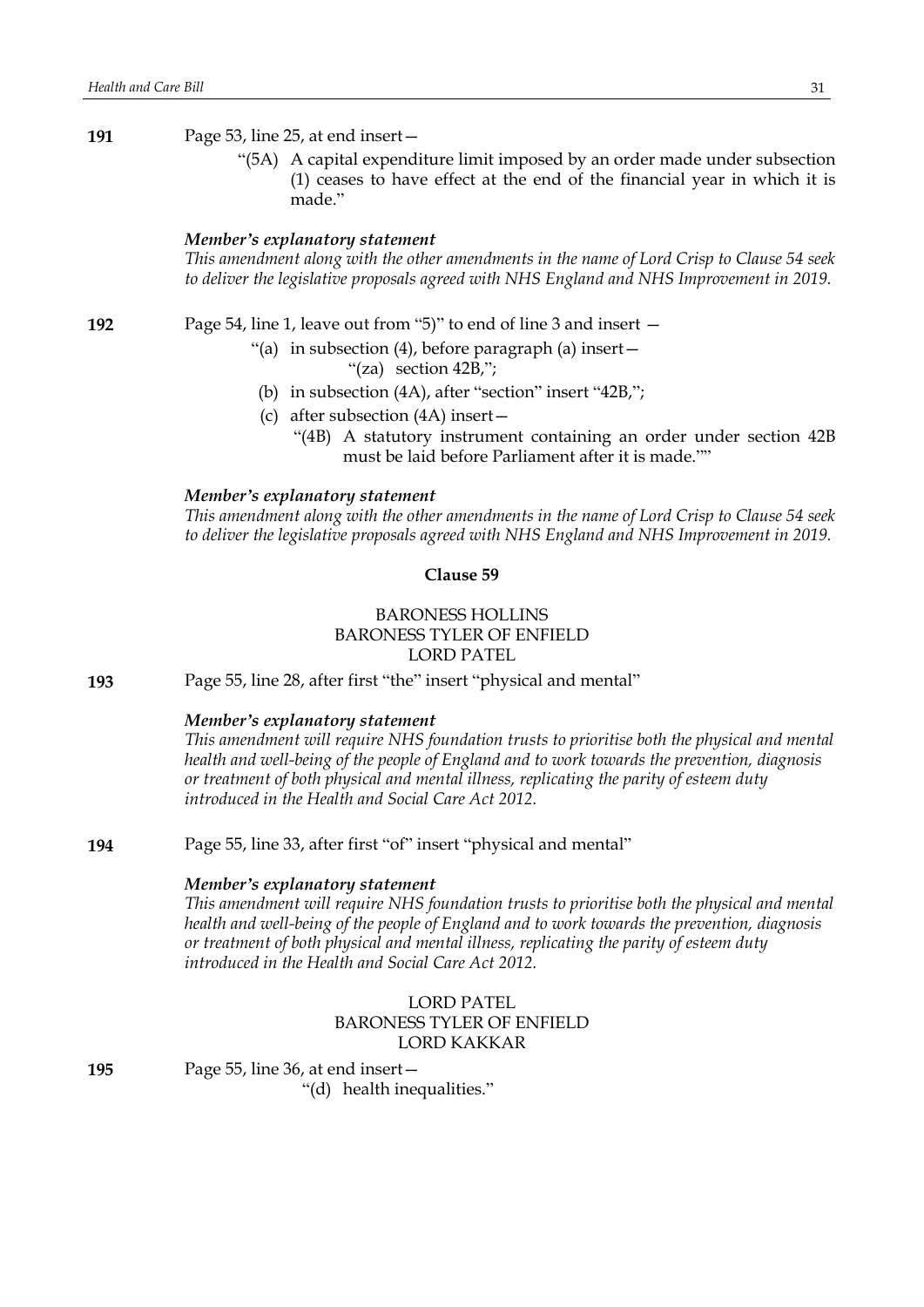# **191** Page 53, line 25, at end insert—

"(5A) A capital expenditure limit imposed by an order made under subsection (1) ceases to have effect at the end of the financial year in which it is made"

# *Member's explanatory statement*

*This amendment along with the other amendments in the name of Lord Crisp to Clause 54 seek to deliver the legislative proposals agreed with NHS England and NHS Improvement in 2019.*

**192** Page 54, line 1, leave out from "5)" to end of line 3 and insert —

"(a) in subsection (4), before paragraph (a) insert  $-$ "(za) section 42B,";

- (b) in subsection (4A), after "section" insert "42B,";
- (c) after subsection (4A) insert—
	- "(4B) A statutory instrument containing an order under section 42B must be laid before Parliament after it is made.""

#### *Member's explanatory statement*

*This amendment along with the other amendments in the name of Lord Crisp to Clause 54 seek to deliver the legislative proposals agreed with NHS England and NHS Improvement in 2019.*

#### **Clause 59**

# BARONESS HOLLINS BARONESS TYLER OF ENFIELD LORD PATEL

**193** Page 55, line 28, after first "the" insert "physical and mental"

#### *Member's explanatory statement*

*This amendment will require NHS foundation trusts to prioritise both the physical and mental health and well-being of the people of England and to work towards the prevention, diagnosis or treatment of both physical and mental illness, replicating the parity of esteem duty introduced in the Health and Social Care Act 2012.*

**194** Page 55, line 33, after first "of" insert "physical and mental"

#### *Member's explanatory statement*

*This amendment will require NHS foundation trusts to prioritise both the physical and mental health and well-being of the people of England and to work towards the prevention, diagnosis or treatment of both physical and mental illness, replicating the parity of esteem duty introduced in the Health and Social Care Act 2012.*

# LORD PATEL BARONESS TYLER OF ENFIELD LORD KAKKAR

**195** Page 55, line 36, at end insert—

"(d) health inequalities."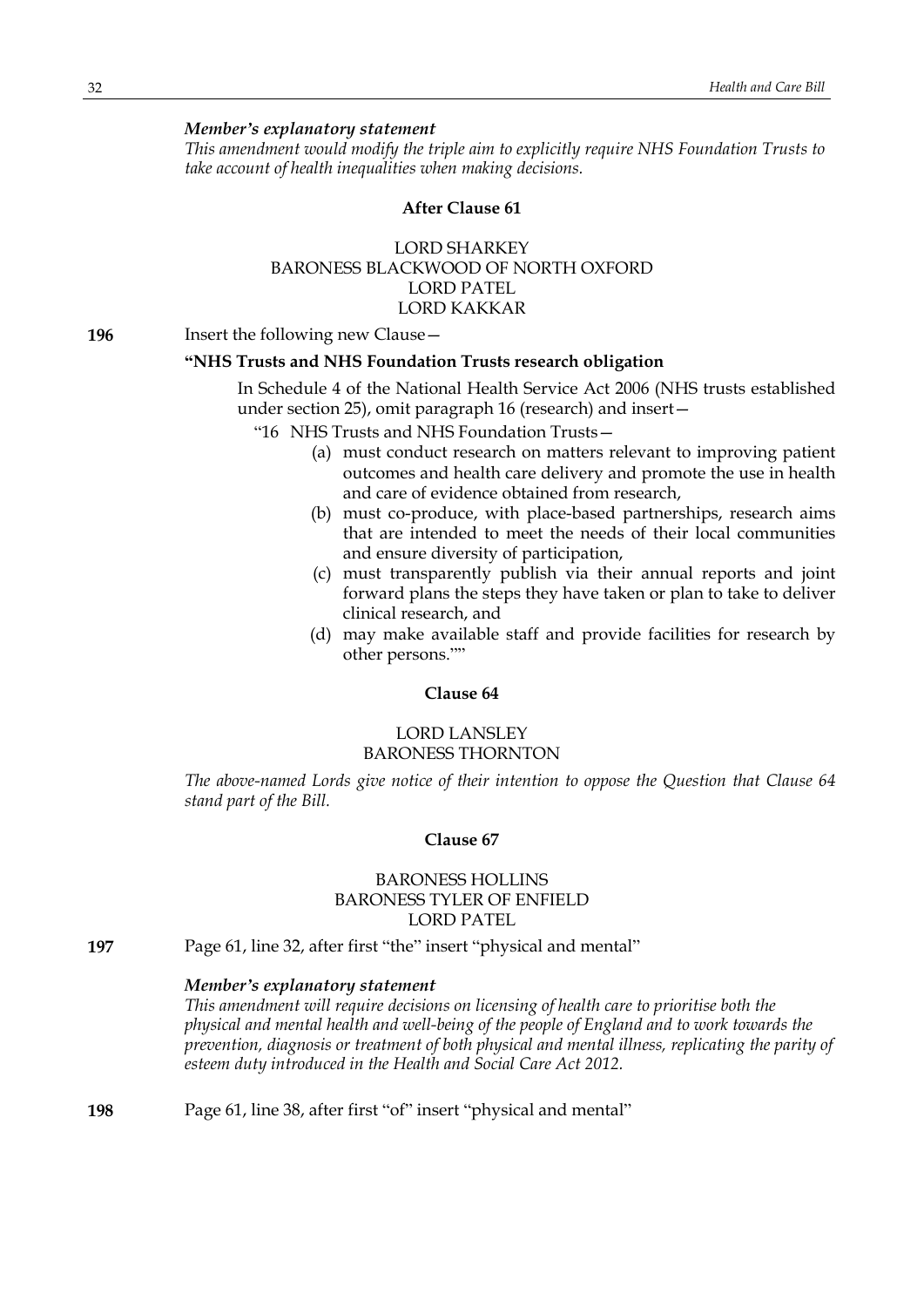*This amendment would modify the triple aim to explicitly require NHS Foundation Trusts to take account of health inequalities when making decisions.*

#### **After Clause 61**

# LORD SHARKEY BARONESS BLACKWOOD OF NORTH OXFORD LORD PATEL LORD KAKKAR

**196** Insert the following new Clause—

#### **"NHS Trusts and NHS Foundation Trusts research obligation**

In Schedule 4 of the National Health Service Act 2006 (NHS trusts established under section 25), omit paragraph 16 (research) and insert—

"16 NHS Trusts and NHS Foundation Trusts—

- (a) must conduct research on matters relevant to improving patient outcomes and health care delivery and promote the use in health and care of evidence obtained from research,
- (b) must co-produce, with place-based partnerships, research aims that are intended to meet the needs of their local communities and ensure diversity of participation,
- (c) must transparently publish via their annual reports and joint forward plans the steps they have taken or plan to take to deliver clinical research, and
- (d) may make available staff and provide facilities for research by other persons.""

# **Clause 64**

# LORD LANSLEY BARONESS THORNTON

*The above-named Lords give notice of their intention to oppose the Question that Clause 64 stand part of the Bill.*

# **Clause 67**

# BARONESS HOLLINS BARONESS TYLER OF ENFIELD LORD PATEL

**197** Page 61, line 32, after first "the" insert "physical and mental"

## *Member's explanatory statement*

*This amendment will require decisions on licensing of health care to prioritise both the physical and mental health and well-being of the people of England and to work towards the prevention, diagnosis or treatment of both physical and mental illness, replicating the parity of esteem duty introduced in the Health and Social Care Act 2012.*

**198** Page 61, line 38, after first "of" insert "physical and mental"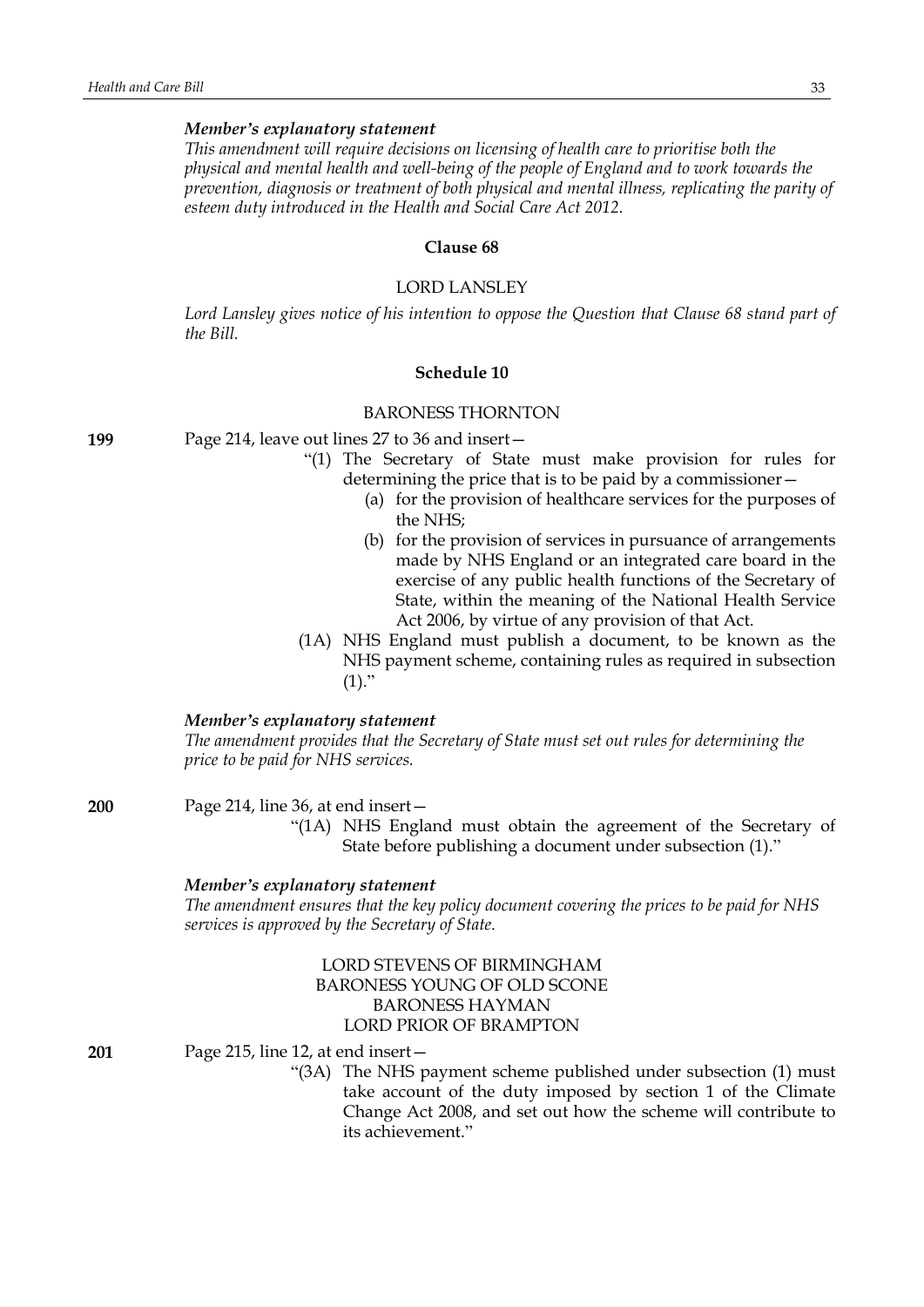*This amendment will require decisions on licensing of health care to prioritise both the physical and mental health and well-being of the people of England and to work towards the prevention, diagnosis or treatment of both physical and mental illness, replicating the parity of esteem duty introduced in the Health and Social Care Act 2012.*

#### **Clause 68**

#### LORD LANSLEY

*Lord Lansley gives notice of his intention to oppose the Question that Clause 68 stand part of the Bill.*

#### **Schedule 10**

#### BARONESS THORNTON

**199** Page 214, leave out lines 27 to 36 and insert—

- "(1) The Secretary of State must make provision for rules for determining the price that is to be paid by a commissioner—
	- (a) for the provision of healthcare services for the purposes of the NHS;
	- (b) for the provision of services in pursuance of arrangements made by NHS England or an integrated care board in the exercise of any public health functions of the Secretary of State, within the meaning of the National Health Service Act 2006, by virtue of any provision of that Act.
- (1A) NHS England must publish a document, to be known as the NHS payment scheme, containing rules as required in subsection  $(1)."$

#### *Member's explanatory statement*

*The amendment provides that the Secretary of State must set out rules for determining the price to be paid for NHS services.*

**200** Page 214, line 36, at end insert—

"(1A) NHS England must obtain the agreement of the Secretary of State before publishing a document under subsection (1)."

#### *Member's explanatory statement*

*The amendment ensures that the key policy document covering the prices to be paid for NHS services is approved by the Secretary of State.*

# LORD STEVENS OF BIRMINGHAM BARONESS YOUNG OF OLD SCONE BARONESS HAYMAN LORD PRIOR OF BRAMPTON

**201** Page 215, line 12, at end insert—

"(3A) The NHS payment scheme published under subsection (1) must take account of the duty imposed by section 1 of the Climate Change Act 2008, and set out how the scheme will contribute to its achievement."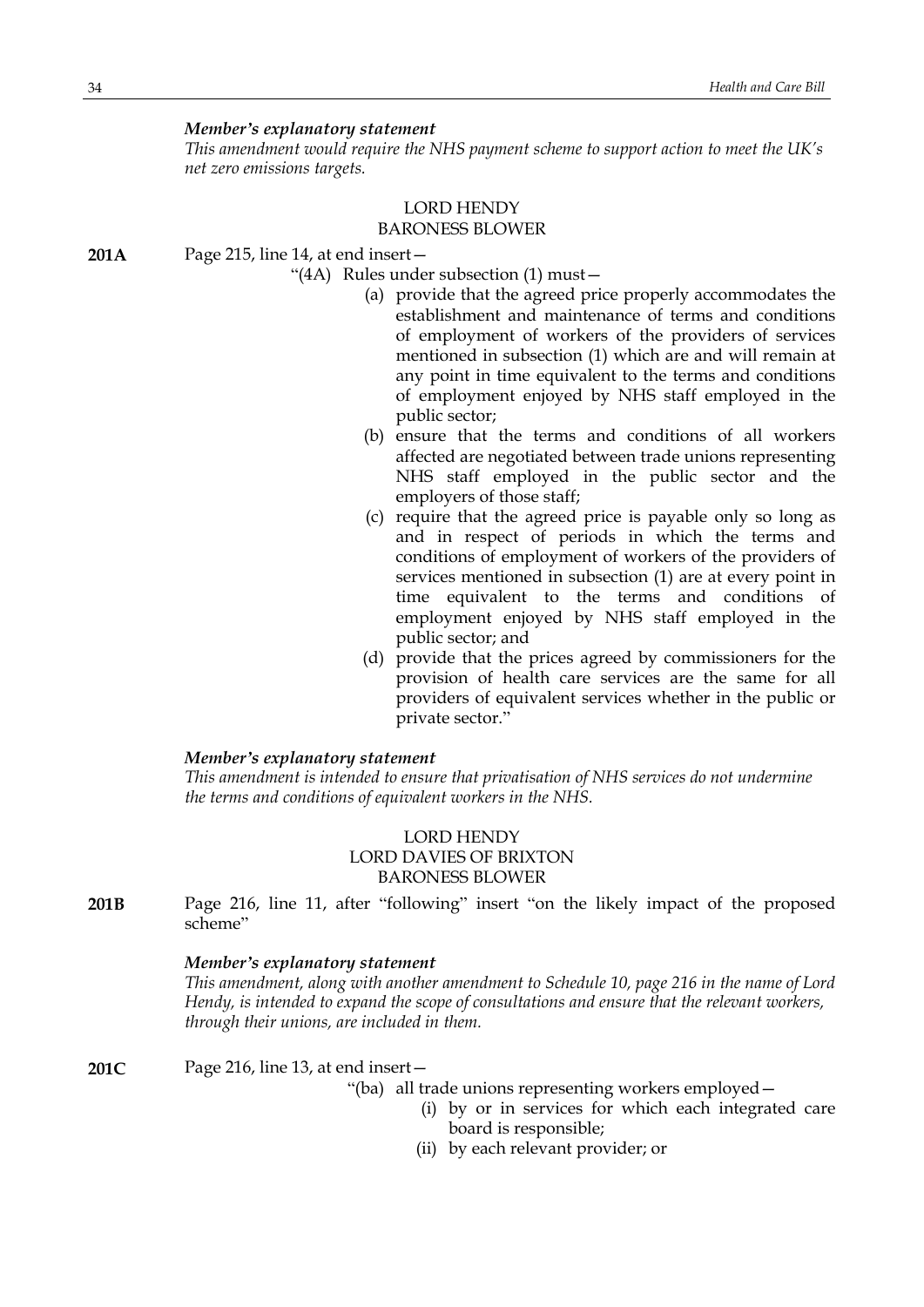*This amendment would require the NHS payment scheme to support action to meet the UK's net zero emissions targets.*

#### LORD HENDY BARONESS BLOWER

**201A** Page 215, line 14, at end insert—

"(4A) Rules under subsection (1) must—

- (a) provide that the agreed price properly accommodates the establishment and maintenance of terms and conditions of employment of workers of the providers of services mentioned in subsection (1) which are and will remain at any point in time equivalent to the terms and conditions of employment enjoyed by NHS staff employed in the public sector;
- (b) ensure that the terms and conditions of all workers affected are negotiated between trade unions representing NHS staff employed in the public sector and the employers of those staff;
- (c) require that the agreed price is payable only so long as and in respect of periods in which the terms and conditions of employment of workers of the providers of services mentioned in subsection (1) are at every point in time equivalent to the terms and conditions of employment enjoyed by NHS staff employed in the public sector; and
- (d) provide that the prices agreed by commissioners for the provision of health care services are the same for all providers of equivalent services whether in the public or private sector."

#### *Member's explanatory statement*

*This amendment is intended to ensure that privatisation of NHS services do not undermine the terms and conditions of equivalent workers in the NHS.*

# LORD HENDY LORD DAVIES OF BRIXTON BARONESS BLOWER

**201B** Page 216, line 11, after "following" insert "on the likely impact of the proposed scheme"

# *Member's explanatory statement*

*This amendment, along with another amendment to Schedule 10, page 216 in the name of Lord Hendy, is intended to expand the scope of consultations and ensure that the relevant workers, through their unions, are included in them.*

**201C** Page 216, line 13, at end insert—

"(ba) all trade unions representing workers employed—

- (i) by or in services for which each integrated care board is responsible;
- (ii) by each relevant provider; or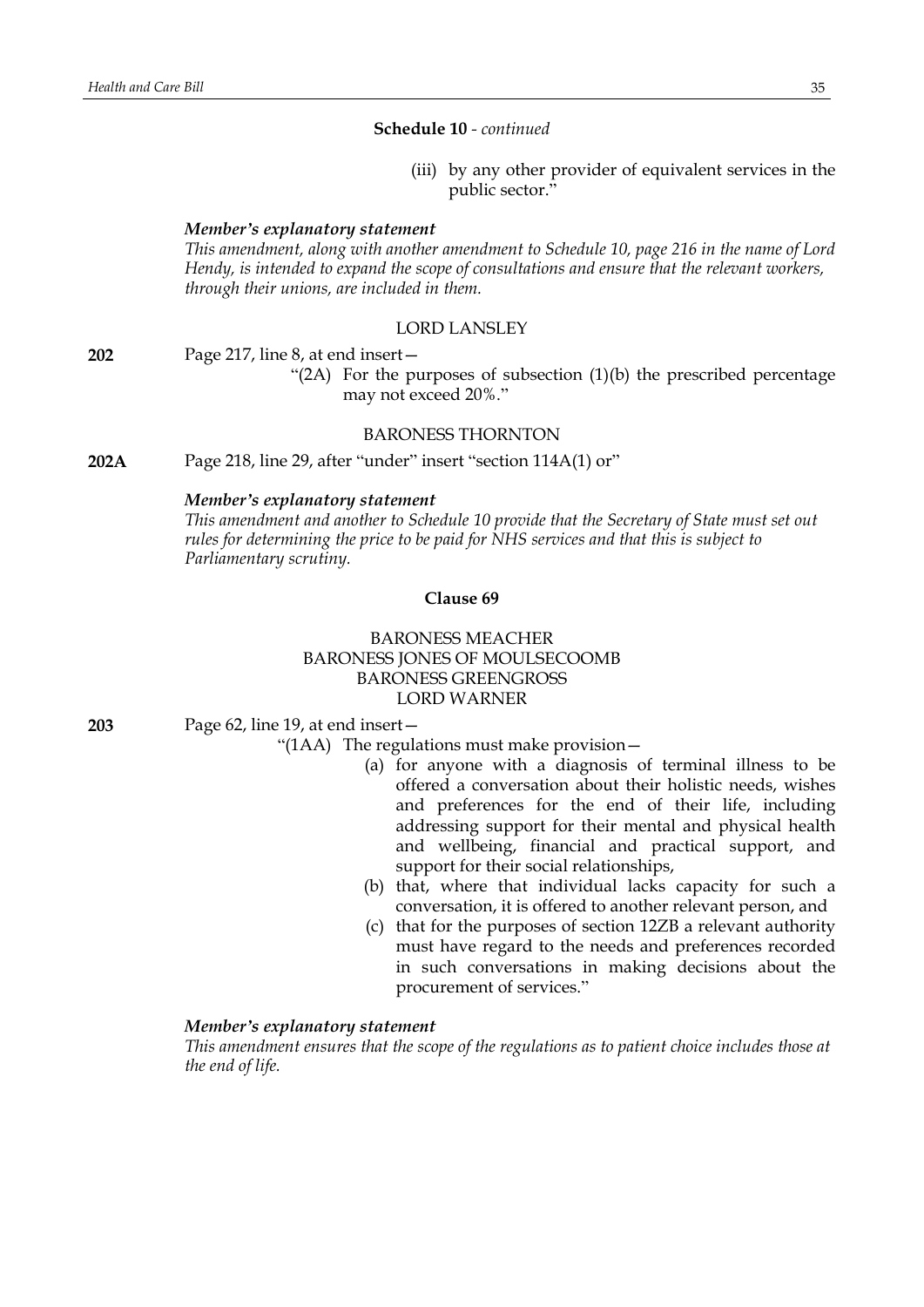**Schedule 10** *- continued*

(iii) by any other provider of equivalent services in the public sector."

#### *Member's explanatory statement*

*This amendment, along with another amendment to Schedule 10, page 216 in the name of Lord Hendy, is intended to expand the scope of consultations and ensure that the relevant workers, through their unions, are included in them.*

#### LORD LANSLEY

**202** Page 217, line 8, at end insert—

"(2A) For the purposes of subsection (1)(b) the prescribed percentage may not exceed 20%."

# BARONESS THORNTON

**202A** Page 218, line 29, after "under" insert "section 114A(1) or"

## *Member's explanatory statement*

*This amendment and another to Schedule 10 provide that the Secretary of State must set out rules for determining the price to be paid for NHS services and that this is subject to Parliamentary scrutiny.*

#### **Clause 69**

# BARONESS MEACHER BARONESS JONES OF MOULSECOOMB BARONESS GREENGROSS LORD WARNER

**203** Page 62, line 19, at end insert—

"(1AA) The regulations must make provision—

- (a) for anyone with a diagnosis of terminal illness to be offered a conversation about their holistic needs, wishes and preferences for the end of their life, including addressing support for their mental and physical health and wellbeing, financial and practical support, and support for their social relationships,
- (b) that, where that individual lacks capacity for such a conversation, it is offered to another relevant person, and
- (c) that for the purposes of section 12ZB a relevant authority must have regard to the needs and preferences recorded in such conversations in making decisions about the procurement of services."

#### *Member's explanatory statement*

*This amendment ensures that the scope of the regulations as to patient choice includes those at the end of life.*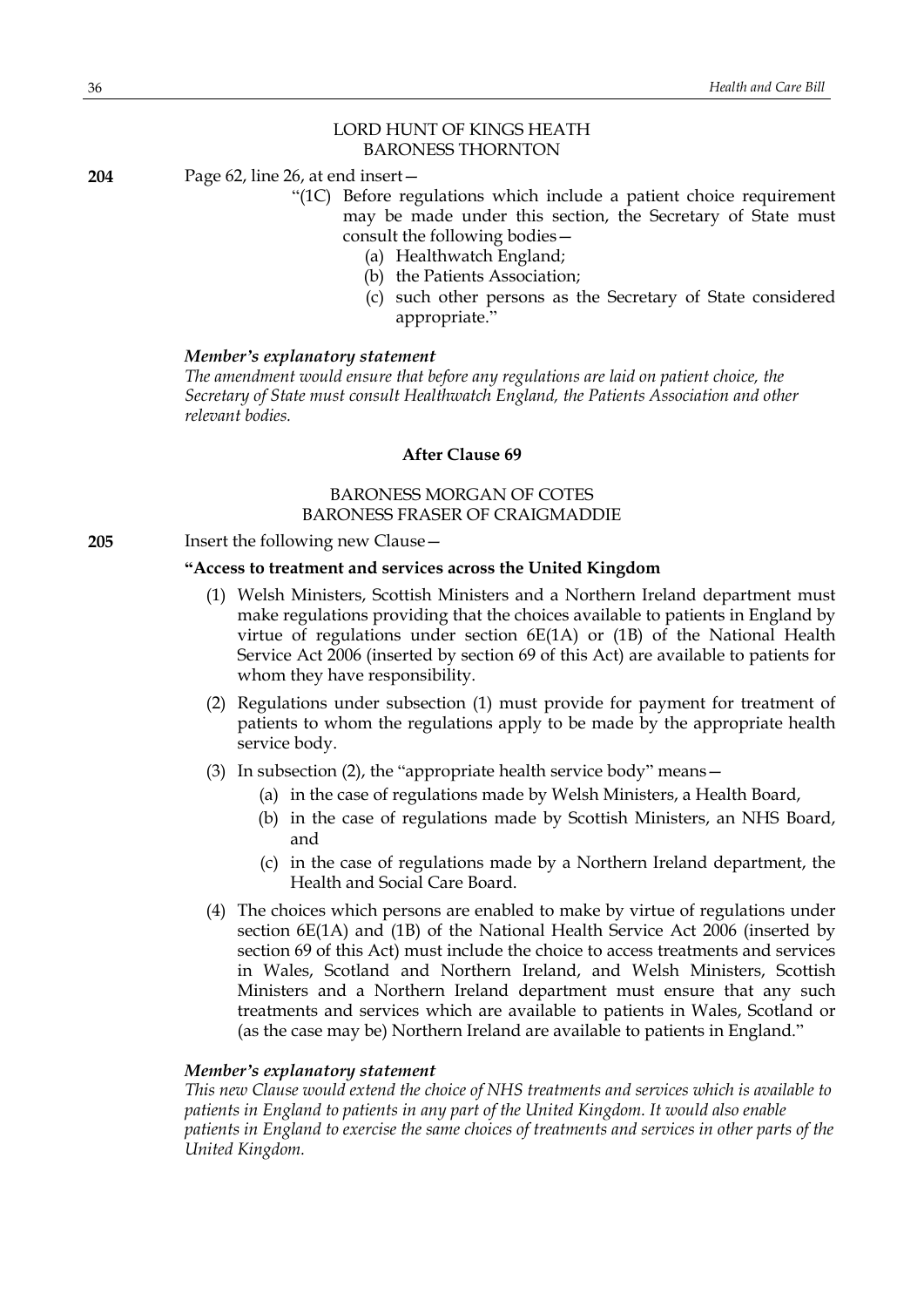# LORD HUNT OF KINGS HEATH BARONESS THORNTON

**204** Page 62, line 26, at end insert—

- "(1C) Before regulations which include a patient choice requirement may be made under this section, the Secretary of State must consult the following bodies—
	- (a) Healthwatch England;
	- (b) the Patients Association;
	- (c) such other persons as the Secretary of State considered appropriate."

#### *Member's explanatory statement*

*The amendment would ensure that before any regulations are laid on patient choice, the Secretary of State must consult Healthwatch England, the Patients Association and other relevant bodies.*

# **After Clause 69**

# BARONESS MORGAN OF COTES BARONESS FRASER OF CRAIGMADDIE

**205** Insert the following new Clause—

#### **"Access to treatment and services across the United Kingdom**

- (1) Welsh Ministers, Scottish Ministers and a Northern Ireland department must make regulations providing that the choices available to patients in England by virtue of regulations under section 6E(1A) or (1B) of the National Health Service Act 2006 (inserted by section 69 of this Act) are available to patients for whom they have responsibility.
- (2) Regulations under subsection (1) must provide for payment for treatment of patients to whom the regulations apply to be made by the appropriate health service body.
- (3) In subsection (2), the "appropriate health service body" means—
	- (a) in the case of regulations made by Welsh Ministers, a Health Board,
	- (b) in the case of regulations made by Scottish Ministers, an NHS Board, and
	- (c) in the case of regulations made by a Northern Ireland department, the Health and Social Care Board.
- (4) The choices which persons are enabled to make by virtue of regulations under section 6E(1A) and (1B) of the National Health Service Act 2006 (inserted by section 69 of this Act) must include the choice to access treatments and services in Wales, Scotland and Northern Ireland, and Welsh Ministers, Scottish Ministers and a Northern Ireland department must ensure that any such treatments and services which are available to patients in Wales, Scotland or (as the case may be) Northern Ireland are available to patients in England."

#### *Member's explanatory statement*

*This new Clause would extend the choice of NHS treatments and services which is available to patients in England to patients in any part of the United Kingdom. It would also enable patients in England to exercise the same choices of treatments and services in other parts of the United Kingdom.*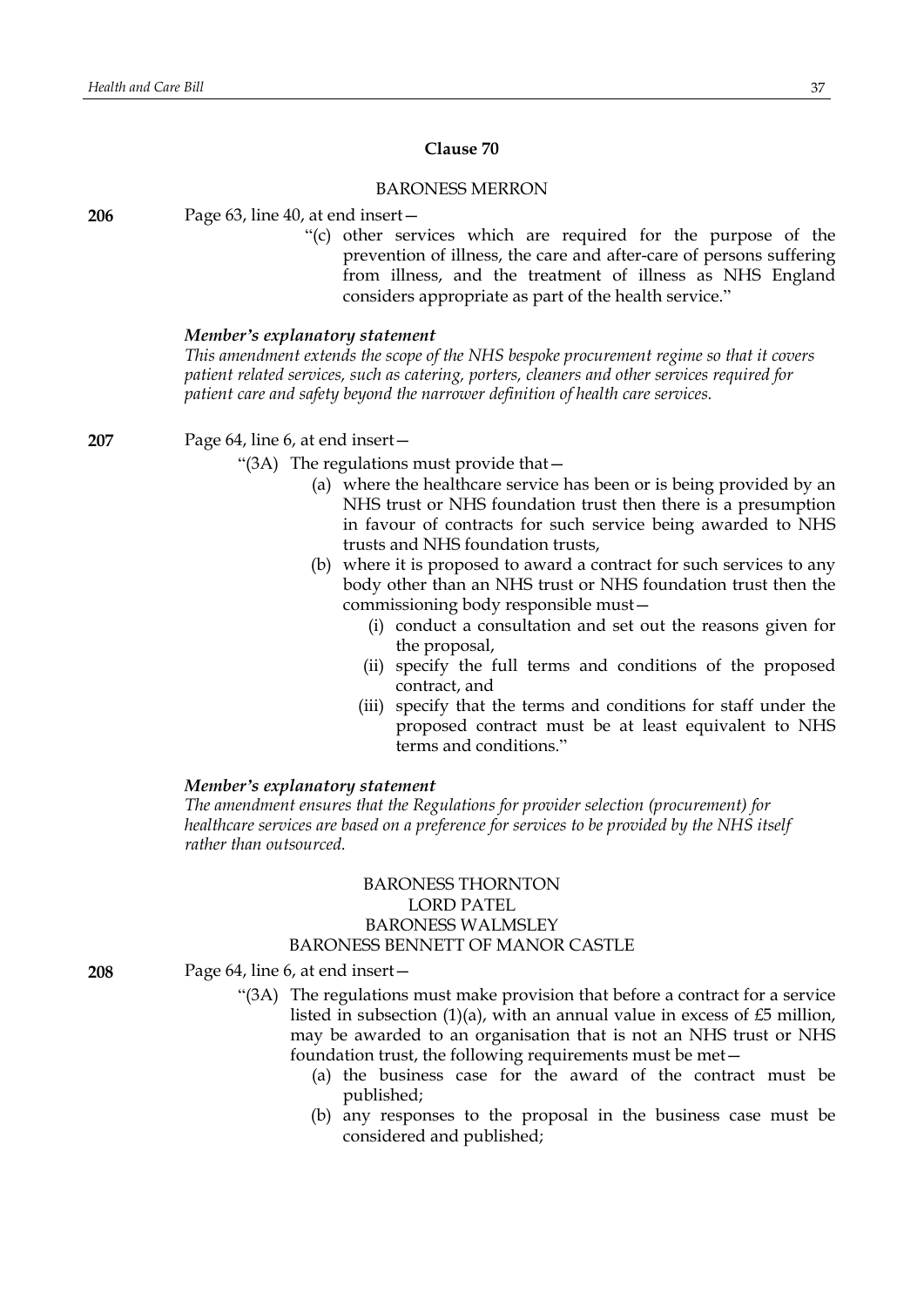# **Clause 70**

# BARONESS MERRON

**206** Page 63, line 40, at end insert—

"(c) other services which are required for the purpose of the prevention of illness, the care and after-care of persons suffering from illness, and the treatment of illness as NHS England considers appropriate as part of the health service."

#### *Member's explanatory statement*

*This amendment extends the scope of the NHS bespoke procurement regime so that it covers patient related services, such as catering, porters, cleaners and other services required for patient care and safety beyond the narrower definition of health care services.*

**207** Page 64, line 6, at end insert—

- "(3A) The regulations must provide that—
	- (a) where the healthcare service has been or is being provided by an NHS trust or NHS foundation trust then there is a presumption in favour of contracts for such service being awarded to NHS trusts and NHS foundation trusts,
	- (b) where it is proposed to award a contract for such services to any body other than an NHS trust or NHS foundation trust then the commissioning body responsible must—
		- (i) conduct a consultation and set out the reasons given for the proposal,
		- (ii) specify the full terms and conditions of the proposed contract, and
		- (iii) specify that the terms and conditions for staff under the proposed contract must be at least equivalent to NHS terms and conditions."

#### *Member's explanatory statement*

*The amendment ensures that the Regulations for provider selection (procurement) for healthcare services are based on a preference for services to be provided by the NHS itself rather than outsourced.*

# BARONESS THORNTON LORD PATEL BARONESS WALMSLEY BARONESS BENNETT OF MANOR CASTLE

**208** Page 64, line 6, at end insert—

- "(3A) The regulations must make provision that before a contract for a service listed in subsection  $(1)(a)$ , with an annual value in excess of £5 million, may be awarded to an organisation that is not an NHS trust or NHS foundation trust, the following requirements must be met—
	- (a) the business case for the award of the contract must be published;
	- (b) any responses to the proposal in the business case must be considered and published;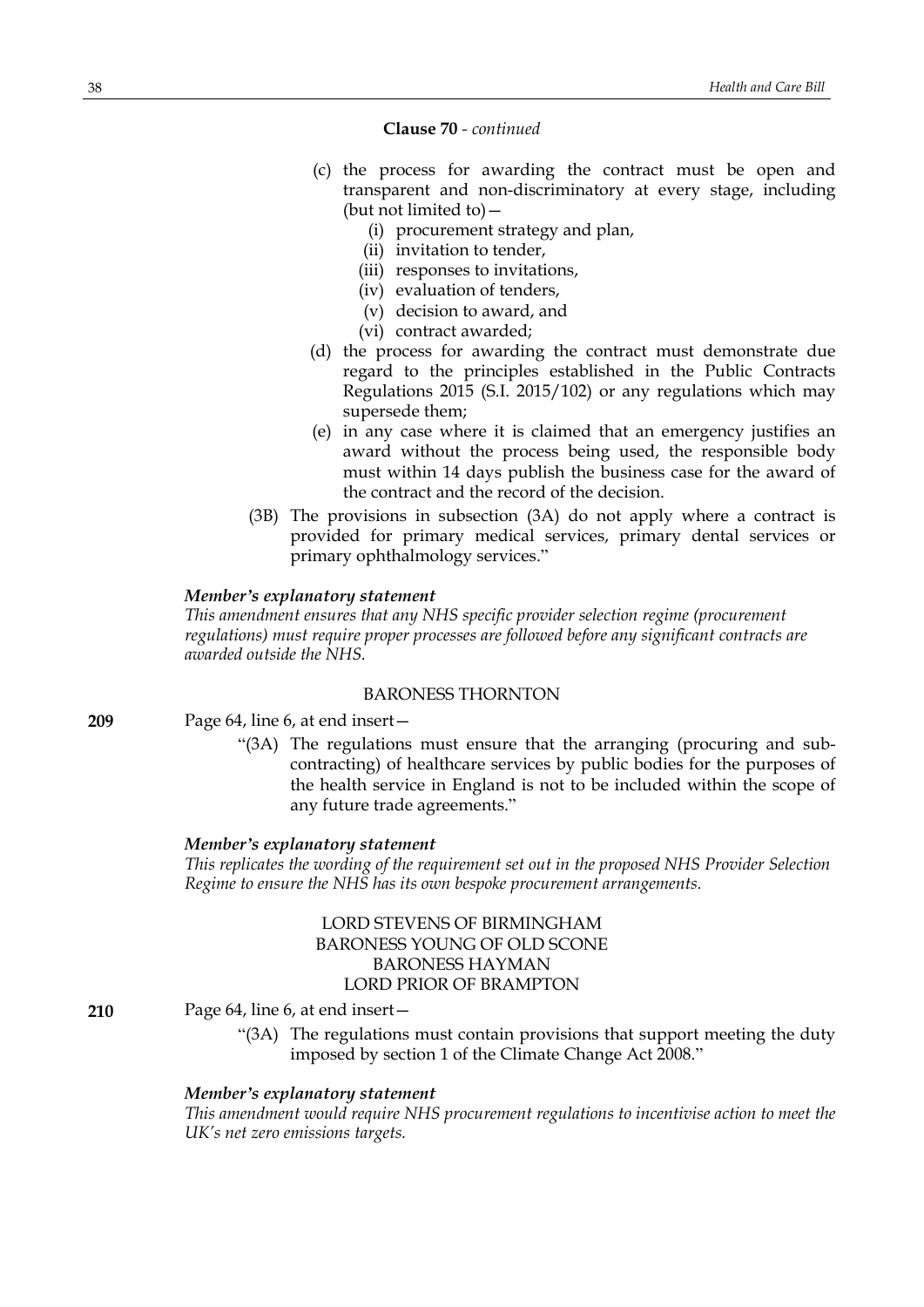# **Clause 70** *- continued*

- (c) the process for awarding the contract must be open and transparent and non-discriminatory at every stage, including (but not limited to)—
	- (i) procurement strategy and plan,
	- (ii) invitation to tender,
	- (iii) responses to invitations,
	- (iv) evaluation of tenders,
	- (v) decision to award, and
	- (vi) contract awarded;
- (d) the process for awarding the contract must demonstrate due regard to the principles established in the Public Contracts Regulations 2015 (S.I. 2015/102) or any regulations which may supersede them;
- (e) in any case where it is claimed that an emergency justifies an award without the process being used, the responsible body must within 14 days publish the business case for the award of the contract and the record of the decision.
- (3B) The provisions in subsection (3A) do not apply where a contract is provided for primary medical services, primary dental services or primary ophthalmology services."

### *Member's explanatory statement*

*This amendment ensures that any NHS specific provider selection regime (procurement regulations) must require proper processes are followed before any significant contracts are awarded outside the NHS.*

# BARONESS THORNTON

```
209 Page 64, line 6, at end insert—
```
"(3A) The regulations must ensure that the arranging (procuring and subcontracting) of healthcare services by public bodies for the purposes of the health service in England is not to be included within the scope of any future trade agreements."

#### *Member's explanatory statement*

*This replicates the wording of the requirement set out in the proposed NHS Provider Selection Regime to ensure the NHS has its own bespoke procurement arrangements.*

# LORD STEVENS OF BIRMINGHAM BARONESS YOUNG OF OLD SCONE BARONESS HAYMAN LORD PRIOR OF BRAMPTON

**210** Page 64, line 6, at end insert—

"(3A) The regulations must contain provisions that support meeting the duty imposed by section 1 of the Climate Change Act 2008."

#### *Member's explanatory statement*

*This amendment would require NHS procurement regulations to incentivise action to meet the UK's net zero emissions targets.*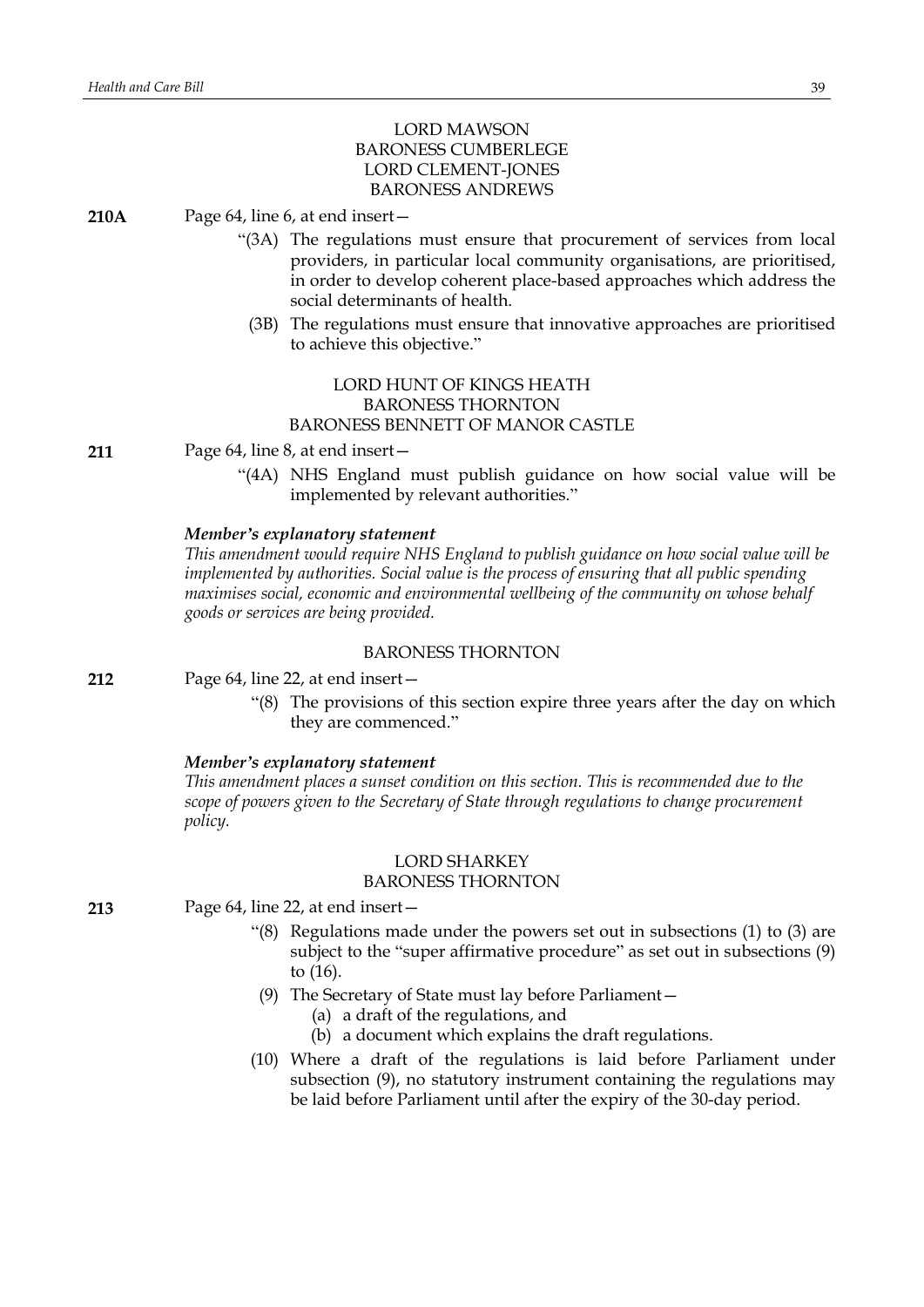# LORD MAWSON BARONESS CUMBERLEGE LORD CLEMENT-JONES BARONESS ANDREWS

**210A** Page 64, line 6, at end insert—

- "(3A) The regulations must ensure that procurement of services from local providers, in particular local community organisations, are prioritised, in order to develop coherent place-based approaches which address the social determinants of health.
	- (3B) The regulations must ensure that innovative approaches are prioritised to achieve this objective."

# LORD HUNT OF KINGS HEATH BARONESS THORNTON BARONESS BENNETT OF MANOR CASTLE

**211** Page 64, line 8, at end insert—

"(4A) NHS England must publish guidance on how social value will be implemented by relevant authorities."

### *Member's explanatory statement*

*This amendment would require NHS England to publish guidance on how social value will be implemented by authorities. Social value is the process of ensuring that all public spending maximises social, economic and environmental wellbeing of the community on whose behalf goods or services are being provided.*

### BARONESS THORNTON

**212** Page 64, line 22, at end insert—

"(8) The provisions of this section expire three years after the day on which they are commenced."

### *Member's explanatory statement*

*This amendment places a sunset condition on this section. This is recommended due to the scope of powers given to the Secretary of State through regulations to change procurement policy.*

### LORD SHARKEY BARONESS THORNTON

**213** Page 64, line 22, at end insert—

- "(8) Regulations made under the powers set out in subsections (1) to (3) are subject to the "super affirmative procedure" as set out in subsections (9) to (16).
- (9) The Secretary of State must lay before Parliament—
	- (a) a draft of the regulations, and
	- (b) a document which explains the draft regulations.
- (10) Where a draft of the regulations is laid before Parliament under subsection (9), no statutory instrument containing the regulations may be laid before Parliament until after the expiry of the 30-day period.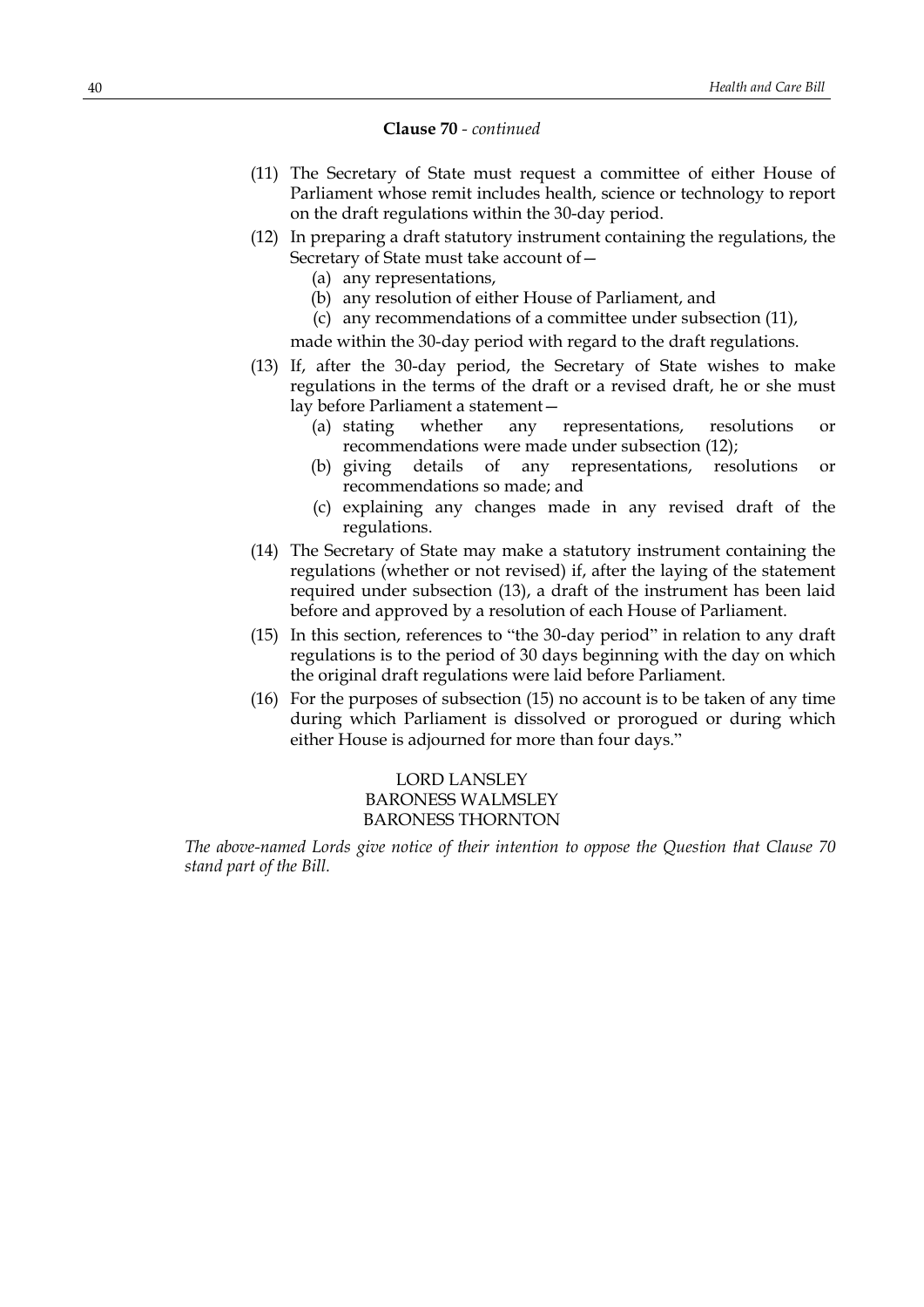### **Clause 70** *- continued*

- (11) The Secretary of State must request a committee of either House of Parliament whose remit includes health, science or technology to report on the draft regulations within the 30-day period.
- (12) In preparing a draft statutory instrument containing the regulations, the Secretary of State must take account of—
	- (a) any representations,
	- (b) any resolution of either House of Parliament, and
	- (c) any recommendations of a committee under subsection (11),

made within the 30-day period with regard to the draft regulations.

- (13) If, after the 30-day period, the Secretary of State wishes to make regulations in the terms of the draft or a revised draft, he or she must lay before Parliament a statement—
	- (a) stating whether any representations, resolutions or recommendations were made under subsection (12);
	- (b) giving details of any representations, resolutions or recommendations so made; and
	- (c) explaining any changes made in any revised draft of the regulations.
- (14) The Secretary of State may make a statutory instrument containing the regulations (whether or not revised) if, after the laying of the statement required under subsection (13), a draft of the instrument has been laid before and approved by a resolution of each House of Parliament.
- (15) In this section, references to "the 30-day period" in relation to any draft regulations is to the period of 30 days beginning with the day on which the original draft regulations were laid before Parliament.
- (16) For the purposes of subsection (15) no account is to be taken of any time during which Parliament is dissolved or prorogued or during which either House is adjourned for more than four days."

# LORD LANSLEY BARONESS WALMSLEY BARONESS THORNTON

*The above-named Lords give notice of their intention to oppose the Question that Clause 70 stand part of the Bill.*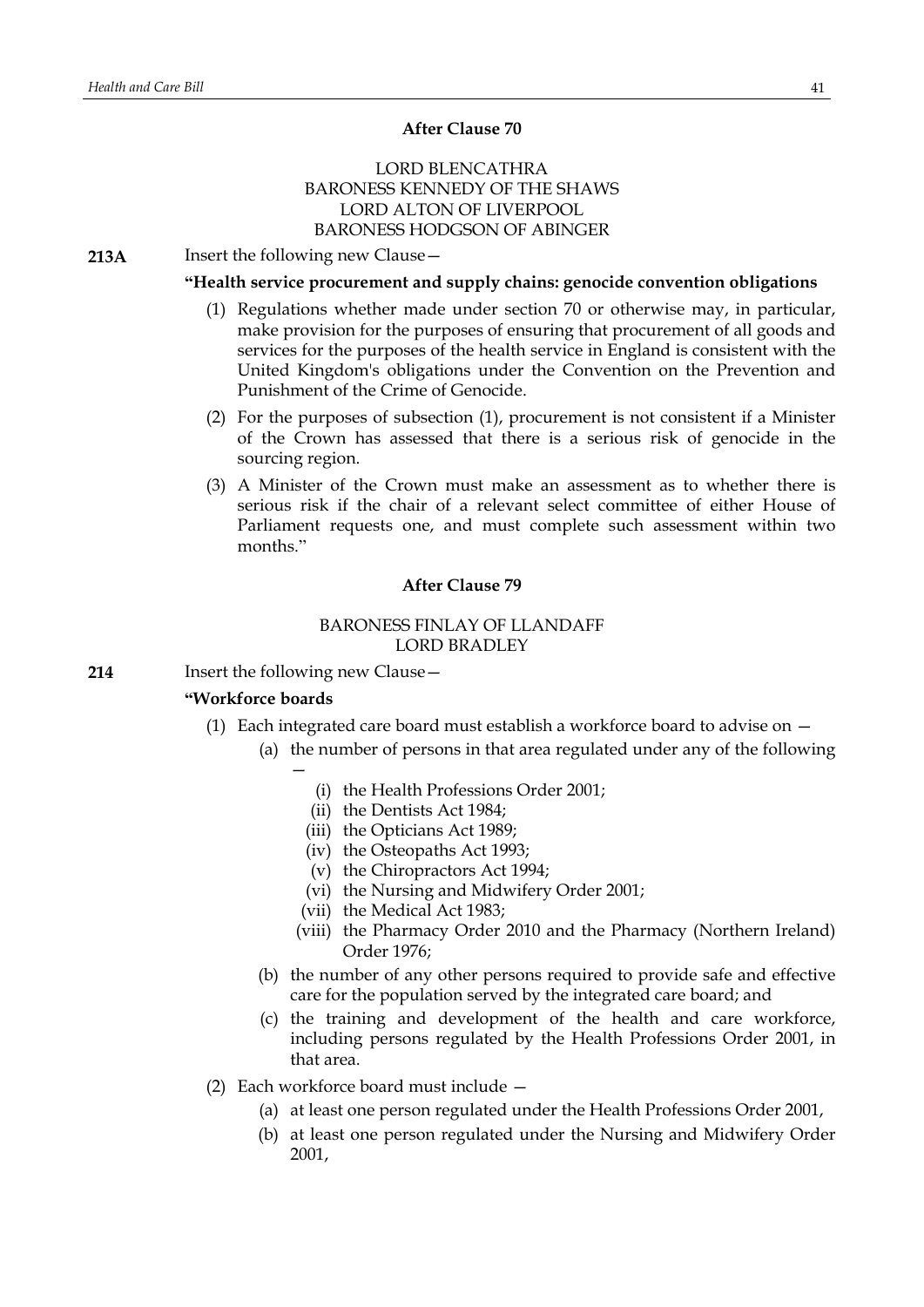# **After Clause 70**

# LORD BLENCATHRA BARONESS KENNEDY OF THE SHAWS LORD ALTON OF LIVERPOOL BARONESS HODGSON OF ABINGER

**213A** Insert the following new Clause—

### **"Health service procurement and supply chains: genocide convention obligations**

- (1) Regulations whether made under section 70 or otherwise may, in particular, make provision for the purposes of ensuring that procurement of all goods and services for the purposes of the health service in England is consistent with the United Kingdom's obligations under the Convention on the Prevention and Punishment of the Crime of Genocide.
- (2) For the purposes of subsection (1), procurement is not consistent if a Minister of the Crown has assessed that there is a serious risk of genocide in the sourcing region.
- (3) A Minister of the Crown must make an assessment as to whether there is serious risk if the chair of a relevant select committee of either House of Parliament requests one, and must complete such assessment within two months."

# **After Clause 79**

# BARONESS FINLAY OF LLANDAFF LORD BRADLEY

**214** Insert the following new Clause—

### **"Workforce boards**

- (1) Each integrated care board must establish a workforce board to advise on
	- (a) the number of persons in that area regulated under any of the following —
		- (i) the Health Professions Order 2001;
		- (ii) the Dentists Act 1984;
		- (iii) the Opticians Act 1989;
		- (iv) the Osteopaths Act 1993;
		- (v) the Chiropractors Act 1994;
		- (vi) the Nursing and Midwifery Order 2001;
		- (vii) the Medical Act 1983;
		- (viii) the Pharmacy Order 2010 and the Pharmacy (Northern Ireland) Order 1976;
	- (b) the number of any other persons required to provide safe and effective care for the population served by the integrated care board; and
	- (c) the training and development of the health and care workforce, including persons regulated by the Health Professions Order 2001, in that area.
- (2) Each workforce board must include
	- (a) at least one person regulated under the Health Professions Order 2001,
	- (b) at least one person regulated under the Nursing and Midwifery Order 2001,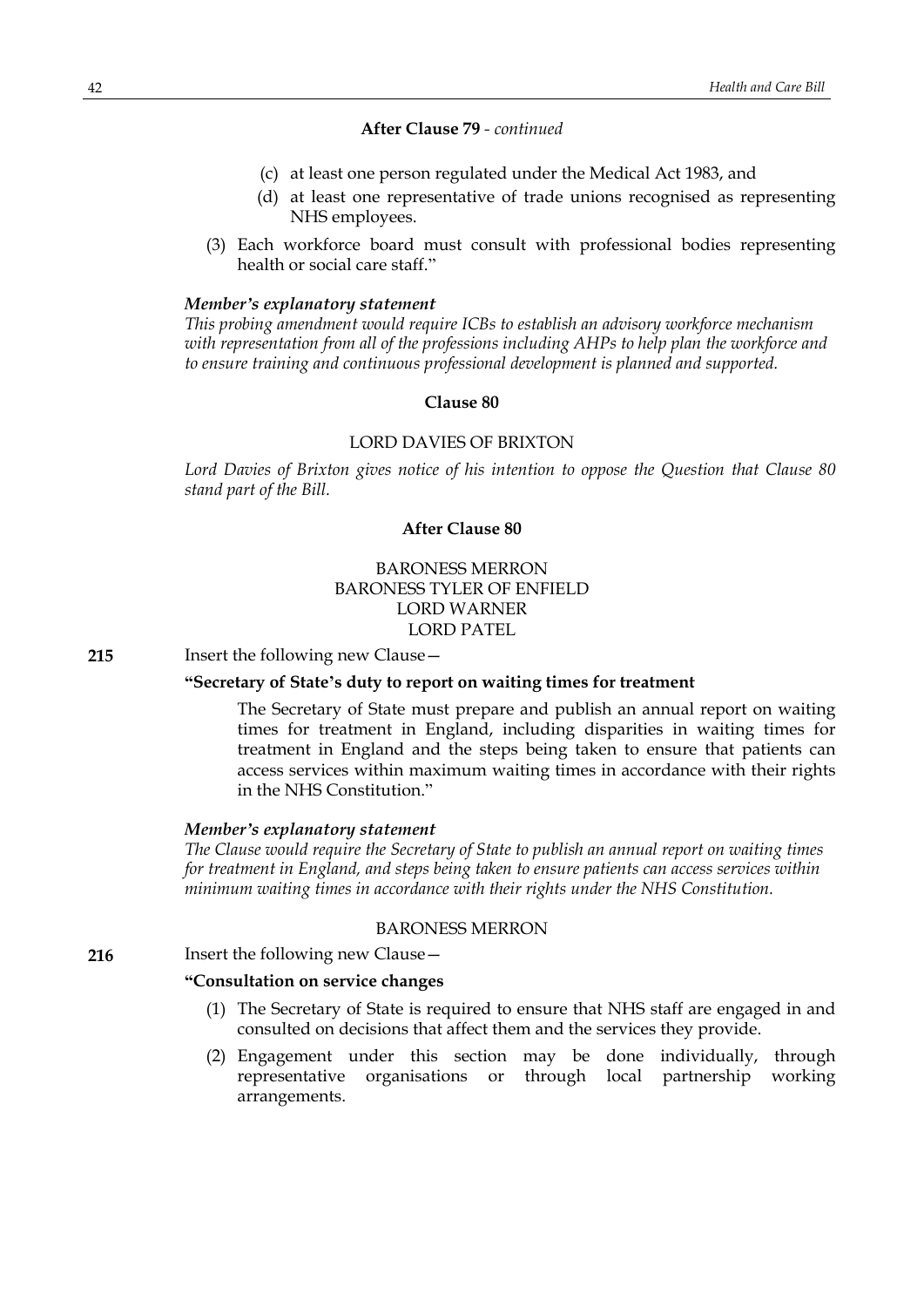# **After Clause 79** *- continued*

- (c) at least one person regulated under the Medical Act 1983, and
- (d) at least one representative of trade unions recognised as representing NHS employees.
- (3) Each workforce board must consult with professional bodies representing health or social care staff."

#### *Member's explanatory statement*

*This probing amendment would require ICBs to establish an advisory workforce mechanism with representation from all of the professions including AHPs to help plan the workforce and to ensure training and continuous professional development is planned and supported.*

### **Clause 80**

### LORD DAVIES OF BRIXTON

*Lord Davies of Brixton gives notice of his intention to oppose the Question that Clause 80 stand part of the Bill.*

# **After Clause 80**

# BARONESS MERRON BARONESS TYLER OF ENFIELD LORD WARNER LORD PATEL

**215** Insert the following new Clause—

### **"Secretary of State's duty to report on waiting times for treatment**

The Secretary of State must prepare and publish an annual report on waiting times for treatment in England, including disparities in waiting times for treatment in England and the steps being taken to ensure that patients can access services within maximum waiting times in accordance with their rights in the NHS Constitution."

#### *Member's explanatory statement*

*The Clause would require the Secretary of State to publish an annual report on waiting times for treatment in England, and steps being taken to ensure patients can access services within minimum waiting times in accordance with their rights under the NHS Constitution.*

### BARONESS MERRON

**216** Insert the following new Clause -

#### **"Consultation on service changes**

- (1) The Secretary of State is required to ensure that NHS staff are engaged in and consulted on decisions that affect them and the services they provide.
- (2) Engagement under this section may be done individually, through representative organisations or through local partnership working arrangements.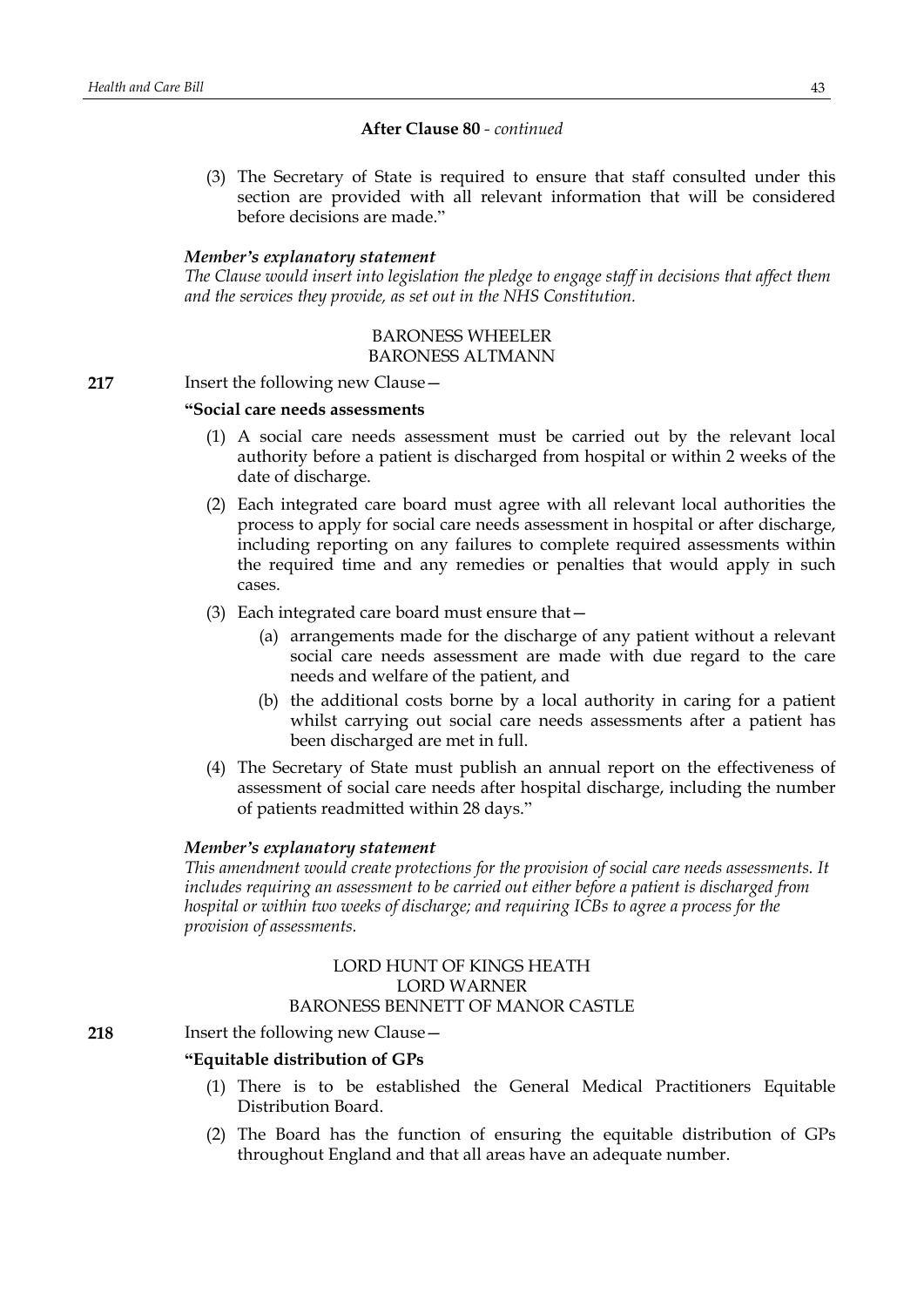### **After Clause 80** *- continued*

(3) The Secretary of State is required to ensure that staff consulted under this section are provided with all relevant information that will be considered before decisions are made."

### *Member's explanatory statement*

*The Clause would insert into legislation the pledge to engage staff in decisions that affect them and the services they provide, as set out in the NHS Constitution.*

# BARONESS WHEELER BARONESS ALTMANN

#### **217** Insert the following new Clause—

### **"Social care needs assessments**

- (1) A social care needs assessment must be carried out by the relevant local authority before a patient is discharged from hospital or within 2 weeks of the date of discharge.
- (2) Each integrated care board must agree with all relevant local authorities the process to apply for social care needs assessment in hospital or after discharge, including reporting on any failures to complete required assessments within the required time and any remedies or penalties that would apply in such cases.
- (3) Each integrated care board must ensure that—
	- (a) arrangements made for the discharge of any patient without a relevant social care needs assessment are made with due regard to the care needs and welfare of the patient, and
	- (b) the additional costs borne by a local authority in caring for a patient whilst carrying out social care needs assessments after a patient has been discharged are met in full.
- (4) The Secretary of State must publish an annual report on the effectiveness of assessment of social care needs after hospital discharge, including the number of patients readmitted within 28 days."

### *Member's explanatory statement*

*This amendment would create protections for the provision of social care needs assessments. It includes requiring an assessment to be carried out either before a patient is discharged from hospital or within two weeks of discharge; and requiring ICBs to agree a process for the provision of assessments.*

### LORD HUNT OF KINGS HEATH LORD WARNER BARONESS BENNETT OF MANOR CASTLE

# **218** Insert the following new Clause -

# **"Equitable distribution of GPs**

- (1) There is to be established the General Medical Practitioners Equitable Distribution Board.
- (2) The Board has the function of ensuring the equitable distribution of GPs throughout England and that all areas have an adequate number.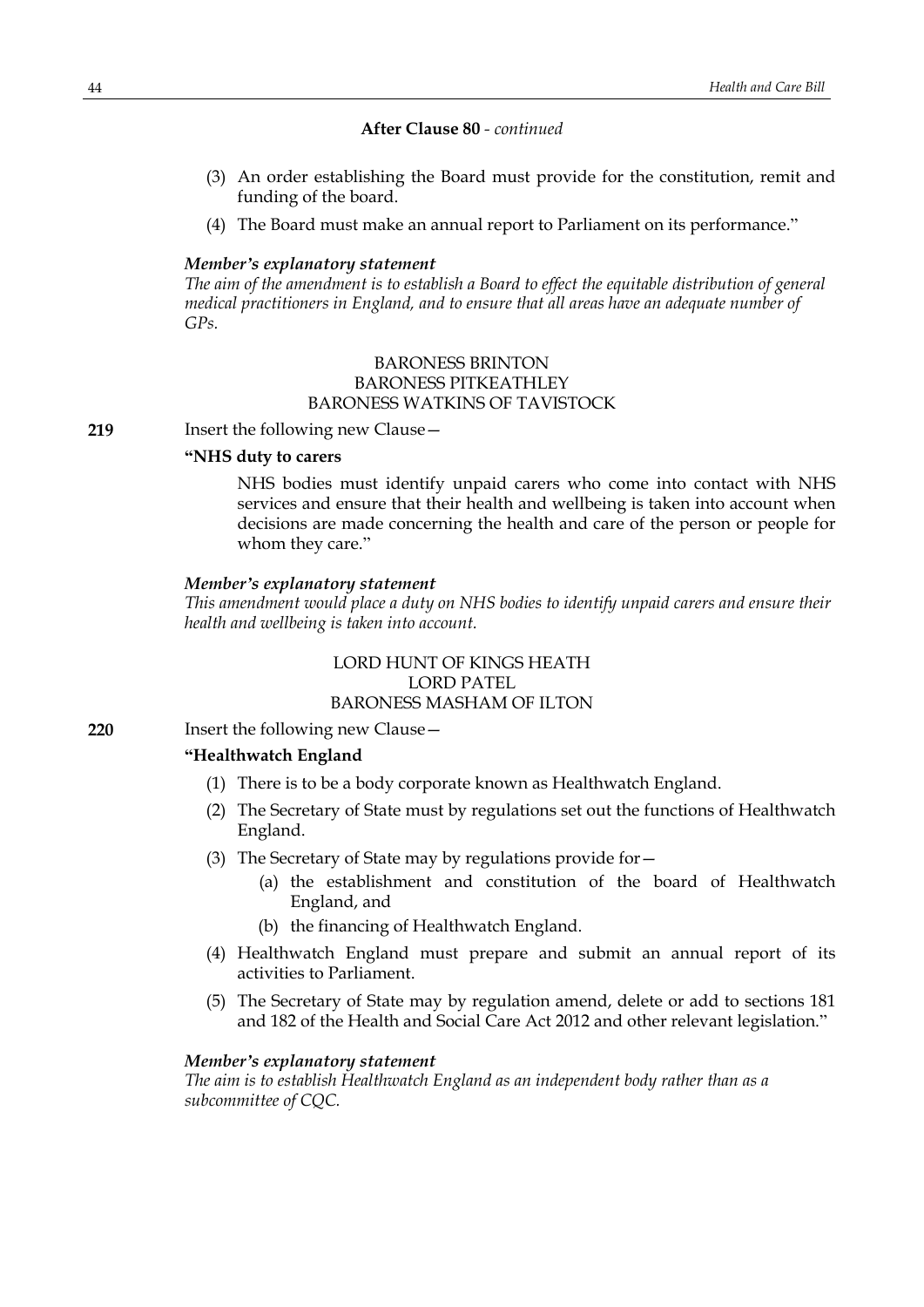# **After Clause 80** *- continued*

- (3) An order establishing the Board must provide for the constitution, remit and funding of the board.
- (4) The Board must make an annual report to Parliament on its performance."

### *Member's explanatory statement*

*The aim of the amendment is to establish a Board to effect the equitable distribution of general medical practitioners in England, and to ensure that all areas have an adequate number of GPs.*

# BARONESS BRINTON BARONESS PITKEATHLEY BARONESS WATKINS OF TAVISTOCK

**219** Insert the following new Clause –

# **"NHS duty to carers**

NHS bodies must identify unpaid carers who come into contact with NHS services and ensure that their health and wellbeing is taken into account when decisions are made concerning the health and care of the person or people for whom they care."

### *Member's explanatory statement*

*This amendment would place a duty on NHS bodies to identify unpaid carers and ensure their health and wellbeing is taken into account.*

# LORD HUNT OF KINGS HEATH LORD PATEL BARONESS MASHAM OF ILTON

**220** Insert the following new Clause—

# **"Healthwatch England**

- (1) There is to be a body corporate known as Healthwatch England.
- (2) The Secretary of State must by regulations set out the functions of Healthwatch England.
- (3) The Secretary of State may by regulations provide for—
	- (a) the establishment and constitution of the board of Healthwatch England, and
	- (b) the financing of Healthwatch England.
- (4) Healthwatch England must prepare and submit an annual report of its activities to Parliament.
- (5) The Secretary of State may by regulation amend, delete or add to sections 181 and 182 of the Health and Social Care Act 2012 and other relevant legislation."

# *Member's explanatory statement*

*The aim is to establish Healthwatch England as an independent body rather than as a subcommittee of CQC.*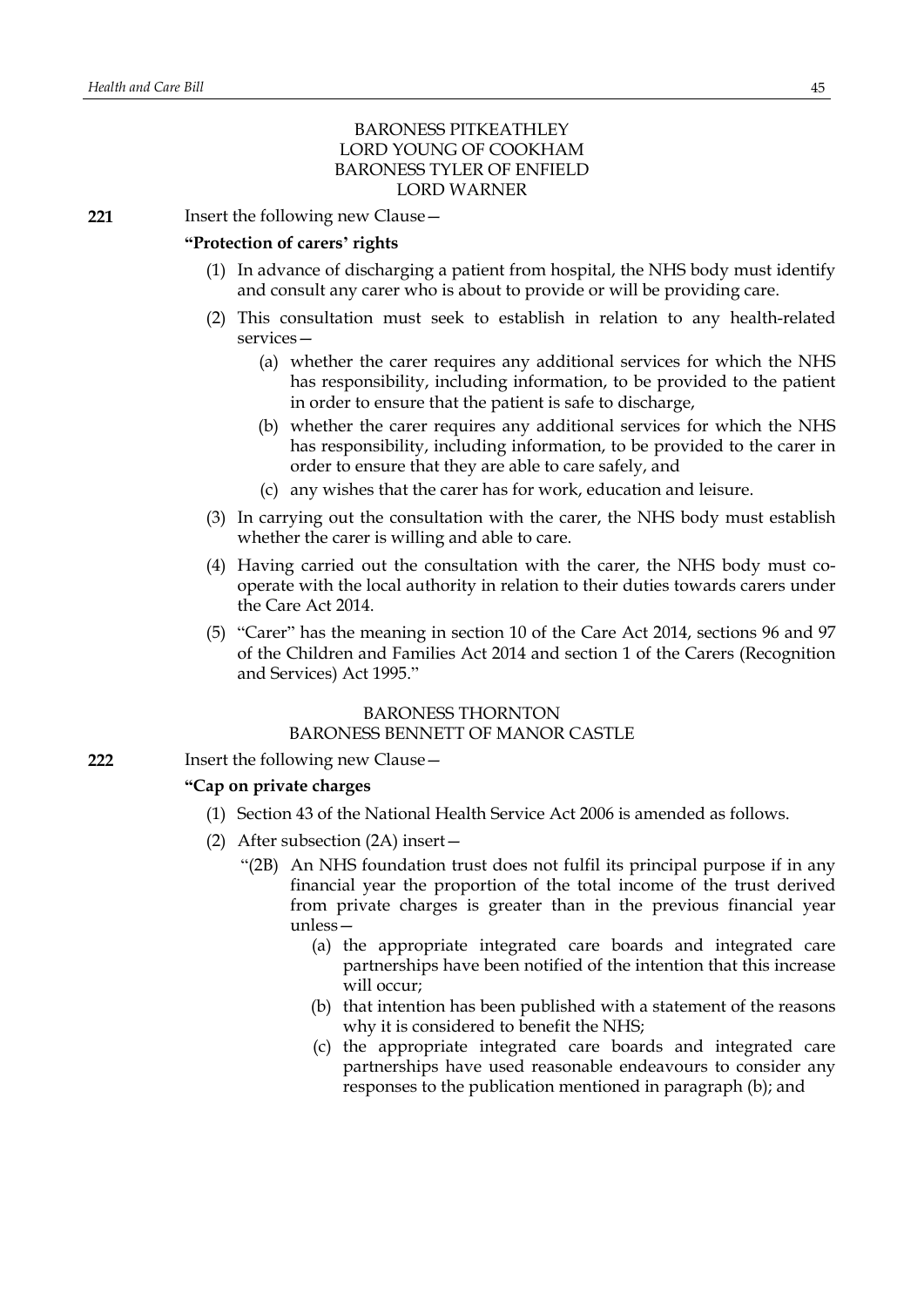# BARONESS PITKEATHLEY LORD YOUNG OF COOKHAM BARONESS TYLER OF ENFIELD LORD WARNER

**221** Insert the following new Clause—

### **"Protection of carers' rights**

- (1) In advance of discharging a patient from hospital, the NHS body must identify and consult any carer who is about to provide or will be providing care.
- (2) This consultation must seek to establish in relation to any health-related services—
	- (a) whether the carer requires any additional services for which the NHS has responsibility, including information, to be provided to the patient in order to ensure that the patient is safe to discharge,
	- (b) whether the carer requires any additional services for which the NHS has responsibility, including information, to be provided to the carer in order to ensure that they are able to care safely, and
	- (c) any wishes that the carer has for work, education and leisure.
- (3) In carrying out the consultation with the carer, the NHS body must establish whether the carer is willing and able to care.
- (4) Having carried out the consultation with the carer, the NHS body must cooperate with the local authority in relation to their duties towards carers under the Care Act 2014.
- (5) "Carer" has the meaning in section 10 of the Care Act 2014, sections 96 and 97 of the Children and Families Act 2014 and section 1 of the Carers (Recognition and Services) Act 1995."

## BARONESS THORNTON BARONESS BENNETT OF MANOR CASTLE

**222** Insert the following new Clause—

### **"Cap on private charges**

- (1) Section 43 of the National Health Service Act 2006 is amended as follows.
- (2) After subsection (2A) insert—
	- "(2B) An NHS foundation trust does not fulfil its principal purpose if in any financial year the proportion of the total income of the trust derived from private charges is greater than in the previous financial year unless—
		- (a) the appropriate integrated care boards and integrated care partnerships have been notified of the intention that this increase will occur;
		- (b) that intention has been published with a statement of the reasons why it is considered to benefit the NHS;
		- (c) the appropriate integrated care boards and integrated care partnerships have used reasonable endeavours to consider any responses to the publication mentioned in paragraph (b); and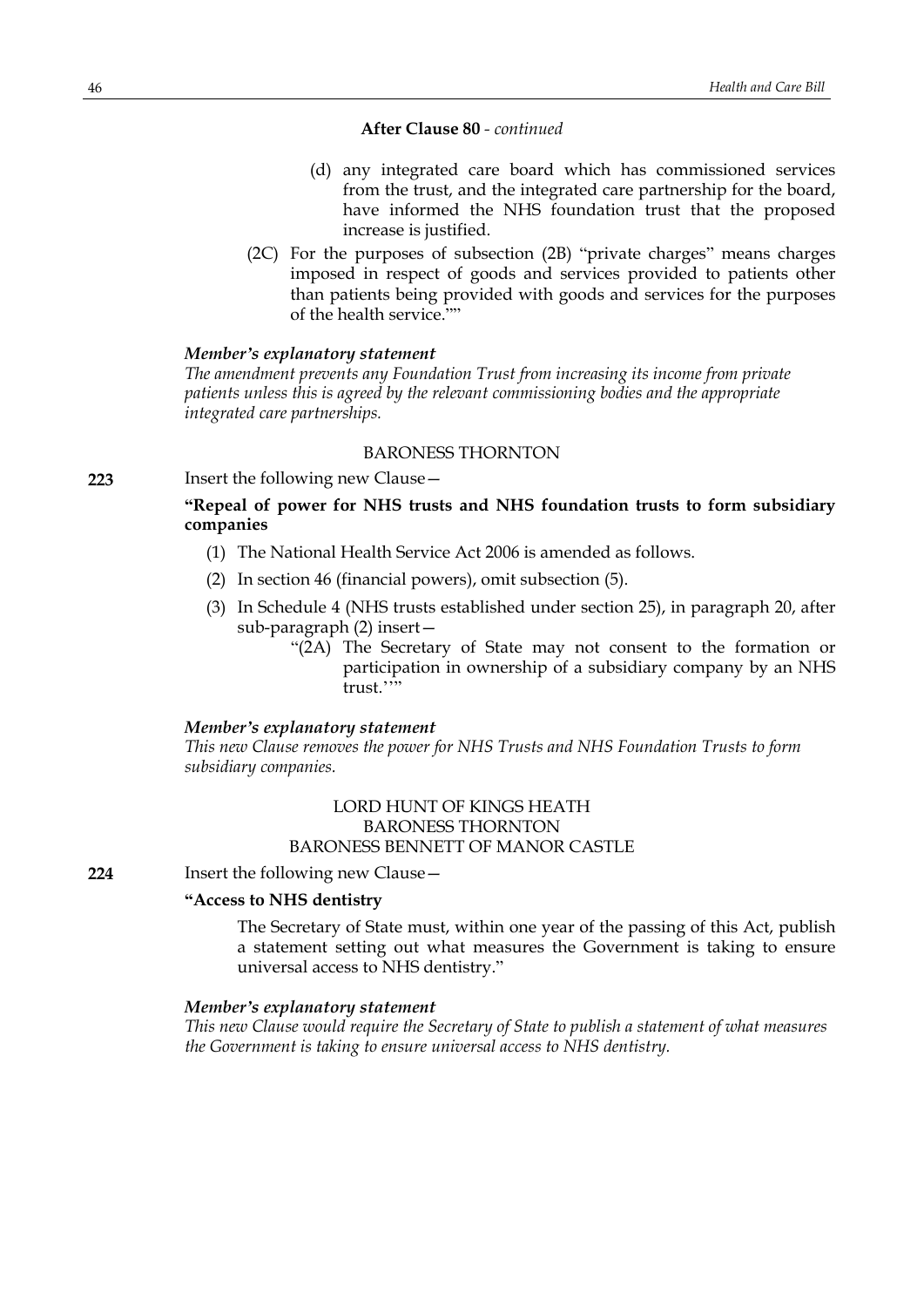# **After Clause 80** *- continued*

- (d) any integrated care board which has commissioned services from the trust, and the integrated care partnership for the board, have informed the NHS foundation trust that the proposed increase is justified.
- (2C) For the purposes of subsection (2B) "private charges" means charges imposed in respect of goods and services provided to patients other than patients being provided with goods and services for the purposes of the health service.""

### *Member's explanatory statement*

*The amendment prevents any Foundation Trust from increasing its income from private patients unless this is agreed by the relevant commissioning bodies and the appropriate integrated care partnerships.*

# BARONESS THORNTON

**223** Insert the following new Clause—

# **"Repeal of power for NHS trusts and NHS foundation trusts to form subsidiary companies**

- (1) The National Health Service Act 2006 is amended as follows.
- (2) In section 46 (financial powers), omit subsection (5).
- (3) In Schedule 4 (NHS trusts established under section 25), in paragraph 20, after sub-paragraph (2) insert—
	- "(2A) The Secretary of State may not consent to the formation or participation in ownership of a subsidiary company by an NHS trust.""

### *Member's explanatory statement*

*This new Clause removes the power for NHS Trusts and NHS Foundation Trusts to form subsidiary companies.*

# LORD HUNT OF KINGS HEATH BARONESS THORNTON BARONESS BENNETT OF MANOR CASTLE

**224** Insert the following new Clause—

### **"Access to NHS dentistry**

The Secretary of State must, within one year of the passing of this Act, publish a statement setting out what measures the Government is taking to ensure universal access to NHS dentistry."

#### *Member's explanatory statement*

*This new Clause would require the Secretary of State to publish a statement of what measures the Government is taking to ensure universal access to NHS dentistry.*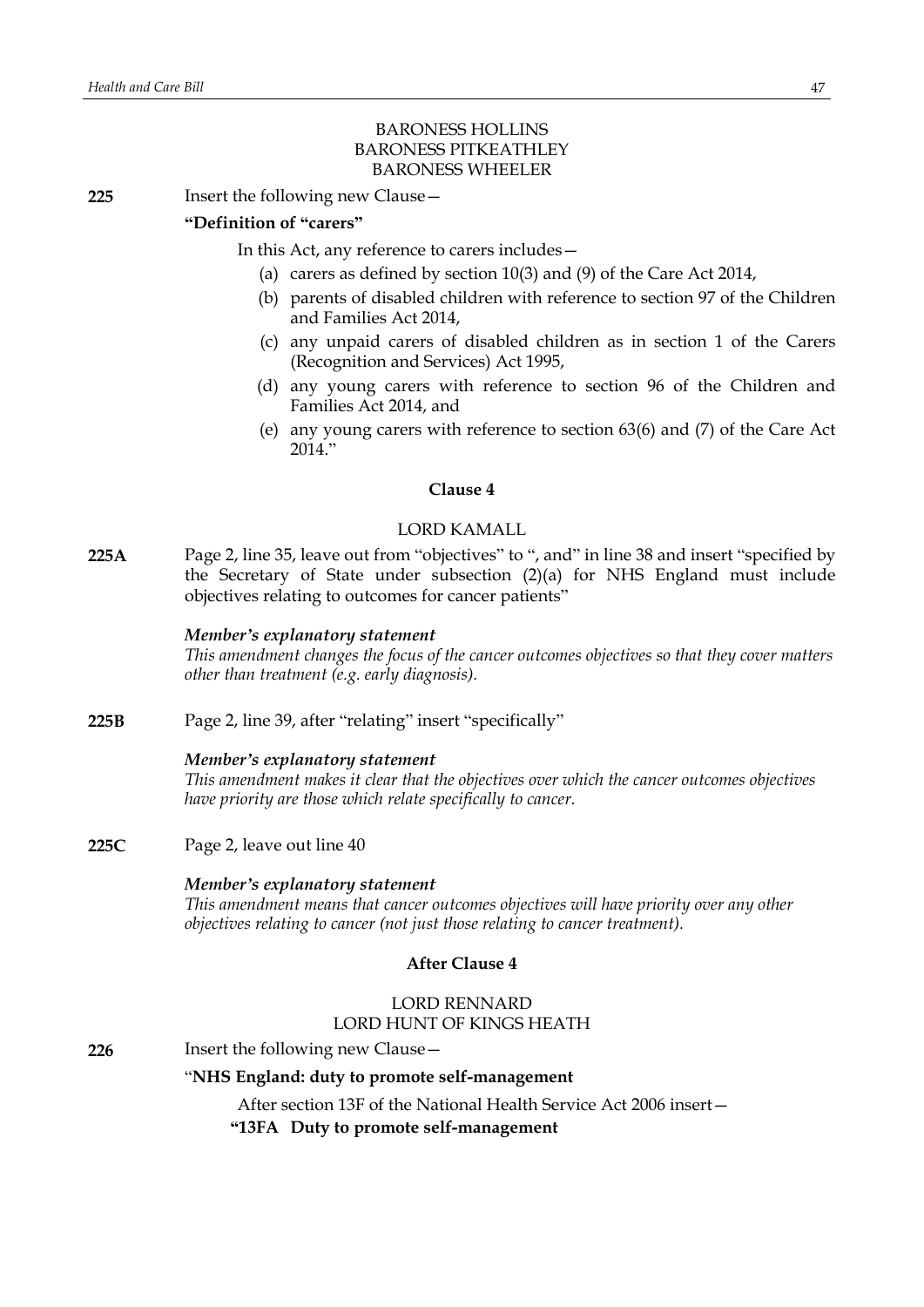# BARONESS HOLLINS BARONESS PITKEATHLEY BARONESS WHEELER

**225** Insert the following new Clause—

# **"Definition of "carers"**

In this Act, any reference to carers includes—

- (a) carers as defined by section 10(3) and (9) of the Care Act 2014,
- (b) parents of disabled children with reference to section 97 of the Children and Families Act 2014,
- (c) any unpaid carers of disabled children as in section 1 of the Carers (Recognition and Services) Act 1995,
- (d) any young carers with reference to section 96 of the Children and Families Act 2014, and
- (e) any young carers with reference to section 63(6) and (7) of the Care Act  $2014$ ."

# **Clause 4**

# LORD KAMALL

**225A** Page 2, line 35, leave out from "objectives" to ", and" in line 38 and insert "specified by the Secretary of State under subsection (2)(a) for NHS England must include objectives relating to outcomes for cancer patients"

## *Member's explanatory statement*

*This amendment changes the focus of the cancer outcomes objectives so that they cover matters other than treatment (e.g. early diagnosis).*

**225B** Page 2, line 39, after "relating" insert "specifically"

# *Member's explanatory statement*

*This amendment makes it clear that the objectives over which the cancer outcomes objectives have priority are those which relate specifically to cancer.*

**225C** Page 2, leave out line 40

### *Member's explanatory statement*

*This amendment means that cancer outcomes objectives will have priority over any other objectives relating to cancer (not just those relating to cancer treatment).*

# **After Clause 4**

# LORD RENNARD LORD HUNT OF KINGS HEATH

# **226** Insert the following new Clause –

# "**NHS England: duty to promote self-management**

After section 13F of the National Health Service Act 2006 insert—

**"13FA Duty to promote self-management**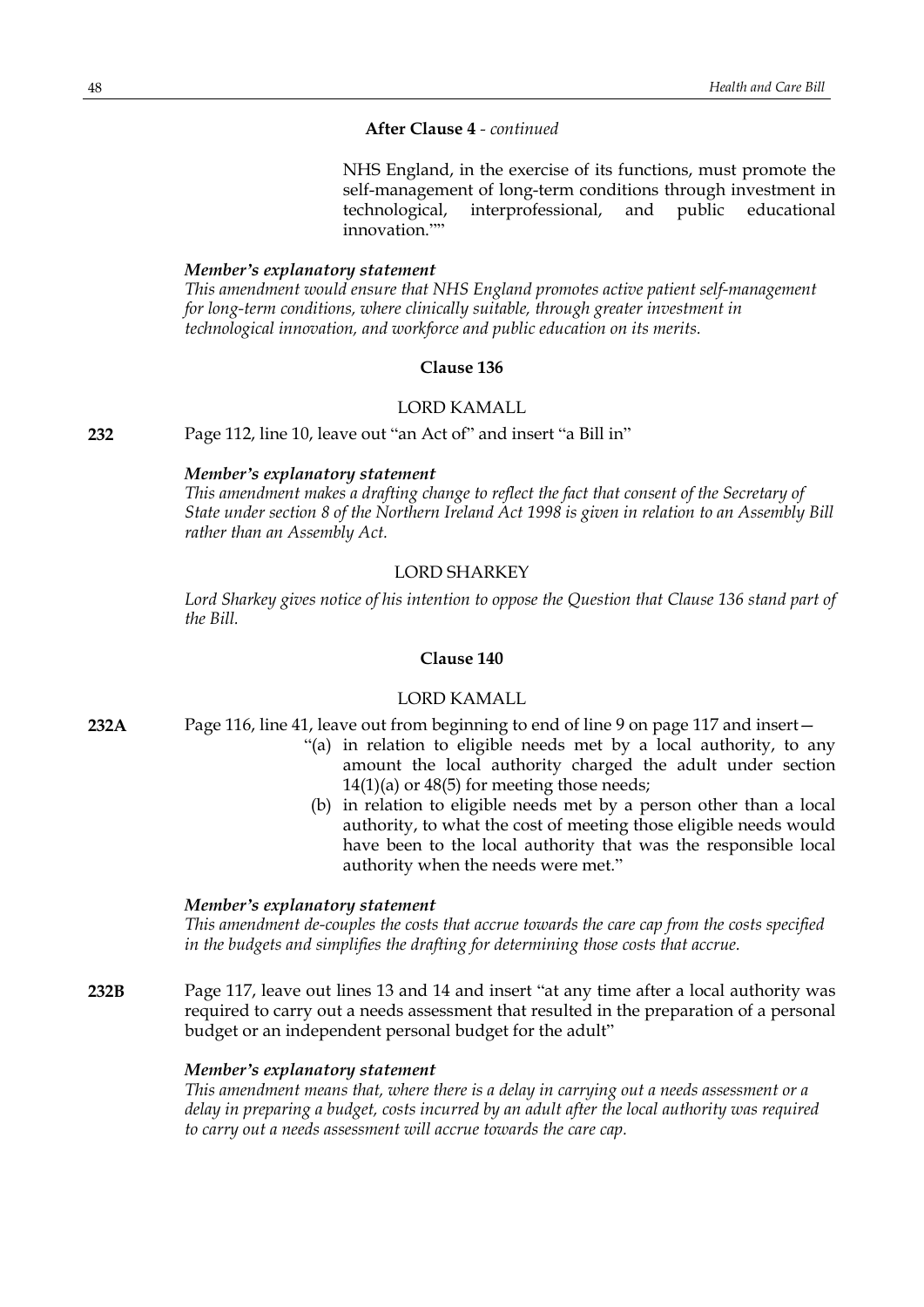# **After Clause 4** *- continued*

NHS England, in the exercise of its functions, must promote the self-management of long-term conditions through investment in technological, interprofessional, and public educational innovation.""

### *Member's explanatory statement*

*This amendment would ensure that NHS England promotes active patient self-management for long-term conditions, where clinically suitable, through greater investment in technological innovation, and workforce and public education on its merits.*

# **Clause 136**

### LORD KAMALL

**232** Page 112, line 10, leave out "an Act of" and insert "a Bill in"

### *Member's explanatory statement*

*This amendment makes a drafting change to reflect the fact that consent of the Secretary of State under section 8 of the Northern Ireland Act 1998 is given in relation to an Assembly Bill rather than an Assembly Act.*

# LORD SHARKEY

*Lord Sharkey gives notice of his intention to oppose the Question that Clause 136 stand part of the Bill.*

# **Clause 140**

### LORD KAMALL

- **232A** Page 116, line 41, leave out from beginning to end of line 9 on page 117 and insert—
	- "(a) in relation to eligible needs met by a local authority, to any amount the local authority charged the adult under section  $14(1)(a)$  or  $48(5)$  for meeting those needs;
	- (b) in relation to eligible needs met by a person other than a local authority, to what the cost of meeting those eligible needs would have been to the local authority that was the responsible local authority when the needs were met."

### *Member's explanatory statement*

*This amendment de-couples the costs that accrue towards the care cap from the costs specified in the budgets and simplifies the drafting for determining those costs that accrue.*

**232B** Page 117, leave out lines 13 and 14 and insert "at any time after a local authority was required to carry out a needs assessment that resulted in the preparation of a personal budget or an independent personal budget for the adult"

### *Member's explanatory statement*

*This amendment means that, where there is a delay in carrying out a needs assessment or a delay in preparing a budget, costs incurred by an adult after the local authority was required to carry out a needs assessment will accrue towards the care cap.*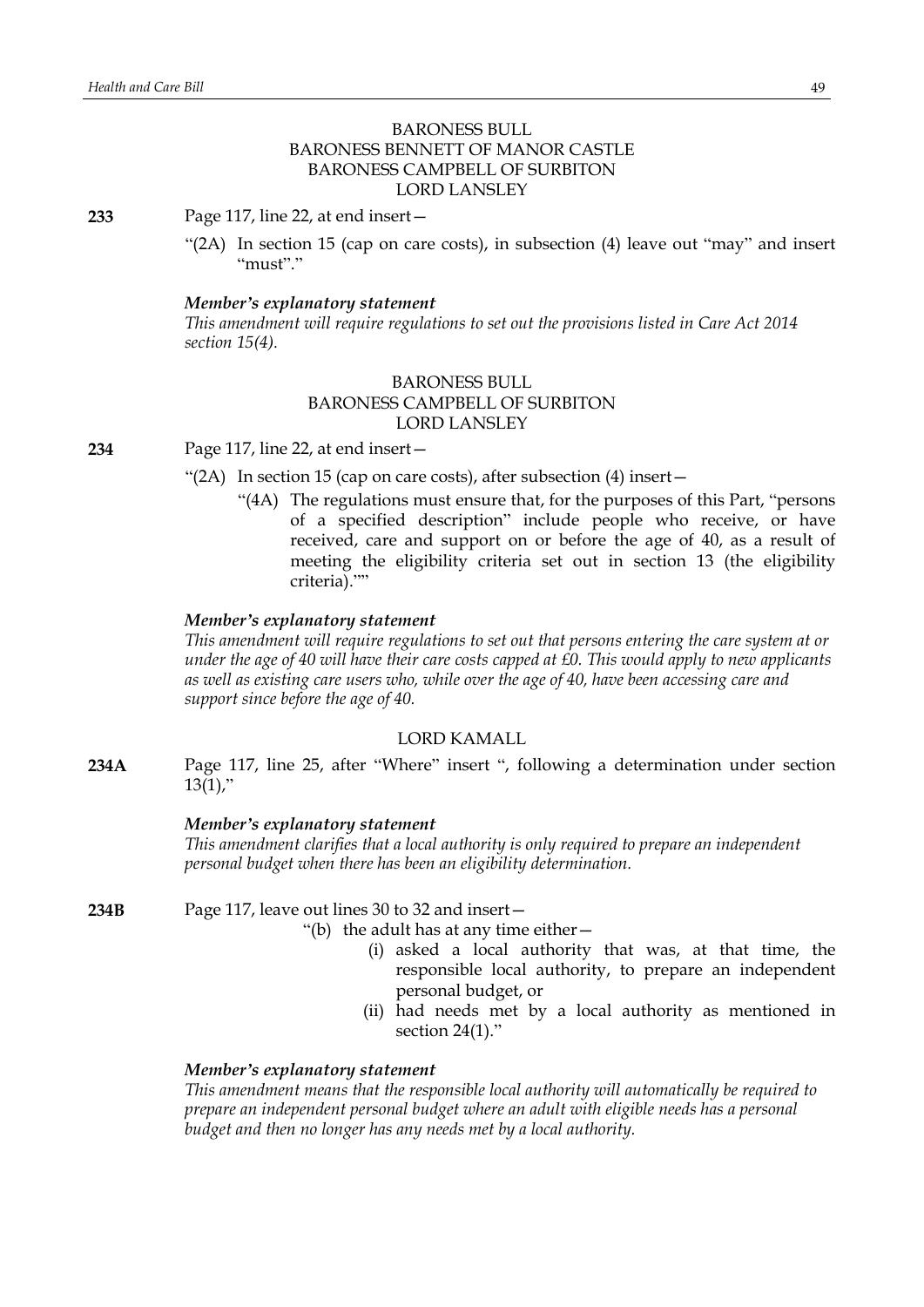# BARONESS BULL BARONESS BENNETT OF MANOR CASTLE BARONESS CAMPBELL OF SURBITON LORD LANSLEY

**233** Page 117, line 22, at end insert—

"(2A) In section 15 (cap on care costs), in subsection (4) leave out "may" and insert "must"."

### *Member's explanatory statement*

*This amendment will require regulations to set out the provisions listed in Care Act 2014 section 15(4).*

# BARONESS BULL BARONESS CAMPBELL OF SURBITON LORD LANSLEY

**234** Page 117, line 22, at end insert—

- "(2A) In section 15 (cap on care costs), after subsection (4) insert—
	- "(4A) The regulations must ensure that, for the purposes of this Part, "persons of a specified description" include people who receive, or have received, care and support on or before the age of 40, as a result of meeting the eligibility criteria set out in section 13 (the eligibility criteria).""

# *Member's explanatory statement*

*This amendment will require regulations to set out that persons entering the care system at or* under the age of 40 will have their care costs capped at £0. This would apply to new applicants *as well as existing care users who, while over the age of 40, have been accessing care and support since before the age of 40.*

### LORD KAMALL

**234A** Page 117, line 25, after "Where" insert ", following a determination under section  $13(1)$ ,"

### *Member's explanatory statement*

*This amendment clarifies that a local authority is only required to prepare an independent personal budget when there has been an eligibility determination.*

**234B** Page 117, leave out lines 30 to 32 and insert—

"(b) the adult has at any time either—

- (i) asked a local authority that was, at that time, the responsible local authority, to prepare an independent personal budget, or
- (ii) had needs met by a local authority as mentioned in section 24(1)."

#### *Member's explanatory statement*

*This amendment means that the responsible local authority will automatically be required to prepare an independent personal budget where an adult with eligible needs has a personal budget and then no longer has any needs met by a local authority.*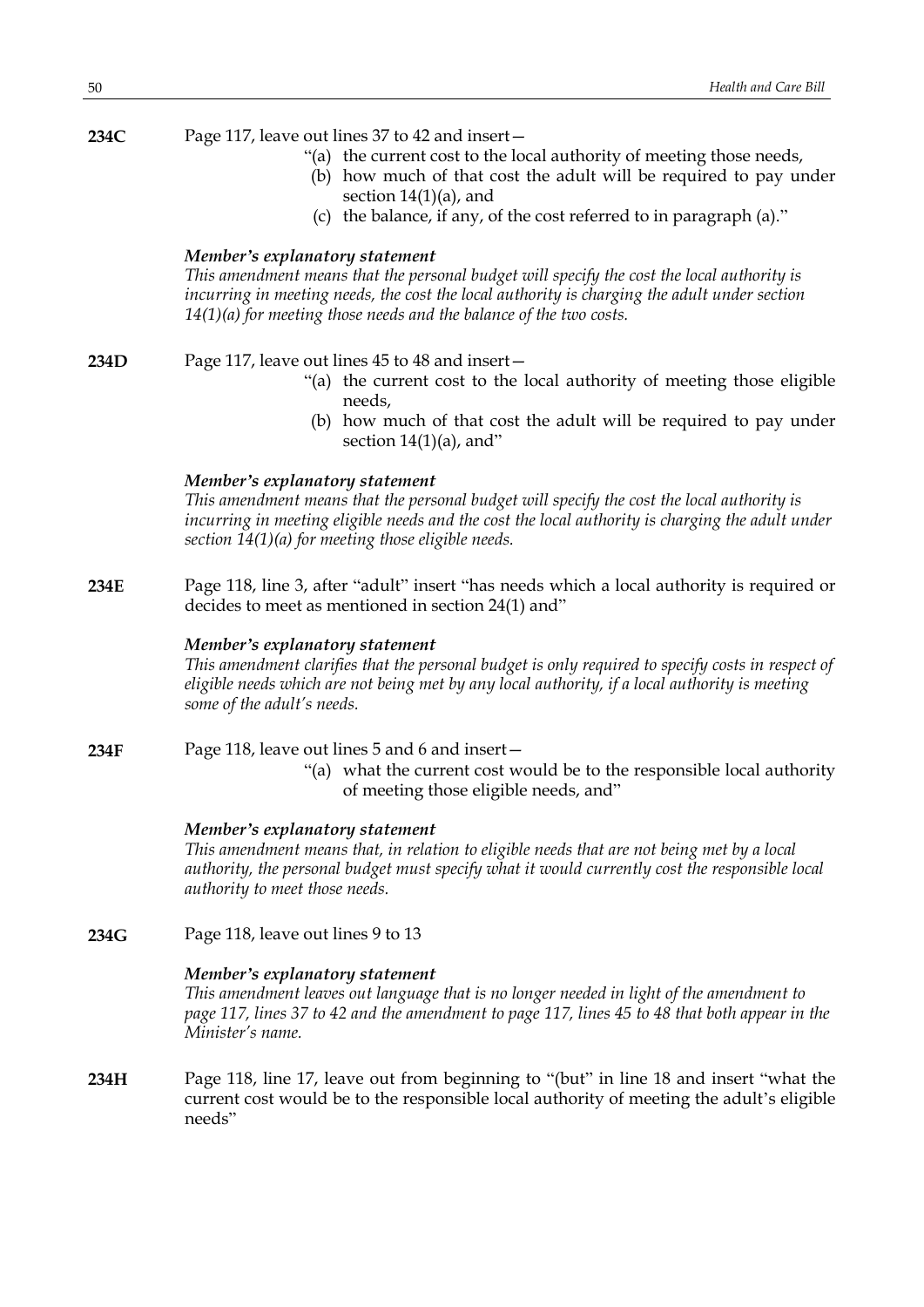# **234C** Page 117, leave out lines 37 to 42 and insert—

- "(a) the current cost to the local authority of meeting those needs,
- (b) how much of that cost the adult will be required to pay under section 14(1)(a), and
- (c) the balance, if any, of the cost referred to in paragraph (a)."

## *Member's explanatory statement*

*This amendment means that the personal budget will specify the cost the local authority is incurring in meeting needs, the cost the local authority is charging the adult under section 14(1)(a) for meeting those needs and the balance of the two costs.*

- **234D** Page 117, leave out lines 45 to 48 and insert—
	- "(a) the current cost to the local authority of meeting those eligible needs,
	- (b) how much of that cost the adult will be required to pay under section  $14(1)(a)$ , and"

### *Member's explanatory statement*

*This amendment means that the personal budget will specify the cost the local authority is incurring in meeting eligible needs and the cost the local authority is charging the adult under section 14(1)(a) for meeting those eligible needs.*

**234E** Page 118, line 3, after "adult" insert "has needs which a local authority is required or decides to meet as mentioned in section 24(1) and"

### *Member's explanatory statement*

*This amendment clarifies that the personal budget is only required to specify costs in respect of eligible needs which are not being met by any local authority, if a local authority is meeting some of the adult's needs.*

**234F** Page 118, leave out lines 5 and 6 and insert— "(a) what the current cost would be to the responsible local authority of meeting those eligible needs, and"

### *Member's explanatory statement*

*This amendment means that, in relation to eligible needs that are not being met by a local authority, the personal budget must specify what it would currently cost the responsible local authority to meet those needs.*

**234G** Page 118, leave out lines 9 to 13

# *Member's explanatory statement*

*This amendment leaves out language that is no longer needed in light of the amendment to* page 117, lines 37 to 42 and the amendment to page 117, lines 45 to 48 that both appear in the *Minister's name.*

**234H** Page 118, line 17, leave out from beginning to "(but" in line 18 and insert "what the current cost would be to the responsible local authority of meeting the adult's eligible needs"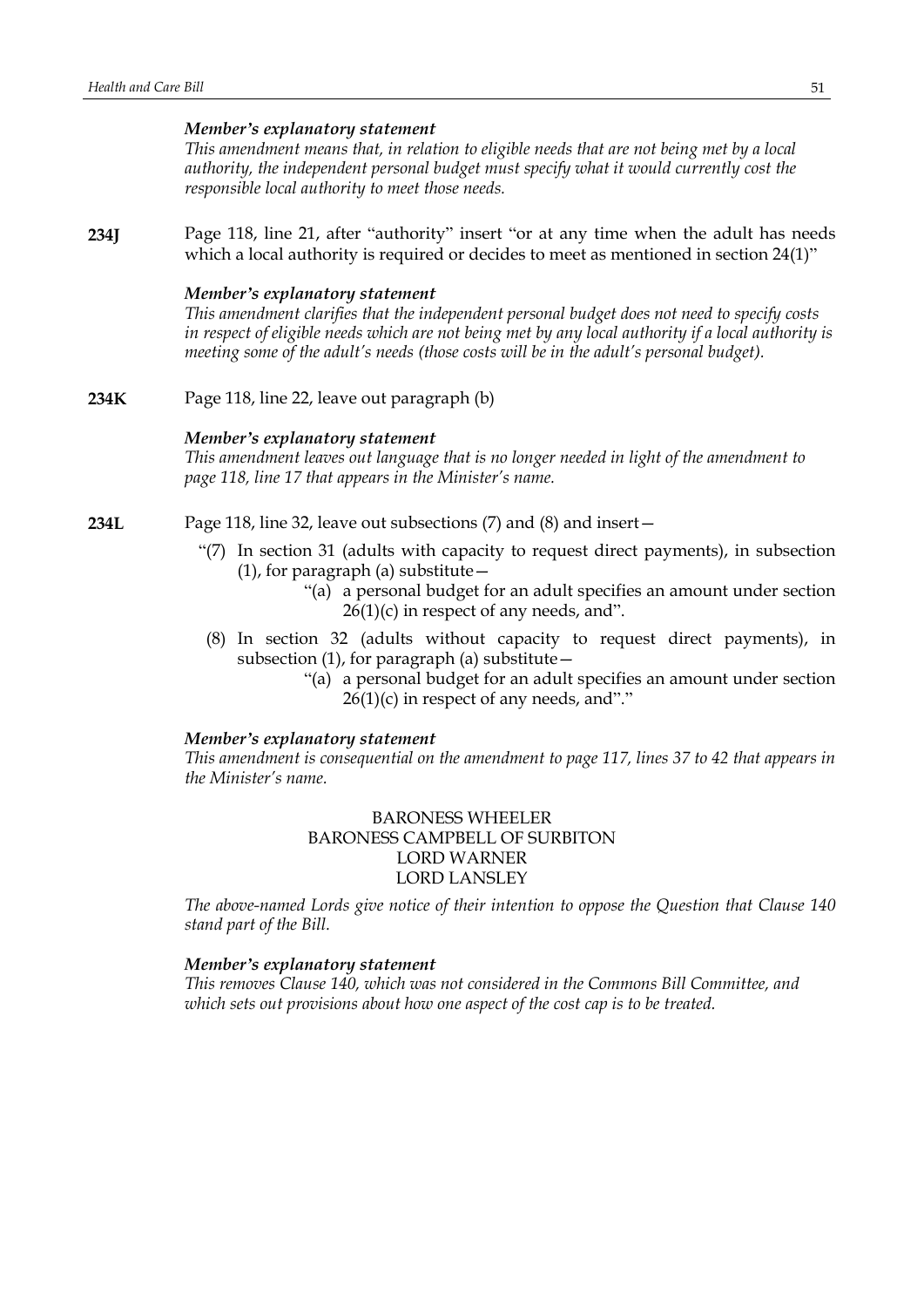### *Member's explanatory statement*

*This amendment means that, in relation to eligible needs that are not being met by a local authority, the independent personal budget must specify what it would currently cost the responsible local authority to meet those needs.*

**234J** Page 118, line 21, after "authority" insert "or at any time when the adult has needs which a local authority is required or decides to meet as mentioned in section 24(1)"

### *Member's explanatory statement*

*This amendment clarifies that the independent personal budget does not need to specify costs* in respect of eligible needs which are not being met by any local authority if a local authority is *meeting some of the adult's needs (those costs will be in the adult's personal budget).*

**234K** Page 118, line 22, leave out paragraph (b)

#### *Member's explanatory statement*

*This amendment leaves out language that is no longer needed in light of the amendment to page 118, line 17 that appears in the Minister's name.*

- **234L** Page 118, line 32, leave out subsections (7) and (8) and insert—
	- "(7) In section 31 (adults with capacity to request direct payments), in subsection  $(1)$ , for paragraph  $(a)$  substitute  $-$ 
		- "(a) a personal budget for an adult specifies an amount under section  $26(1)(c)$  in respect of any needs, and".
	- (8) In section 32 (adults without capacity to request direct payments), in subsection (1), for paragraph (a) substitute—
		- "(a) a personal budget for an adult specifies an amount under section  $26(1)(c)$  in respect of any needs, and"."

#### *Member's explanatory statement*

*This amendment is consequential on the amendment to page 117, lines 37 to 42 that appears in the Minister's name.*

> BARONESS WHEELER BARONESS CAMPBELL OF SURBITON LORD WARNER LORD LANSLEY

*The above-named Lords give notice of their intention to oppose the Question that Clause 140 stand part of the Bill.*

### *Member's explanatory statement*

*This removes Clause 140, which was not considered in the Commons Bill Committee, and which sets out provisions about how one aspect of the cost cap is to be treated.*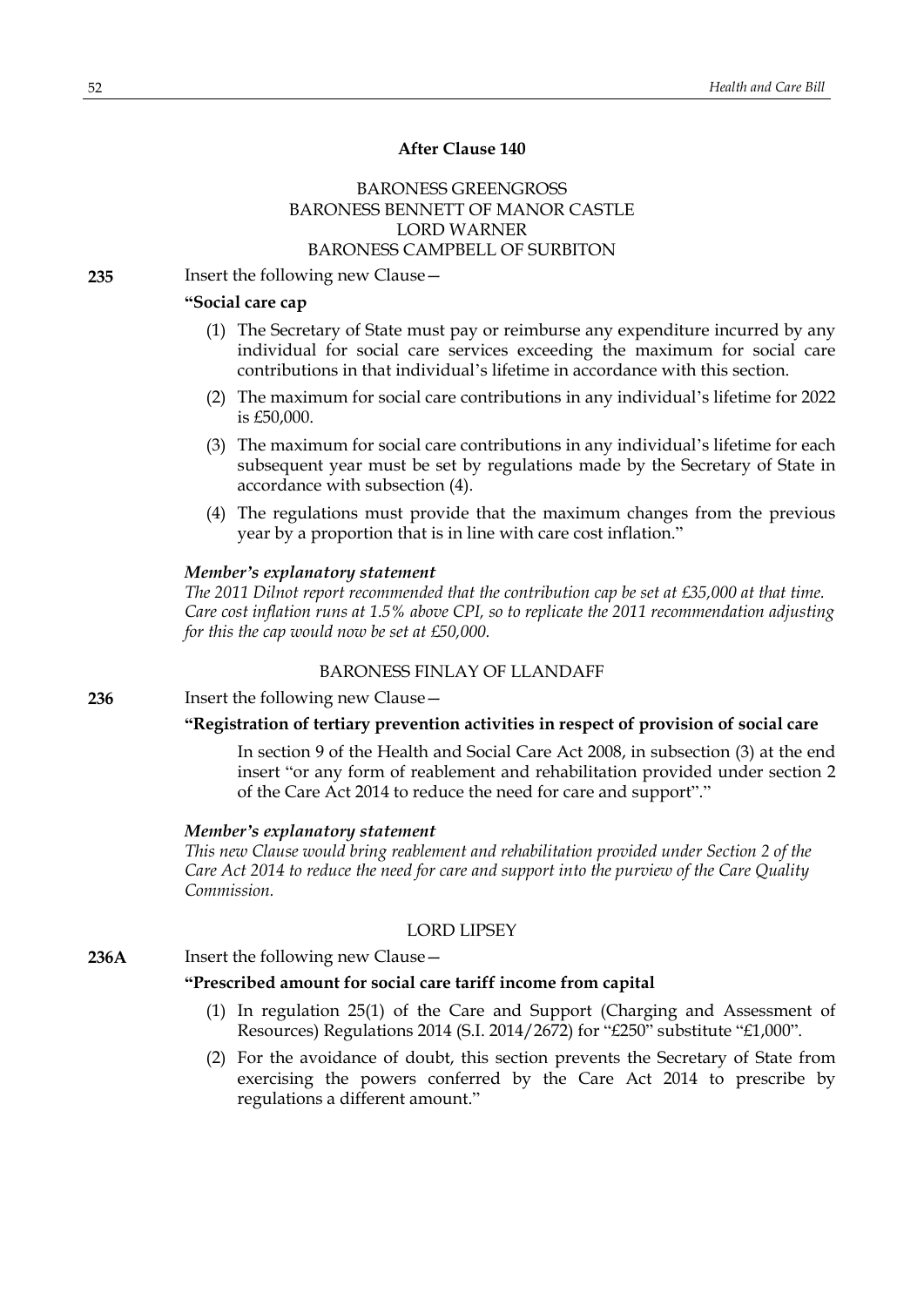# **After Clause 140**

# BARONESS GREENGROSS BARONESS BENNETT OF MANOR CASTLE LORD WARNER BARONESS CAMPBELL OF SURBITON

**235** Insert the following new Clause—

# **"Social care cap**

- (1) The Secretary of State must pay or reimburse any expenditure incurred by any individual for social care services exceeding the maximum for social care contributions in that individual's lifetime in accordance with this section.
- (2) The maximum for social care contributions in any individual's lifetime for 2022 is £50,000.
- (3) The maximum for social care contributions in any individual's lifetime for each subsequent year must be set by regulations made by the Secretary of State in accordance with subsection (4).
- (4) The regulations must provide that the maximum changes from the previous year by a proportion that is in line with care cost inflation."

### *Member's explanatory statement*

*The 2011 Dilnot report recommended that the contribution cap be set at £35,000 at that time. Care cost inflation runs at 1.5% above CPI, so to replicate the 2011 recommendation adjusting for this the cap would now be set at £50,000.*

# BARONESS FINLAY OF LLANDAFF

**236** Insert the following new Clause—

# **"Registration of tertiary prevention activities in respect of provision of social care**

In section 9 of the Health and Social Care Act 2008, in subsection (3) at the end insert "or any form of reablement and rehabilitation provided under section 2 of the Care Act 2014 to reduce the need for care and support"."

#### *Member's explanatory statement*

*This new Clause would bring reablement and rehabilitation provided under Section 2 of the Care Act 2014 to reduce the need for care and support into the purview of the Care Quality Commission.*

### LORD LIPSEY

**236A** Insert the following new Clause—

### **"Prescribed amount for social care tariff income from capital**

- (1) In regulation 25(1) of the Care and Support (Charging and Assessment of Resources) Regulations 2014 (S.I. 2014/2672) for "£250" substitute "£1,000".
- (2) For the avoidance of doubt, this section prevents the Secretary of State from exercising the powers conferred by the Care Act 2014 to prescribe by regulations a different amount."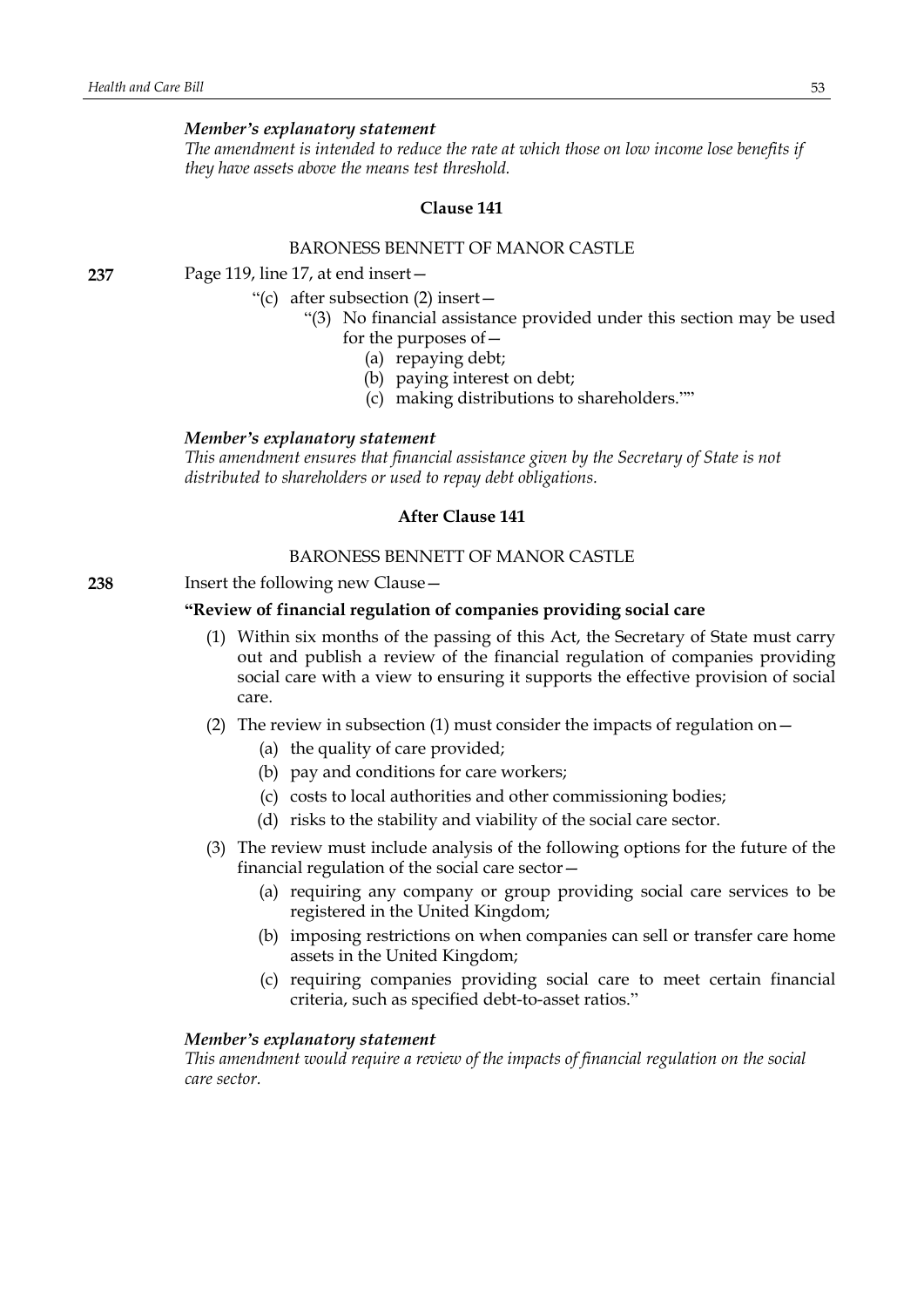### *Member's explanatory statement*

*The amendment is intended to reduce the rate at which those on low income lose benefits if they have assets above the means test threshold.*

#### **Clause 141**

### BARONESS BENNETT OF MANOR CASTLE

**237** Page 119, line 17, at end insert—

"(c) after subsection (2) insert—

- 
- "(3) No financial assistance provided under this section may be used for the purposes of—
	- (a) repaying debt;
	- (b) paying interest on debt;
	- (c) making distributions to shareholders.""

### *Member's explanatory statement*

*This amendment ensures that financial assistance given by the Secretary of State is not distributed to shareholders or used to repay debt obligations.*

### **After Clause 141**

# BARONESS BENNETT OF MANOR CASTLE

**238** Insert the following new Clause—

### **"Review of financial regulation of companies providing social care**

- (1) Within six months of the passing of this Act, the Secretary of State must carry out and publish a review of the financial regulation of companies providing social care with a view to ensuring it supports the effective provision of social care.
- (2) The review in subsection (1) must consider the impacts of regulation on  $-$ 
	- (a) the quality of care provided;
	- (b) pay and conditions for care workers;
	- (c) costs to local authorities and other commissioning bodies;
	- (d) risks to the stability and viability of the social care sector.
- (3) The review must include analysis of the following options for the future of the financial regulation of the social care sector—
	- (a) requiring any company or group providing social care services to be registered in the United Kingdom;
	- (b) imposing restrictions on when companies can sell or transfer care home assets in the United Kingdom;
	- (c) requiring companies providing social care to meet certain financial criteria, such as specified debt-to-asset ratios."

#### *Member's explanatory statement*

*This amendment would require a review of the impacts of financial regulation on the social care sector.*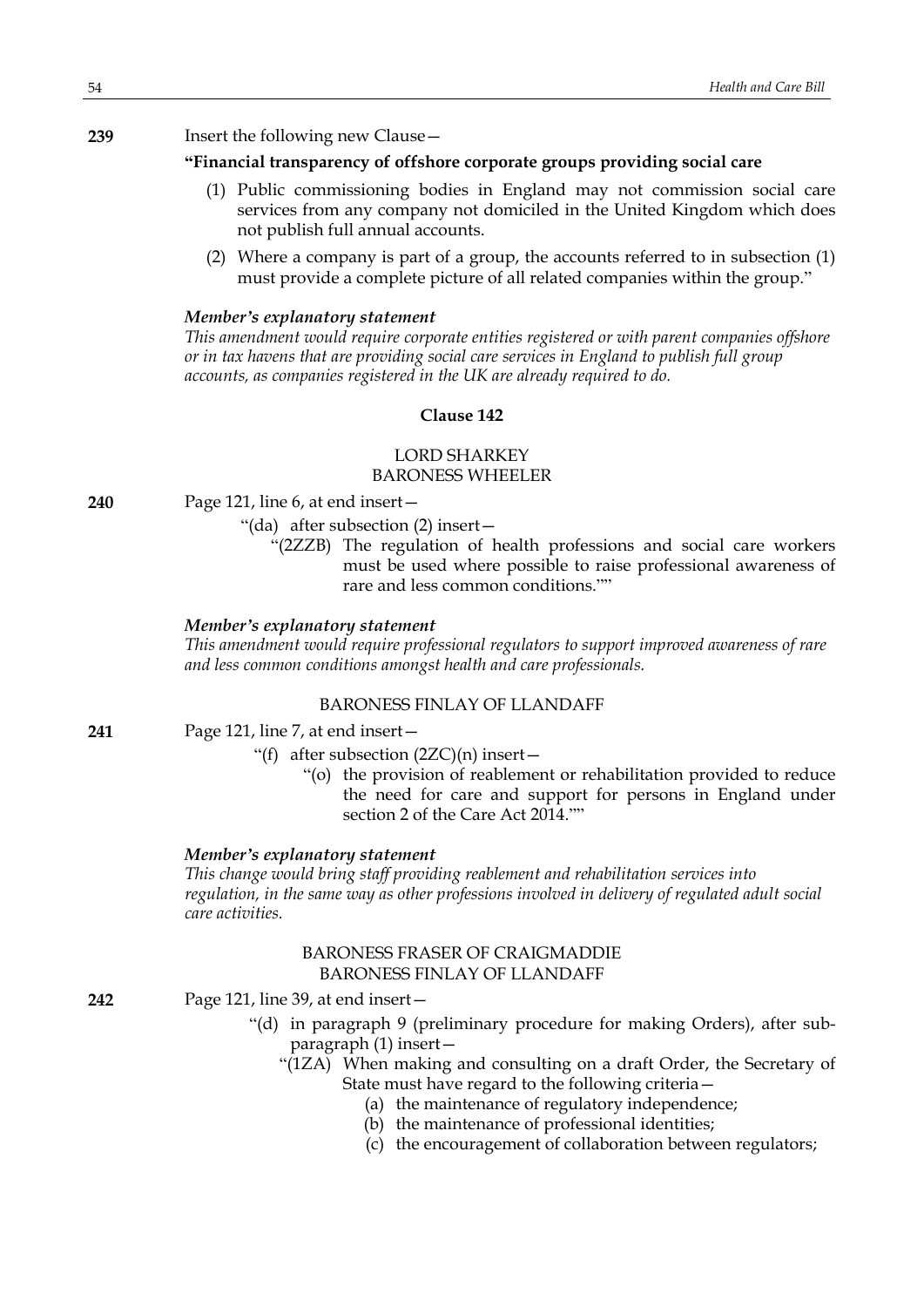### **239** Insert the following new Clause—

# **"Financial transparency of offshore corporate groups providing social care**

- (1) Public commissioning bodies in England may not commission social care services from any company not domiciled in the United Kingdom which does not publish full annual accounts.
- (2) Where a company is part of a group, the accounts referred to in subsection (1) must provide a complete picture of all related companies within the group."

### *Member's explanatory statement*

*This amendment would require corporate entities registered or with parent companies offshore or in tax havens that are providing social care services in England to publish full group accounts, as companies registered in the UK are already required to do.*

# **Clause 142**

# LORD SHARKEY BARONESS WHEELER

**240** Page 121, line 6, at end insert—

"(da) after subsection (2) insert—

"(2ZZB) The regulation of health professions and social care workers must be used where possible to raise professional awareness of rare and less common conditions.""

### *Member's explanatory statement*

*This amendment would require professional regulators to support improved awareness of rare and less common conditions amongst health and care professionals.*

# BARONESS FINLAY OF LLANDAFF

- **241** Page 121, line 7, at end insert—
	- "(f) after subsection  $(2ZC)(n)$  insert -
		- "(o) the provision of reablement or rehabilitation provided to reduce the need for care and support for persons in England under section 2 of the Care Act 2014.""

### *Member's explanatory statement*

*This change would bring staff providing reablement and rehabilitation services into regulation, in the same way as other professions involved in delivery of regulated adult social care activities.*

# BARONESS FRASER OF CRAIGMADDIE BARONESS FINLAY OF LLANDAFF

**242** Page 121, line 39, at end insert—

- "(d) in paragraph 9 (preliminary procedure for making Orders), after subparagraph (1) insert—
	- "(1ZA) When making and consulting on a draft Order, the Secretary of State must have regard to the following criteria—
		- (a) the maintenance of regulatory independence;
		- (b) the maintenance of professional identities;
		- (c) the encouragement of collaboration between regulators;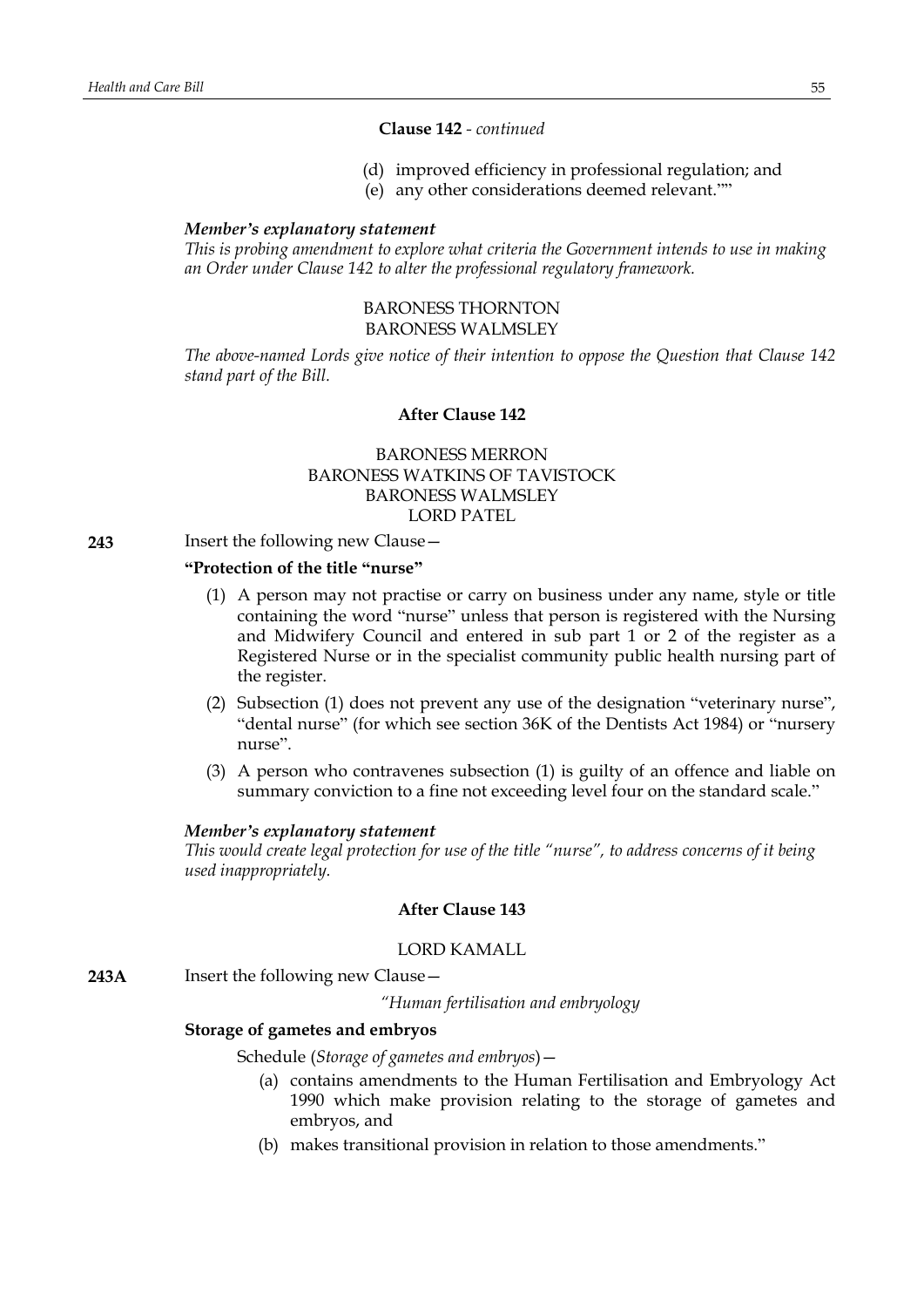# **Clause 142** *- continued*

- (d) improved efficiency in professional regulation; and
- (e) any other considerations deemed relevant.""

### *Member's explanatory statement*

*This is probing amendment to explore what criteria the Government intends to use in making an Order under Clause 142 to alter the professional regulatory framework.*

## BARONESS THORNTON BARONESS WALMSLEY

*The above-named Lords give notice of their intention to oppose the Question that Clause 142 stand part of the Bill.*

# **After Clause 142**

BARONESS MERRON BARONESS WATKINS OF TAVISTOCK BARONESS WALMSLEY LORD PATEL

### **243** Insert the following new Clause—

# **"Protection of the title "nurse"**

- (1) A person may not practise or carry on business under any name, style or title containing the word "nurse" unless that person is registered with the Nursing and Midwifery Council and entered in sub part 1 or 2 of the register as a Registered Nurse or in the specialist community public health nursing part of the register.
- (2) Subsection (1) does not prevent any use of the designation "veterinary nurse", "dental nurse" (for which see section 36K of the Dentists Act 1984) or "nursery nurse".
- (3) A person who contravenes subsection (1) is guilty of an offence and liable on summary conviction to a fine not exceeding level four on the standard scale."

#### *Member's explanatory statement*

*This would create legal protection for use of the title "nurse", to address concerns of it being used inappropriately.*

# **After Clause 143**

#### LORD KAMALL

**243A** Insert the following new Clause—

*"Human fertilisation and embryology*

### **Storage of gametes and embryos**

Schedule (*Storage of gametes and embryos*)—

- (a) contains amendments to the Human Fertilisation and Embryology Act 1990 which make provision relating to the storage of gametes and embryos, and
- (b) makes transitional provision in relation to those amendments."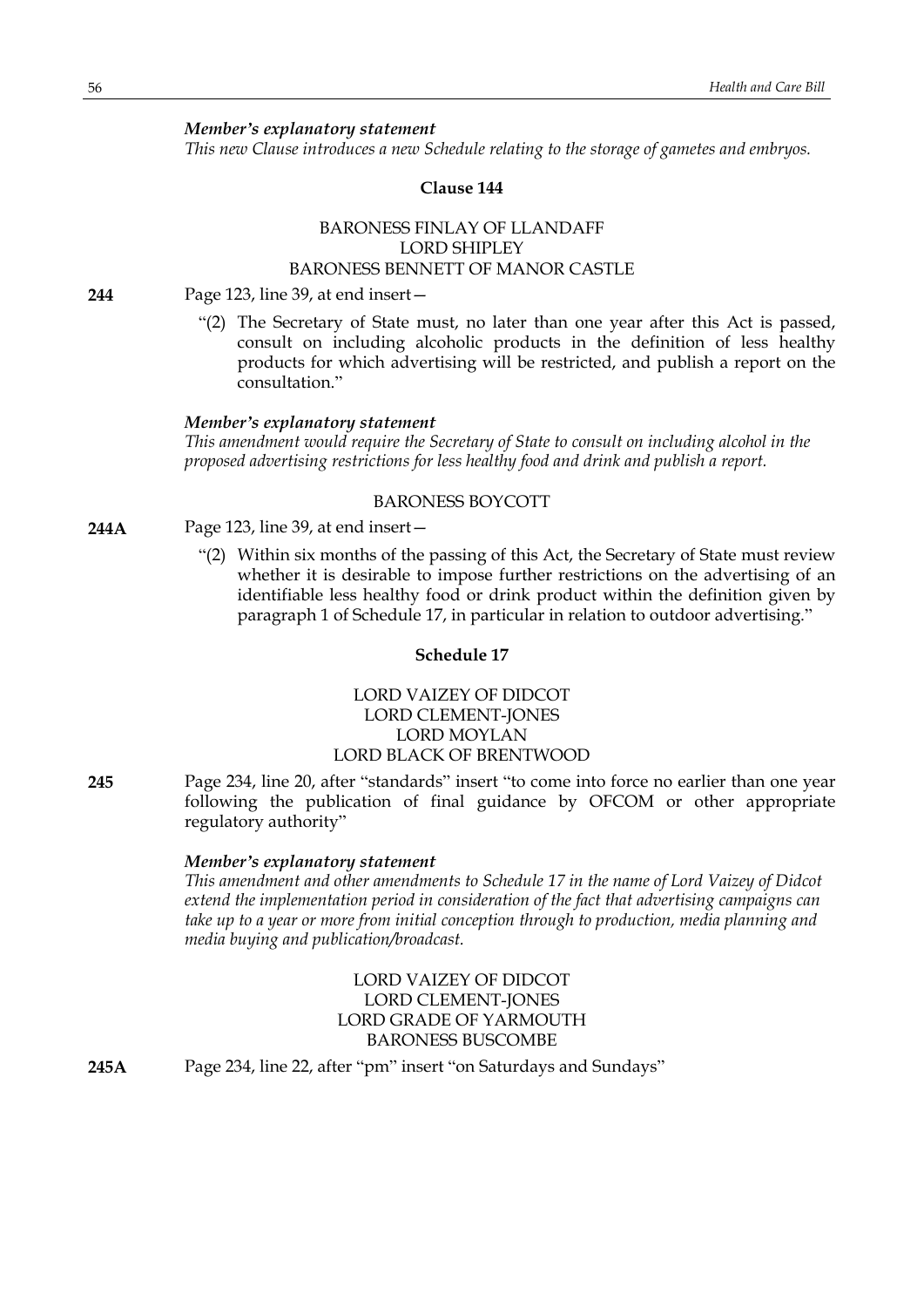*Member's explanatory statement*

*This new Clause introduces a new Schedule relating to the storage of gametes and embryos.*

# **Clause 144**

# BARONESS FINLAY OF LLANDAFF LORD SHIPLEY BARONESS BENNETT OF MANOR CASTLE

**244** Page 123, line 39, at end insert—

"(2) The Secretary of State must, no later than one year after this Act is passed, consult on including alcoholic products in the definition of less healthy products for which advertising will be restricted, and publish a report on the consultation."

### *Member's explanatory statement*

*This amendment would require the Secretary of State to consult on including alcohol in the proposed advertising restrictions for less healthy food and drink and publish a report.*

### BARONESS BOYCOTT

- **244A** Page 123, line 39, at end insert—
	- "(2) Within six months of the passing of this Act, the Secretary of State must review whether it is desirable to impose further restrictions on the advertising of an identifiable less healthy food or drink product within the definition given by paragraph 1 of Schedule 17, in particular in relation to outdoor advertising."

# **Schedule 17**

# LORD VAIZEY OF DIDCOT LORD CLEMENT-JONES LORD MOYLAN LORD BLACK OF BRENTWOOD

**245** Page 234, line 20, after "standards" insert "to come into force no earlier than one year following the publication of final guidance by OFCOM or other appropriate regulatory authority"

### *Member's explanatory statement*

*This amendment and other amendments to Schedule 17 in the name of Lord Vaizey of Didcot extend the implementation period in consideration of the fact that advertising campaigns can take up to a year or more from initial conception through to production, media planning and media buying and publication/broadcast.*

# LORD VAIZEY OF DIDCOT LORD CLEMENT-JONES LORD GRADE OF YARMOUTH BARONESS BUSCOMBE

**245A** Page 234, line 22, after "pm" insert "on Saturdays and Sundays"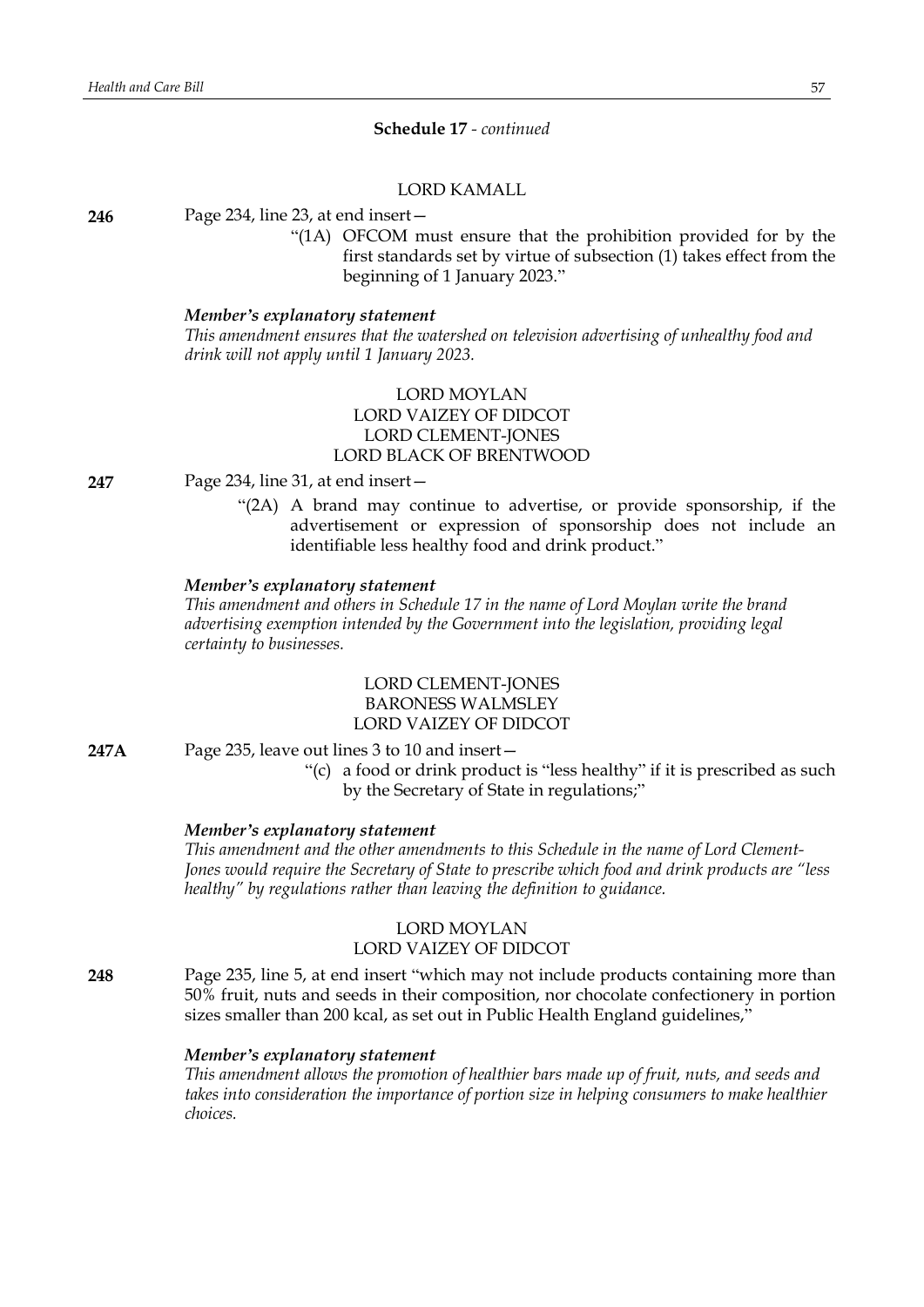### **Schedule 17** *- continued*

# LORD KAMALL

**246** Page 234, line 23, at end insert—

"(1A) OFCOM must ensure that the prohibition provided for by the first standards set by virtue of subsection (1) takes effect from the beginning of 1 January 2023."

### *Member's explanatory statement*

*This amendment ensures that the watershed on television advertising of unhealthy food and drink will not apply until 1 January 2023.*

# LORD MOYLAN LORD VAIZEY OF DIDCOT LORD CLEMENT-JONES LORD BLACK OF BRENTWOOD

**247** Page 234, line 31, at end insert—

"(2A) A brand may continue to advertise, or provide sponsorship, if the advertisement or expression of sponsorship does not include an identifiable less healthy food and drink product."

### *Member's explanatory statement*

*This amendment and others in Schedule 17 in the name of Lord Moylan write the brand advertising exemption intended by the Government into the legislation, providing legal certainty to businesses.*

# LORD CLEMENT-JONES BARONESS WALMSLEY LORD VAIZEY OF DIDCOT

- **247A** Page 235, leave out lines 3 to 10 and insert—
	- "(c) a food or drink product is "less healthy" if it is prescribed as such by the Secretary of State in regulations;"

#### *Member's explanatory statement*

*This amendment and the other amendments to this Schedule in the name of Lord Clement-Jones would require the Secretary of State to prescribe which food and drink products are "less healthy" by regulations rather than leaving the definition to guidance.*

# LORD MOYLAN

### LORD VAIZEY OF DIDCOT

**248** Page 235, line 5, at end insert "which may not include products containing more than 50% fruit, nuts and seeds in their composition, nor chocolate confectionery in portion sizes smaller than 200 kcal, as set out in Public Health England guidelines,"

### *Member's explanatory statement*

*This amendment allows the promotion of healthier bars made up of fruit, nuts, and seeds and takes into consideration the importance of portion size in helping consumers to make healthier choices.*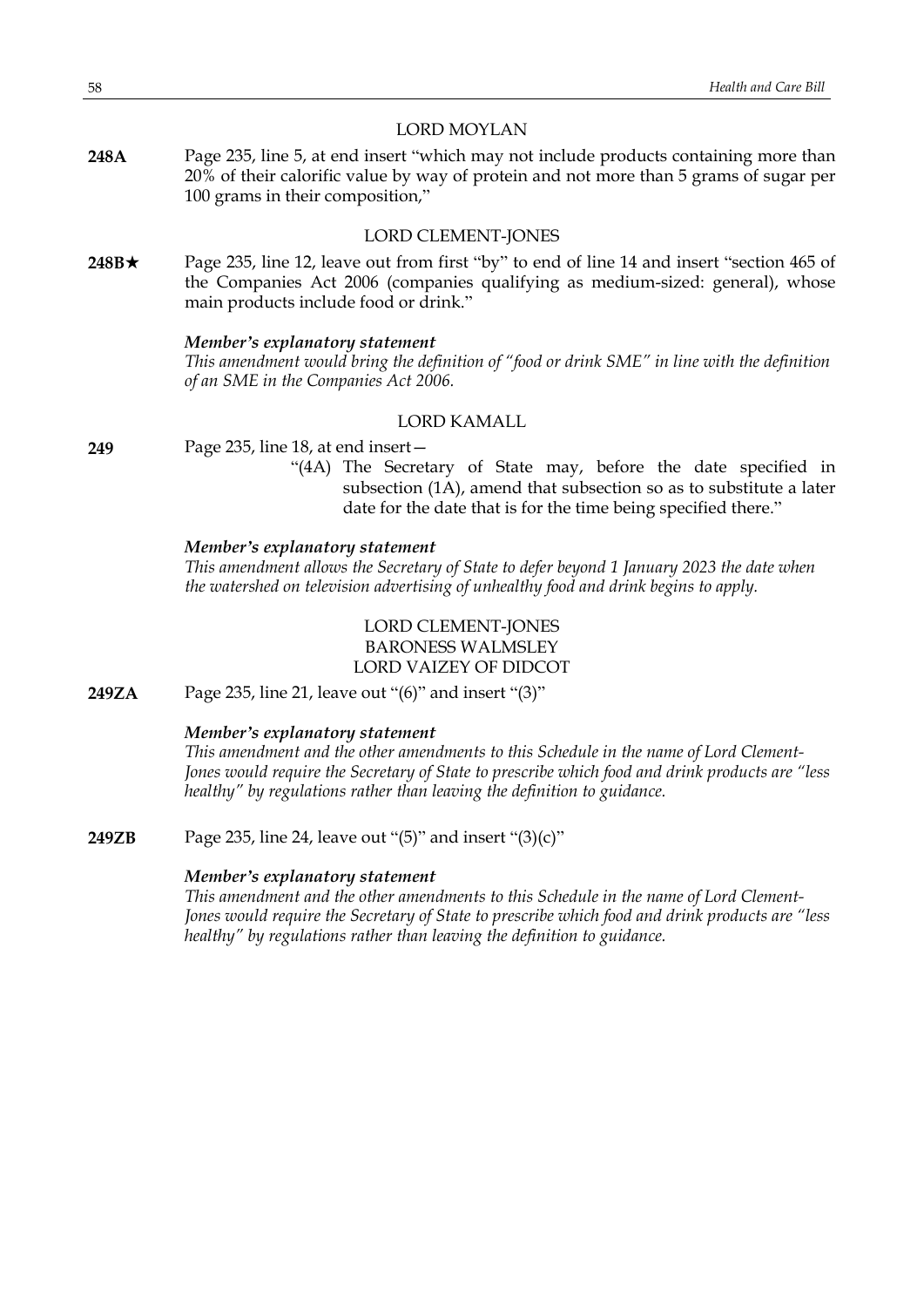### LORD MOYLAN

**248A** Page 235, line 5, at end insert "which may not include products containing more than 20% of their calorific value by way of protein and not more than 5 grams of sugar per 100 grams in their composition,"

# LORD CLEMENT-JONES

248B★ Page 235, line 12, leave out from first "by" to end of line 14 and insert "section 465 of the Companies Act 2006 (companies qualifying as medium-sized: general), whose main products include food or drink."

#### *Member's explanatory statement*

*This amendment would bring the definition of "food or drink SME" in line with the definition of an SME in the Companies Act 2006.*

# LORD KAMALL

- **249** Page 235, line 18, at end insert—
	- "(4A) The Secretary of State may, before the date specified in subsection (1A), amend that subsection so as to substitute a later date for the date that is for the time being specified there."

### *Member's explanatory statement*

*This amendment allows the Secretary of State to defer beyond 1 January 2023 the date when the watershed on television advertising of unhealthy food and drink begins to apply.*

# LORD CLEMENT-JONES BARONESS WALMSLEY LORD VAIZEY OF DIDCOT

**249ZA** Page 235, line 21, leave out "(6)" and insert "(3)"

### *Member's explanatory statement*

*This amendment and the other amendments to this Schedule in the name of Lord Clement-Jones would require the Secretary of State to prescribe which food and drink products are "less healthy" by regulations rather than leaving the definition to guidance.*

**249ZB** Page 235, line 24, leave out "(5)" and insert "(3)(c)"

# *Member's explanatory statement*

*This amendment and the other amendments to this Schedule in the name of Lord Clement-Jones would require the Secretary of State to prescribe which food and drink products are "less healthy" by regulations rather than leaving the definition to guidance.*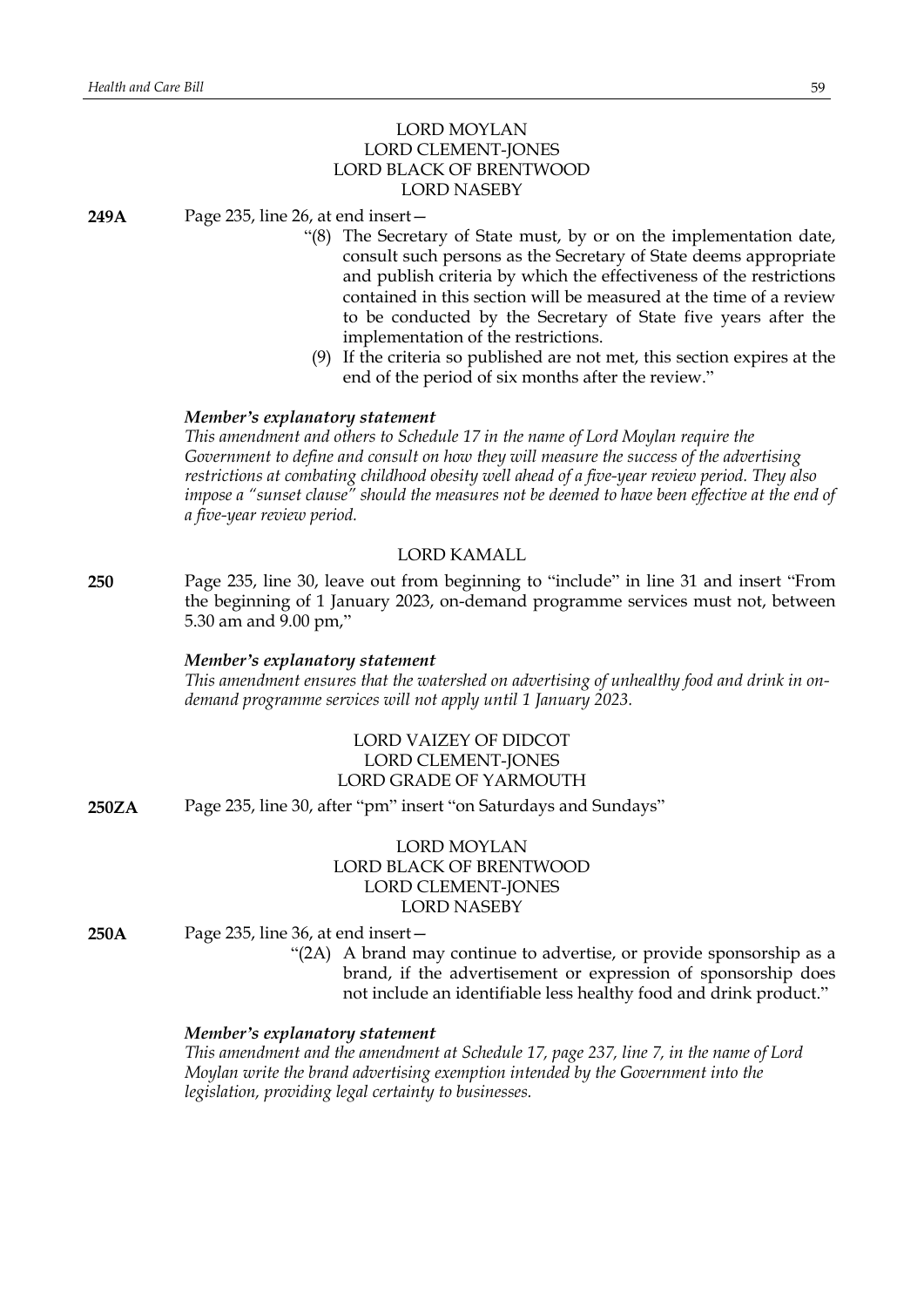# LORD MOYLAN LORD CLEMENT-JONES LORD BLACK OF BRENTWOOD LORD NASEBY

**249A** Page 235, line 26, at end insert—

- "(8) The Secretary of State must, by or on the implementation date, consult such persons as the Secretary of State deems appropriate and publish criteria by which the effectiveness of the restrictions contained in this section will be measured at the time of a review to be conducted by the Secretary of State five years after the implementation of the restrictions.
- (9) If the criteria so published are not met, this section expires at the end of the period of six months after the review."

### *Member's explanatory statement*

*This amendment and others to Schedule 17 in the name of Lord Moylan require the Government to define and consult on how they will measure the success of the advertising restrictions at combating childhood obesity well ahead of a five-year review period. They also impose a "sunset clause" should the measures not be deemed to have been effective at the end of a five-year review period.*

### LORD KAMALL

**250** Page 235, line 30, leave out from beginning to "include" in line 31 and insert "From the beginning of 1 January 2023, on-demand programme services must not, between 5.30 am and 9.00 pm,"

#### *Member's explanatory statement*

*This amendment ensures that the watershed on advertising of unhealthy food and drink in ondemand programme services will not apply until 1 January 2023.*

# LORD VAIZEY OF DIDCOT LORD CLEMENT-JONES LORD GRADE OF YARMOUTH

**250ZA** Page 235, line 30, after "pm" insert "on Saturdays and Sundays"

# LORD MOYLAN LORD BLACK OF BRENTWOOD LORD CLEMENT-JONES LORD NASEBY

- **250A** Page 235, line 36, at end insert—
	- "(2A) A brand may continue to advertise, or provide sponsorship as a brand, if the advertisement or expression of sponsorship does not include an identifiable less healthy food and drink product."

# *Member's explanatory statement*

*This amendment and the amendment at Schedule 17, page 237, line 7, in the name of Lord Moylan write the brand advertising exemption intended by the Government into the legislation, providing legal certainty to businesses.*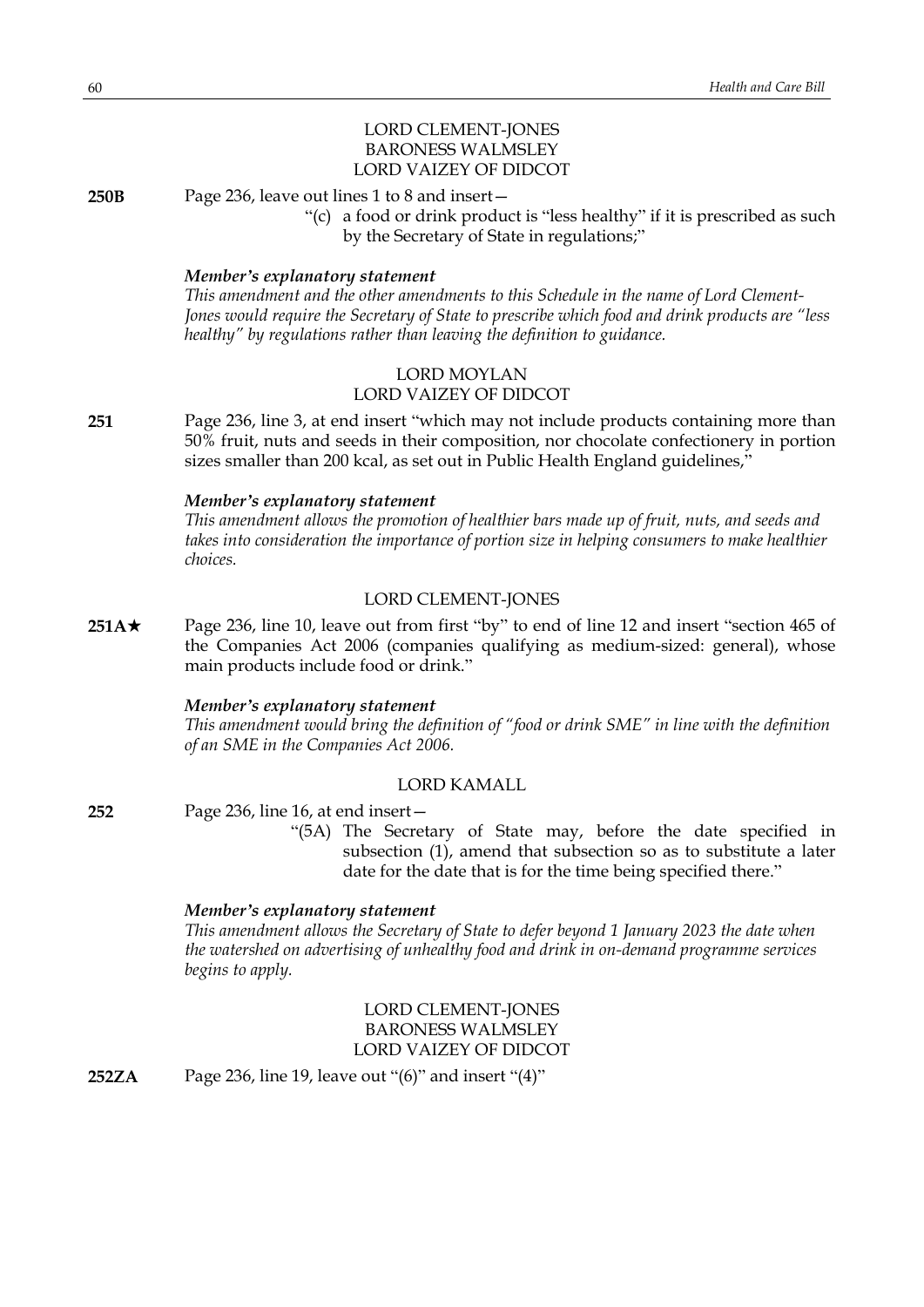# LORD CLEMENT-JONES BARONESS WALMSLEY LORD VAIZEY OF DIDCOT

**250B** Page 236, leave out lines 1 to 8 and insert—

"(c) a food or drink product is "less healthy" if it is prescribed as such by the Secretary of State in regulations;"

### *Member's explanatory statement*

*This amendment and the other amendments to this Schedule in the name of Lord Clement-Jones would require the Secretary of State to prescribe which food and drink products are "less healthy" by regulations rather than leaving the definition to guidance.*

# LORD MOYLAN LORD VAIZEY OF DIDCOT

**251** Page 236, line 3, at end insert "which may not include products containing more than 50% fruit, nuts and seeds in their composition, nor chocolate confectionery in portion sizes smaller than 200 kcal, as set out in Public Health England guidelines,"

### *Member's explanatory statement*

*This amendment allows the promotion of healthier bars made up of fruit, nuts, and seeds and takes into consideration the importance of portion size in helping consumers to make healthier choices.*

### LORD CLEMENT-JONES

**251A**\* Page 236, line 10, leave out from first "by" to end of line 12 and insert "section 465 of the Companies Act 2006 (companies qualifying as medium-sized: general), whose main products include food or drink."

### *Member's explanatory statement*

*This amendment would bring the definition of "food or drink SME" in line with the definition of an SME in the Companies Act 2006.*

#### LORD KAMALL

**252** Page 236, line 16, at end insert—

"(5A) The Secretary of State may, before the date specified in subsection (1), amend that subsection so as to substitute a later date for the date that is for the time being specified there."

### *Member's explanatory statement*

*This amendment allows the Secretary of State to defer beyond 1 January 2023 the date when the watershed on advertising of unhealthy food and drink in on-demand programme services begins to apply.*

# LORD CLEMENT-JONES BARONESS WALMSLEY LORD VAIZEY OF DIDCOT

**252ZA** Page 236, line 19, leave out "(6)" and insert "(4)"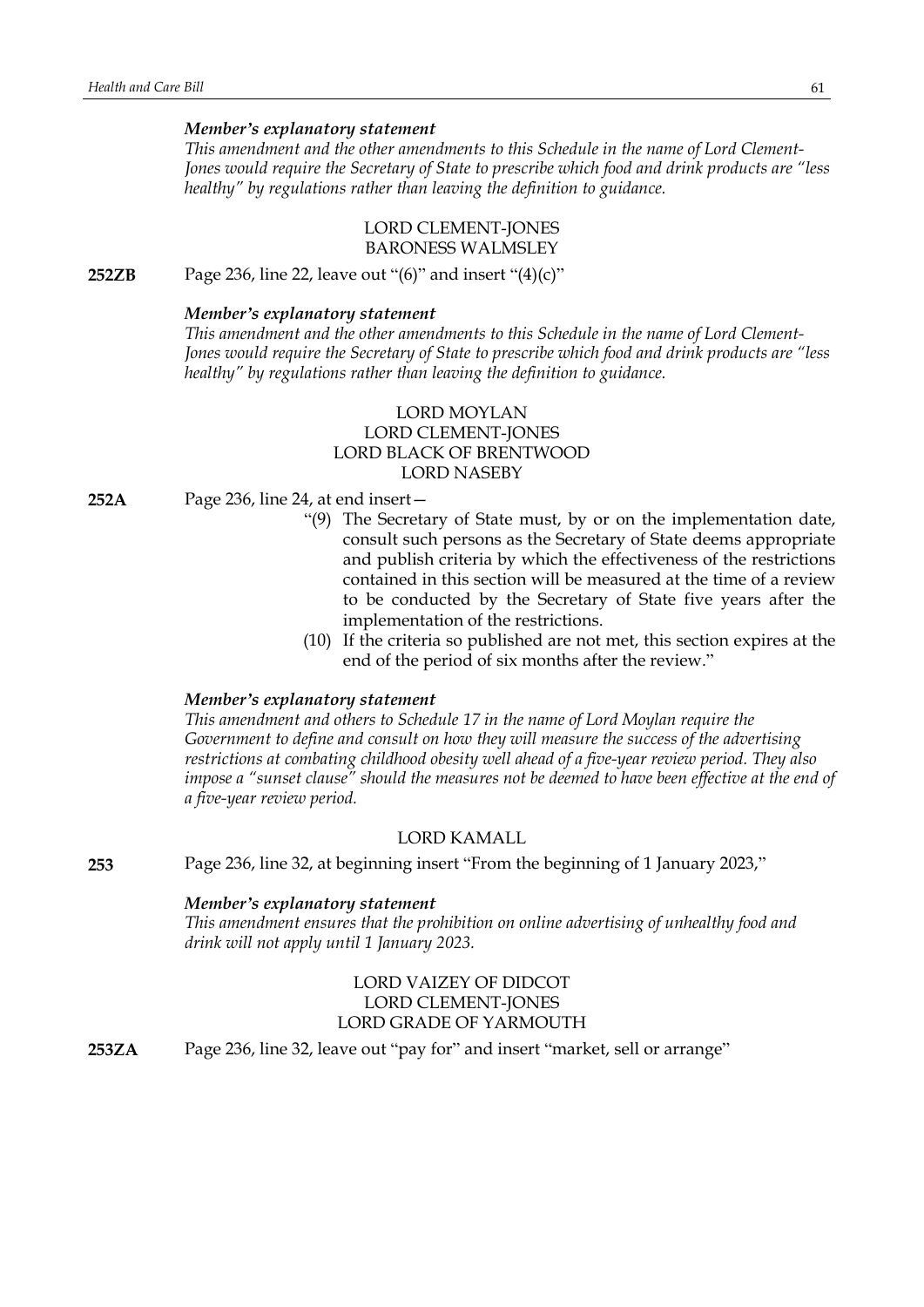### *Member's explanatory statement*

*This amendment and the other amendments to this Schedule in the name of Lord Clement-Jones would require the Secretary of State to prescribe which food and drink products are "less healthy" by regulations rather than leaving the definition to guidance.*

# LORD CLEMENT-JONES BARONESS WALMSLEY

**252ZB** Page 236, line 22, leave out "(6)" and insert "(4)(c)"

# *Member's explanatory statement*

*This amendment and the other amendments to this Schedule in the name of Lord Clement-Jones would require the Secretary of State to prescribe which food and drink products are "less healthy" by regulations rather than leaving the definition to guidance.*

# LORD MOYLAN LORD CLEMENT-JONES LORD BLACK OF BRENTWOOD LORD NASEBY

- **252A** Page 236, line 24, at end insert—
	- "(9) The Secretary of State must, by or on the implementation date, consult such persons as the Secretary of State deems appropriate and publish criteria by which the effectiveness of the restrictions contained in this section will be measured at the time of a review to be conducted by the Secretary of State five years after the implementation of the restrictions.
	- (10) If the criteria so published are not met, this section expires at the end of the period of six months after the review."

#### *Member's explanatory statement*

*This amendment and others to Schedule 17 in the name of Lord Moylan require the Government to define and consult on how they will measure the success of the advertising restrictions at combating childhood obesity well ahead of a five-year review period. They also impose a "sunset clause" should the measures not be deemed to have been effective at the end of a five-year review period.*

### LORD KAMALL

**253** Page 236, line 32, at beginning insert "From the beginning of 1 January 2023,"

#### *Member's explanatory statement*

*This amendment ensures that the prohibition on online advertising of unhealthy food and drink will not apply until 1 January 2023.*

# LORD VAIZEY OF DIDCOT LORD CLEMENT-JONES LORD GRADE OF YARMOUTH

**253ZA** Page 236, line 32, leave out "pay for" and insert "market, sell or arrange"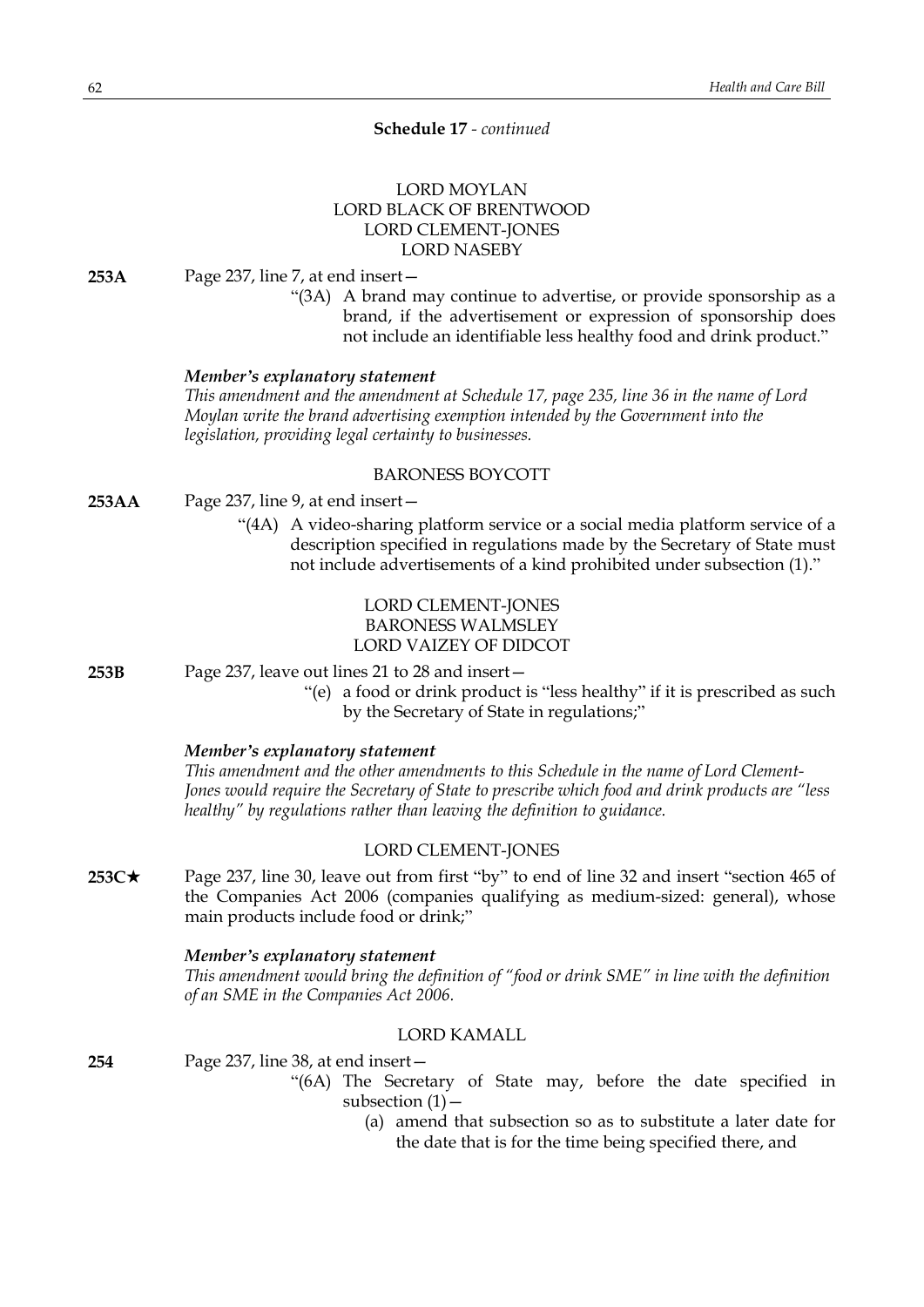### **Schedule 17** *- continued*

# LORD MOYLAN LORD BLACK OF BRENTWOOD LORD CLEMENT-JONES LORD NASEBY

**253A** Page 237, line 7, at end insert—

"(3A) A brand may continue to advertise, or provide sponsorship as a brand, if the advertisement or expression of sponsorship does not include an identifiable less healthy food and drink product."

### *Member's explanatory statement*

*This amendment and the amendment at Schedule 17, page 235, line 36 in the name of Lord Moylan write the brand advertising exemption intended by the Government into the legislation, providing legal certainty to businesses.*

### BARONESS BOYCOTT

- **253AA** Page 237, line 9, at end insert—
	- "(4A) A video-sharing platform service or a social media platform service of a description specified in regulations made by the Secretary of State must not include advertisements of a kind prohibited under subsection (1)."

# LORD CLEMENT-JONES BARONESS WALMSLEY LORD VAIZEY OF DIDCOT

**253B** Page 237, leave out lines 21 to 28 and insert—

"(e) a food or drink product is "less healthy" if it is prescribed as such by the Secretary of State in regulations;"

### *Member's explanatory statement*

*This amendment and the other amendments to this Schedule in the name of Lord Clement-Jones would require the Secretary of State to prescribe which food and drink products are "less healthy" by regulations rather than leaving the definition to guidance.*

### LORD CLEMENT-JONES

**253C**\* Page 237, line 30, leave out from first "by" to end of line 32 and insert "section 465 of the Companies Act 2006 (companies qualifying as medium-sized: general), whose main products include food or drink;"

#### *Member's explanatory statement*

*This amendment would bring the definition of "food or drink SME" in line with the definition of an SME in the Companies Act 2006.*

### LORD KAMALL

**254** Page 237, line 38, at end insert—

- "(6A) The Secretary of State may, before the date specified in subsection  $(1)$  -
	- (a) amend that subsection so as to substitute a later date for the date that is for the time being specified there, and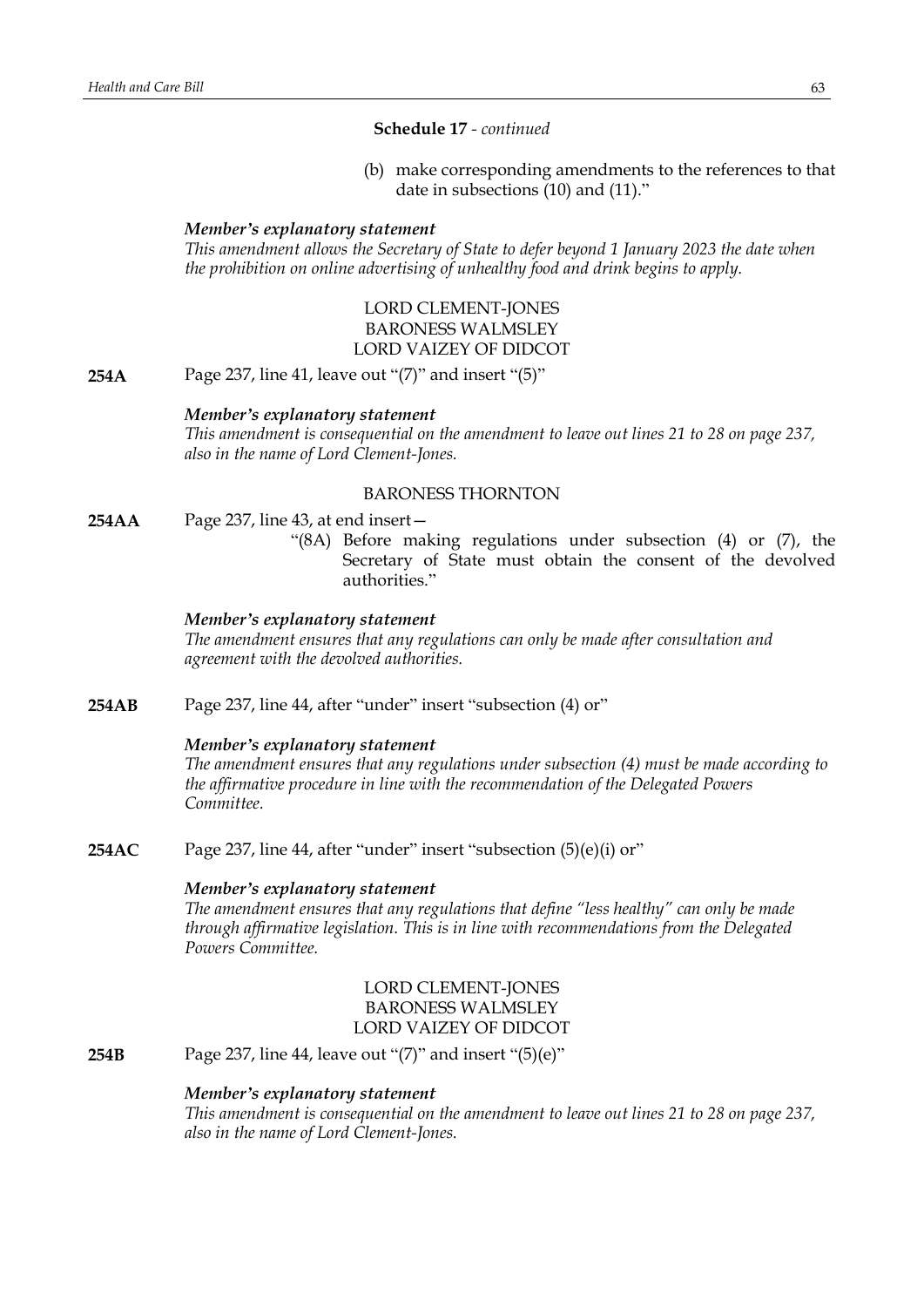# **Schedule 17** *- continued*

(b) make corresponding amendments to the references to that date in subsections (10) and (11)."

#### *Member's explanatory statement*

*This amendment allows the Secretary of State to defer beyond 1 January 2023 the date when the prohibition on online advertising of unhealthy food and drink begins to apply.*

# LORD CLEMENT-JONES BARONESS WALMSLEY LORD VAIZEY OF DIDCOT

**254A** Page 237, line 41, leave out "(7)" and insert "(5)"

### *Member's explanatory statement*

*This amendment is consequential on the amendment to leave out lines 21 to 28 on page 237, also in the name of Lord Clement-Jones.*

# BARONESS THORNTON

- **254AA** Page 237, line 43, at end insert—
	- "(8A) Before making regulations under subsection (4) or (7), the Secretary of State must obtain the consent of the devolved authorities."

# *Member's explanatory statement*

*The amendment ensures that any regulations can only be made after consultation and agreement with the devolved authorities.*

**254AB** Page 237, line 44, after "under" insert "subsection (4) or"

#### *Member's explanatory statement*

*The amendment ensures that any regulations under subsection (4) must be made according to the affirmative procedure in line with the recommendation of the Delegated Powers Committee.*

**254AC** Page 237, line 44, after "under" insert "subsection (5)(e)(i) or"

#### *Member's explanatory statement*

*The amendment ensures that any regulations that define "less healthy" can only be made through affirmative legislation. This is in line with recommendations from the Delegated Powers Committee.*

# LORD CLEMENT-JONES BARONESS WALMSLEY LORD VAIZEY OF DIDCOT

**254B** Page 237, line 44, leave out "(7)" and insert "(5)(e)"

# *Member's explanatory statement*

*This amendment is consequential on the amendment to leave out lines 21 to 28 on page 237, also in the name of Lord Clement-Jones.*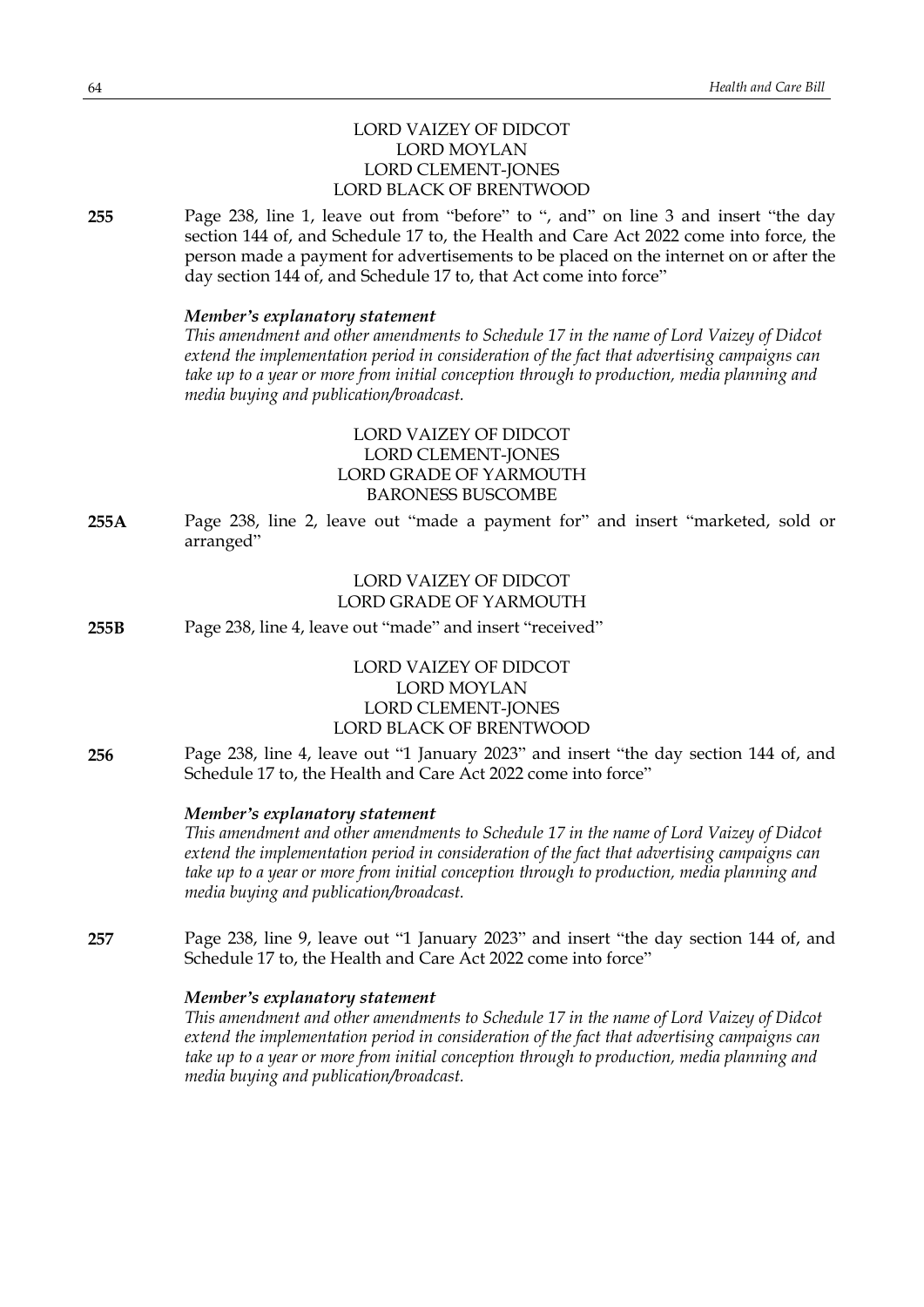# LORD VAIZEY OF DIDCOT LORD MOYLAN LORD CLEMENT-JONES LORD BLACK OF BRENTWOOD

**255** Page 238, line 1, leave out from "before" to ", and" on line 3 and insert "the day section 144 of, and Schedule 17 to, the Health and Care Act 2022 come into force, the person made a payment for advertisements to be placed on the internet on or after the day section 144 of, and Schedule 17 to, that Act come into force"

#### *Member's explanatory statement*

*This amendment and other amendments to Schedule 17 in the name of Lord Vaizey of Didcot extend the implementation period in consideration of the fact that advertising campaigns can take up to a year or more from initial conception through to production, media planning and media buying and publication/broadcast.*

# LORD VAIZEY OF DIDCOT LORD CLEMENT-JONES LORD GRADE OF YARMOUTH BARONESS BUSCOMBE

**255A** Page 238, line 2, leave out "made a payment for" and insert "marketed, sold or arranged"

# LORD VAIZEY OF DIDCOT LORD GRADE OF YARMOUTH

**255B** Page 238, line 4, leave out "made" and insert "received"

# LORD VAIZEY OF DIDCOT LORD MOYLAN LORD CLEMENT-JONES LORD BLACK OF BRENTWOOD

**256** Page 238, line 4, leave out "1 January 2023" and insert "the day section 144 of, and Schedule 17 to, the Health and Care Act 2022 come into force"

#### *Member's explanatory statement*

*This amendment and other amendments to Schedule 17 in the name of Lord Vaizey of Didcot extend the implementation period in consideration of the fact that advertising campaigns can take up to a year or more from initial conception through to production, media planning and media buying and publication/broadcast.*

**257** Page 238, line 9, leave out "1 January 2023" and insert "the day section 144 of, and Schedule 17 to, the Health and Care Act 2022 come into force"

### *Member's explanatory statement*

*This amendment and other amendments to Schedule 17 in the name of Lord Vaizey of Didcot extend the implementation period in consideration of the fact that advertising campaigns can take up to a year or more from initial conception through to production, media planning and media buying and publication/broadcast.*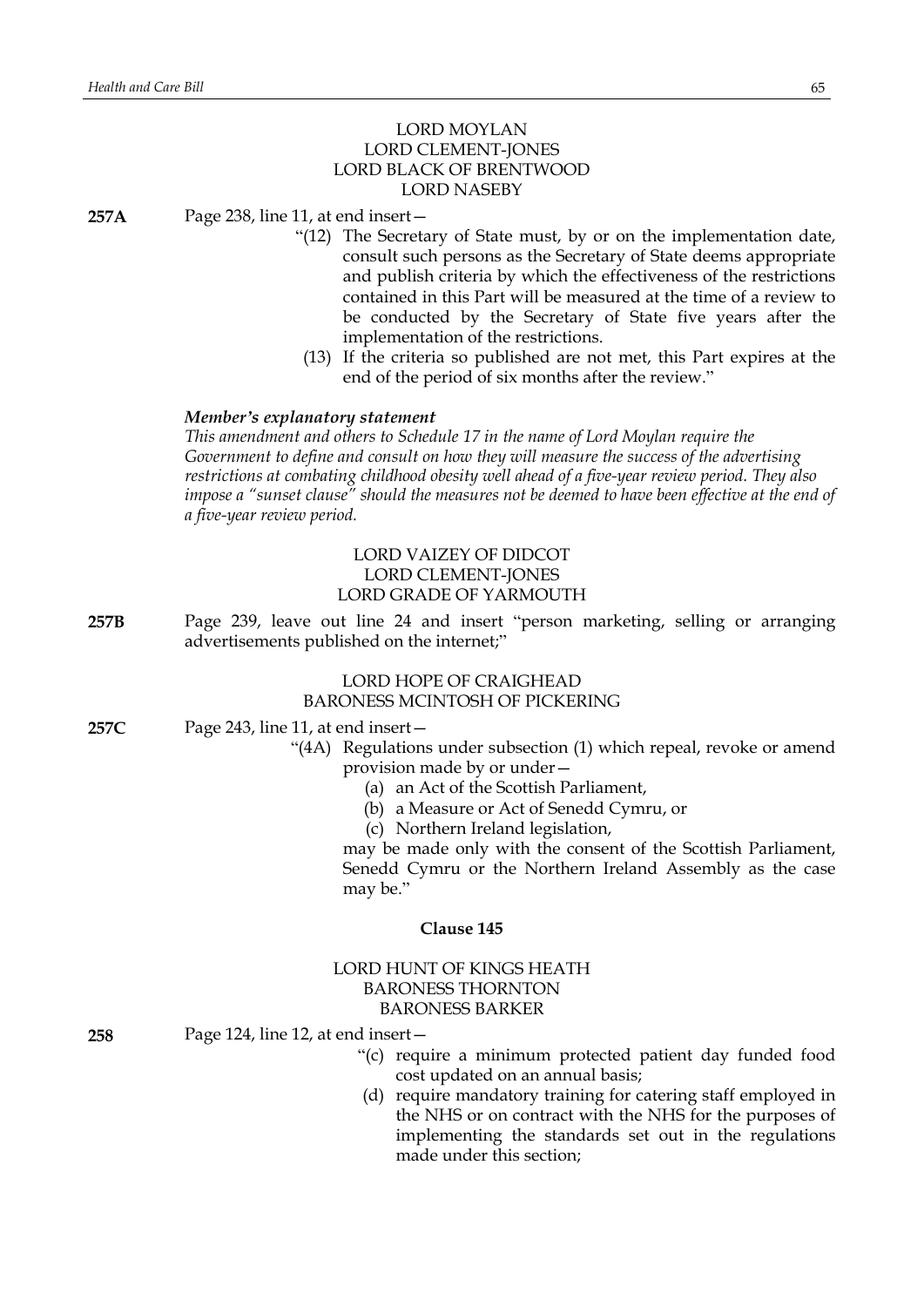# LORD MOYLAN LORD CLEMENT-JONES LORD BLACK OF BRENTWOOD LORD NASEBY

**257A** Page 238, line 11, at end insert—

- "(12) The Secretary of State must, by or on the implementation date, consult such persons as the Secretary of State deems appropriate and publish criteria by which the effectiveness of the restrictions contained in this Part will be measured at the time of a review to be conducted by the Secretary of State five years after the implementation of the restrictions.
- (13) If the criteria so published are not met, this Part expires at the end of the period of six months after the review."

### *Member's explanatory statement*

*This amendment and others to Schedule 17 in the name of Lord Moylan require the Government to define and consult on how they will measure the success of the advertising restrictions at combating childhood obesity well ahead of a five-year review period. They also impose a "sunset clause" should the measures not be deemed to have been effective at the end of a five-year review period.*

# LORD VAIZEY OF DIDCOT LORD CLEMENT-JONES LORD GRADE OF YARMOUTH

**257B** Page 239, leave out line 24 and insert "person marketing, selling or arranging advertisements published on the internet;"

#### LORD HOPE OF CRAIGHEAD BARONESS MCINTOSH OF PICKERING

- **257C** Page 243, line 11, at end insert—
	- "(4A) Regulations under subsection (1) which repeal, revoke or amend provision made by or under—
		- (a) an Act of the Scottish Parliament,
		- (b) a Measure or Act of Senedd Cymru, or
		- (c) Northern Ireland legislation,

may be made only with the consent of the Scottish Parliament, Senedd Cymru or the Northern Ireland Assembly as the case may be."

### **Clause 145**

# LORD HUNT OF KINGS HEATH BARONESS THORNTON BARONESS BARKER

- **258** Page 124, line 12, at end insert—
	- "(c) require a minimum protected patient day funded food cost updated on an annual basis;
	- (d) require mandatory training for catering staff employed in the NHS or on contract with the NHS for the purposes of implementing the standards set out in the regulations made under this section;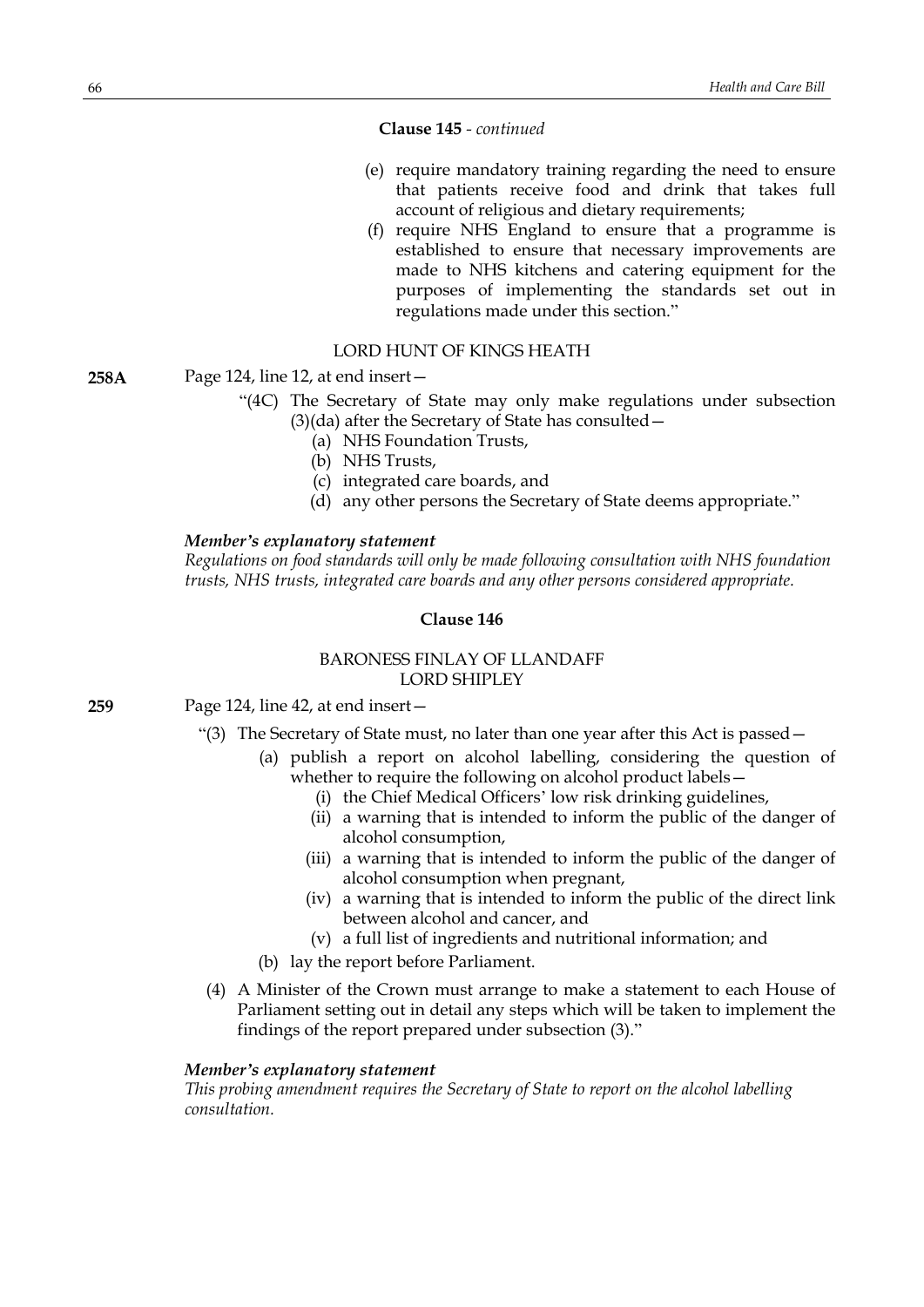**Clause 145** *- continued*

- (e) require mandatory training regarding the need to ensure that patients receive food and drink that takes full account of religious and dietary requirements;
- (f) require NHS England to ensure that a programme is established to ensure that necessary improvements are made to NHS kitchens and catering equipment for the purposes of implementing the standards set out in regulations made under this section."

### LORD HUNT OF KINGS HEATH

#### **258A** Page 124, line 12, at end insert—

- "(4C) The Secretary of State may only make regulations under subsection (3)(da) after the Secretary of State has consulted—
	- (a) NHS Foundation Trusts,
	- (b) NHS Trusts,
	- (c) integrated care boards, and
	- (d) any other persons the Secretary of State deems appropriate."

### *Member's explanatory statement*

*Regulations on food standards will only be made following consultation with NHS foundation trusts, NHS trusts, integrated care boards and any other persons considered appropriate.*

# **Clause 146**

# BARONESS FINLAY OF LLANDAFF LORD SHIPLEY

**259** Page 124, line 42, at end insert—

- "(3) The Secretary of State must, no later than one year after this Act is passed  $-$ 
	- (a) publish a report on alcohol labelling, considering the question of whether to require the following on alcohol product labels -
		- (i) the Chief Medical Officers' low risk drinking guidelines,
		- (ii) a warning that is intended to inform the public of the danger of alcohol consumption,
		- (iii) a warning that is intended to inform the public of the danger of alcohol consumption when pregnant,
		- (iv) a warning that is intended to inform the public of the direct link between alcohol and cancer, and
		- (v) a full list of ingredients and nutritional information; and
	- (b) lay the report before Parliament.
- (4) A Minister of the Crown must arrange to make a statement to each House of Parliament setting out in detail any steps which will be taken to implement the findings of the report prepared under subsection (3)."

### *Member's explanatory statement*

*This probing amendment requires the Secretary of State to report on the alcohol labelling consultation.*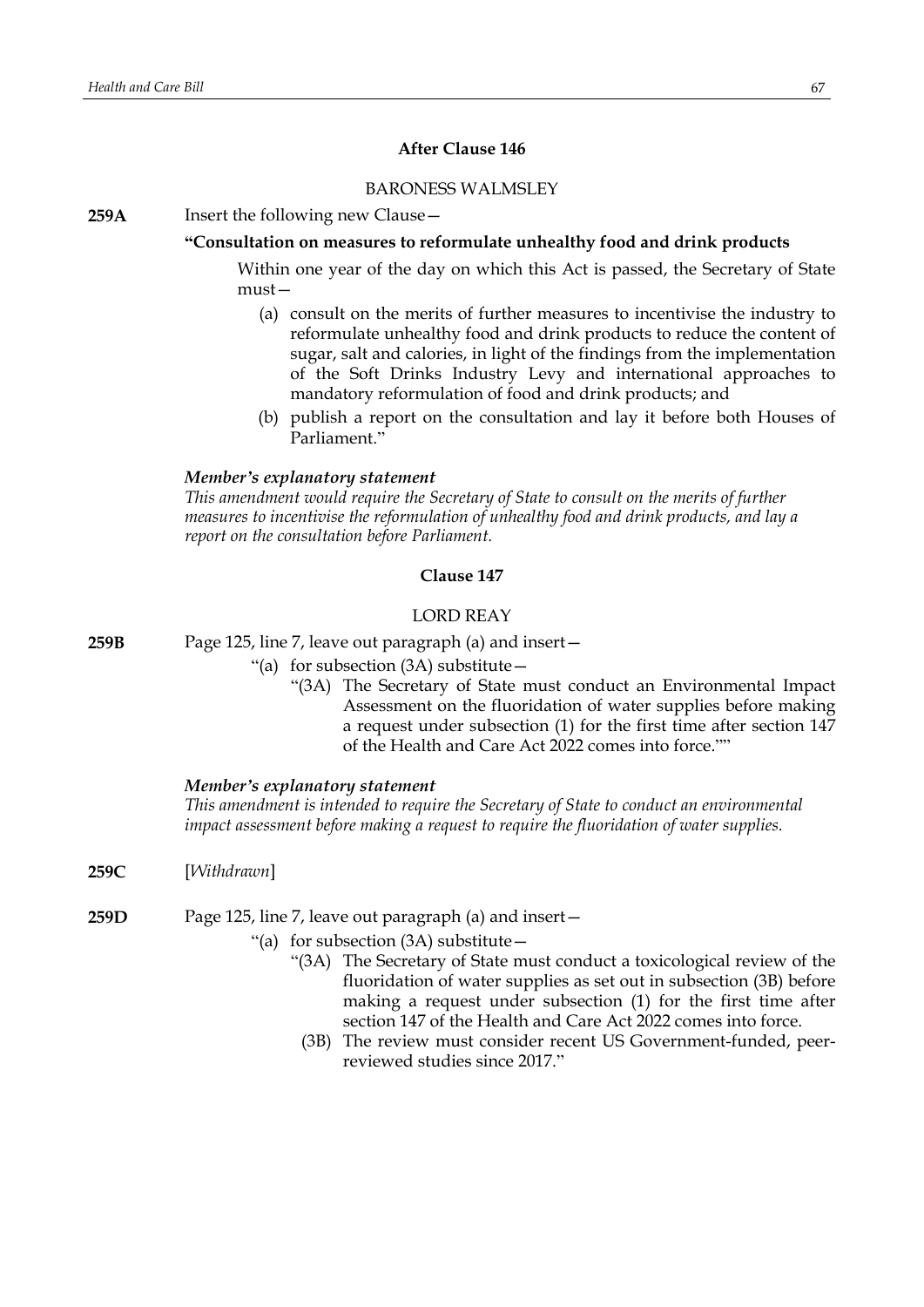# **After Clause 146**

# BARONESS WALMSLEY

# **259A** Insert the following new Clause—

### **"Consultation on measures to reformulate unhealthy food and drink products**

Within one year of the day on which this Act is passed, the Secretary of State must—

- (a) consult on the merits of further measures to incentivise the industry to reformulate unhealthy food and drink products to reduce the content of sugar, salt and calories, in light of the findings from the implementation of the Soft Drinks Industry Levy and international approaches to mandatory reformulation of food and drink products; and
- (b) publish a report on the consultation and lay it before both Houses of Parliament<sup>"</sup>

### *Member's explanatory statement*

*This amendment would require the Secretary of State to consult on the merits of further measures to incentivise the reformulation of unhealthy food and drink products, and lay a report on the consultation before Parliament.*

# **Clause 147**

### LORD REAY

**259B** Page 125, line 7, leave out paragraph (a) and insert—

- "(a) for subsection  $(3A)$  substitute  $-$ 
	- "(3A) The Secretary of State must conduct an Environmental Impact Assessment on the fluoridation of water supplies before making a request under subsection (1) for the first time after section 147 of the Health and Care Act 2022 comes into force.""

### *Member's explanatory statement*

*This amendment is intended to require the Secretary of State to conduct an environmental impact assessment before making a request to require the fluoridation of water supplies.*

- **259C** [*Withdrawn*]
- **259D** Page 125, line 7, leave out paragraph (a) and insert—
	- "(a) for subsection  $(3A)$  substitute  $-$ 
		- "(3A) The Secretary of State must conduct a toxicological review of the fluoridation of water supplies as set out in subsection (3B) before making a request under subsection (1) for the first time after section 147 of the Health and Care Act 2022 comes into force.
		- (3B) The review must consider recent US Government-funded, peerreviewed studies since 2017."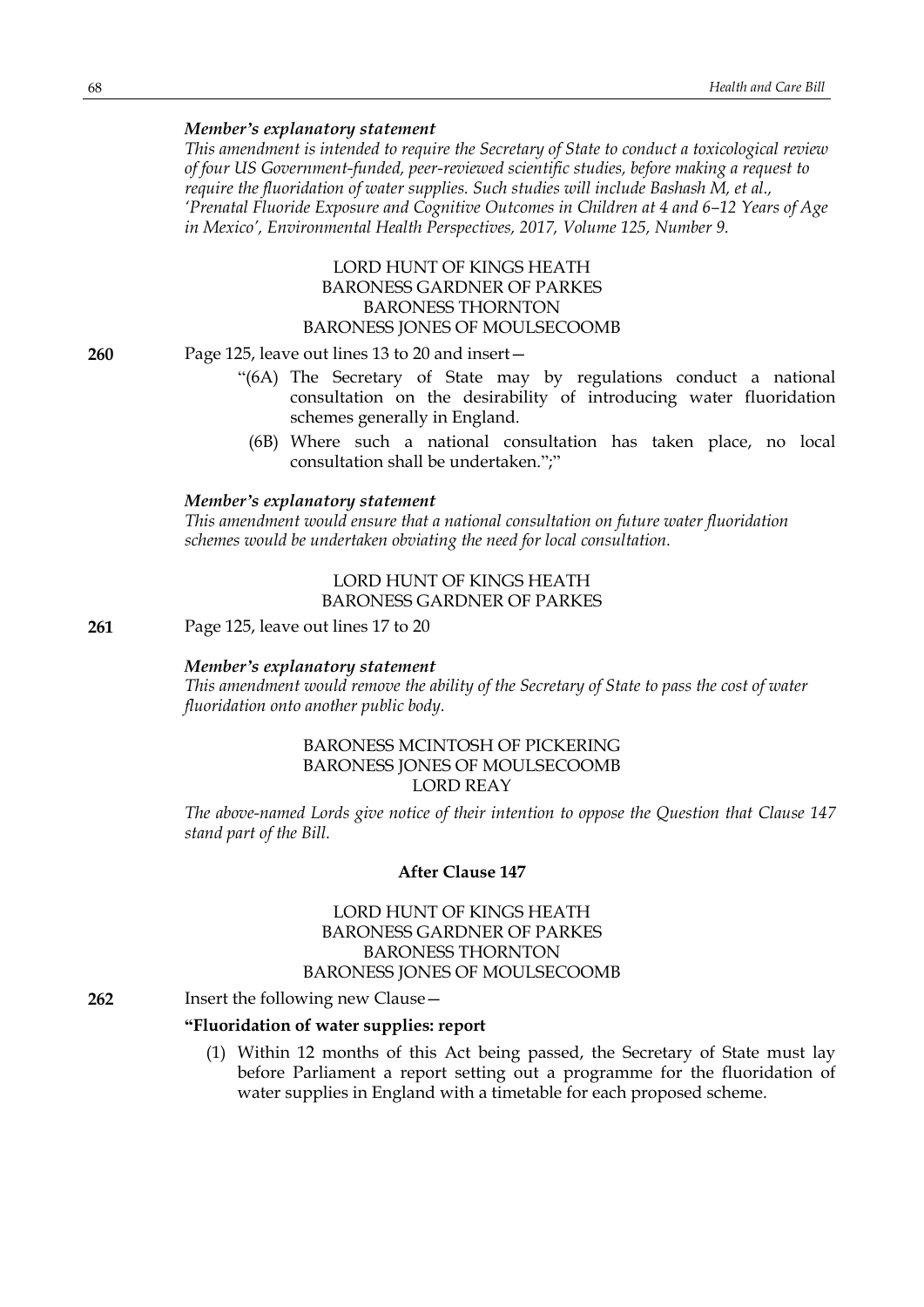### *Member's explanatory statement*

*This amendment is intended to require the Secretary of State to conduct a toxicological review of four US Government-funded, peer-reviewed scientific studies, before making a request to require the fluoridation of water supplies. Such studies will include Bashash M, et al., 'Prenatal Fluoride Exposure and Cognitive Outcomes in Children at 4 and 6–12 Years of Age in Mexico', Environmental Health Perspectives, 2017, Volume 125, Number 9.*

# LORD HUNT OF KINGS HEATH BARONESS GARDNER OF PARKES BARONESS THORNTON BARONESS JONES OF MOULSECOOMB

**260** Page 125, leave out lines 13 to 20 and insert—

- "(6A) The Secretary of State may by regulations conduct a national consultation on the desirability of introducing water fluoridation schemes generally in England.
- (6B) Where such a national consultation has taken place, no local consultation shall be undertaken.";"

### *Member's explanatory statement*

*This amendment would ensure that a national consultation on future water fluoridation schemes would be undertaken obviating the need for local consultation.*

### LORD HUNT OF KINGS HEATH BARONESS GARDNER OF PARKES

**261** Page 125, leave out lines 17 to 20

#### *Member's explanatory statement*

*This amendment would remove the ability of the Secretary of State to pass the cost of water fluoridation onto another public body.*

# BARONESS MCINTOSH OF PICKERING BARONESS JONES OF MOULSECOOMB LORD REAY

*The above-named Lords give notice of their intention to oppose the Question that Clause 147 stand part of the Bill.*

### **After Clause 147**

# LORD HUNT OF KINGS HEATH BARONESS GARDNER OF PARKES BARONESS THORNTON BARONESS JONES OF MOULSECOOMB

### **262** Insert the following new Clause—

# **"Fluoridation of water supplies: report**

(1) Within 12 months of this Act being passed, the Secretary of State must lay before Parliament a report setting out a programme for the fluoridation of water supplies in England with a timetable for each proposed scheme.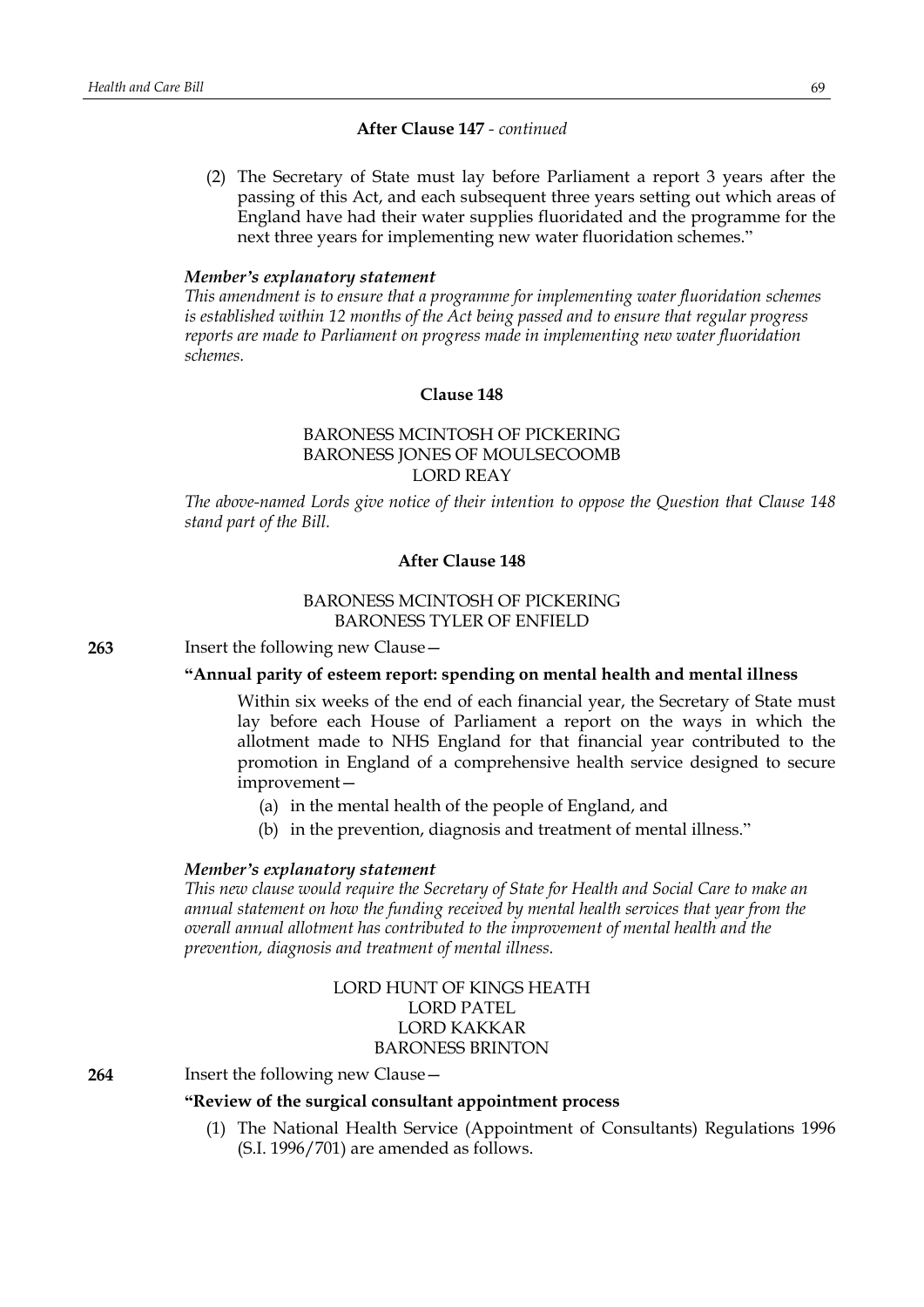### **After Clause 147** *- continued*

(2) The Secretary of State must lay before Parliament a report 3 years after the passing of this Act, and each subsequent three years setting out which areas of England have had their water supplies fluoridated and the programme for the next three years for implementing new water fluoridation schemes."

#### *Member's explanatory statement*

*This amendment is to ensure that a programme for implementing water fluoridation schemes is established within 12 months of the Act being passed and to ensure that regular progress reports are made to Parliament on progress made in implementing new water fluoridation schemes.*

### **Clause 148**

# BARONESS MCINTOSH OF PICKERING BARONESS JONES OF MOULSECOOMB LORD REAY

*The above-named Lords give notice of their intention to oppose the Question that Clause 148 stand part of the Bill.*

### **After Clause 148**

# BARONESS MCINTOSH OF PICKERING BARONESS TYLER OF ENFIELD

**263** Insert the following new Clause—

### **"Annual parity of esteem report: spending on mental health and mental illness**

Within six weeks of the end of each financial year, the Secretary of State must lay before each House of Parliament a report on the ways in which the allotment made to NHS England for that financial year contributed to the promotion in England of a comprehensive health service designed to secure improvement—

- (a) in the mental health of the people of England, and
- (b) in the prevention, diagnosis and treatment of mental illness."

### *Member's explanatory statement*

*This new clause would require the Secretary of State for Health and Social Care to make an annual statement on how the funding received by mental health services that year from the overall annual allotment has contributed to the improvement of mental health and the prevention, diagnosis and treatment of mental illness.*

# LORD HUNT OF KINGS HEATH LORD PATEL LORD KAKKAR BARONESS BRINTON

**264** Insert the following new Clause—

### **"Review of the surgical consultant appointment process**

(1) The National Health Service (Appointment of Consultants) Regulations 1996 (S.I. 1996/701) are amended as follows.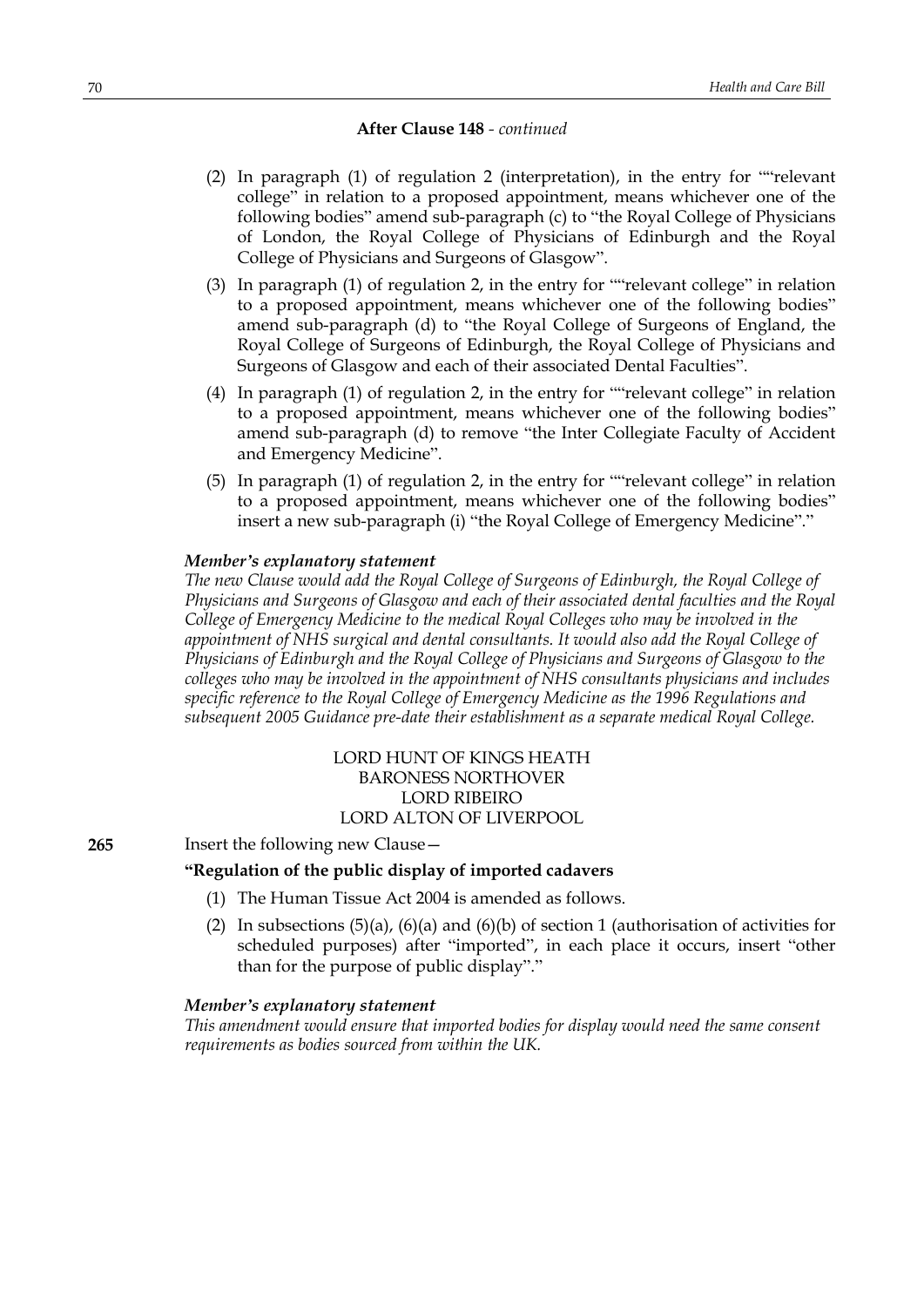### **After Clause 148** *- continued*

- (2) In paragraph (1) of regulation 2 (interpretation), in the entry for ""relevant college" in relation to a proposed appointment, means whichever one of the following bodies" amend sub-paragraph (c) to "the Royal College of Physicians of London, the Royal College of Physicians of Edinburgh and the Royal College of Physicians and Surgeons of Glasgow".
- (3) In paragraph (1) of regulation 2, in the entry for ""relevant college" in relation to a proposed appointment, means whichever one of the following bodies" amend sub-paragraph (d) to "the Royal College of Surgeons of England, the Royal College of Surgeons of Edinburgh, the Royal College of Physicians and Surgeons of Glasgow and each of their associated Dental Faculties".
- (4) In paragraph (1) of regulation 2, in the entry for ""relevant college" in relation to a proposed appointment, means whichever one of the following bodies" amend sub-paragraph (d) to remove "the Inter Collegiate Faculty of Accident and Emergency Medicine".
- (5) In paragraph (1) of regulation 2, in the entry for ""relevant college" in relation to a proposed appointment, means whichever one of the following bodies" insert a new sub-paragraph (i) "the Royal College of Emergency Medicine"."

#### *Member's explanatory statement*

*The new Clause would add the Royal College of Surgeons of Edinburgh, the Royal College of Physicians and Surgeons of Glasgow and each of their associated dental faculties and the Royal College of Emergency Medicine to the medical Royal Colleges who may be involved in the appointment of NHS surgical and dental consultants. It would also add the Royal College of Physicians of Edinburgh and the Royal College of Physicians and Surgeons of Glasgow to the colleges who may be involved in the appointment of NHS consultants physicians and includes specific reference to the Royal College of Emergency Medicine as the 1996 Regulations and subsequent 2005 Guidance pre-date their establishment as a separate medical Royal College.*

# LORD HUNT OF KINGS HEATH BARONESS NORTHOVER LORD RIBEIRO LORD ALTON OF LIVERPOOL

#### **265** Insert the following new Clause—

### **"Regulation of the public display of imported cadavers**

- (1) The Human Tissue Act 2004 is amended as follows.
- (2) In subsections  $(5)(a)$ ,  $(6)(a)$  and  $(6)(b)$  of section 1 (authorisation of activities for scheduled purposes) after "imported", in each place it occurs, insert "other than for the purpose of public display"."

#### *Member's explanatory statement*

*This amendment would ensure that imported bodies for display would need the same consent requirements as bodies sourced from within the UK.*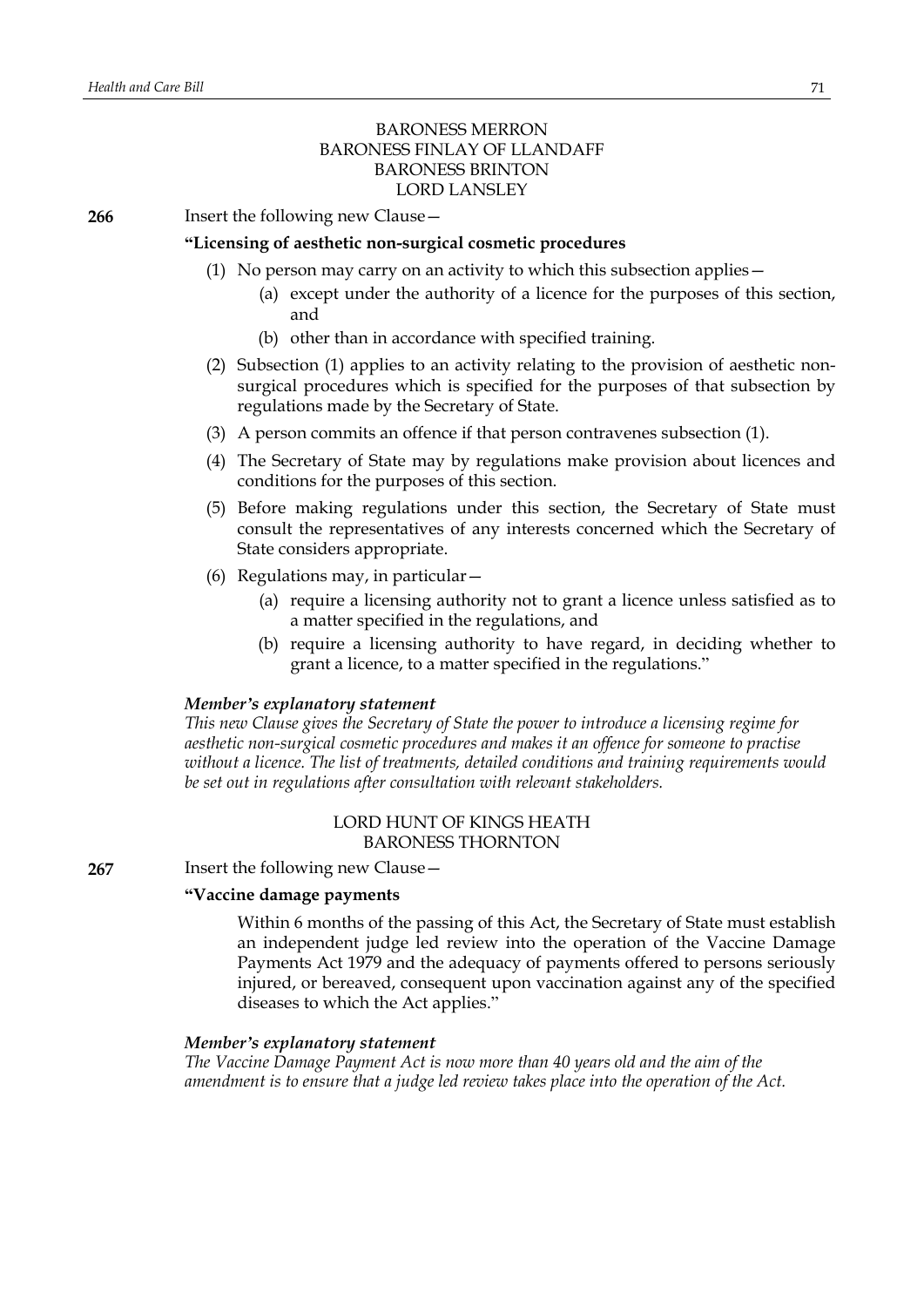# BARONESS MERRON BARONESS FINLAY OF LLANDAFF BARONESS BRINTON LORD LANSLEY

**266** Insert the following new Clause—

#### **"Licensing of aesthetic non-surgical cosmetic procedures**

- (1) No person may carry on an activity to which this subsection applies—
	- (a) except under the authority of a licence for the purposes of this section, and
	- (b) other than in accordance with specified training.
- (2) Subsection (1) applies to an activity relating to the provision of aesthetic nonsurgical procedures which is specified for the purposes of that subsection by regulations made by the Secretary of State.
- (3) A person commits an offence if that person contravenes subsection (1).
- (4) The Secretary of State may by regulations make provision about licences and conditions for the purposes of this section.
- (5) Before making regulations under this section, the Secretary of State must consult the representatives of any interests concerned which the Secretary of State considers appropriate.
- (6) Regulations may, in particular—
	- (a) require a licensing authority not to grant a licence unless satisfied as to a matter specified in the regulations, and
	- (b) require a licensing authority to have regard, in deciding whether to grant a licence, to a matter specified in the regulations."

### *Member's explanatory statement*

*This new Clause gives the Secretary of State the power to introduce a licensing regime for aesthetic non-surgical cosmetic procedures and makes it an offence for someone to practise without a licence. The list of treatments, detailed conditions and training requirements would be set out in regulations after consultation with relevant stakeholders.*

# LORD HUNT OF KINGS HEATH BARONESS THORNTON

**267** Insert the following new Clause—

# **"Vaccine damage payments**

Within 6 months of the passing of this Act, the Secretary of State must establish an independent judge led review into the operation of the Vaccine Damage Payments Act 1979 and the adequacy of payments offered to persons seriously injured, or bereaved, consequent upon vaccination against any of the specified diseases to which the Act applies."

### *Member's explanatory statement*

*The Vaccine Damage Payment Act is now more than 40 years old and the aim of the amendment is to ensure that a judge led review takes place into the operation of the Act.*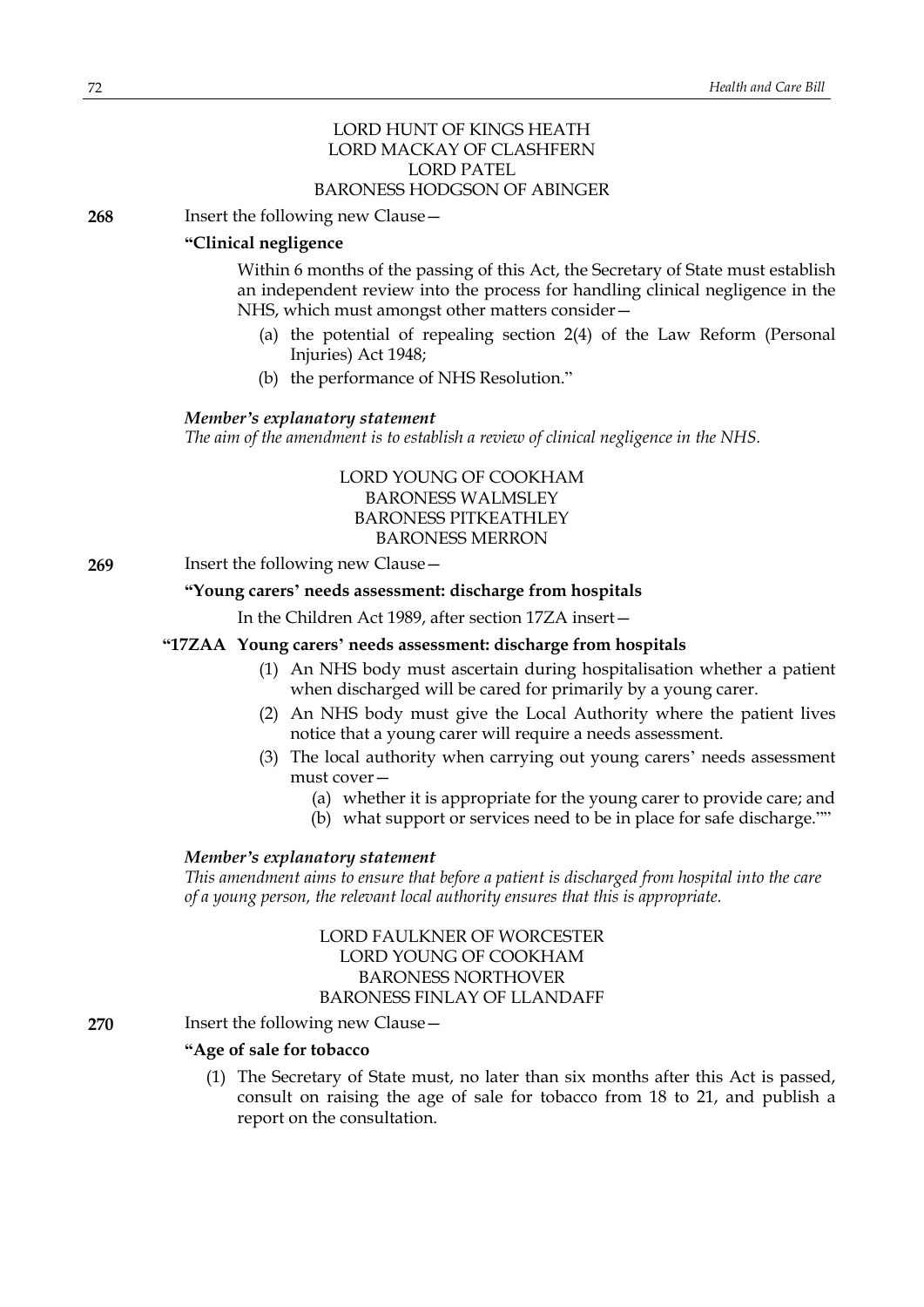# LORD HUNT OF KINGS HEATH LORD MACKAY OF CLASHFERN LORD PATEL BARONESS HODGSON OF ABINGER

**268** Insert the following new Clause—

### **"Clinical negligence**

Within 6 months of the passing of this Act, the Secretary of State must establish an independent review into the process for handling clinical negligence in the NHS, which must amongst other matters consider—

- (a) the potential of repealing section 2(4) of the Law Reform (Personal Injuries) Act 1948;
- (b) the performance of NHS Resolution."

### *Member's explanatory statement*

*The aim of the amendment is to establish a review of clinical negligence in the NHS.*

LORD YOUNG OF COOKHAM BARONESS WALMSLEY BARONESS PITKEATHLEY BARONESS MERRON

**269** Insert the following new Clause—

### **"Young carers' needs assessment: discharge from hospitals**

In the Children Act 1989, after section 17ZA insert—

# **"17ZAA Young carers' needs assessment: discharge from hospitals**

- (1) An NHS body must ascertain during hospitalisation whether a patient when discharged will be cared for primarily by a young carer.
- (2) An NHS body must give the Local Authority where the patient lives notice that a young carer will require a needs assessment.
- (3) The local authority when carrying out young carers' needs assessment must cover—
	- (a) whether it is appropriate for the young carer to provide care; and
	- (b) what support or services need to be in place for safe discharge.""

### *Member's explanatory statement*

*This amendment aims to ensure that before a patient is discharged from hospital into the care of a young person, the relevant local authority ensures that this is appropriate.*

> LORD FAULKNER OF WORCESTER LORD YOUNG OF COOKHAM BARONESS NORTHOVER BARONESS FINLAY OF LLANDAFF

### **270** Insert the following new Clause –

### **"Age of sale for tobacco**

(1) The Secretary of State must, no later than six months after this Act is passed, consult on raising the age of sale for tobacco from 18 to 21, and publish a report on the consultation.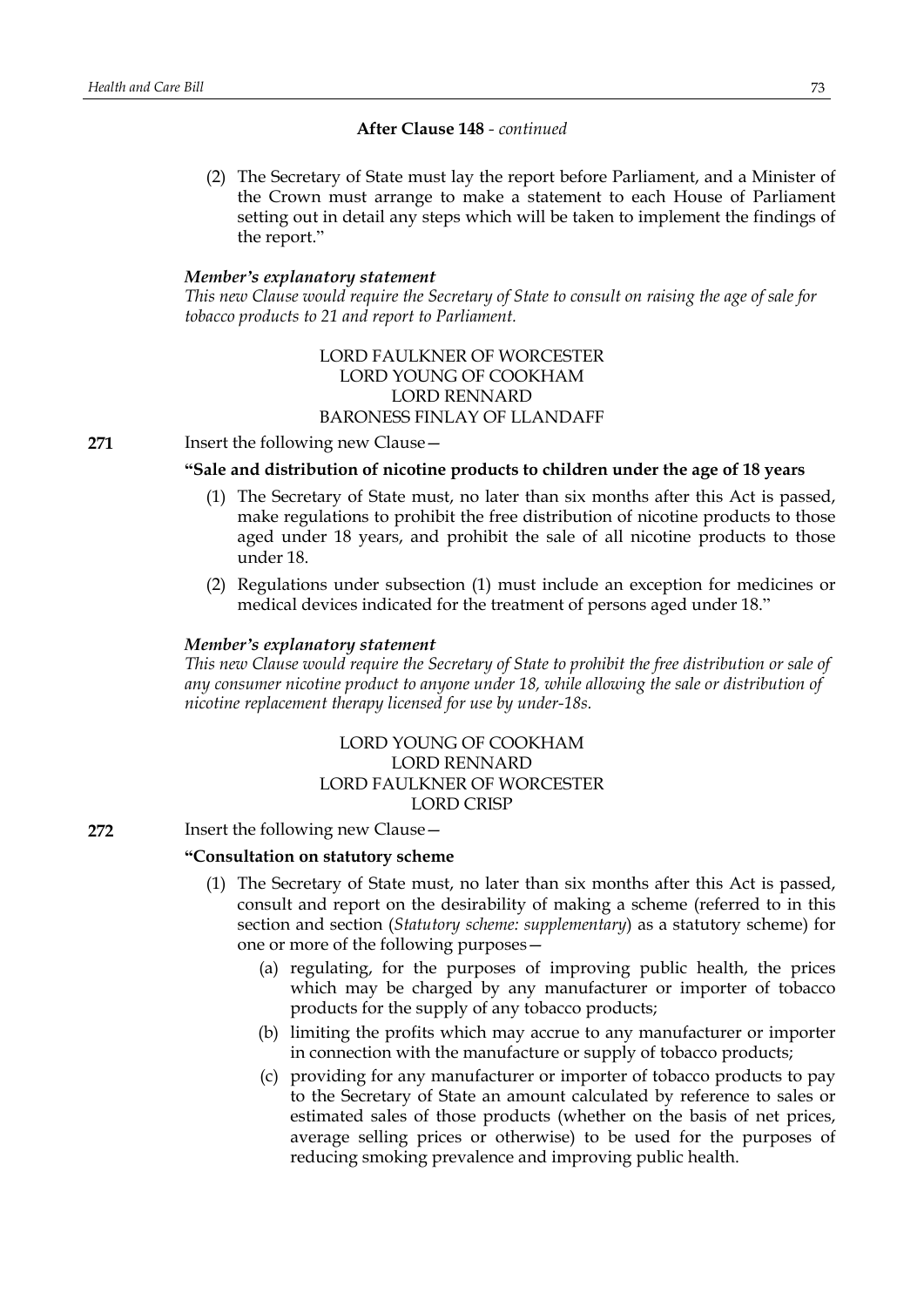(2) The Secretary of State must lay the report before Parliament, and a Minister of the Crown must arrange to make a statement to each House of Parliament setting out in detail any steps which will be taken to implement the findings of the report."

#### *Member's explanatory statement*

*This new Clause would require the Secretary of State to consult on raising the age of sale for tobacco products to 21 and report to Parliament.*

## LORD FAULKNER OF WORCESTER LORD YOUNG OF COOKHAM LORD RENNARD BARONESS FINLAY OF LLANDAFF

**271** Insert the following new Clause—

### **"Sale and distribution of nicotine products to children under the age of 18 years**

- (1) The Secretary of State must, no later than six months after this Act is passed, make regulations to prohibit the free distribution of nicotine products to those aged under 18 years, and prohibit the sale of all nicotine products to those under 18.
- (2) Regulations under subsection (1) must include an exception for medicines or medical devices indicated for the treatment of persons aged under 18."

#### *Member's explanatory statement*

*This new Clause would require the Secretary of State to prohibit the free distribution or sale of any consumer nicotine product to anyone under 18, while allowing the sale or distribution of nicotine replacement therapy licensed for use by under-18s.*

# LORD YOUNG OF COOKHAM LORD RENNARD LORD FAULKNER OF WORCESTER LORD CRISP

## **272** Insert the following new Clause—

## **"Consultation on statutory scheme**

- (1) The Secretary of State must, no later than six months after this Act is passed, consult and report on the desirability of making a scheme (referred to in this section and section (*Statutory scheme: supplementary*) as a statutory scheme) for one or more of the following purposes—
	- (a) regulating, for the purposes of improving public health, the prices which may be charged by any manufacturer or importer of tobacco products for the supply of any tobacco products;
	- (b) limiting the profits which may accrue to any manufacturer or importer in connection with the manufacture or supply of tobacco products;
	- (c) providing for any manufacturer or importer of tobacco products to pay to the Secretary of State an amount calculated by reference to sales or estimated sales of those products (whether on the basis of net prices, average selling prices or otherwise) to be used for the purposes of reducing smoking prevalence and improving public health.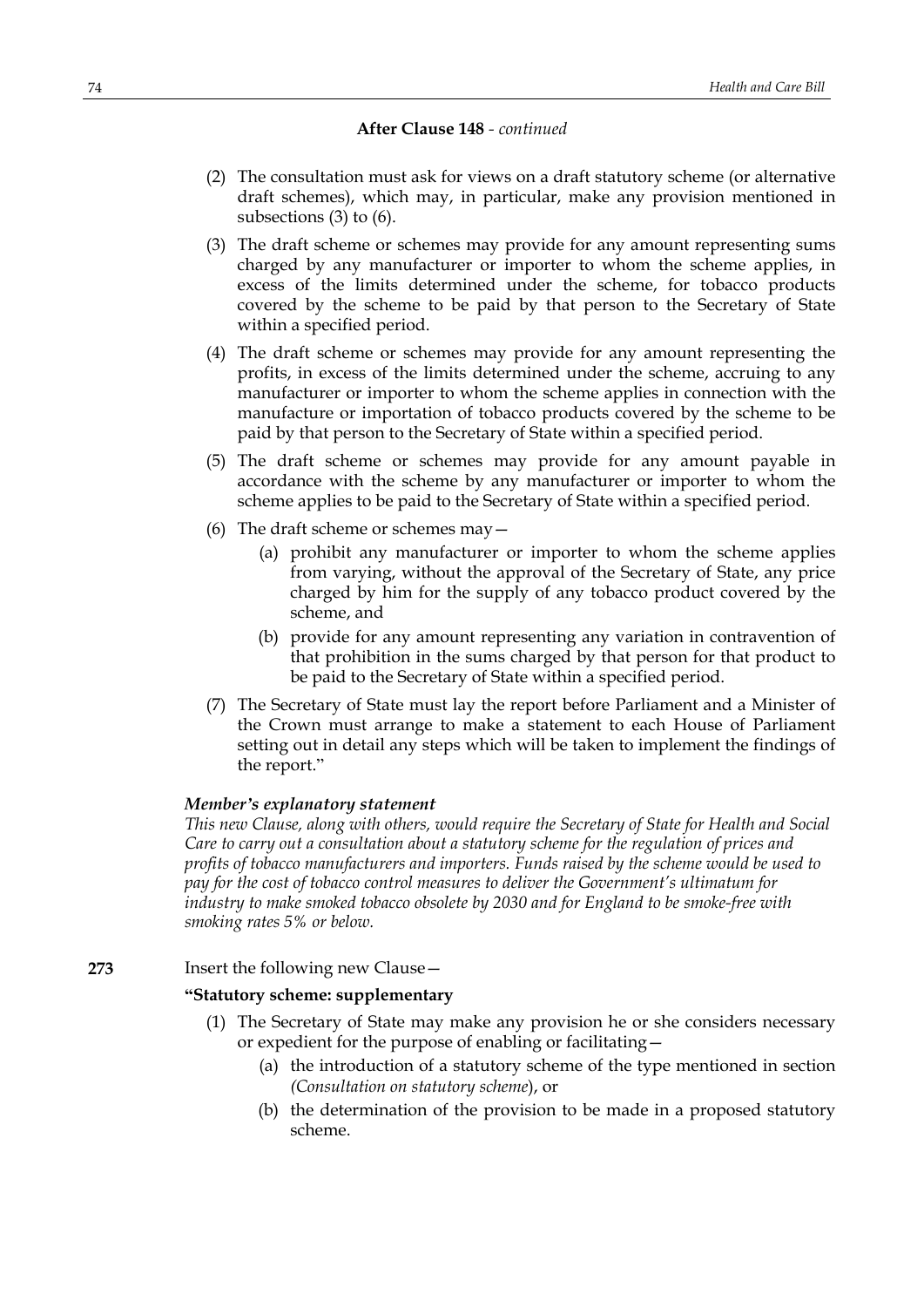- (2) The consultation must ask for views on a draft statutory scheme (or alternative draft schemes), which may, in particular, make any provision mentioned in subsections (3) to (6).
- (3) The draft scheme or schemes may provide for any amount representing sums charged by any manufacturer or importer to whom the scheme applies, in excess of the limits determined under the scheme, for tobacco products covered by the scheme to be paid by that person to the Secretary of State within a specified period.
- (4) The draft scheme or schemes may provide for any amount representing the profits, in excess of the limits determined under the scheme, accruing to any manufacturer or importer to whom the scheme applies in connection with the manufacture or importation of tobacco products covered by the scheme to be paid by that person to the Secretary of State within a specified period.
- (5) The draft scheme or schemes may provide for any amount payable in accordance with the scheme by any manufacturer or importer to whom the scheme applies to be paid to the Secretary of State within a specified period.
- (6) The draft scheme or schemes may—
	- (a) prohibit any manufacturer or importer to whom the scheme applies from varying, without the approval of the Secretary of State, any price charged by him for the supply of any tobacco product covered by the scheme, and
	- (b) provide for any amount representing any variation in contravention of that prohibition in the sums charged by that person for that product to be paid to the Secretary of State within a specified period.
- (7) The Secretary of State must lay the report before Parliament and a Minister of the Crown must arrange to make a statement to each House of Parliament setting out in detail any steps which will be taken to implement the findings of the report."

## *Member's explanatory statement*

*This new Clause, along with others, would require the Secretary of State for Health and Social Care to carry out a consultation about a statutory scheme for the regulation of prices and profits of tobacco manufacturers and importers. Funds raised by the scheme would be used to pay for the cost of tobacco control measures to deliver the Government's ultimatum for industry to make smoked tobacco obsolete by 2030 and for England to be smoke-free with smoking rates 5% or below.*

**273** Insert the following new Clause—

## **"Statutory scheme: supplementary**

- (1) The Secretary of State may make any provision he or she considers necessary or expedient for the purpose of enabling or facilitating—
	- (a) the introduction of a statutory scheme of the type mentioned in section *(Consultation on statutory scheme*), or
	- (b) the determination of the provision to be made in a proposed statutory scheme.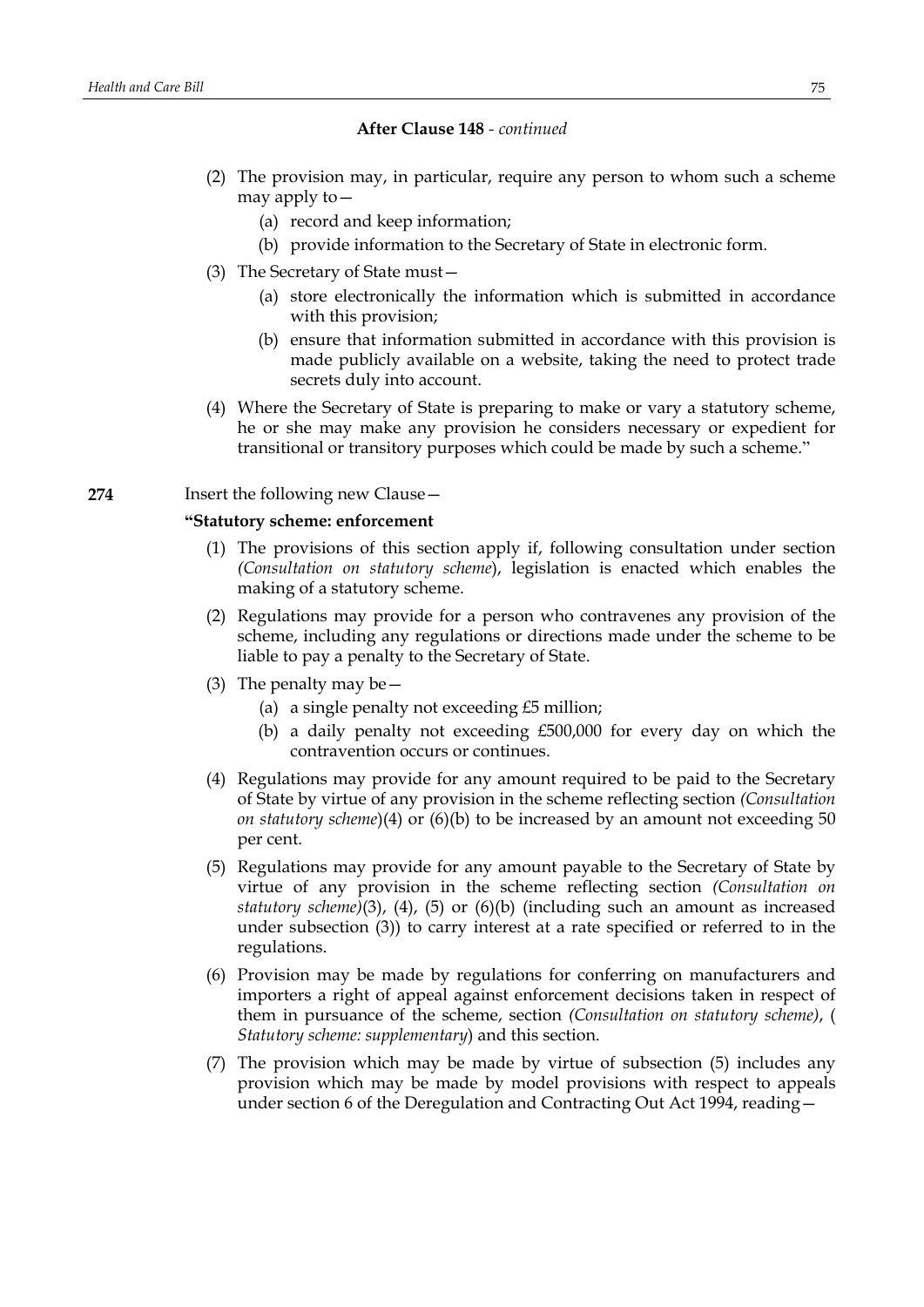- (2) The provision may, in particular, require any person to whom such a scheme may apply to—
	- (a) record and keep information;
	- (b) provide information to the Secretary of State in electronic form.
- (3) The Secretary of State must—
	- (a) store electronically the information which is submitted in accordance with this provision;
	- (b) ensure that information submitted in accordance with this provision is made publicly available on a website, taking the need to protect trade secrets duly into account.
- (4) Where the Secretary of State is preparing to make or vary a statutory scheme, he or she may make any provision he considers necessary or expedient for transitional or transitory purposes which could be made by such a scheme."

## **274** Insert the following new Clause—

## **"Statutory scheme: enforcement**

- (1) The provisions of this section apply if, following consultation under section *(Consultation on statutory scheme*), legislation is enacted which enables the making of a statutory scheme.
- (2) Regulations may provide for a person who contravenes any provision of the scheme, including any regulations or directions made under the scheme to be liable to pay a penalty to the Secretary of State.
- (3) The penalty may be  $-$ 
	- (a) a single penalty not exceeding £5 million;
	- (b) a daily penalty not exceeding £500,000 for every day on which the contravention occurs or continues.
- (4) Regulations may provide for any amount required to be paid to the Secretary of State by virtue of any provision in the scheme reflecting section *(Consultation on statutory scheme*)(4) or (6)(b) to be increased by an amount not exceeding 50 per cent.
- (5) Regulations may provide for any amount payable to the Secretary of State by virtue of any provision in the scheme reflecting section *(Consultation on statutory scheme)*(3), (4), (5) or (6)(b) (including such an amount as increased under subsection (3)) to carry interest at a rate specified or referred to in the regulations.
- (6) Provision may be made by regulations for conferring on manufacturers and importers a right of appeal against enforcement decisions taken in respect of them in pursuance of the scheme, section *(Consultation on statutory scheme)*, ( *Statutory scheme: supplementary*) and this section.
- (7) The provision which may be made by virtue of subsection (5) includes any provision which may be made by model provisions with respect to appeals under section 6 of the Deregulation and Contracting Out Act 1994, reading—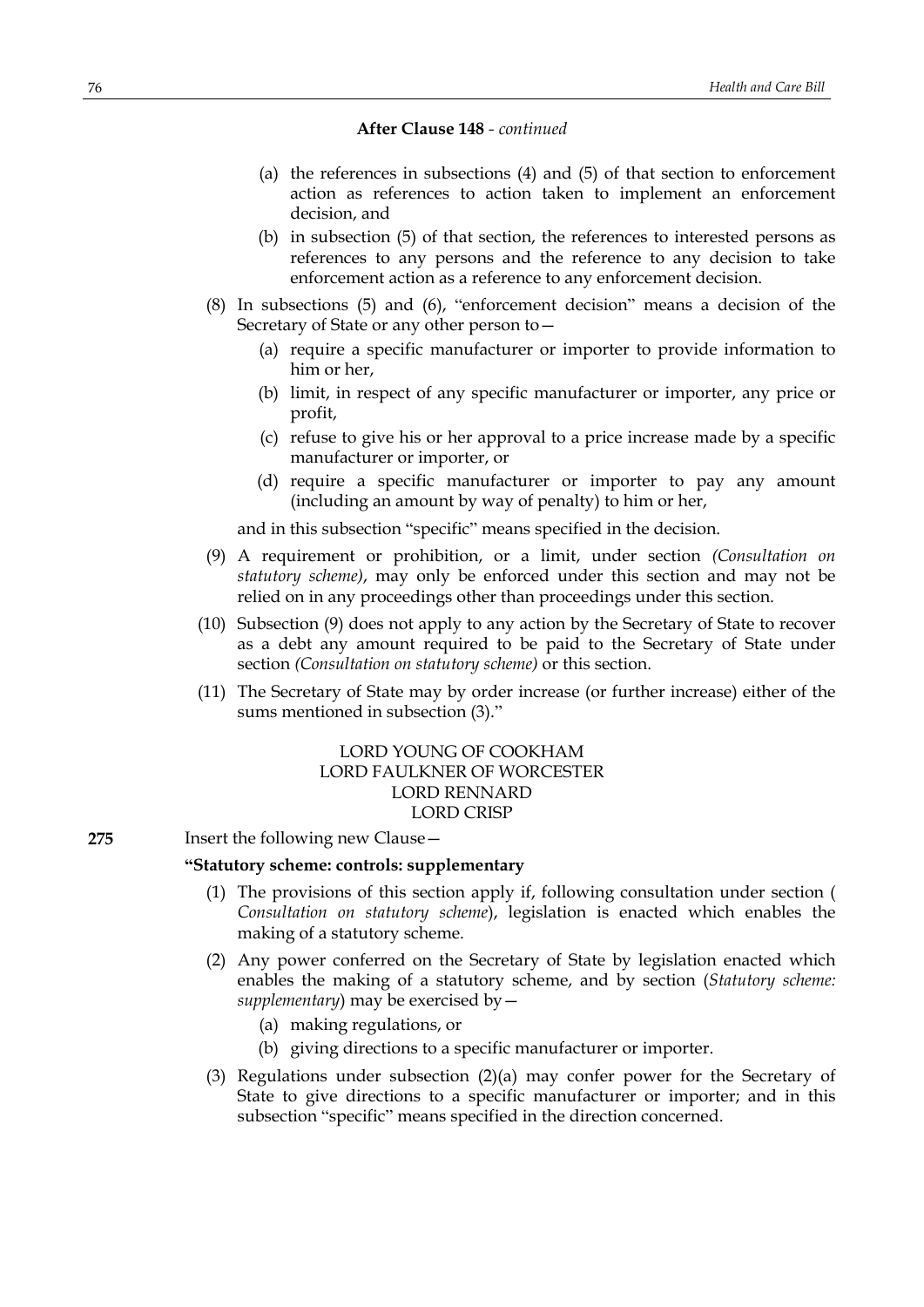- (a) the references in subsections (4) and (5) of that section to enforcement action as references to action taken to implement an enforcement decision, and
- (b) in subsection (5) of that section, the references to interested persons as references to any persons and the reference to any decision to take enforcement action as a reference to any enforcement decision.
- (8) In subsections (5) and (6), "enforcement decision" means a decision of the Secretary of State or any other person to—
	- (a) require a specific manufacturer or importer to provide information to him or her,
	- (b) limit, in respect of any specific manufacturer or importer, any price or profit,
	- (c) refuse to give his or her approval to a price increase made by a specific manufacturer or importer, or
	- (d) require a specific manufacturer or importer to pay any amount (including an amount by way of penalty) to him or her,

and in this subsection "specific" means specified in the decision.

- (9) A requirement or prohibition, or a limit, under section *(Consultation on statutory scheme)*, may only be enforced under this section and may not be relied on in any proceedings other than proceedings under this section.
- (10) Subsection (9) does not apply to any action by the Secretary of State to recover as a debt any amount required to be paid to the Secretary of State under section *(Consultation on statutory scheme)* or this section.
- (11) The Secretary of State may by order increase (or further increase) either of the sums mentioned in subsection (3)."

# LORD YOUNG OF COOKHAM LORD FAULKNER OF WORCESTER LORD RENNARD LORD CRISP

## **275** Insert the following new Clause—

# **"Statutory scheme: controls: supplementary**

- (1) The provisions of this section apply if, following consultation under section ( *Consultation on statutory scheme*), legislation is enacted which enables the making of a statutory scheme.
- (2) Any power conferred on the Secretary of State by legislation enacted which enables the making of a statutory scheme, and by section (*Statutory scheme: supplementary*) may be exercised by—
	- (a) making regulations, or
	- (b) giving directions to a specific manufacturer or importer.
- (3) Regulations under subsection (2)(a) may confer power for the Secretary of State to give directions to a specific manufacturer or importer; and in this subsection "specific" means specified in the direction concerned.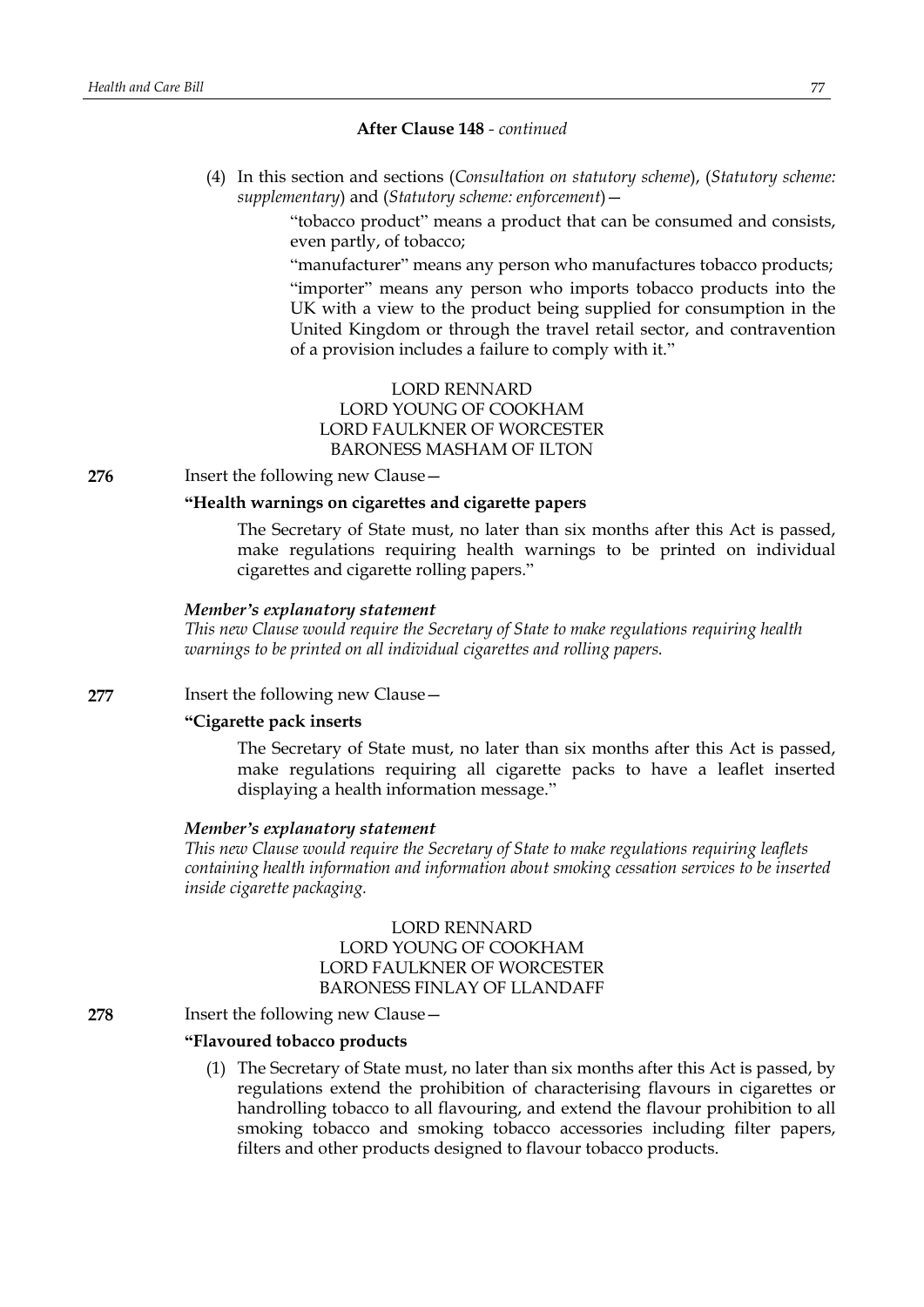(4) In this section and sections (*Consultation on statutory scheme*), (*Statutory scheme: supplementary*) and (*Statutory scheme: enforcement*)—

> "tobacco product" means a product that can be consumed and consists, even partly, of tobacco;

> "manufacturer" means any person who manufactures tobacco products;

"importer" means any person who imports tobacco products into the UK with a view to the product being supplied for consumption in the United Kingdom or through the travel retail sector, and contravention of a provision includes a failure to comply with it."

# LORD RENNARD LORD YOUNG OF COOKHAM LORD FAULKNER OF WORCESTER BARONESS MASHAM OF ILTON

**276** Insert the following new Clause -

## **"Health warnings on cigarettes and cigarette papers**

The Secretary of State must, no later than six months after this Act is passed, make regulations requiring health warnings to be printed on individual cigarettes and cigarette rolling papers."

#### *Member's explanatory statement*

*This new Clause would require the Secretary of State to make regulations requiring health warnings to be printed on all individual cigarettes and rolling papers.*

## **277** Insert the following new Clause—

# **"Cigarette pack inserts**

The Secretary of State must, no later than six months after this Act is passed, make regulations requiring all cigarette packs to have a leaflet inserted displaying a health information message."

#### *Member's explanatory statement*

*This new Clause would require the Secretary of State to make regulations requiring leaflets containing health information and information about smoking cessation services to be inserted inside cigarette packaging.*

# LORD RENNARD LORD YOUNG OF COOKHAM LORD FAULKNER OF WORCESTER BARONESS FINLAY OF LLANDAFF

### **278** Insert the following new Clause—

#### **"Flavoured tobacco products**

(1) The Secretary of State must, no later than six months after this Act is passed, by regulations extend the prohibition of characterising flavours in cigarettes or handrolling tobacco to all flavouring, and extend the flavour prohibition to all smoking tobacco and smoking tobacco accessories including filter papers, filters and other products designed to flavour tobacco products.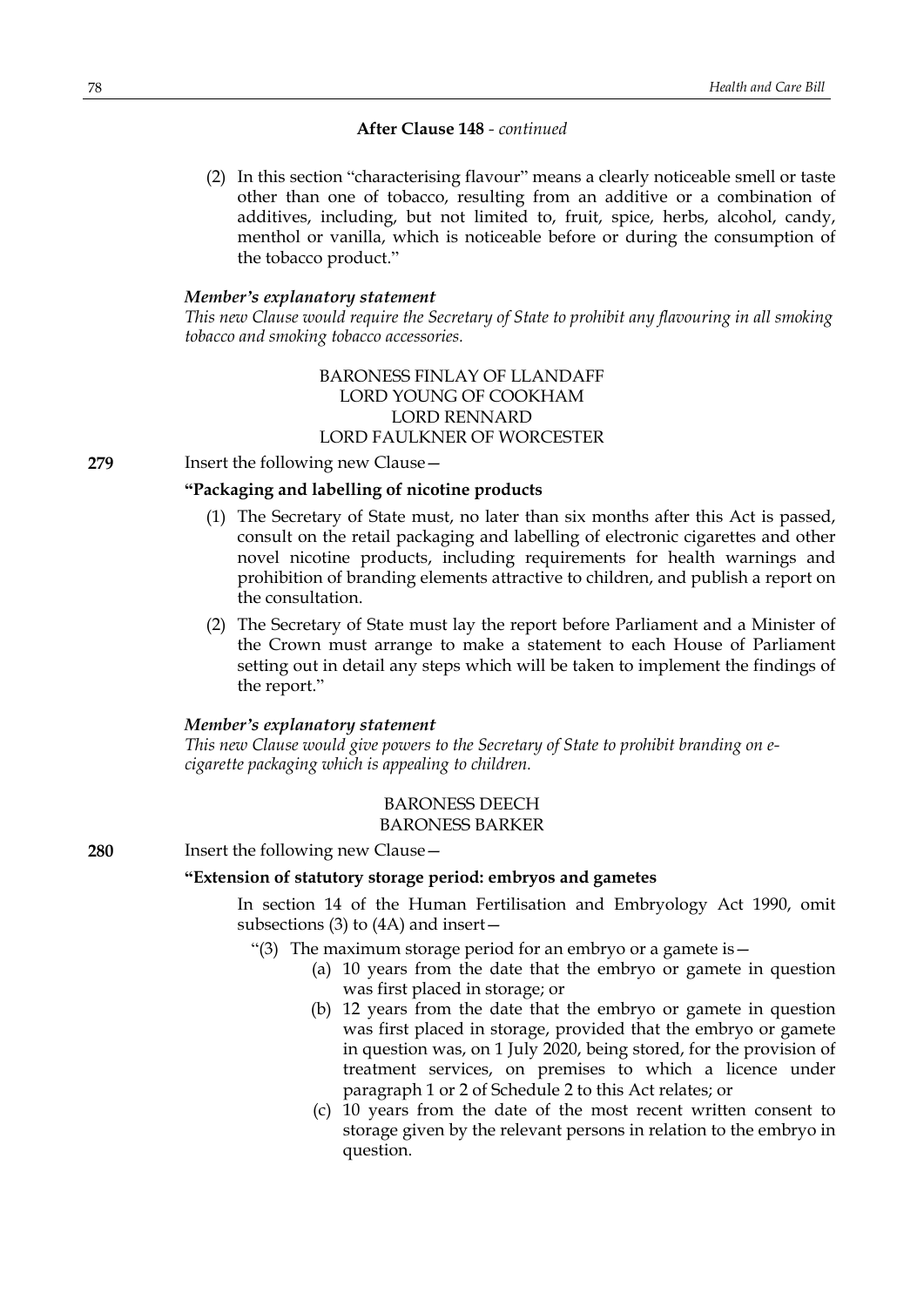(2) In this section "characterising flavour" means a clearly noticeable smell or taste other than one of tobacco, resulting from an additive or a combination of additives, including, but not limited to, fruit, spice, herbs, alcohol, candy, menthol or vanilla, which is noticeable before or during the consumption of the tobacco product."

## *Member's explanatory statement*

*This new Clause would require the Secretary of State to prohibit any flavouring in all smoking tobacco and smoking tobacco accessories.*

## BARONESS FINLAY OF LLANDAFF LORD YOUNG OF COOKHAM LORD RENNARD LORD FAULKNER OF WORCESTER

**279** Insert the following new Clause -

## **"Packaging and labelling of nicotine products**

- (1) The Secretary of State must, no later than six months after this Act is passed, consult on the retail packaging and labelling of electronic cigarettes and other novel nicotine products, including requirements for health warnings and prohibition of branding elements attractive to children, and publish a report on the consultation.
- (2) The Secretary of State must lay the report before Parliament and a Minister of the Crown must arrange to make a statement to each House of Parliament setting out in detail any steps which will be taken to implement the findings of the report."

#### *Member's explanatory statement*

*This new Clause would give powers to the Secretary of State to prohibit branding on ecigarette packaging which is appealing to children.*

#### BARONESS DEECH BARONESS BARKER

**280** Insert the following new Clause—

## **"Extension of statutory storage period: embryos and gametes**

In section 14 of the Human Fertilisation and Embryology Act 1990, omit subsections (3) to (4A) and insert—

- "(3) The maximum storage period for an embryo or a gamete is  $-$ 
	- (a) 10 years from the date that the embryo or gamete in question was first placed in storage; or
	- (b) 12 years from the date that the embryo or gamete in question was first placed in storage, provided that the embryo or gamete in question was, on 1 July 2020, being stored, for the provision of treatment services, on premises to which a licence under paragraph 1 or 2 of Schedule 2 to this Act relates; or
	- (c) 10 years from the date of the most recent written consent to storage given by the relevant persons in relation to the embryo in question.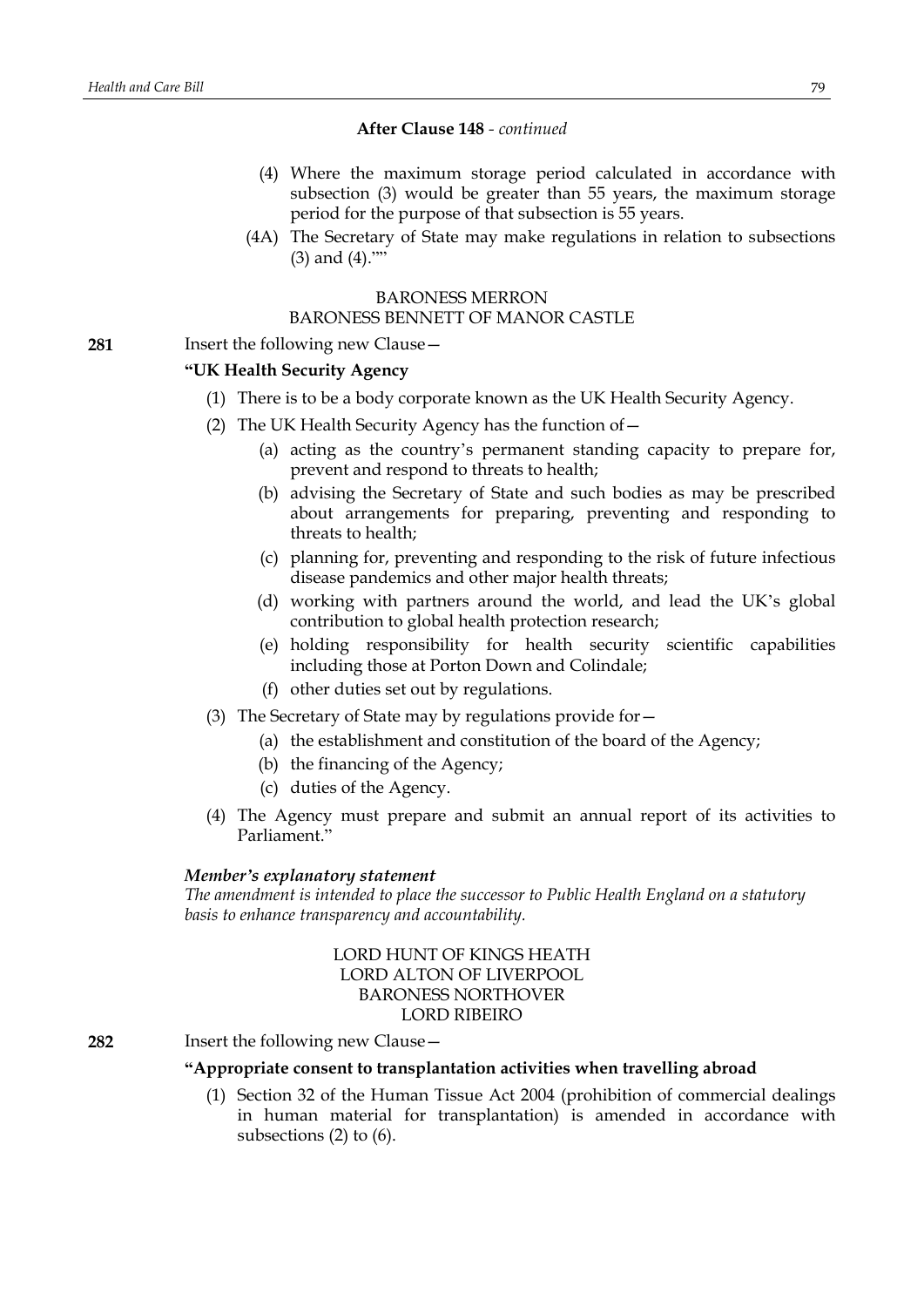- (4) Where the maximum storage period calculated in accordance with subsection (3) would be greater than 55 years, the maximum storage period for the purpose of that subsection is 55 years.
- (4A) The Secretary of State may make regulations in relation to subsections (3) and (4).""

## BARONESS MERRON

# BARONESS BENNETT OF MANOR CASTLE

**281** Insert the following new Clause—

## **"UK Health Security Agency**

- (1) There is to be a body corporate known as the UK Health Security Agency.
- (2) The UK Health Security Agency has the function of—
	- (a) acting as the country's permanent standing capacity to prepare for, prevent and respond to threats to health;
	- (b) advising the Secretary of State and such bodies as may be prescribed about arrangements for preparing, preventing and responding to threats to health;
	- (c) planning for, preventing and responding to the risk of future infectious disease pandemics and other major health threats;
	- (d) working with partners around the world, and lead the UK's global contribution to global health protection research;
	- (e) holding responsibility for health security scientific capabilities including those at Porton Down and Colindale;
	- (f) other duties set out by regulations.
- (3) The Secretary of State may by regulations provide for—
	- (a) the establishment and constitution of the board of the Agency;
	- (b) the financing of the Agency;
	- (c) duties of the Agency.
- (4) The Agency must prepare and submit an annual report of its activities to Parliament."

#### *Member's explanatory statement*

*The amendment is intended to place the successor to Public Health England on a statutory basis to enhance transparency and accountability.*

> LORD HUNT OF KINGS HEATH LORD ALTON OF LIVERPOOL BARONESS NORTHOVER LORD RIBEIRO

**282** Insert the following new Clause—

### **"Appropriate consent to transplantation activities when travelling abroad**

(1) Section 32 of the Human Tissue Act 2004 (prohibition of commercial dealings in human material for transplantation) is amended in accordance with subsections (2) to (6).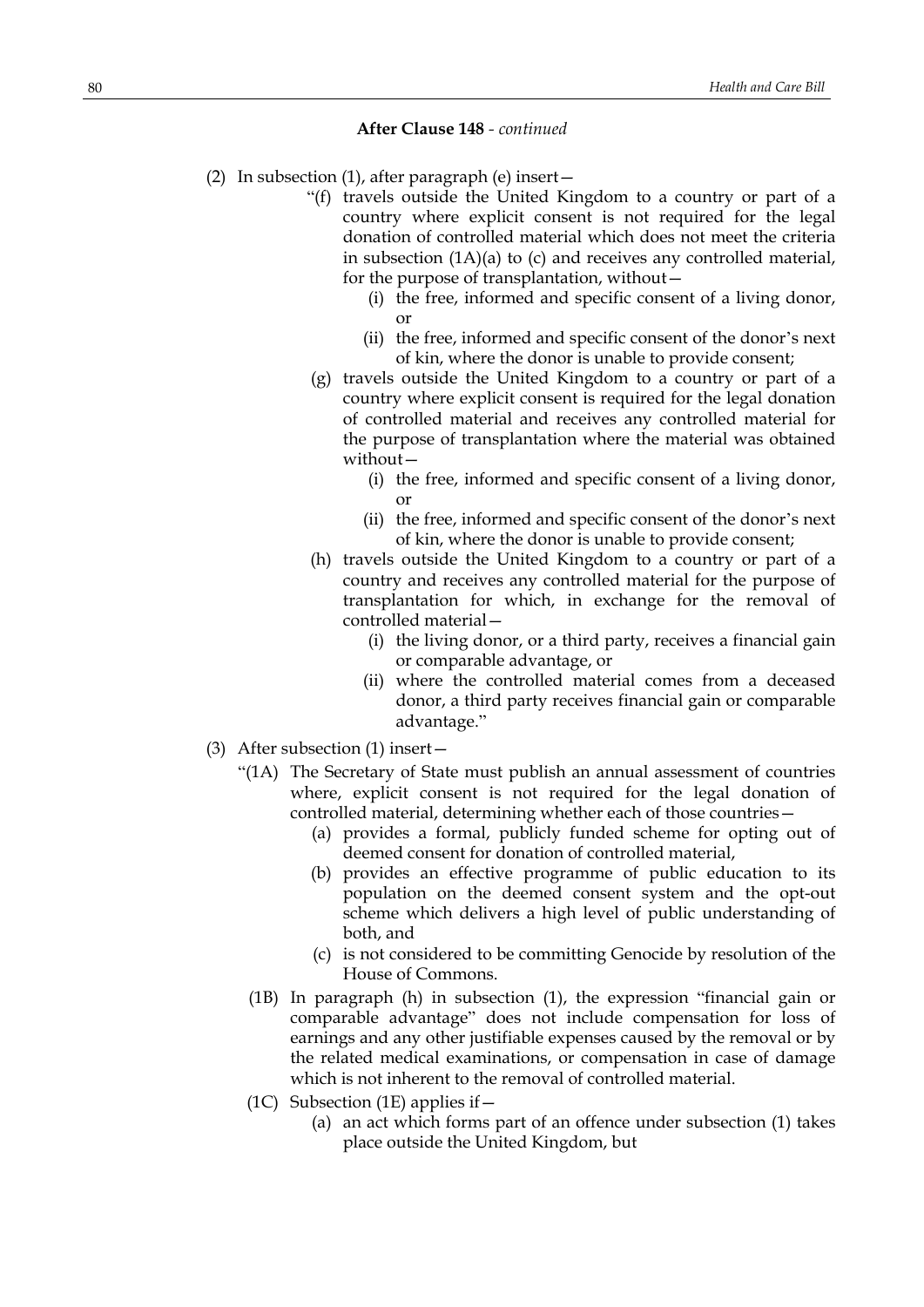- (2) In subsection (1), after paragraph (e) insert—
	- "(f) travels outside the United Kingdom to a country or part of a country where explicit consent is not required for the legal donation of controlled material which does not meet the criteria in subsection (1A)(a) to (c) and receives any controlled material, for the purpose of transplantation, without—
		- (i) the free, informed and specific consent of a living donor, or
		- (ii) the free, informed and specific consent of the donor's next of kin, where the donor is unable to provide consent;
	- (g) travels outside the United Kingdom to a country or part of a country where explicit consent is required for the legal donation of controlled material and receives any controlled material for the purpose of transplantation where the material was obtained without—
		- (i) the free, informed and specific consent of a living donor, or
		- (ii) the free, informed and specific consent of the donor's next of kin, where the donor is unable to provide consent;
	- (h) travels outside the United Kingdom to a country or part of a country and receives any controlled material for the purpose of transplantation for which, in exchange for the removal of controlled material—
		- (i) the living donor, or a third party, receives a financial gain or comparable advantage, or
		- (ii) where the controlled material comes from a deceased donor, a third party receives financial gain or comparable advantage."
- (3) After subsection (1) insert—
	- "(1A) The Secretary of State must publish an annual assessment of countries where, explicit consent is not required for the legal donation of controlled material, determining whether each of those countries—
		- (a) provides a formal, publicly funded scheme for opting out of deemed consent for donation of controlled material,
		- (b) provides an effective programme of public education to its population on the deemed consent system and the opt-out scheme which delivers a high level of public understanding of both, and
		- (c) is not considered to be committing Genocide by resolution of the House of Commons.
		- (1B) In paragraph (h) in subsection (1), the expression "financial gain or comparable advantage" does not include compensation for loss of earnings and any other justifiable expenses caused by the removal or by the related medical examinations, or compensation in case of damage which is not inherent to the removal of controlled material.
		- (1C) Subsection (1E) applies if  $-$ 
			- (a) an act which forms part of an offence under subsection (1) takes place outside the United Kingdom, but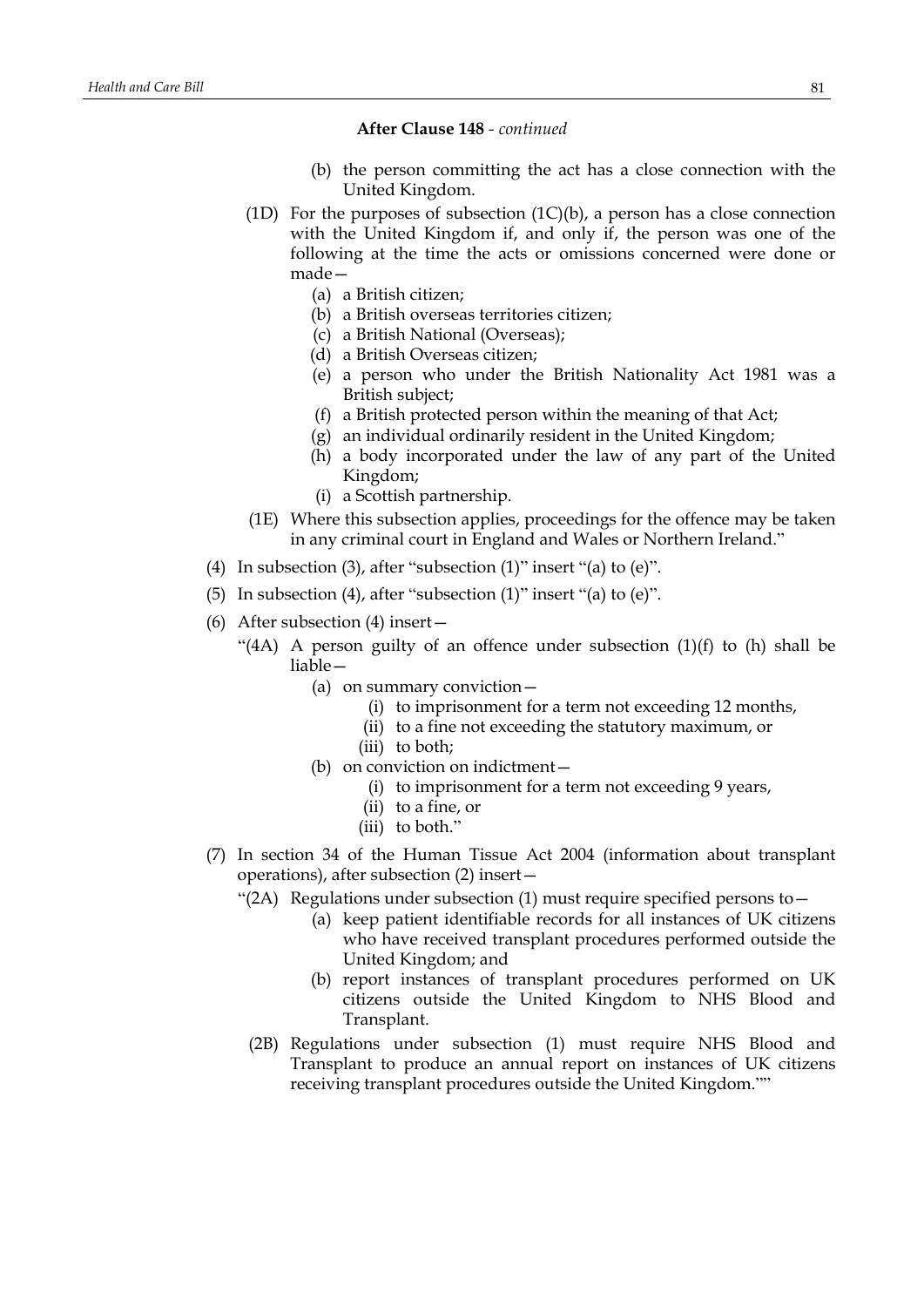- (b) the person committing the act has a close connection with the United Kingdom.
- (1D) For the purposes of subsection  $(1C)(b)$ , a person has a close connection with the United Kingdom if, and only if, the person was one of the following at the time the acts or omissions concerned were done or made—
	- (a) a British citizen;
	- (b) a British overseas territories citizen;
	- (c) a British National (Overseas);
	- (d) a British Overseas citizen;
	- (e) a person who under the British Nationality Act 1981 was a British subject;
	- (f) a British protected person within the meaning of that Act;
	- (g) an individual ordinarily resident in the United Kingdom;
	- (h) a body incorporated under the law of any part of the United Kingdom;
	- (i) a Scottish partnership.
- (1E) Where this subsection applies, proceedings for the offence may be taken in any criminal court in England and Wales or Northern Ireland."
- (4) In subsection (3), after "subsection (1)" insert "(a) to  $(e)$ ".
- (5) In subsection (4), after "subsection (1)" insert "(a) to (e)".
- (6) After subsection (4) insert—
	- "(4A) A person guilty of an offence under subsection  $(1)(f)$  to  $(h)$  shall be liable—
		- (a) on summary conviction—
			- (i) to imprisonment for a term not exceeding 12 months,
			- (ii) to a fine not exceeding the statutory maximum, or
			- (iii) to both;
		- (b) on conviction on indictment—
			- (i) to imprisonment for a term not exceeding 9 years,
			- (ii) to a fine, or
			- (iii) to both."
- (7) In section 34 of the Human Tissue Act 2004 (information about transplant operations), after subsection (2) insert—
	- "(2A) Regulations under subsection (1) must require specified persons to  $-$ 
		- (a) keep patient identifiable records for all instances of UK citizens who have received transplant procedures performed outside the United Kingdom; and
		- (b) report instances of transplant procedures performed on UK citizens outside the United Kingdom to NHS Blood and Transplant.
		- (2B) Regulations under subsection (1) must require NHS Blood and Transplant to produce an annual report on instances of UK citizens receiving transplant procedures outside the United Kingdom.""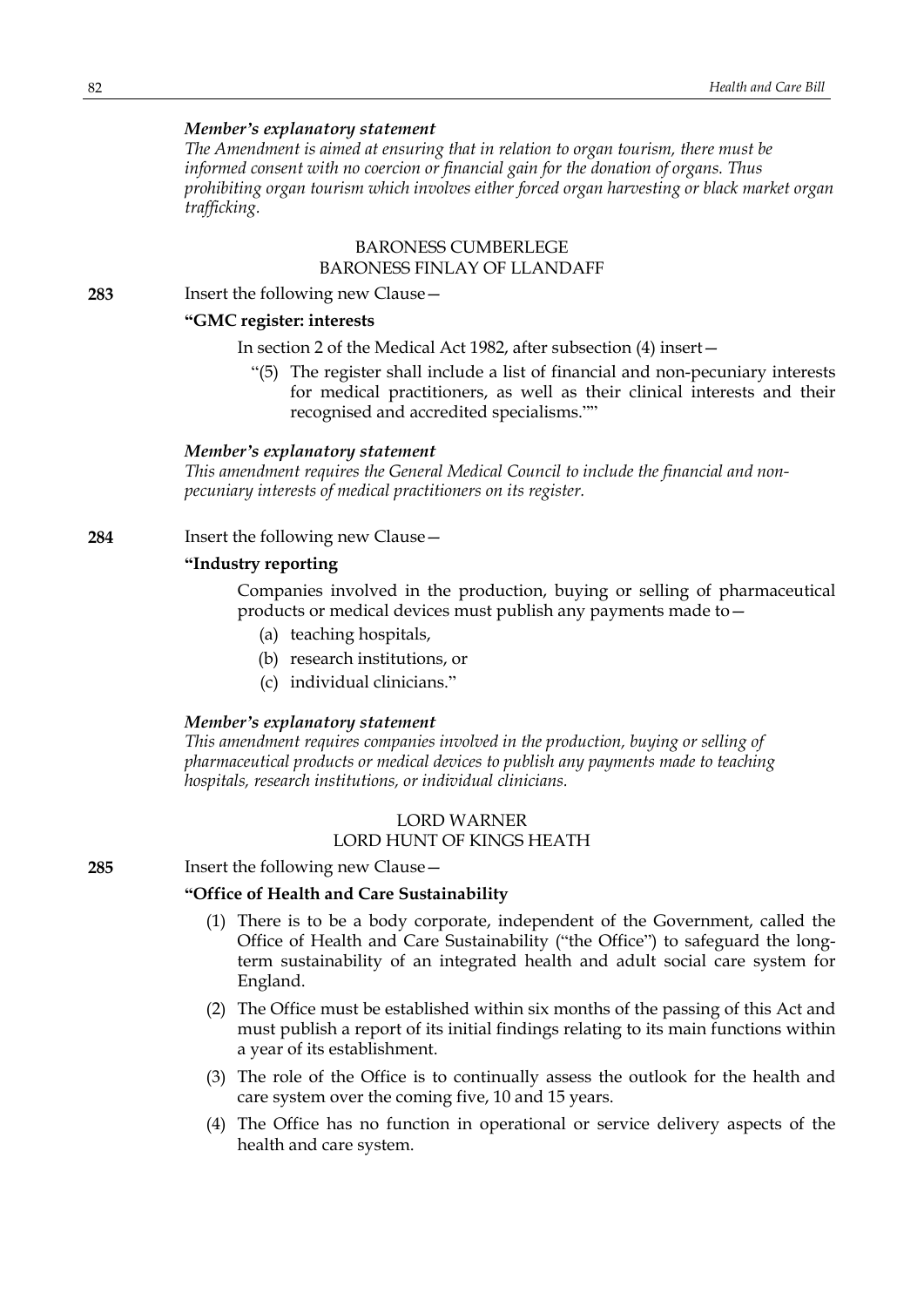#### *Member's explanatory statement*

*The Amendment is aimed at ensuring that in relation to organ tourism, there must be informed consent with no coercion or financial gain for the donation of organs. Thus prohibiting organ tourism which involves either forced organ harvesting or black market organ trafficking.*

### BARONESS CUMBERLEGE BARONESS FINLAY OF LLANDAFF

**283** Insert the following new Clause—

## **"GMC register: interests**

In section 2 of the Medical Act 1982, after subsection (4) insert—

"(5) The register shall include a list of financial and non-pecuniary interests for medical practitioners, as well as their clinical interests and their recognised and accredited specialisms.""

#### *Member's explanatory statement*

*This amendment requires the General Medical Council to include the financial and nonpecuniary interests of medical practitioners on its register.*

**284** Insert the following new Clause—

## **"Industry reporting**

Companies involved in the production, buying or selling of pharmaceutical products or medical devices must publish any payments made to—

- (a) teaching hospitals,
- (b) research institutions, or
- (c) individual clinicians."

### *Member's explanatory statement*

*This amendment requires companies involved in the production, buying or selling of pharmaceutical products or medical devices to publish any payments made to teaching hospitals, research institutions, or individual clinicians.*

## LORD WARNER

## LORD HUNT OF KINGS HEATH

**285** Insert the following new Clause—

# **"Office of Health and Care Sustainability**

- (1) There is to be a body corporate, independent of the Government, called the Office of Health and Care Sustainability ("the Office") to safeguard the longterm sustainability of an integrated health and adult social care system for England.
- (2) The Office must be established within six months of the passing of this Act and must publish a report of its initial findings relating to its main functions within a year of its establishment.
- (3) The role of the Office is to continually assess the outlook for the health and care system over the coming five, 10 and 15 years.
- (4) The Office has no function in operational or service delivery aspects of the health and care system.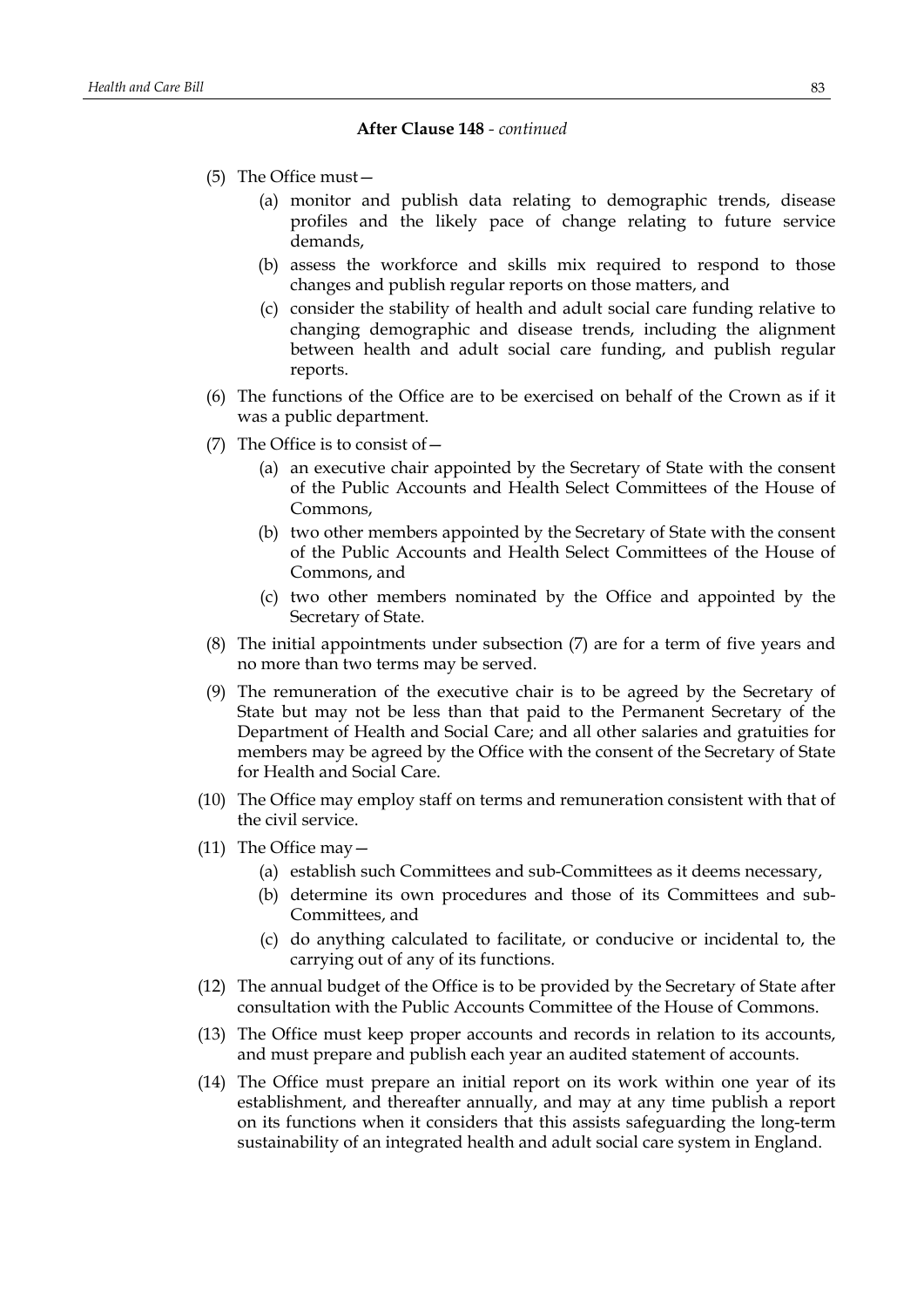- (5) The Office must—
	- (a) monitor and publish data relating to demographic trends, disease profiles and the likely pace of change relating to future service demands,
	- (b) assess the workforce and skills mix required to respond to those changes and publish regular reports on those matters, and
	- (c) consider the stability of health and adult social care funding relative to changing demographic and disease trends, including the alignment between health and adult social care funding, and publish regular reports.
- (6) The functions of the Office are to be exercised on behalf of the Crown as if it was a public department.
- (7) The Office is to consist of  $-$ 
	- (a) an executive chair appointed by the Secretary of State with the consent of the Public Accounts and Health Select Committees of the House of Commons,
	- (b) two other members appointed by the Secretary of State with the consent of the Public Accounts and Health Select Committees of the House of Commons, and
	- (c) two other members nominated by the Office and appointed by the Secretary of State.
- (8) The initial appointments under subsection (7) are for a term of five years and no more than two terms may be served.
- (9) The remuneration of the executive chair is to be agreed by the Secretary of State but may not be less than that paid to the Permanent Secretary of the Department of Health and Social Care; and all other salaries and gratuities for members may be agreed by the Office with the consent of the Secretary of State for Health and Social Care.
- (10) The Office may employ staff on terms and remuneration consistent with that of the civil service.
- (11) The Office may—
	- (a) establish such Committees and sub-Committees as it deems necessary,
	- (b) determine its own procedures and those of its Committees and sub-Committees, and
	- (c) do anything calculated to facilitate, or conducive or incidental to, the carrying out of any of its functions.
- (12) The annual budget of the Office is to be provided by the Secretary of State after consultation with the Public Accounts Committee of the House of Commons.
- (13) The Office must keep proper accounts and records in relation to its accounts, and must prepare and publish each year an audited statement of accounts.
- (14) The Office must prepare an initial report on its work within one year of its establishment, and thereafter annually, and may at any time publish a report on its functions when it considers that this assists safeguarding the long-term sustainability of an integrated health and adult social care system in England.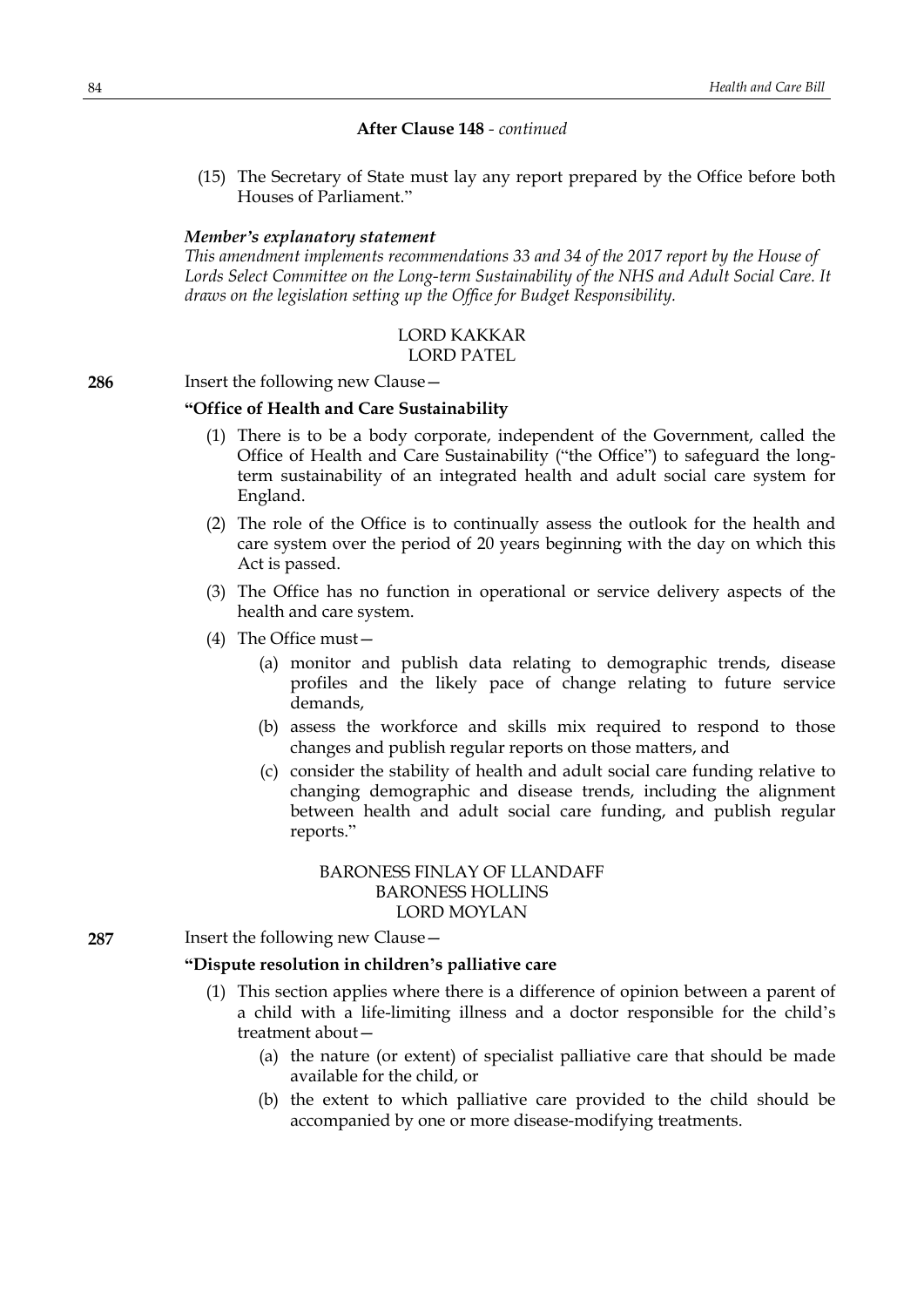(15) The Secretary of State must lay any report prepared by the Office before both Houses of Parliament."

### *Member's explanatory statement*

*This amendment implements recommendations 33 and 34 of the 2017 report by the House of Lords Select Committee on the Long-term Sustainability of the NHS and Adult Social Care. It draws on the legislation setting up the Office for Budget Responsibility.*

#### LORD KAKKAR LORD PATEL

#### **286** Insert the following new Clause—

#### **"Office of Health and Care Sustainability**

- (1) There is to be a body corporate, independent of the Government, called the Office of Health and Care Sustainability ("the Office") to safeguard the longterm sustainability of an integrated health and adult social care system for England.
- (2) The role of the Office is to continually assess the outlook for the health and care system over the period of 20 years beginning with the day on which this Act is passed.
- (3) The Office has no function in operational or service delivery aspects of the health and care system.
- (4) The Office must—
	- (a) monitor and publish data relating to demographic trends, disease profiles and the likely pace of change relating to future service demands,
	- (b) assess the workforce and skills mix required to respond to those changes and publish regular reports on those matters, and
	- (c) consider the stability of health and adult social care funding relative to changing demographic and disease trends, including the alignment between health and adult social care funding, and publish regular reports."

## BARONESS FINLAY OF LLANDAFF BARONESS HOLLINS LORD MOYLAN

**287** Insert the following new Clause—

## **"Dispute resolution in children's palliative care**

- (1) This section applies where there is a difference of opinion between a parent of a child with a life-limiting illness and a doctor responsible for the child's treatment about—
	- (a) the nature (or extent) of specialist palliative care that should be made available for the child, or
	- (b) the extent to which palliative care provided to the child should be accompanied by one or more disease-modifying treatments.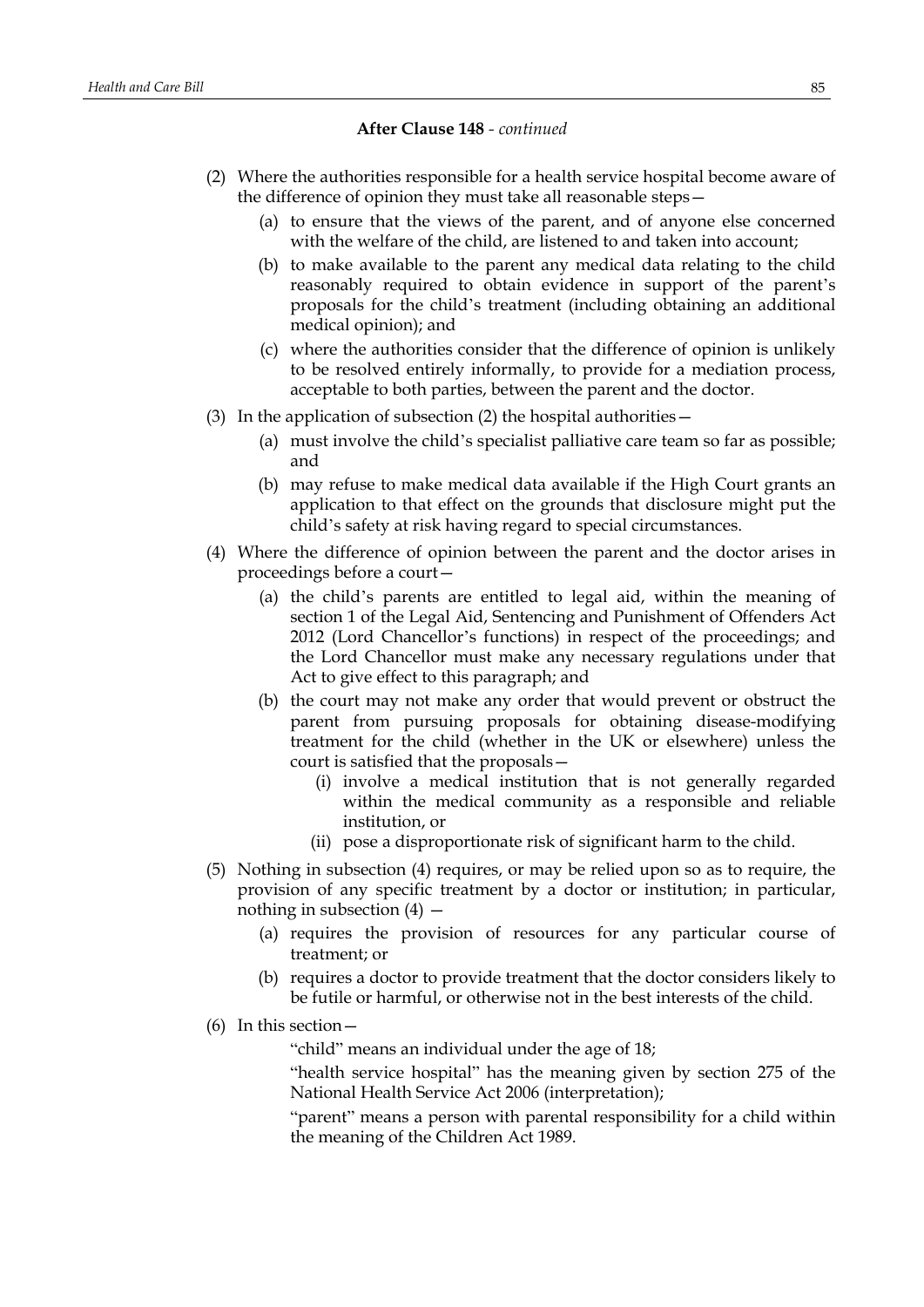- (2) Where the authorities responsible for a health service hospital become aware of the difference of opinion they must take all reasonable steps—
	- (a) to ensure that the views of the parent, and of anyone else concerned with the welfare of the child, are listened to and taken into account;
	- (b) to make available to the parent any medical data relating to the child reasonably required to obtain evidence in support of the parent's proposals for the child's treatment (including obtaining an additional medical opinion); and
	- (c) where the authorities consider that the difference of opinion is unlikely to be resolved entirely informally, to provide for a mediation process, acceptable to both parties, between the parent and the doctor.
- (3) In the application of subsection (2) the hospital authorities  $-$ 
	- (a) must involve the child's specialist palliative care team so far as possible; and
	- (b) may refuse to make medical data available if the High Court grants an application to that effect on the grounds that disclosure might put the child's safety at risk having regard to special circumstances.
- (4) Where the difference of opinion between the parent and the doctor arises in proceedings before a court—
	- (a) the child's parents are entitled to legal aid, within the meaning of section 1 of the Legal Aid, Sentencing and Punishment of Offenders Act 2012 (Lord Chancellor's functions) in respect of the proceedings; and the Lord Chancellor must make any necessary regulations under that Act to give effect to this paragraph; and
	- (b) the court may not make any order that would prevent or obstruct the parent from pursuing proposals for obtaining disease-modifying treatment for the child (whether in the UK or elsewhere) unless the court is satisfied that the proposals—
		- (i) involve a medical institution that is not generally regarded within the medical community as a responsible and reliable institution, or
		- (ii) pose a disproportionate risk of significant harm to the child.
- (5) Nothing in subsection (4) requires, or may be relied upon so as to require, the provision of any specific treatment by a doctor or institution; in particular, nothing in subsection  $(4)$  –
	- (a) requires the provision of resources for any particular course of treatment; or
	- (b) requires a doctor to provide treatment that the doctor considers likely to be futile or harmful, or otherwise not in the best interests of the child.
- (6) In this section—

"child" means an individual under the age of 18;

"health service hospital" has the meaning given by section 275 of the National Health Service Act 2006 (interpretation);

"parent" means a person with parental responsibility for a child within the meaning of the Children Act 1989.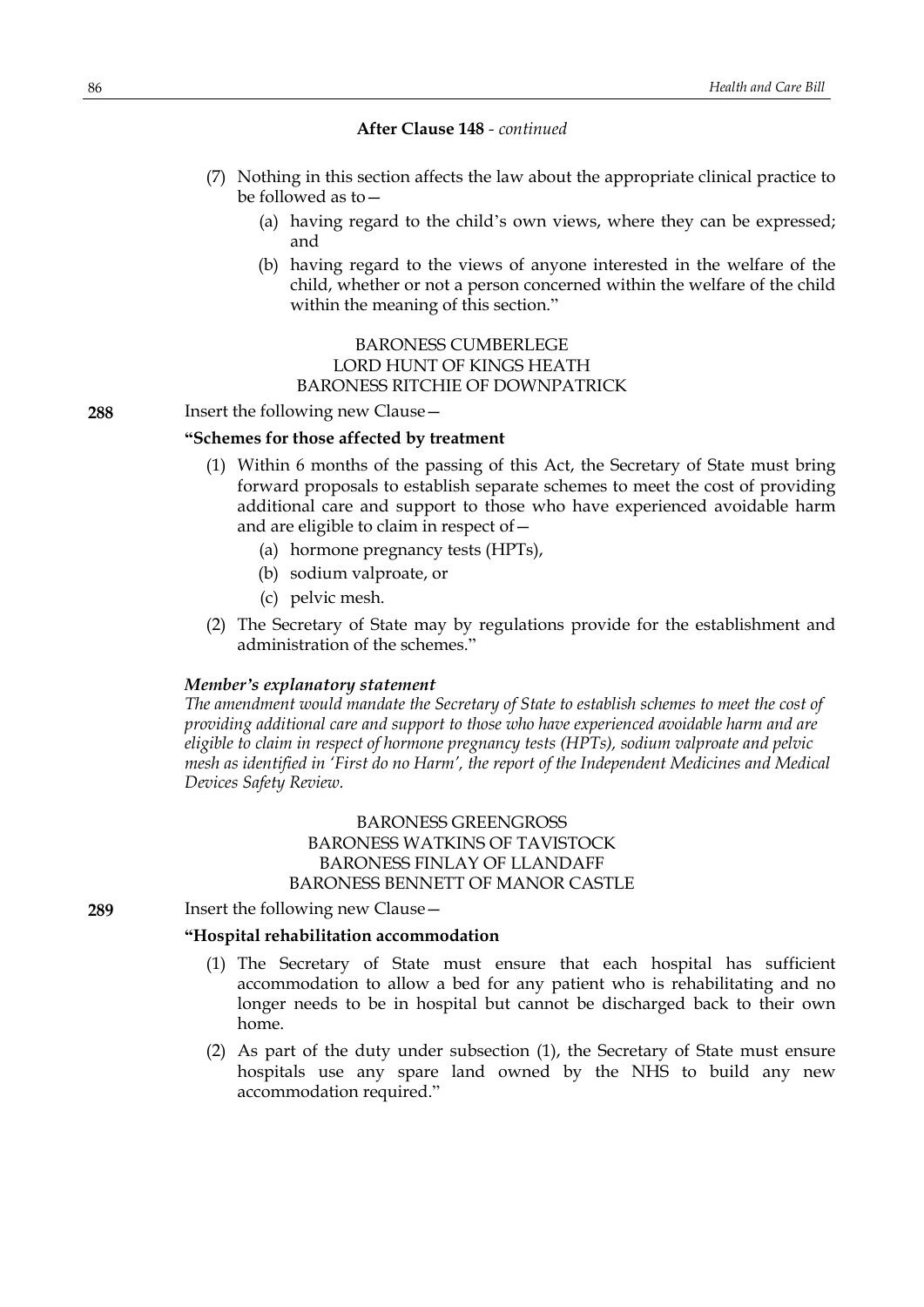- (7) Nothing in this section affects the law about the appropriate clinical practice to be followed as to—
	- (a) having regard to the child's own views, where they can be expressed; and
	- (b) having regard to the views of anyone interested in the welfare of the child, whether or not a person concerned within the welfare of the child within the meaning of this section."

## BARONESS CUMBERLEGE LORD HUNT OF KINGS HEATH BARONESS RITCHIE OF DOWNPATRICK

**288** Insert the following new Clause—

#### **"Schemes for those affected by treatment**

- (1) Within 6 months of the passing of this Act, the Secretary of State must bring forward proposals to establish separate schemes to meet the cost of providing additional care and support to those who have experienced avoidable harm and are eligible to claim in respect of—
	- (a) hormone pregnancy tests (HPTs),
	- (b) sodium valproate, or
	- (c) pelvic mesh.
- (2) The Secretary of State may by regulations provide for the establishment and administration of the schemes."

#### *Member's explanatory statement*

*The amendment would mandate the Secretary of State to establish schemes to meet the cost of providing additional care and support to those who have experienced avoidable harm and are eligible to claim in respect of hormone pregnancy tests (HPTs), sodium valproate and pelvic mesh as identified in 'First do no Harm', the report of the Independent Medicines and Medical Devices Safety Review.*

# BARONESS GREENGROSS BARONESS WATKINS OF TAVISTOCK BARONESS FINLAY OF LLANDAFF BARONESS BENNETT OF MANOR CASTLE

**289** Insert the following new Clause—

### **"Hospital rehabilitation accommodation**

- (1) The Secretary of State must ensure that each hospital has sufficient accommodation to allow a bed for any patient who is rehabilitating and no longer needs to be in hospital but cannot be discharged back to their own home.
- (2) As part of the duty under subsection (1), the Secretary of State must ensure hospitals use any spare land owned by the NHS to build any new accommodation required."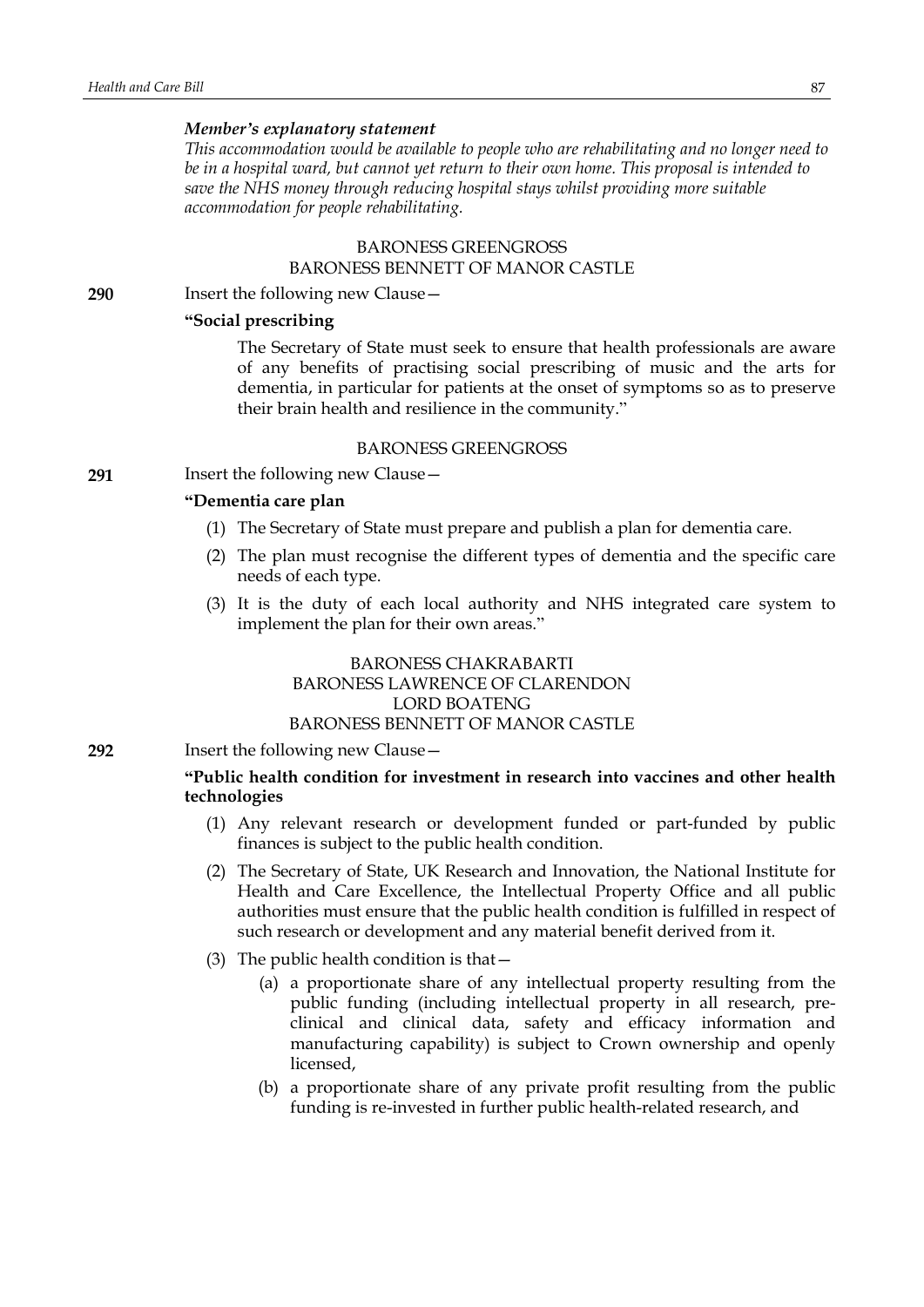## *Member's explanatory statement*

*This accommodation would be available to people who are rehabilitating and no longer need to be in a hospital ward, but cannot yet return to their own home. This proposal is intended to save the NHS money through reducing hospital stays whilst providing more suitable accommodation for people rehabilitating.*

## BARONESS GREENGROSS BARONESS BENNETT OF MANOR CASTLE

**290** Insert the following new Clause—

### **"Social prescribing**

The Secretary of State must seek to ensure that health professionals are aware of any benefits of practising social prescribing of music and the arts for dementia, in particular for patients at the onset of symptoms so as to preserve their brain health and resilience in the community."

#### BARONESS GREENGROSS

**291** Insert the following new Clause—

# **"Dementia care plan**

- (1) The Secretary of State must prepare and publish a plan for dementia care.
- (2) The plan must recognise the different types of dementia and the specific care needs of each type.
- (3) It is the duty of each local authority and NHS integrated care system to implement the plan for their own areas."

# BARONESS CHAKRABARTI BARONESS LAWRENCE OF CLARENDON LORD BOATENG BARONESS BENNETT OF MANOR CASTLE

**292** Insert the following new Clause—

## **"Public health condition for investment in research into vaccines and other health technologies**

- (1) Any relevant research or development funded or part-funded by public finances is subject to the public health condition.
- (2) The Secretary of State, UK Research and Innovation, the National Institute for Health and Care Excellence, the Intellectual Property Office and all public authorities must ensure that the public health condition is fulfilled in respect of such research or development and any material benefit derived from it.
- (3) The public health condition is that—
	- (a) a proportionate share of any intellectual property resulting from the public funding (including intellectual property in all research, preclinical and clinical data, safety and efficacy information and manufacturing capability) is subject to Crown ownership and openly licensed,
	- (b) a proportionate share of any private profit resulting from the public funding is re-invested in further public health-related research, and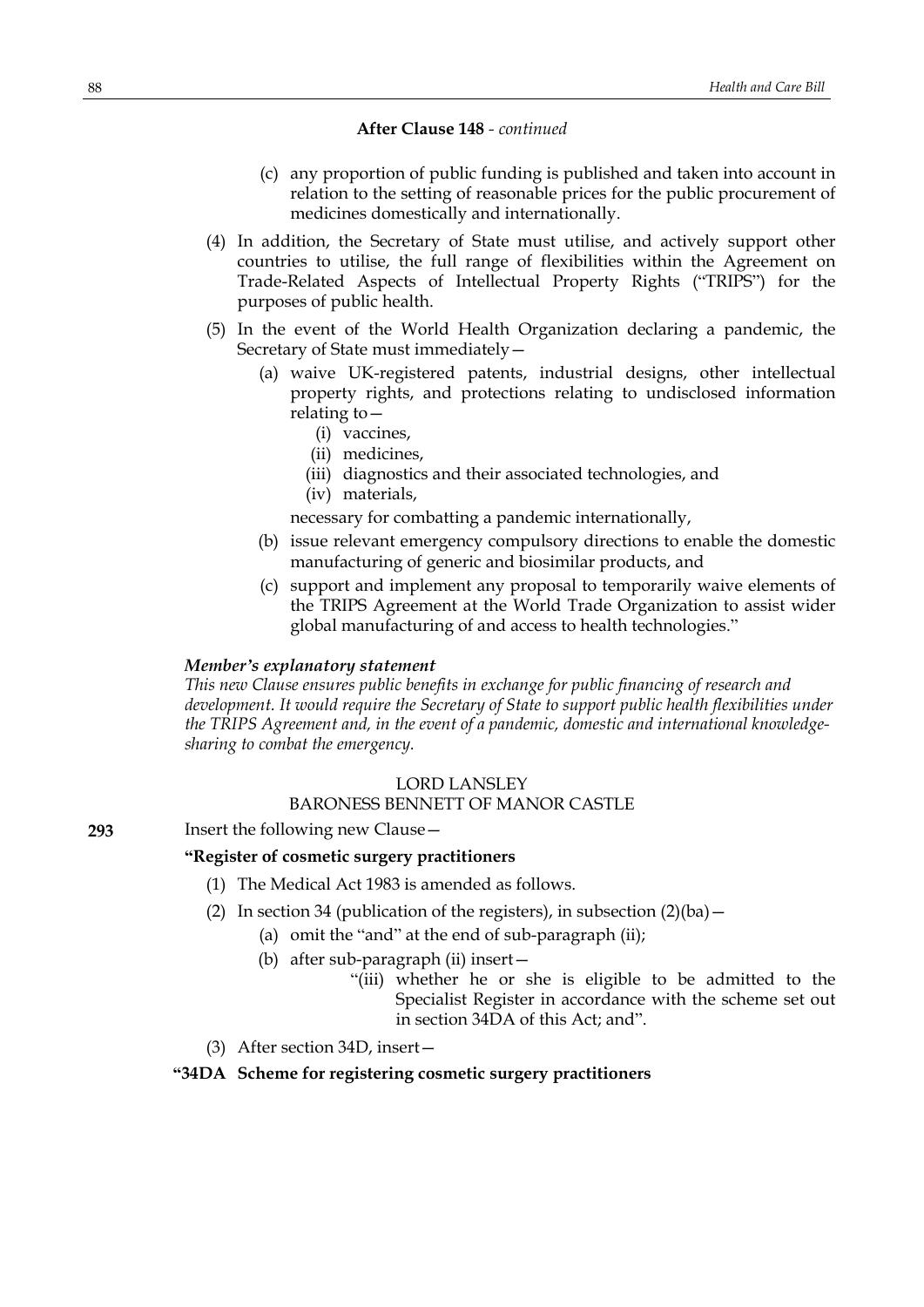- (c) any proportion of public funding is published and taken into account in relation to the setting of reasonable prices for the public procurement of medicines domestically and internationally.
- (4) In addition, the Secretary of State must utilise, and actively support other countries to utilise, the full range of flexibilities within the Agreement on Trade-Related Aspects of Intellectual Property Rights ("TRIPS") for the purposes of public health.
- (5) In the event of the World Health Organization declaring a pandemic, the Secretary of State must immediately—
	- (a) waive UK-registered patents, industrial designs, other intellectual property rights, and protections relating to undisclosed information relating to—
		- (i) vaccines,
		- (ii) medicines,
		- (iii) diagnostics and their associated technologies, and
		- (iv) materials,

necessary for combatting a pandemic internationally,

- (b) issue relevant emergency compulsory directions to enable the domestic manufacturing of generic and biosimilar products, and
- (c) support and implement any proposal to temporarily waive elements of the TRIPS Agreement at the World Trade Organization to assist wider global manufacturing of and access to health technologies."

#### *Member's explanatory statement*

*This new Clause ensures public benefits in exchange for public financing of research and development. It would require the Secretary of State to support public health flexibilities under the TRIPS Agreement and, in the event of a pandemic, domestic and international knowledgesharing to combat the emergency.*

### LORD LANSLEY

## BARONESS BENNETT OF MANOR CASTLE

## **293** Insert the following new Clause—

## **"Register of cosmetic surgery practitioners**

- (1) The Medical Act 1983 is amended as follows.
- (2) In section 34 (publication of the registers), in subsection  $(2)(ba)$  -
	- (a) omit the "and" at the end of sub-paragraph (ii);
	- (b) after sub-paragraph (ii) insert—
		- "(iii) whether he or she is eligible to be admitted to the Specialist Register in accordance with the scheme set out in section 34DA of this Act; and".
- (3) After section 34D, insert—

# **"34DA Scheme for registering cosmetic surgery practitioners**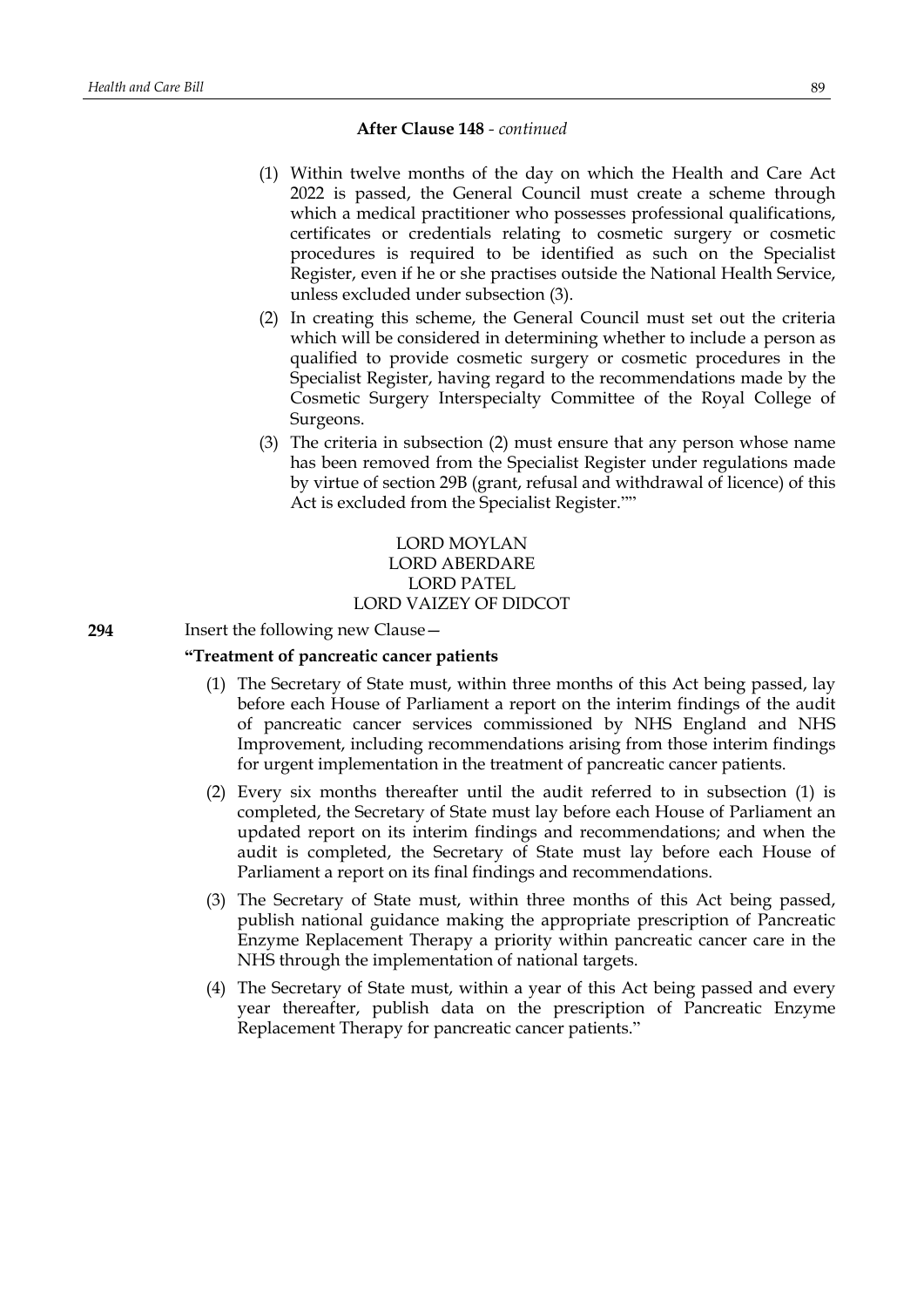- (1) Within twelve months of the day on which the Health and Care Act 2022 is passed, the General Council must create a scheme through which a medical practitioner who possesses professional qualifications, certificates or credentials relating to cosmetic surgery or cosmetic procedures is required to be identified as such on the Specialist Register, even if he or she practises outside the National Health Service, unless excluded under subsection (3).
- (2) In creating this scheme, the General Council must set out the criteria which will be considered in determining whether to include a person as qualified to provide cosmetic surgery or cosmetic procedures in the Specialist Register, having regard to the recommendations made by the Cosmetic Surgery Interspecialty Committee of the Royal College of Surgeons.
- (3) The criteria in subsection (2) must ensure that any person whose name has been removed from the Specialist Register under regulations made by virtue of section 29B (grant, refusal and withdrawal of licence) of this Act is excluded from the Specialist Register.""

## LORD MOYLAN LORD ABERDARE LORD PATEL LORD VAIZEY OF DIDCOT

**294** Insert the following new Clause—

## **"Treatment of pancreatic cancer patients**

- (1) The Secretary of State must, within three months of this Act being passed, lay before each House of Parliament a report on the interim findings of the audit of pancreatic cancer services commissioned by NHS England and NHS Improvement, including recommendations arising from those interim findings for urgent implementation in the treatment of pancreatic cancer patients.
- (2) Every six months thereafter until the audit referred to in subsection (1) is completed, the Secretary of State must lay before each House of Parliament an updated report on its interim findings and recommendations; and when the audit is completed, the Secretary of State must lay before each House of Parliament a report on its final findings and recommendations.
- (3) The Secretary of State must, within three months of this Act being passed, publish national guidance making the appropriate prescription of Pancreatic Enzyme Replacement Therapy a priority within pancreatic cancer care in the NHS through the implementation of national targets.
- (4) The Secretary of State must, within a year of this Act being passed and every year thereafter, publish data on the prescription of Pancreatic Enzyme Replacement Therapy for pancreatic cancer patients."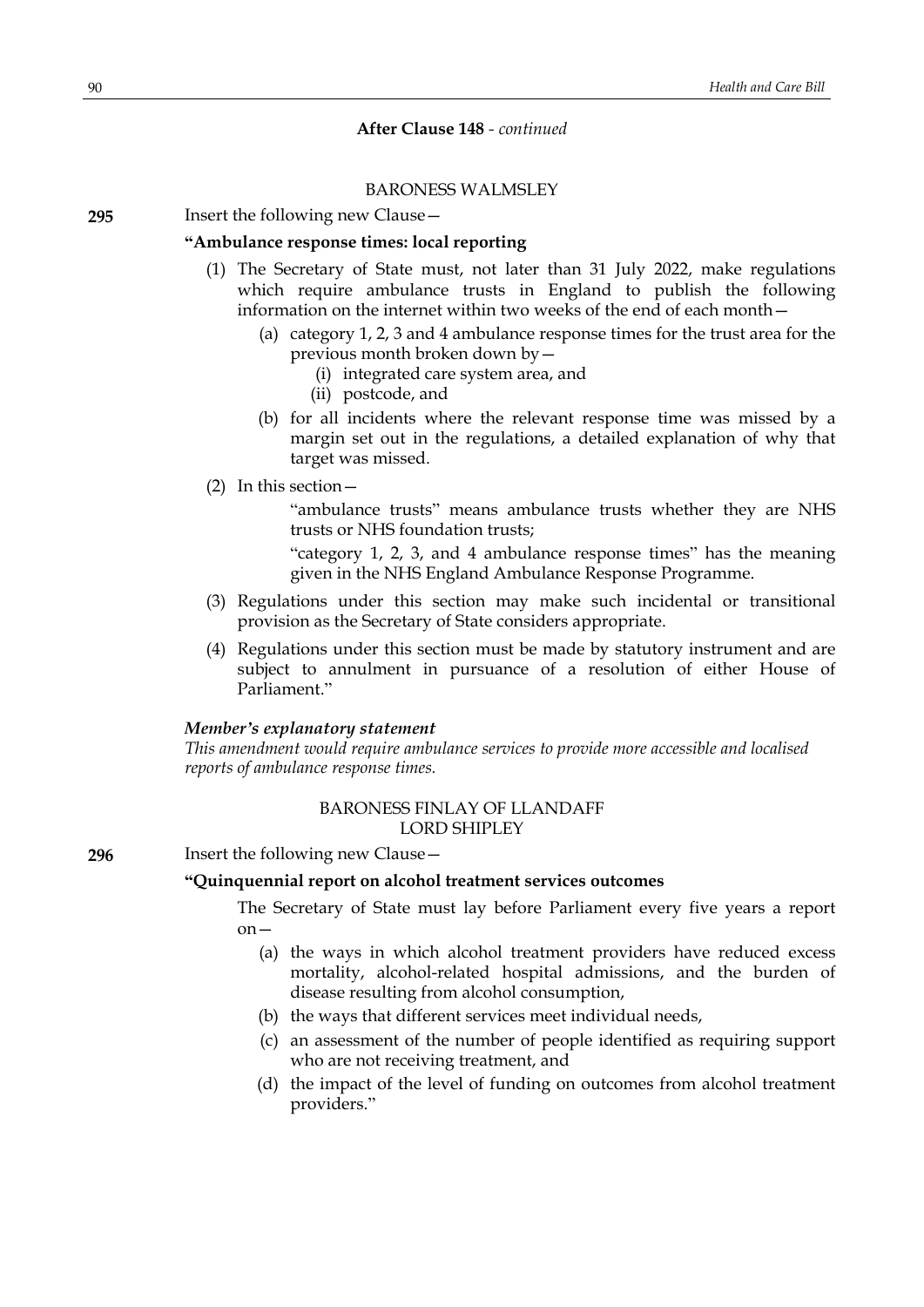## BARONESS WALMSLEY

**295** Insert the following new Clause—

#### **"Ambulance response times: local reporting**

- (1) The Secretary of State must, not later than 31 July 2022, make regulations which require ambulance trusts in England to publish the following information on the internet within two weeks of the end of each month-
	- (a) category 1, 2, 3 and 4 ambulance response times for the trust area for the previous month broken down by—
		- (i) integrated care system area, and
		- (ii) postcode, and
	- (b) for all incidents where the relevant response time was missed by a margin set out in the regulations, a detailed explanation of why that target was missed.
- (2) In this section—

"ambulance trusts" means ambulance trusts whether they are NHS trusts or NHS foundation trusts;

"category 1, 2, 3, and 4 ambulance response times" has the meaning given in the NHS England Ambulance Response Programme.

- (3) Regulations under this section may make such incidental or transitional provision as the Secretary of State considers appropriate.
- (4) Regulations under this section must be made by statutory instrument and are subject to annulment in pursuance of a resolution of either House of Parliament."

#### *Member's explanatory statement*

*This amendment would require ambulance services to provide more accessible and localised reports of ambulance response times.*

# BARONESS FINLAY OF LLANDAFF LORD SHIPLEY

**296** Insert the following new Clause—

#### **"Quinquennial report on alcohol treatment services outcomes**

The Secretary of State must lay before Parliament every five years a report on—

- (a) the ways in which alcohol treatment providers have reduced excess mortality, alcohol-related hospital admissions, and the burden of disease resulting from alcohol consumption,
- (b) the ways that different services meet individual needs,
- (c) an assessment of the number of people identified as requiring support who are not receiving treatment, and
- (d) the impact of the level of funding on outcomes from alcohol treatment providers."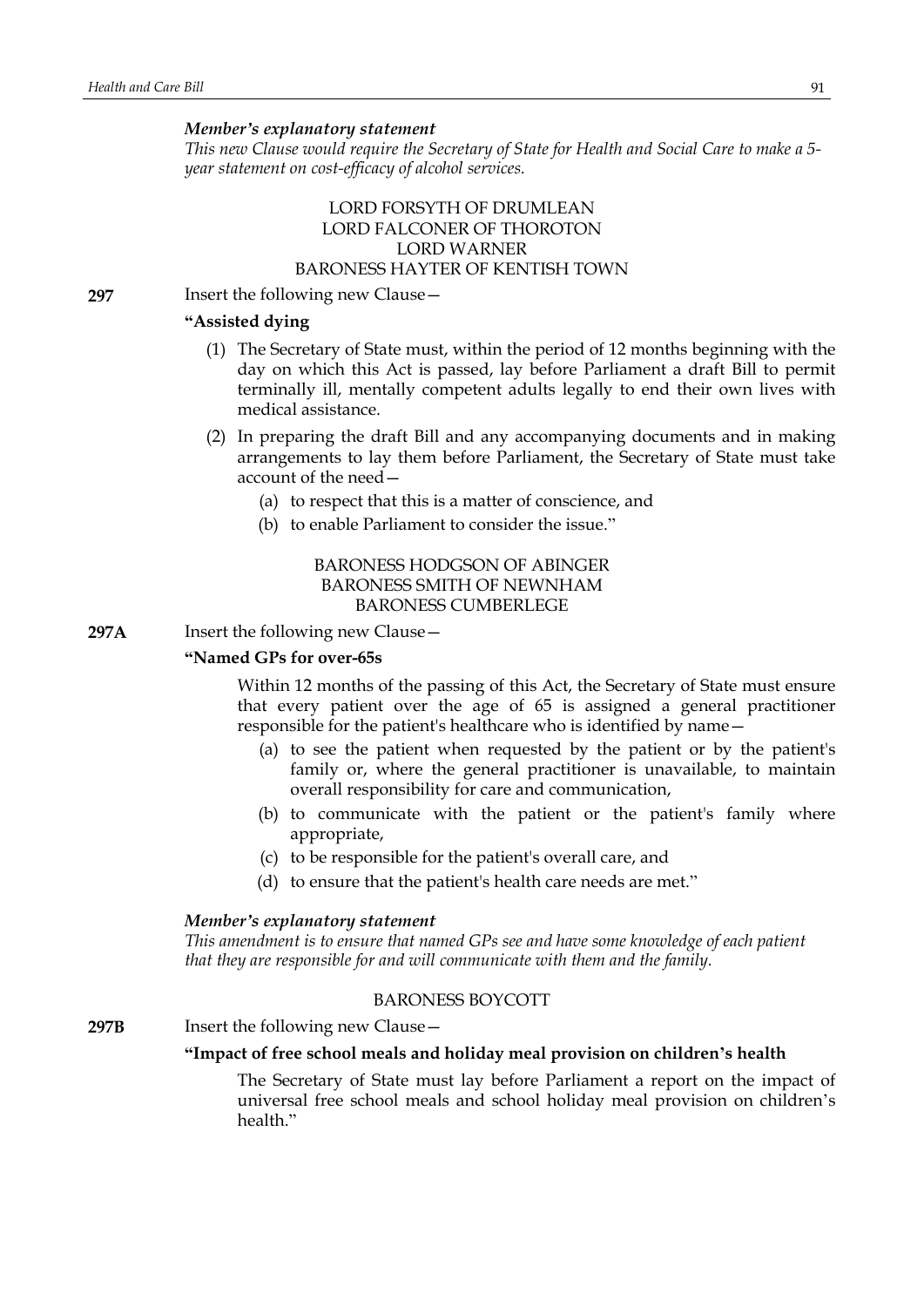#### *Member's explanatory statement*

*This new Clause would require the Secretary of State for Health and Social Care to make a 5 year statement on cost-efficacy of alcohol services.*

# LORD FORSYTH OF DRUMLEAN LORD FALCONER OF THOROTON LORD WARNER BARONESS HAYTER OF KENTISH TOWN

**297** Insert the following new Clause—

## **"Assisted dying**

- (1) The Secretary of State must, within the period of 12 months beginning with the day on which this Act is passed, lay before Parliament a draft Bill to permit terminally ill, mentally competent adults legally to end their own lives with medical assistance.
- (2) In preparing the draft Bill and any accompanying documents and in making arrangements to lay them before Parliament, the Secretary of State must take account of the need—
	- (a) to respect that this is a matter of conscience, and
	- (b) to enable Parliament to consider the issue."

# BARONESS HODGSON OF ABINGER BARONESS SMITH OF NEWNHAM BARONESS CUMBERLEGE

**297A** Insert the following new Clause—

## **"Named GPs for over-65s**

Within 12 months of the passing of this Act, the Secretary of State must ensure that every patient over the age of 65 is assigned a general practitioner responsible for the patient's healthcare who is identified by name—

- (a) to see the patient when requested by the patient or by the patient's family or, where the general practitioner is unavailable, to maintain overall responsibility for care and communication,
- (b) to communicate with the patient or the patient's family where appropriate,
- (c) to be responsible for the patient's overall care, and
- (d) to ensure that the patient's health care needs are met."

#### *Member's explanatory statement*

*This amendment is to ensure that named GPs see and have some knowledge of each patient that they are responsible for and will communicate with them and the family.*

# BARONESS BOYCOTT

**297B** Insert the following new Clause –

#### **"Impact of free school meals and holiday meal provision on children's health**

The Secretary of State must lay before Parliament a report on the impact of universal free school meals and school holiday meal provision on children's health"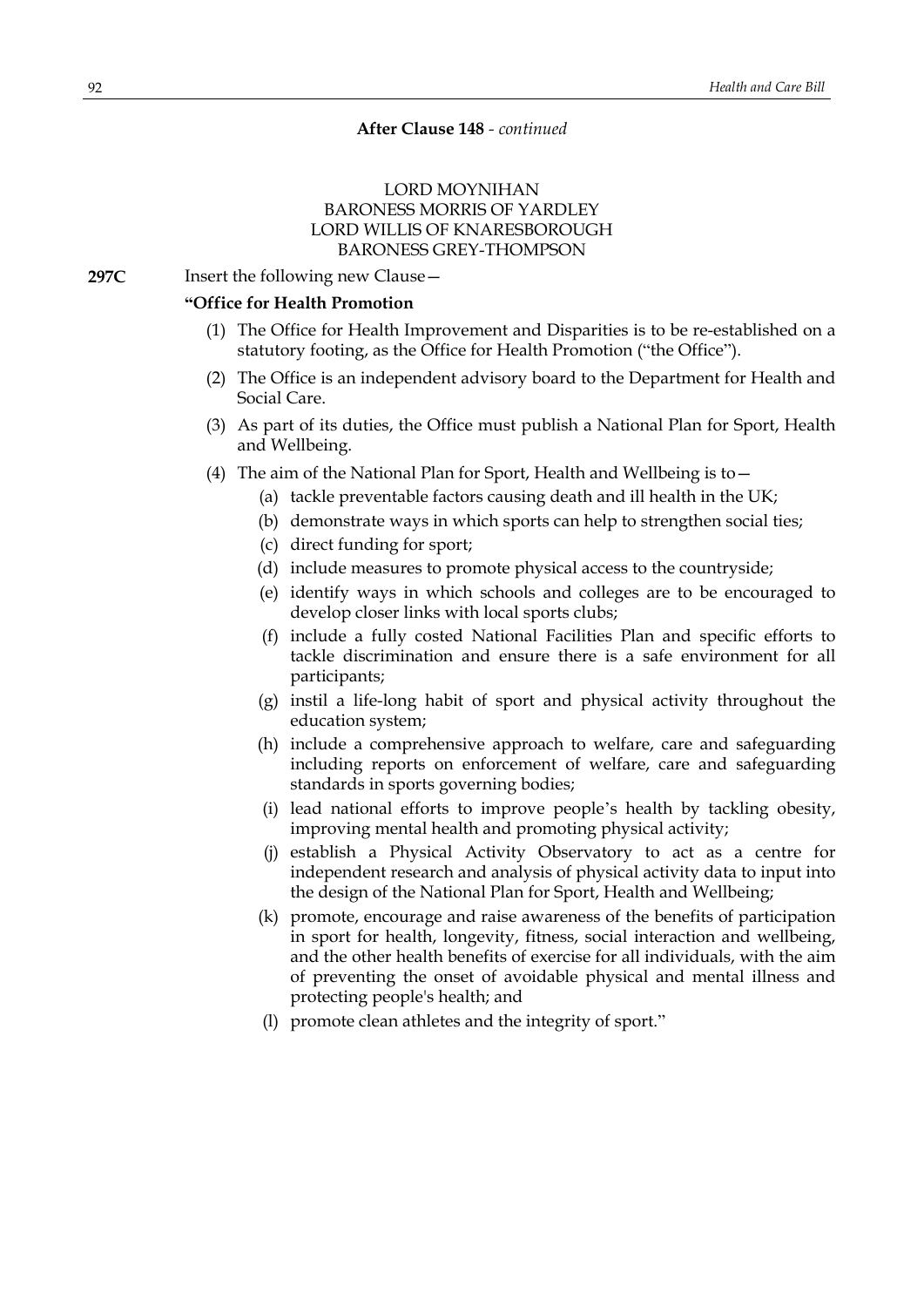# LORD MOYNIHAN BARONESS MORRIS OF YARDLEY LORD WILLIS OF KNARESBOROUGH BARONESS GREY-THOMPSON

**297C** Insert the following new Clause -

## **"Office for Health Promotion**

- (1) The Office for Health Improvement and Disparities is to be re-established on a statutory footing, as the Office for Health Promotion ("the Office").
- (2) The Office is an independent advisory board to the Department for Health and Social Care.
- (3) As part of its duties, the Office must publish a National Plan for Sport, Health and Wellbeing.
- (4) The aim of the National Plan for Sport, Health and Wellbeing is to  $-$ 
	- (a) tackle preventable factors causing death and ill health in the UK;
	- (b) demonstrate ways in which sports can help to strengthen social ties;
	- (c) direct funding for sport;
	- (d) include measures to promote physical access to the countryside;
	- (e) identify ways in which schools and colleges are to be encouraged to develop closer links with local sports clubs;
	- (f) include a fully costed National Facilities Plan and specific efforts to tackle discrimination and ensure there is a safe environment for all participants;
	- (g) instil a life-long habit of sport and physical activity throughout the education system;
	- (h) include a comprehensive approach to welfare, care and safeguarding including reports on enforcement of welfare, care and safeguarding standards in sports governing bodies;
	- (i) lead national efforts to improve people's health by tackling obesity, improving mental health and promoting physical activity;
	- (j) establish a Physical Activity Observatory to act as a centre for independent research and analysis of physical activity data to input into the design of the National Plan for Sport, Health and Wellbeing;
	- (k) promote, encourage and raise awareness of the benefits of participation in sport for health, longevity, fitness, social interaction and wellbeing, and the other health benefits of exercise for all individuals, with the aim of preventing the onset of avoidable physical and mental illness and protecting people's health; and
	- (l) promote clean athletes and the integrity of sport."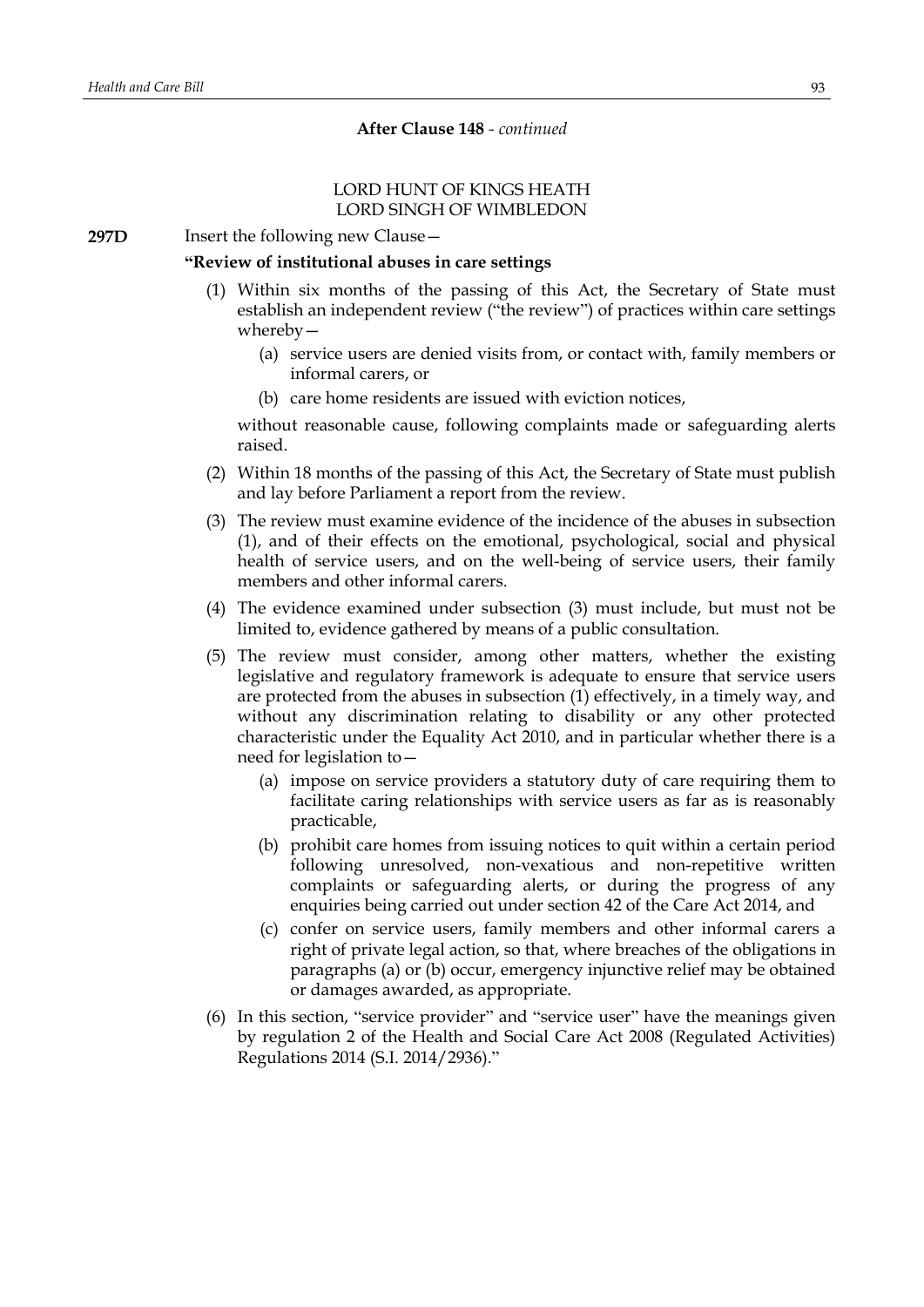## LORD HUNT OF KINGS HEATH LORD SINGH OF WIMBLEDON

**297D** Insert the following new Clause –

### **"Review of institutional abuses in care settings**

- (1) Within six months of the passing of this Act, the Secretary of State must establish an independent review ("the review") of practices within care settings whereby—
	- (a) service users are denied visits from, or contact with, family members or informal carers, or
	- (b) care home residents are issued with eviction notices,

without reasonable cause, following complaints made or safeguarding alerts raised.

- (2) Within 18 months of the passing of this Act, the Secretary of State must publish and lay before Parliament a report from the review.
- (3) The review must examine evidence of the incidence of the abuses in subsection (1), and of their effects on the emotional, psychological, social and physical health of service users, and on the well-being of service users, their family members and other informal carers.
- (4) The evidence examined under subsection (3) must include, but must not be limited to, evidence gathered by means of a public consultation.
- (5) The review must consider, among other matters, whether the existing legislative and regulatory framework is adequate to ensure that service users are protected from the abuses in subsection (1) effectively, in a timely way, and without any discrimination relating to disability or any other protected characteristic under the Equality Act 2010, and in particular whether there is a need for legislation to—
	- (a) impose on service providers a statutory duty of care requiring them to facilitate caring relationships with service users as far as is reasonably practicable,
	- (b) prohibit care homes from issuing notices to quit within a certain period following unresolved, non-vexatious and non-repetitive written complaints or safeguarding alerts, or during the progress of any enquiries being carried out under section 42 of the Care Act 2014, and
	- (c) confer on service users, family members and other informal carers a right of private legal action, so that, where breaches of the obligations in paragraphs (a) or (b) occur, emergency injunctive relief may be obtained or damages awarded, as appropriate.
- (6) In this section, "service provider" and "service user" have the meanings given by regulation 2 of the Health and Social Care Act 2008 (Regulated Activities) Regulations 2014 (S.I. 2014/2936)."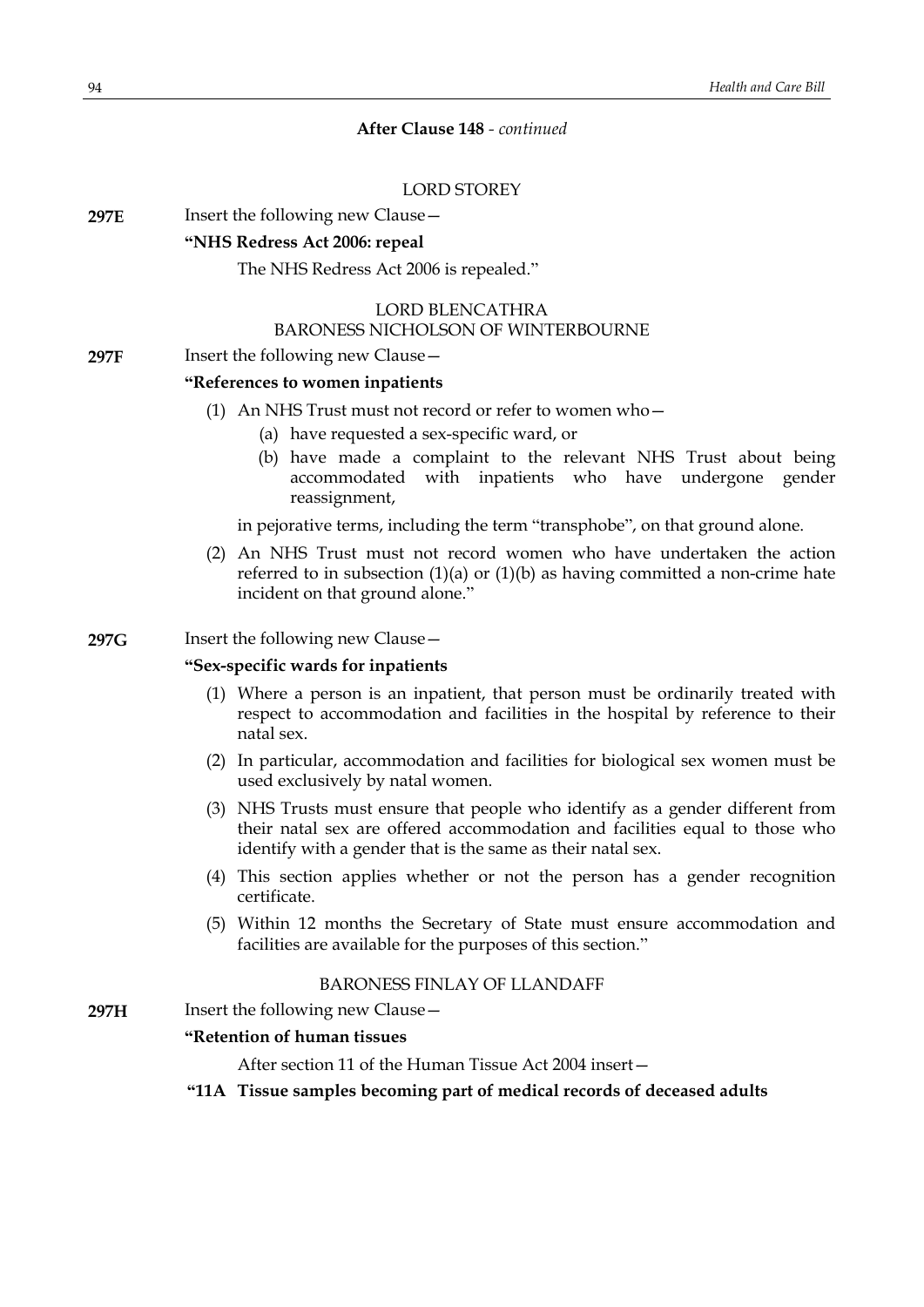## LORD STOREY

**297E** Insert the following new Clause -

## **"NHS Redress Act 2006: repeal**

#### The NHS Redress Act 2006 is repealed."

#### LORD BLENCATHRA BARONESS NICHOLSON OF WINTERBOURNE

### **297F** Insert the following new Clause -

#### **"References to women inpatients**

- (1) An NHS Trust must not record or refer to women who—
	- (a) have requested a sex-specific ward, or
	- (b) have made a complaint to the relevant NHS Trust about being accommodated with inpatients who have undergone gender reassignment,

in pejorative terms, including the term "transphobe", on that ground alone.

(2) An NHS Trust must not record women who have undertaken the action referred to in subsection  $(1)(a)$  or  $(1)(b)$  as having committed a non-crime hate incident on that ground alone."

#### **297G** Insert the following new Clause—

## **"Sex-specific wards for inpatients**

- (1) Where a person is an inpatient, that person must be ordinarily treated with respect to accommodation and facilities in the hospital by reference to their natal sex.
- (2) In particular, accommodation and facilities for biological sex women must be used exclusively by natal women.
- (3) NHS Trusts must ensure that people who identify as a gender different from their natal sex are offered accommodation and facilities equal to those who identify with a gender that is the same as their natal sex.
- (4) This section applies whether or not the person has a gender recognition certificate.
- (5) Within 12 months the Secretary of State must ensure accommodation and facilities are available for the purposes of this section."

### BARONESS FINLAY OF LLANDAFF

**297H** Insert the following new Clause—

## **"Retention of human tissues**

After section 11 of the Human Tissue Act 2004 insert—

**"11A Tissue samples becoming part of medical records of deceased adults**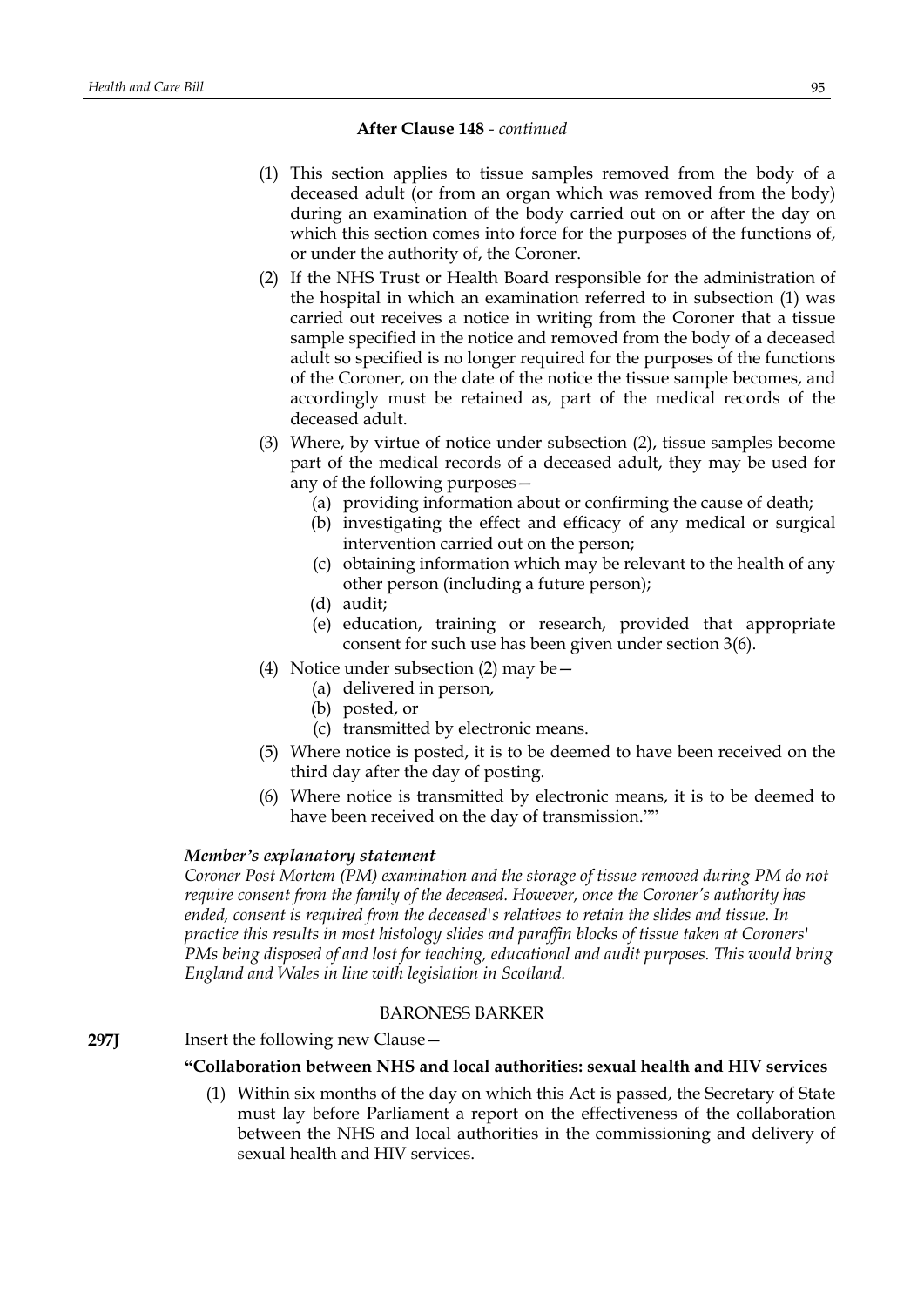- (1) This section applies to tissue samples removed from the body of a deceased adult (or from an organ which was removed from the body) during an examination of the body carried out on or after the day on which this section comes into force for the purposes of the functions of, or under the authority of, the Coroner.
- (2) If the NHS Trust or Health Board responsible for the administration of the hospital in which an examination referred to in subsection (1) was carried out receives a notice in writing from the Coroner that a tissue sample specified in the notice and removed from the body of a deceased adult so specified is no longer required for the purposes of the functions of the Coroner, on the date of the notice the tissue sample becomes, and accordingly must be retained as, part of the medical records of the deceased adult.
- (3) Where, by virtue of notice under subsection (2), tissue samples become part of the medical records of a deceased adult, they may be used for any of the following purposes—
	- (a) providing information about or confirming the cause of death;
	- (b) investigating the effect and efficacy of any medical or surgical intervention carried out on the person;
	- (c) obtaining information which may be relevant to the health of any other person (including a future person);
	- (d) audit;
	- (e) education, training or research, provided that appropriate consent for such use has been given under section 3(6).
- (4) Notice under subsection (2) may be—
	- (a) delivered in person,
	- (b) posted, or
	- (c) transmitted by electronic means.
- (5) Where notice is posted, it is to be deemed to have been received on the third day after the day of posting.
- (6) Where notice is transmitted by electronic means, it is to be deemed to have been received on the day of transmission.""

### *Member's explanatory statement*

*Coroner Post Mortem (PM) examination and the storage of tissue removed during PM do not require consent from the family of the deceased. However, once the Coroner's authority has ended, consent is required from the deceased's relatives to retain the slides and tissue. In practice this results in most histology slides and paraffin blocks of tissue taken at Coroners' PMs being disposed of and lost for teaching, educational and audit purposes. This would bring England and Wales in line with legislation in Scotland.*

## BARONESS BARKER

### **297J** Insert the following new Clause –

### **"Collaboration between NHS and local authorities: sexual health and HIV services**

(1) Within six months of the day on which this Act is passed, the Secretary of State must lay before Parliament a report on the effectiveness of the collaboration between the NHS and local authorities in the commissioning and delivery of sexual health and HIV services.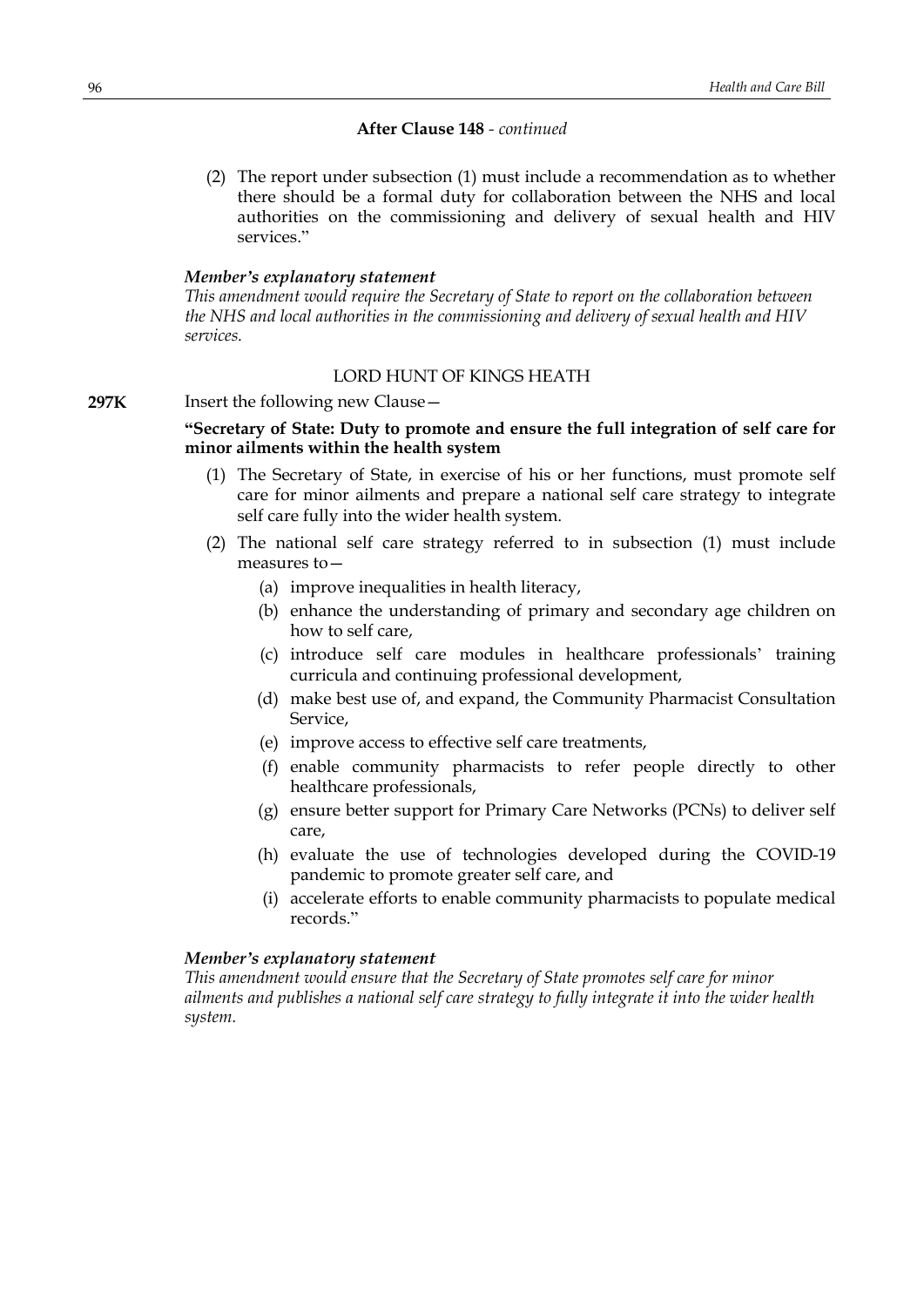(2) The report under subsection (1) must include a recommendation as to whether there should be a formal duty for collaboration between the NHS and local authorities on the commissioning and delivery of sexual health and HIV services."

#### *Member's explanatory statement*

*This amendment would require the Secretary of State to report on the collaboration between the NHS and local authorities in the commissioning and delivery of sexual health and HIV services.*

# LORD HUNT OF KINGS HEATH

# **297K** Insert the following new Clause—

# **"Secretary of State: Duty to promote and ensure the full integration of self care for minor ailments within the health system**

- (1) The Secretary of State, in exercise of his or her functions, must promote self care for minor ailments and prepare a national self care strategy to integrate self care fully into the wider health system.
- (2) The national self care strategy referred to in subsection (1) must include measures to—
	- (a) improve inequalities in health literacy,
	- (b) enhance the understanding of primary and secondary age children on how to self care,
	- (c) introduce self care modules in healthcare professionals' training curricula and continuing professional development,
	- (d) make best use of, and expand, the Community Pharmacist Consultation Service,
	- (e) improve access to effective self care treatments,
	- (f) enable community pharmacists to refer people directly to other healthcare professionals,
	- (g) ensure better support for Primary Care Networks (PCNs) to deliver self care,
	- (h) evaluate the use of technologies developed during the COVID-19 pandemic to promote greater self care, and
	- (i) accelerate efforts to enable community pharmacists to populate medical records."

#### *Member's explanatory statement*

*This amendment would ensure that the Secretary of State promotes self care for minor ailments and publishes a national self care strategy to fully integrate it into the wider health system.*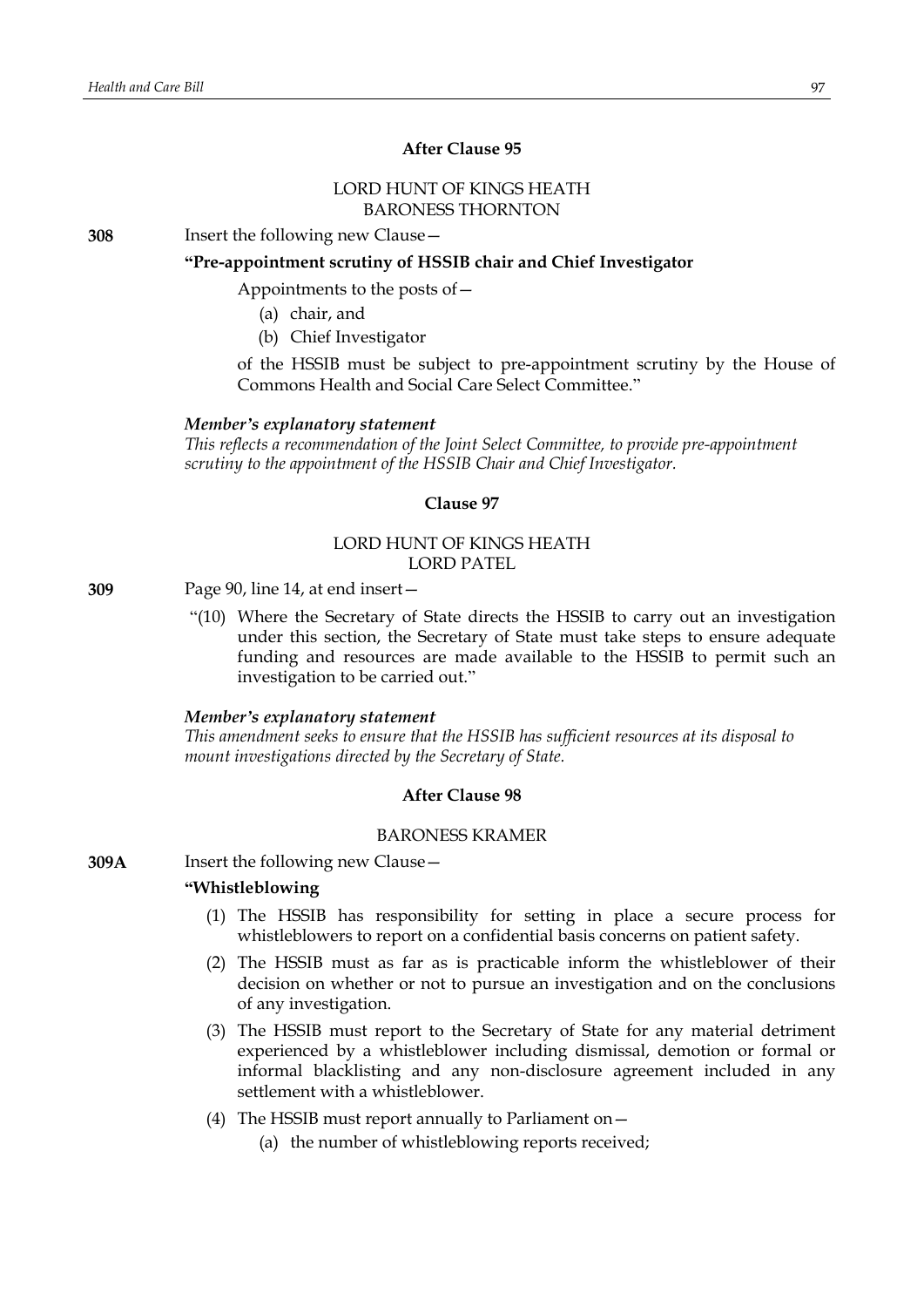# **After Clause 95**

### LORD HUNT OF KINGS HEATH BARONESS THORNTON

**308** Insert the following new Clause—

#### **"Pre-appointment scrutiny of HSSIB chair and Chief Investigator**

Appointments to the posts of—

- (a) chair, and
- (b) Chief Investigator

of the HSSIB must be subject to pre-appointment scrutiny by the House of Commons Health and Social Care Select Committee."

#### *Member's explanatory statement*

*This reflects a recommendation of the Joint Select Committee, to provide pre-appointment scrutiny to the appointment of the HSSIB Chair and Chief Investigator.*

### **Clause 97**

### LORD HUNT OF KINGS HEATH LORD PATEL

**309** Page 90, line 14, at end insert—

"(10) Where the Secretary of State directs the HSSIB to carry out an investigation under this section, the Secretary of State must take steps to ensure adequate funding and resources are made available to the HSSIB to permit such an investigation to be carried out."

#### *Member's explanatory statement*

*This amendment seeks to ensure that the HSSIB has sufficient resources at its disposal to mount investigations directed by the Secretary of State.*

# **After Clause 98**

#### BARONESS KRAMER

**309A** Insert the following new Clause—

#### **"Whistleblowing**

- (1) The HSSIB has responsibility for setting in place a secure process for whistleblowers to report on a confidential basis concerns on patient safety.
- (2) The HSSIB must as far as is practicable inform the whistleblower of their decision on whether or not to pursue an investigation and on the conclusions of any investigation.
- (3) The HSSIB must report to the Secretary of State for any material detriment experienced by a whistleblower including dismissal, demotion or formal or informal blacklisting and any non-disclosure agreement included in any settlement with a whistleblower.
- (4) The HSSIB must report annually to Parliament on—
	- (a) the number of whistleblowing reports received;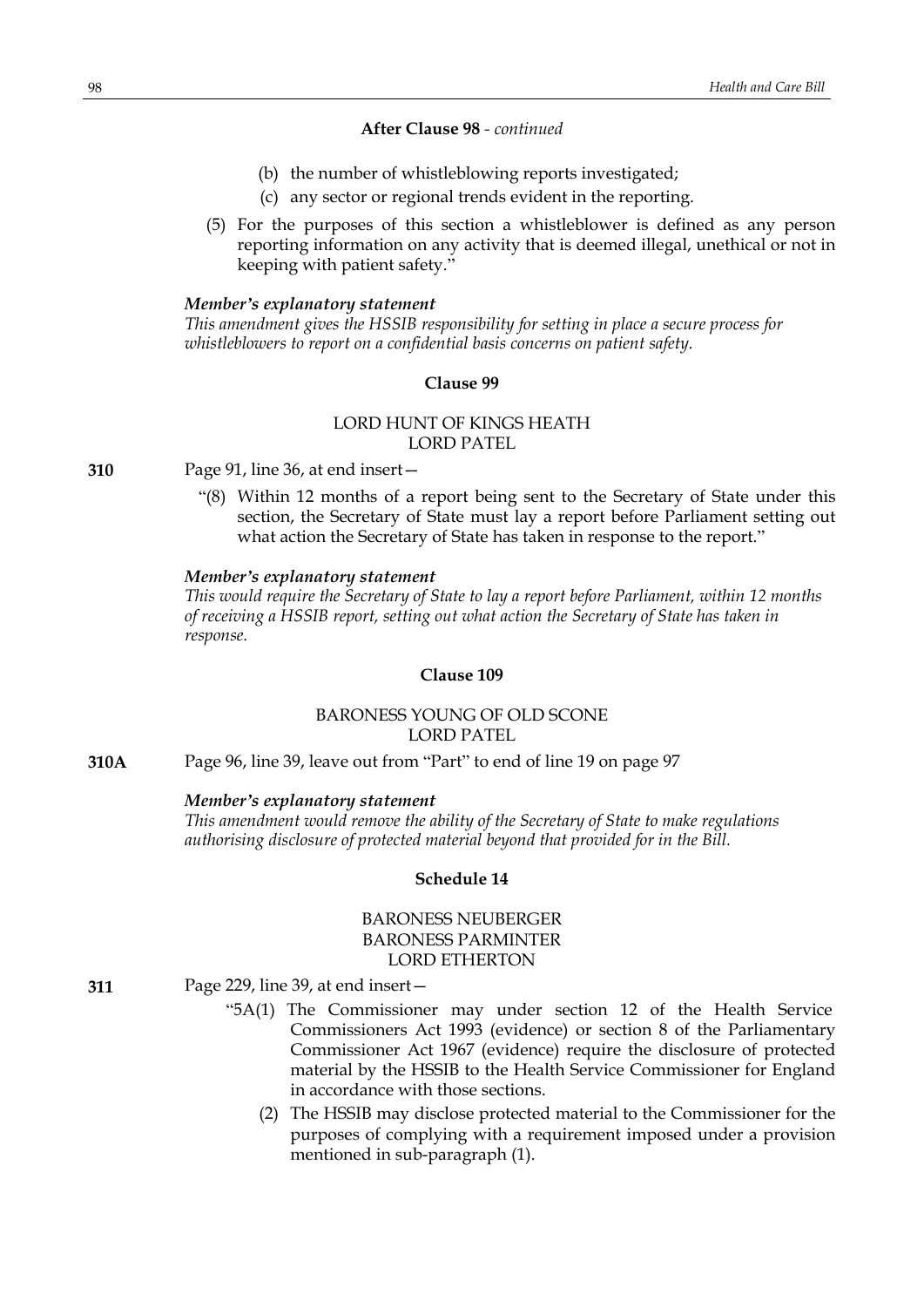- (b) the number of whistleblowing reports investigated;
- (c) any sector or regional trends evident in the reporting.
- (5) For the purposes of this section a whistleblower is defined as any person reporting information on any activity that is deemed illegal, unethical or not in keeping with patient safety."

#### *Member's explanatory statement*

*This amendment gives the HSSIB responsibility for setting in place a secure process for whistleblowers to report on a confidential basis concerns on patient safety.*

## **Clause 99**

# LORD HUNT OF KINGS HEATH LORD PATEL

**310** Page 91, line 36, at end insert—

"(8) Within 12 months of a report being sent to the Secretary of State under this section, the Secretary of State must lay a report before Parliament setting out what action the Secretary of State has taken in response to the report."

#### *Member's explanatory statement*

*This would require the Secretary of State to lay a report before Parliament, within 12 months of receiving a HSSIB report, setting out what action the Secretary of State has taken in response.*

## **Clause 109**

# BARONESS YOUNG OF OLD SCONE LORD PATEL

**310A** Page 96, line 39, leave out from "Part" to end of line 19 on page 97

#### *Member's explanatory statement*

*This amendment would remove the ability of the Secretary of State to make regulations authorising disclosure of protected material beyond that provided for in the Bill.*

# **Schedule 14**

## BARONESS NEUBERGER BARONESS PARMINTER LORD ETHERTON

- **311** Page 229, line 39, at end insert—
	- "5A(1) The Commissioner may under section 12 of the Health Service Commissioners Act 1993 (evidence) or section 8 of the Parliamentary Commissioner Act 1967 (evidence) require the disclosure of protected material by the HSSIB to the Health Service Commissioner for England in accordance with those sections.
		- (2) The HSSIB may disclose protected material to the Commissioner for the purposes of complying with a requirement imposed under a provision mentioned in sub-paragraph (1).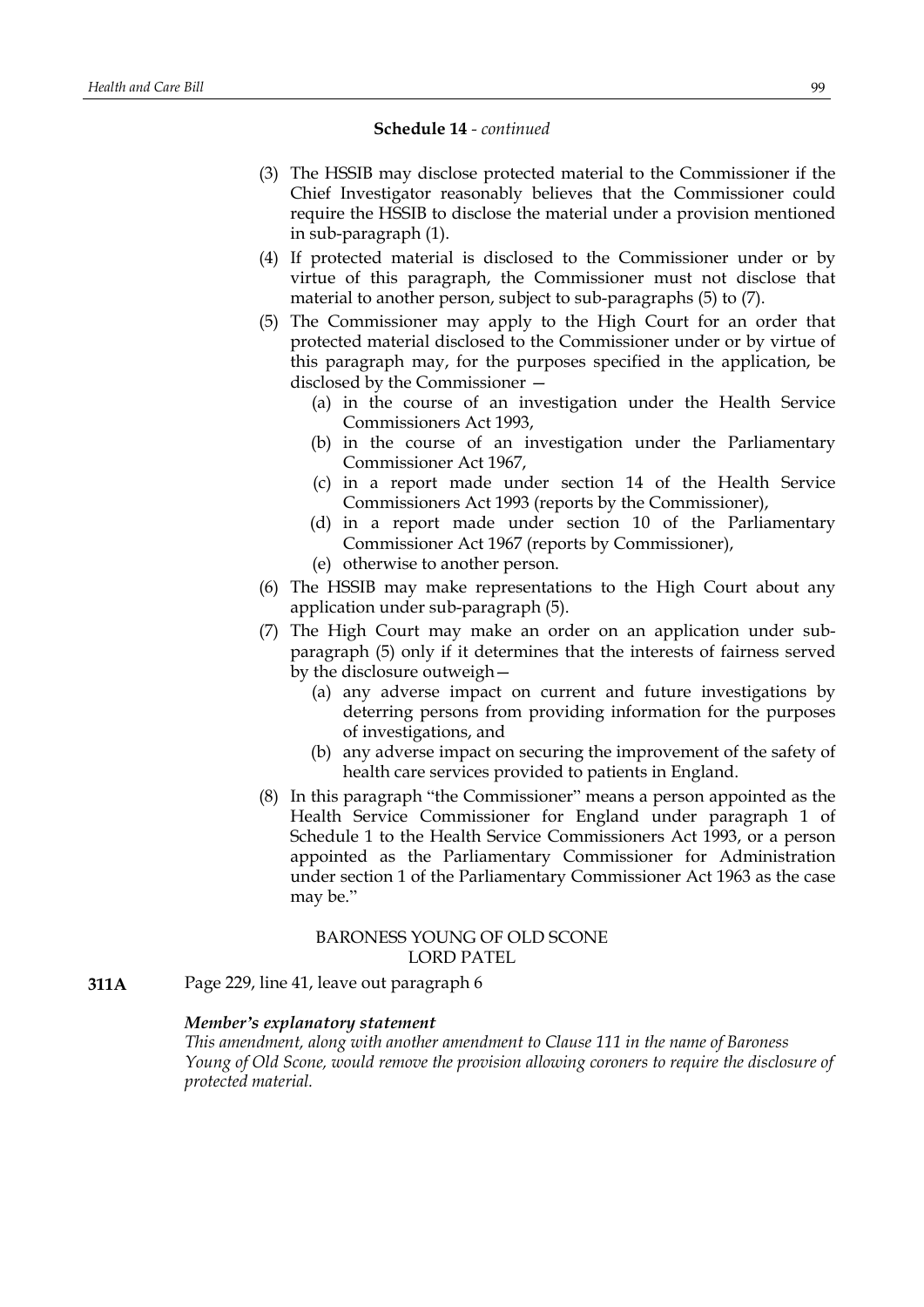#### **Schedule 14** *- continued*

- (3) The HSSIB may disclose protected material to the Commissioner if the Chief Investigator reasonably believes that the Commissioner could require the HSSIB to disclose the material under a provision mentioned in sub-paragraph (1).
- (4) If protected material is disclosed to the Commissioner under or by virtue of this paragraph, the Commissioner must not disclose that material to another person, subject to sub-paragraphs (5) to (7).
- (5) The Commissioner may apply to the High Court for an order that protected material disclosed to the Commissioner under or by virtue of this paragraph may, for the purposes specified in the application, be disclosed by the Commissioner —
	- (a) in the course of an investigation under the Health Service Commissioners Act 1993,
	- (b) in the course of an investigation under the Parliamentary Commissioner Act 1967,
	- (c) in a report made under section 14 of the Health Service Commissioners Act 1993 (reports by the Commissioner),
	- (d) in a report made under section 10 of the Parliamentary Commissioner Act 1967 (reports by Commissioner),
	- (e) otherwise to another person.
- (6) The HSSIB may make representations to the High Court about any application under sub-paragraph (5).
- (7) The High Court may make an order on an application under subparagraph (5) only if it determines that the interests of fairness served by the disclosure outweigh—
	- (a) any adverse impact on current and future investigations by deterring persons from providing information for the purposes of investigations, and
	- (b) any adverse impact on securing the improvement of the safety of health care services provided to patients in England.
- (8) In this paragraph "the Commissioner" means a person appointed as the Health Service Commissioner for England under paragraph 1 of Schedule 1 to the Health Service Commissioners Act 1993, or a person appointed as the Parliamentary Commissioner for Administration under section 1 of the Parliamentary Commissioner Act 1963 as the case may be."

## BARONESS YOUNG OF OLD SCONE LORD PATEL

**311A** Page 229, line 41, leave out paragraph 6

### *Member's explanatory statement*

*This amendment, along with another amendment to Clause 111 in the name of Baroness Young of Old Scone, would remove the provision allowing coroners to require the disclosure of protected material.*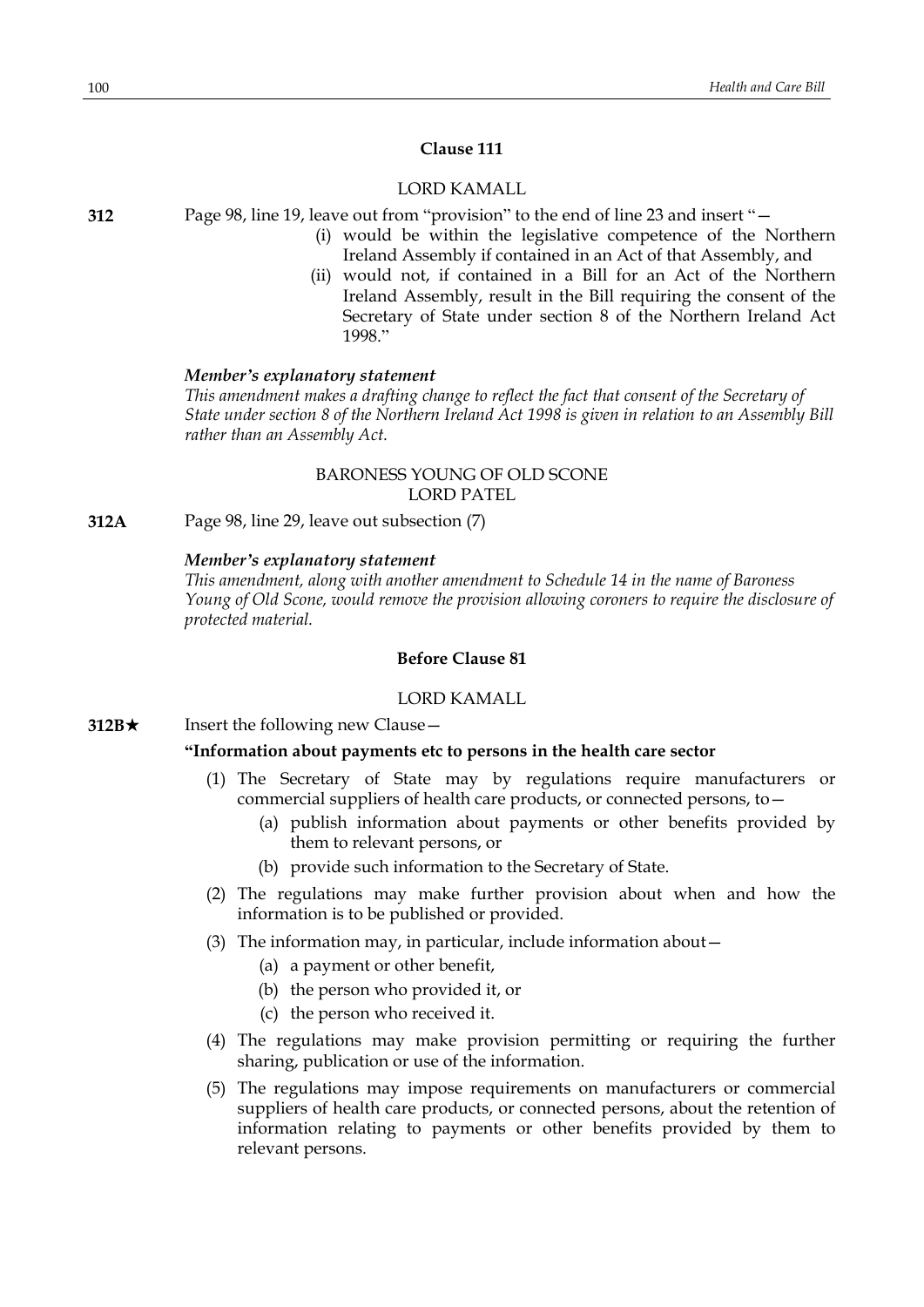## **Clause 111**

# LORD KAMALL

**312** Page 98, line 19, leave out from "provision" to the end of line 23 and insert "—

- (i) would be within the legislative competence of the Northern Ireland Assembly if contained in an Act of that Assembly, and
- (ii) would not, if contained in a Bill for an Act of the Northern Ireland Assembly, result in the Bill requiring the consent of the Secretary of State under section 8 of the Northern Ireland Act 1998."

#### *Member's explanatory statement*

*This amendment makes a drafting change to reflect the fact that consent of the Secretary of State under section 8 of the Northern Ireland Act 1998 is given in relation to an Assembly Bill rather than an Assembly Act.*

## BARONESS YOUNG OF OLD SCONE LORD PATEL

**312A** Page 98, line 29, leave out subsection (7)

#### *Member's explanatory statement*

*This amendment, along with another amendment to Schedule 14 in the name of Baroness Young of Old Scone, would remove the provision allowing coroners to require the disclosure of protected material.*

# **Before Clause 81**

# LORD KAMALL

**312B**★ Insert the following new Clause

#### **"Information about payments etc to persons in the health care sector**

- (1) The Secretary of State may by regulations require manufacturers or commercial suppliers of health care products, or connected persons, to—
	- (a) publish information about payments or other benefits provided by them to relevant persons, or
	- (b) provide such information to the Secretary of State.
- (2) The regulations may make further provision about when and how the information is to be published or provided.
- (3) The information may, in particular, include information about—
	- (a) a payment or other benefit,
	- (b) the person who provided it, or
	- (c) the person who received it.
- (4) The regulations may make provision permitting or requiring the further sharing, publication or use of the information.
- (5) The regulations may impose requirements on manufacturers or commercial suppliers of health care products, or connected persons, about the retention of information relating to payments or other benefits provided by them to relevant persons.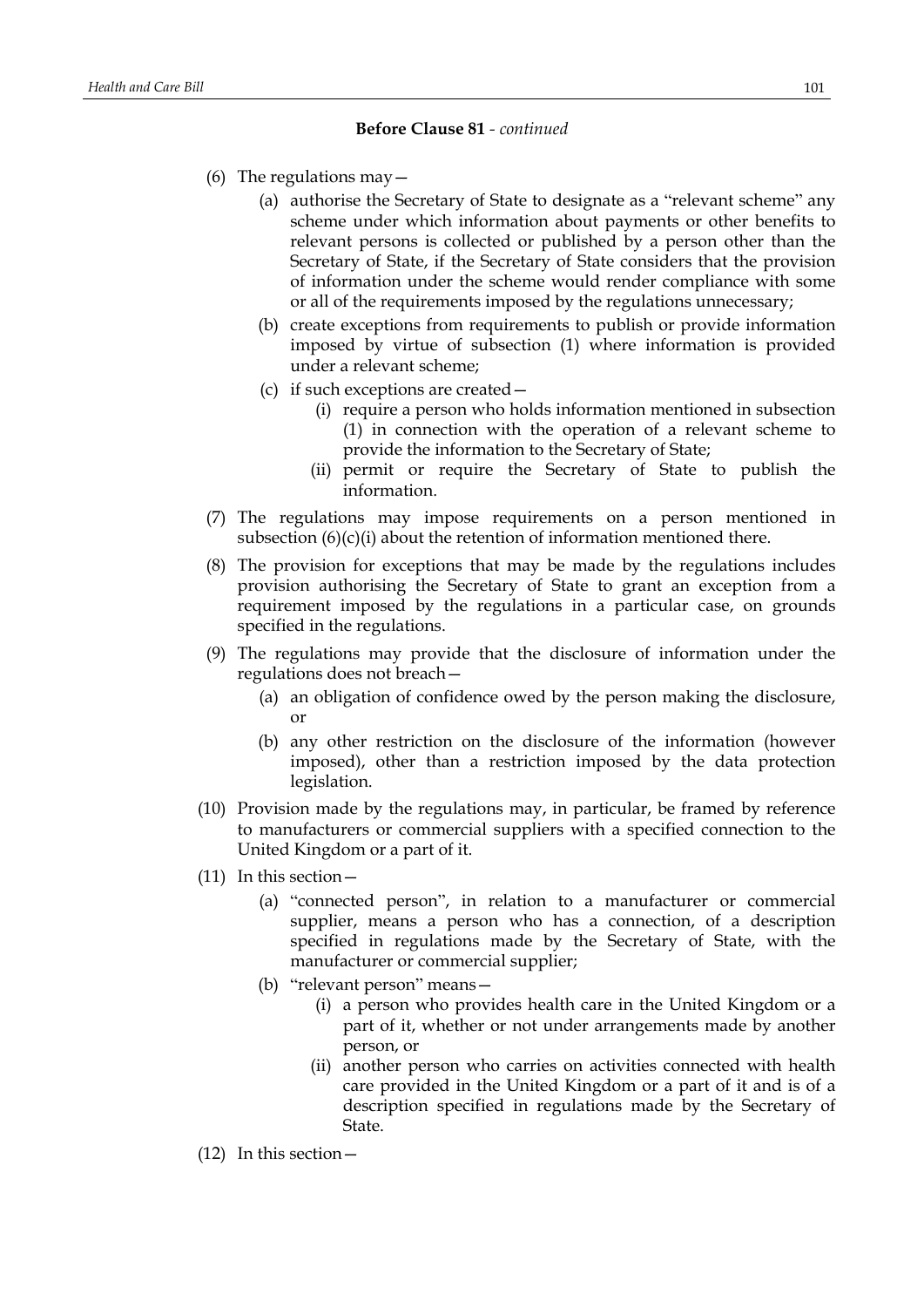- (6) The regulations may  $-$ 
	- (a) authorise the Secretary of State to designate as a "relevant scheme" any scheme under which information about payments or other benefits to relevant persons is collected or published by a person other than the Secretary of State, if the Secretary of State considers that the provision of information under the scheme would render compliance with some or all of the requirements imposed by the regulations unnecessary;
	- (b) create exceptions from requirements to publish or provide information imposed by virtue of subsection (1) where information is provided under a relevant scheme;
	- (c) if such exceptions are created—
		- (i) require a person who holds information mentioned in subsection (1) in connection with the operation of a relevant scheme to provide the information to the Secretary of State;
		- (ii) permit or require the Secretary of State to publish the information.
- (7) The regulations may impose requirements on a person mentioned in subsection  $(6)(c)(i)$  about the retention of information mentioned there.
- (8) The provision for exceptions that may be made by the regulations includes provision authorising the Secretary of State to grant an exception from a requirement imposed by the regulations in a particular case, on grounds specified in the regulations.
- (9) The regulations may provide that the disclosure of information under the regulations does not breach—
	- (a) an obligation of confidence owed by the person making the disclosure, or
	- (b) any other restriction on the disclosure of the information (however imposed), other than a restriction imposed by the data protection legislation.
- (10) Provision made by the regulations may, in particular, be framed by reference to manufacturers or commercial suppliers with a specified connection to the United Kingdom or a part of it.
- (11) In this section—
	- (a) "connected person", in relation to a manufacturer or commercial supplier, means a person who has a connection, of a description specified in regulations made by the Secretary of State, with the manufacturer or commercial supplier;
	- (b) "relevant person" means—
		- (i) a person who provides health care in the United Kingdom or a part of it, whether or not under arrangements made by another person, or
		- (ii) another person who carries on activities connected with health care provided in the United Kingdom or a part of it and is of a description specified in regulations made by the Secretary of State.
- (12) In this section—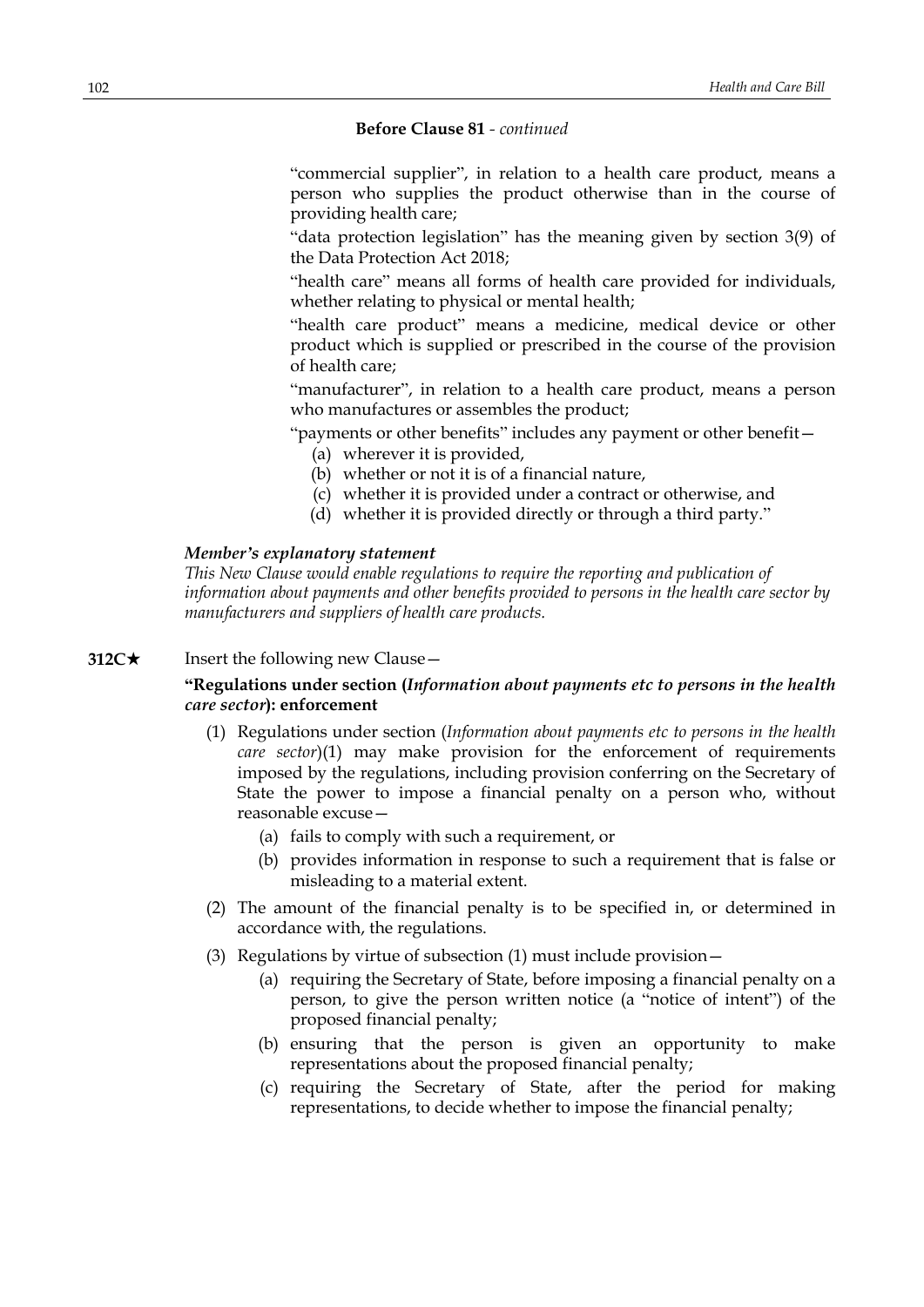"commercial supplier", in relation to a health care product, means a person who supplies the product otherwise than in the course of providing health care;

"data protection legislation" has the meaning given by section 3(9) of the Data Protection Act 2018;

"health care" means all forms of health care provided for individuals, whether relating to physical or mental health;

"health care product" means a medicine, medical device or other product which is supplied or prescribed in the course of the provision of health care;

"manufacturer", in relation to a health care product, means a person who manufactures or assembles the product;

"payments or other benefits" includes any payment or other benefit—

- (a) wherever it is provided,
- (b) whether or not it is of a financial nature,
- (c) whether it is provided under a contract or otherwise, and
- (d) whether it is provided directly or through a third party."

### *Member's explanatory statement*

*This New Clause would enable regulations to require the reporting and publication of information about payments and other benefits provided to persons in the health care sector by manufacturers and suppliers of health care products.*

# **312C**★ Insert the following new Clause —

## **"Regulations under section (***Information about payments etc to persons in the health care sector***): enforcement**

- (1) Regulations under section (*Information about payments etc to persons in the health care sector*)(1) may make provision for the enforcement of requirements imposed by the regulations, including provision conferring on the Secretary of State the power to impose a financial penalty on a person who, without reasonable excuse—
	- (a) fails to comply with such a requirement, or
	- (b) provides information in response to such a requirement that is false or misleading to a material extent.
- (2) The amount of the financial penalty is to be specified in, or determined in accordance with, the regulations.
- (3) Regulations by virtue of subsection (1) must include provision—
	- (a) requiring the Secretary of State, before imposing a financial penalty on a person, to give the person written notice (a "notice of intent") of the proposed financial penalty;
	- (b) ensuring that the person is given an opportunity to make representations about the proposed financial penalty;
	- (c) requiring the Secretary of State, after the period for making representations, to decide whether to impose the financial penalty;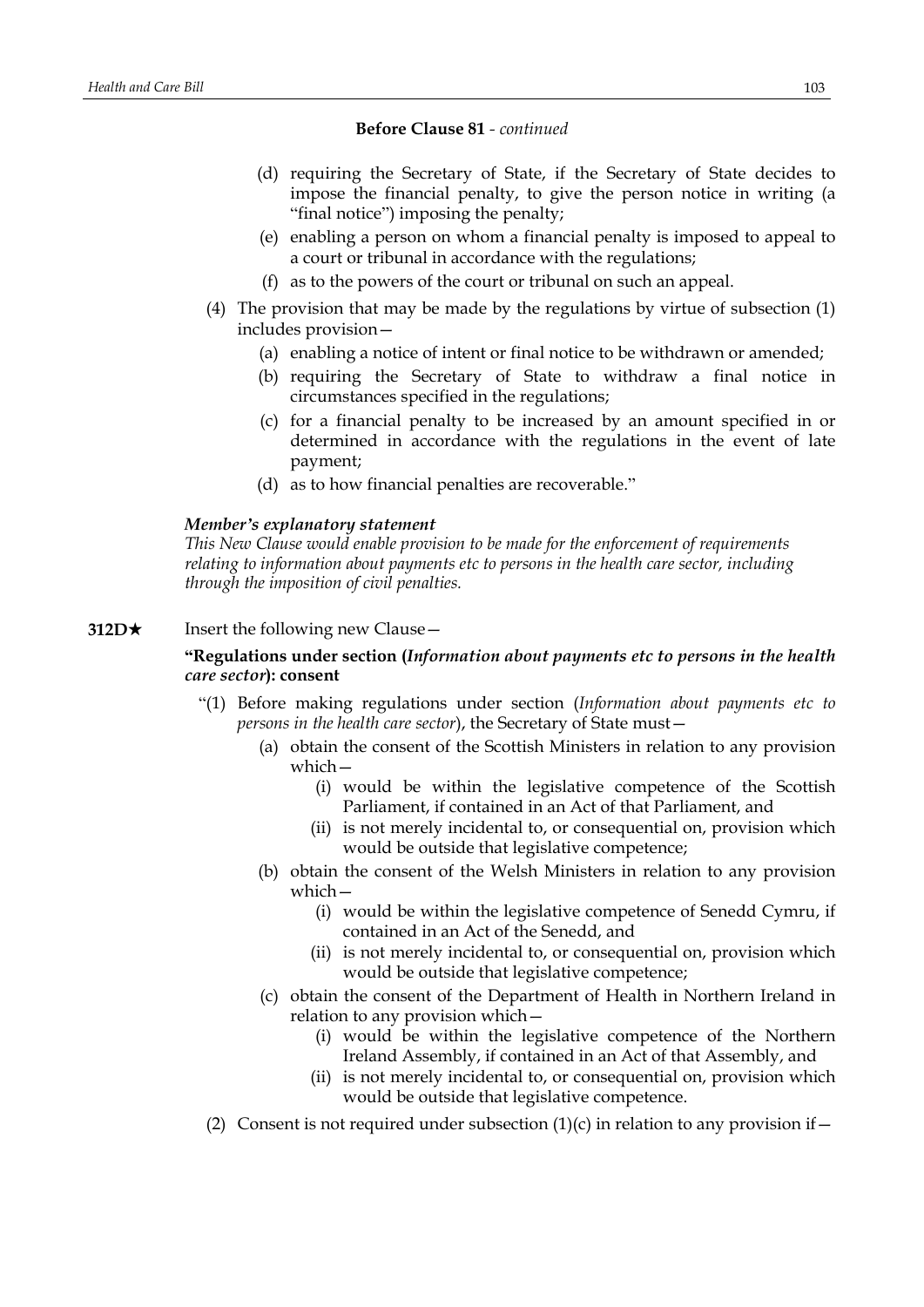- (d) requiring the Secretary of State, if the Secretary of State decides to impose the financial penalty, to give the person notice in writing (a "final notice") imposing the penalty;
- (e) enabling a person on whom a financial penalty is imposed to appeal to a court or tribunal in accordance with the regulations;
- (f) as to the powers of the court or tribunal on such an appeal.
- (4) The provision that may be made by the regulations by virtue of subsection (1) includes provision—
	- (a) enabling a notice of intent or final notice to be withdrawn or amended;
	- (b) requiring the Secretary of State to withdraw a final notice in circumstances specified in the regulations;
	- (c) for a financial penalty to be increased by an amount specified in or determined in accordance with the regulations in the event of late payment;
	- (d) as to how financial penalties are recoverable."

# *Member's explanatory statement*

*This New Clause would enable provision to be made for the enforcement of requirements relating to information about payments etc to persons in the health care sector, including through the imposition of civil penalties.*

**312D**★ Insert the following new Clause —

# **"Regulations under section (***Information about payments etc to persons in the health care sector***): consent**

- "(1) Before making regulations under section (*Information about payments etc to persons in the health care sector*), the Secretary of State must—
	- (a) obtain the consent of the Scottish Ministers in relation to any provision which—
		- (i) would be within the legislative competence of the Scottish Parliament, if contained in an Act of that Parliament, and
		- (ii) is not merely incidental to, or consequential on, provision which would be outside that legislative competence;
	- (b) obtain the consent of the Welsh Ministers in relation to any provision which—
		- (i) would be within the legislative competence of Senedd Cymru, if contained in an Act of the Senedd, and
		- (ii) is not merely incidental to, or consequential on, provision which would be outside that legislative competence;
	- (c) obtain the consent of the Department of Health in Northern Ireland in relation to any provision which—
		- (i) would be within the legislative competence of the Northern Ireland Assembly, if contained in an Act of that Assembly, and
		- (ii) is not merely incidental to, or consequential on, provision which would be outside that legislative competence.
- (2) Consent is not required under subsection  $(1)(c)$  in relation to any provision if –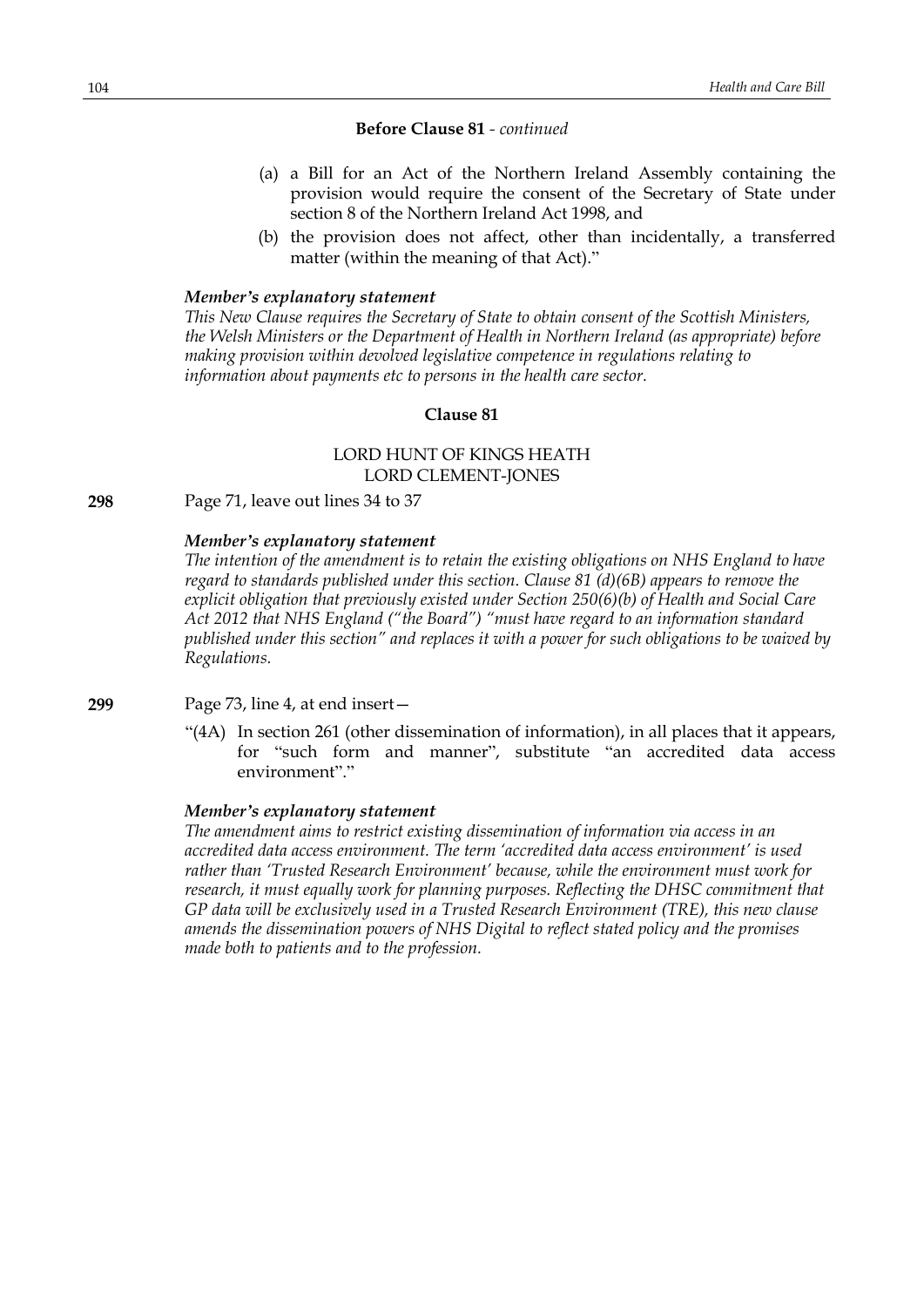- (a) a Bill for an Act of the Northern Ireland Assembly containing the provision would require the consent of the Secretary of State under section 8 of the Northern Ireland Act 1998, and
- (b) the provision does not affect, other than incidentally, a transferred matter (within the meaning of that Act)."

#### *Member's explanatory statement*

*This New Clause requires the Secretary of State to obtain consent of the Scottish Ministers, the Welsh Ministers or the Department of Health in Northern Ireland (as appropriate) before making provision within devolved legislative competence in regulations relating to information about payments etc to persons in the health care sector.*

## **Clause 81**

# LORD HUNT OF KINGS HEATH LORD CLEMENT-JONES

**298** Page 71, leave out lines 34 to 37

#### *Member's explanatory statement*

*The intention of the amendment is to retain the existing obligations on NHS England to have regard to standards published under this section. Clause 81 (d)(6B) appears to remove the explicit obligation that previously existed under Section 250(6)(b) of Health and Social Care Act 2012 that NHS England ("the Board") "must have regard to an information standard published under this section" and replaces it with a power for such obligations to be waived by Regulations.*

**299** Page 73, line 4, at end insert—

"(4A) In section 261 (other dissemination of information), in all places that it appears, for "such form and manner", substitute "an accredited data access environment"."

#### *Member's explanatory statement*

*The amendment aims to restrict existing dissemination of information via access in an accredited data access environment. The term 'accredited data access environment' is used rather than 'Trusted Research Environment' because, while the environment must work for research, it must equally work for planning purposes. Reflecting the DHSC commitment that GP data will be exclusively used in a Trusted Research Environment (TRE), this new clause amends the dissemination powers of NHS Digital to reflect stated policy and the promises made both to patients and to the profession.*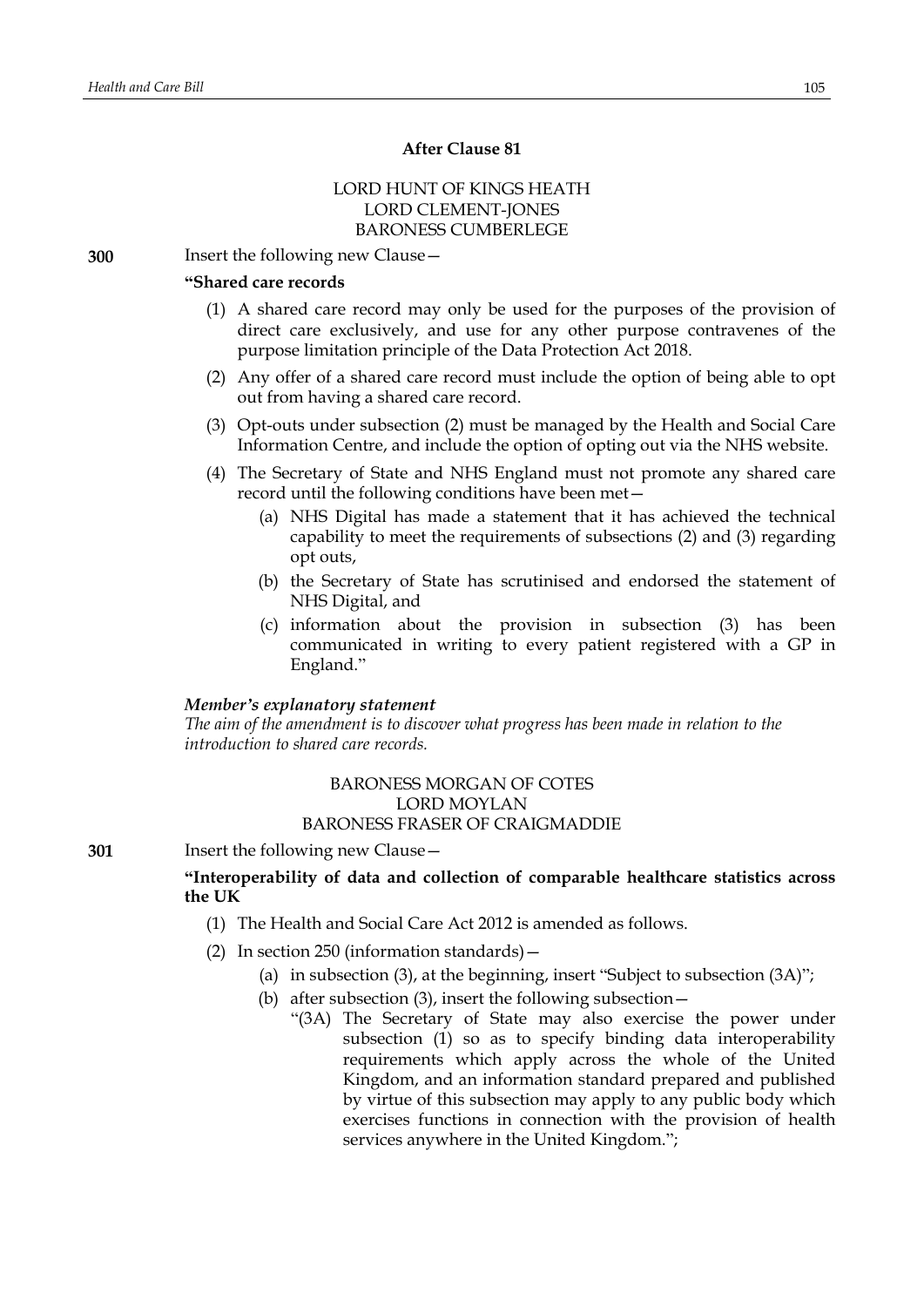# **After Clause 81**

# LORD HUNT OF KINGS HEATH LORD CLEMENT-JONES BARONESS CUMBERLEGE

**300** Insert the following new Clause—

#### **"Shared care records**

- (1) A shared care record may only be used for the purposes of the provision of direct care exclusively, and use for any other purpose contravenes of the purpose limitation principle of the Data Protection Act 2018.
- (2) Any offer of a shared care record must include the option of being able to opt out from having a shared care record.
- (3) Opt-outs under subsection (2) must be managed by the Health and Social Care Information Centre, and include the option of opting out via the NHS website.
- (4) The Secretary of State and NHS England must not promote any shared care record until the following conditions have been met—
	- (a) NHS Digital has made a statement that it has achieved the technical capability to meet the requirements of subsections (2) and (3) regarding opt outs,
	- (b) the Secretary of State has scrutinised and endorsed the statement of NHS Digital, and
	- (c) information about the provision in subsection (3) has been communicated in writing to every patient registered with a GP in England."

## *Member's explanatory statement*

*The aim of the amendment is to discover what progress has been made in relation to the introduction to shared care records.*

## BARONESS MORGAN OF COTES LORD MOYLAN BARONESS FRASER OF CRAIGMADDIE

**301** Insert the following new Clause—

# **"Interoperability of data and collection of comparable healthcare statistics across the UK**

- (1) The Health and Social Care Act 2012 is amended as follows.
- (2) In section 250 (information standards)—
	- (a) in subsection (3), at the beginning, insert "Subject to subsection (3A)";
	- (b) after subsection (3), insert the following subsection—
		- "(3A) The Secretary of State may also exercise the power under subsection (1) so as to specify binding data interoperability requirements which apply across the whole of the United Kingdom, and an information standard prepared and published by virtue of this subsection may apply to any public body which exercises functions in connection with the provision of health services anywhere in the United Kingdom.";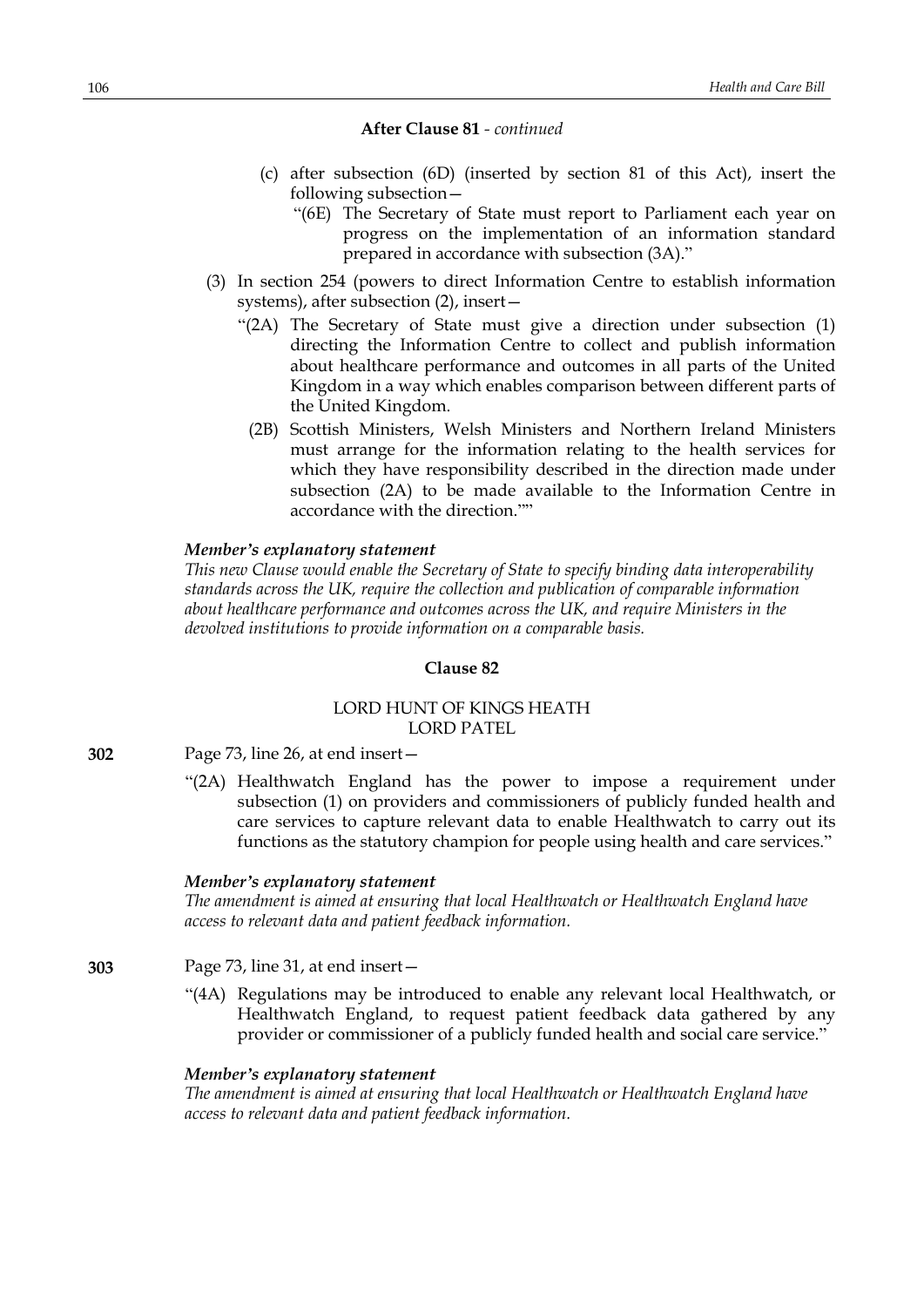- (c) after subsection (6D) (inserted by section 81 of this Act), insert the following subsection—
	- "(6E) The Secretary of State must report to Parliament each year on progress on the implementation of an information standard prepared in accordance with subsection (3A)."
- (3) In section 254 (powers to direct Information Centre to establish information systems), after subsection (2), insert—
	- "(2A) The Secretary of State must give a direction under subsection (1) directing the Information Centre to collect and publish information about healthcare performance and outcomes in all parts of the United Kingdom in a way which enables comparison between different parts of the United Kingdom.
		- (2B) Scottish Ministers, Welsh Ministers and Northern Ireland Ministers must arrange for the information relating to the health services for which they have responsibility described in the direction made under subsection (2A) to be made available to the Information Centre in accordance with the direction.""

#### *Member's explanatory statement*

*This new Clause would enable the Secretary of State to specify binding data interoperability standards across the UK, require the collection and publication of comparable information about healthcare performance and outcomes across the UK, and require Ministers in the devolved institutions to provide information on a comparable basis.*

#### **Clause 82**

### LORD HUNT OF KINGS HEATH LORD PATEL

**302** Page 73, line 26, at end insert—

"(2A) Healthwatch England has the power to impose a requirement under subsection (1) on providers and commissioners of publicly funded health and care services to capture relevant data to enable Healthwatch to carry out its functions as the statutory champion for people using health and care services."

#### *Member's explanatory statement*

*The amendment is aimed at ensuring that local Healthwatch or Healthwatch England have access to relevant data and patient feedback information.*

**303** Page 73, line 31, at end insert—

"(4A) Regulations may be introduced to enable any relevant local Healthwatch, or Healthwatch England, to request patient feedback data gathered by any provider or commissioner of a publicly funded health and social care service."

#### *Member's explanatory statement*

*The amendment is aimed at ensuring that local Healthwatch or Healthwatch England have access to relevant data and patient feedback information.*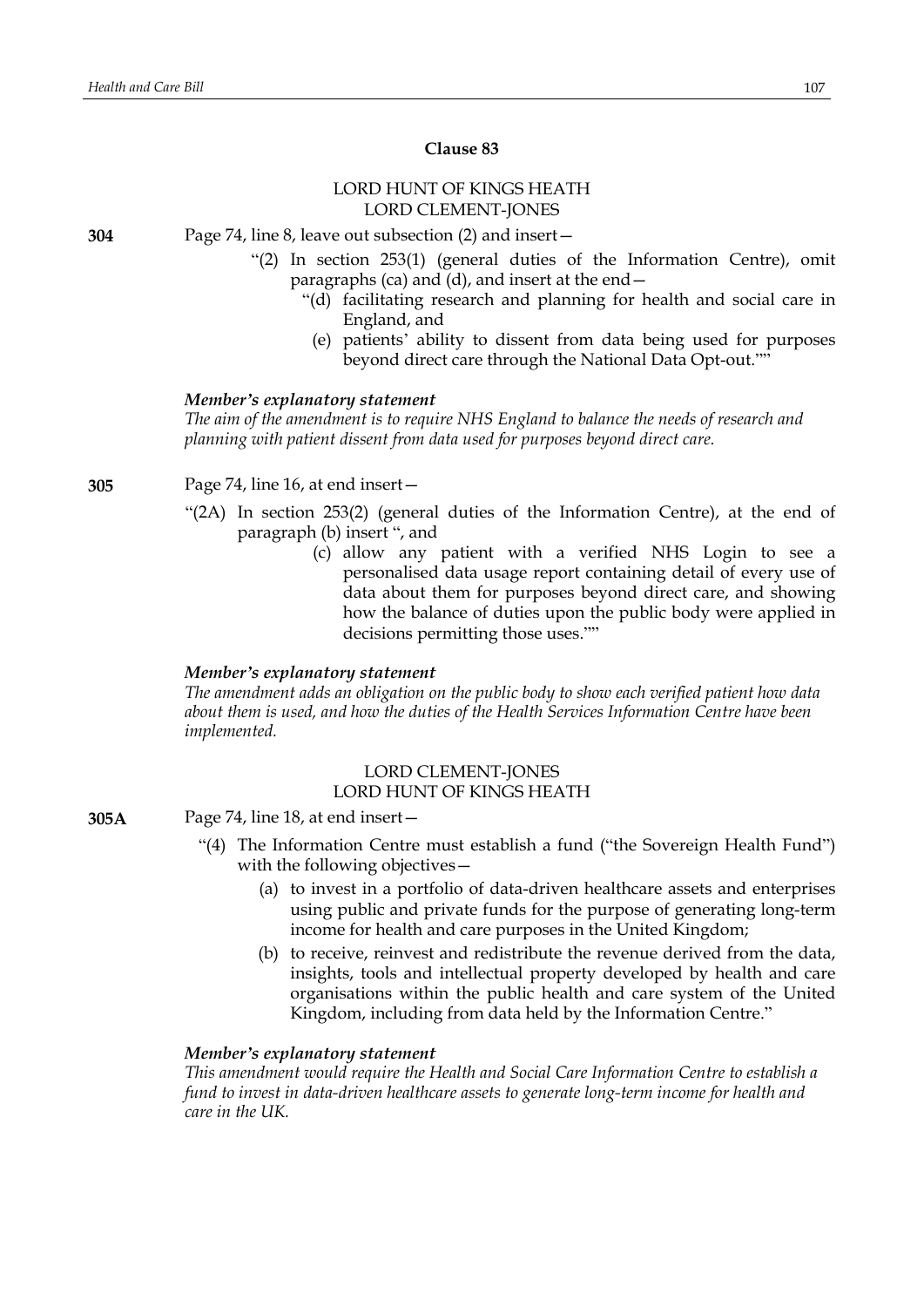# **Clause 83**

## LORD HUNT OF KINGS HEATH LORD CLEMENT-JONES

**304** Page 74, line 8, leave out subsection (2) and insert—

- "(2) In section 253(1) (general duties of the Information Centre), omit paragraphs (ca) and (d), and insert at the end—
	- "(d) facilitating research and planning for health and social care in England, and
	- (e) patients' ability to dissent from data being used for purposes beyond direct care through the National Data Opt-out.""

### *Member's explanatory statement*

*The aim of the amendment is to require NHS England to balance the needs of research and planning with patient dissent from data used for purposes beyond direct care.*

**305** Page 74, line 16, at end insert—

- "(2A) In section 253(2) (general duties of the Information Centre), at the end of paragraph (b) insert ", and
	- (c) allow any patient with a verified NHS Login to see a personalised data usage report containing detail of every use of data about them for purposes beyond direct care, and showing how the balance of duties upon the public body were applied in decisions permitting those uses.""

## *Member's explanatory statement*

*The amendment adds an obligation on the public body to show each verified patient how data about them is used, and how the duties of the Health Services Information Centre have been implemented.*

## LORD CLEMENT-JONES LORD HUNT OF KINGS HEATH

- **305A** Page 74, line 18, at end insert—
	- "(4) The Information Centre must establish a fund ("the Sovereign Health Fund") with the following objectives—
		- (a) to invest in a portfolio of data-driven healthcare assets and enterprises using public and private funds for the purpose of generating long-term income for health and care purposes in the United Kingdom;
		- (b) to receive, reinvest and redistribute the revenue derived from the data, insights, tools and intellectual property developed by health and care organisations within the public health and care system of the United Kingdom, including from data held by the Information Centre."

#### *Member's explanatory statement*

*This amendment would require the Health and Social Care Information Centre to establish a fund to invest in data-driven healthcare assets to generate long-term income for health and care in the UK.*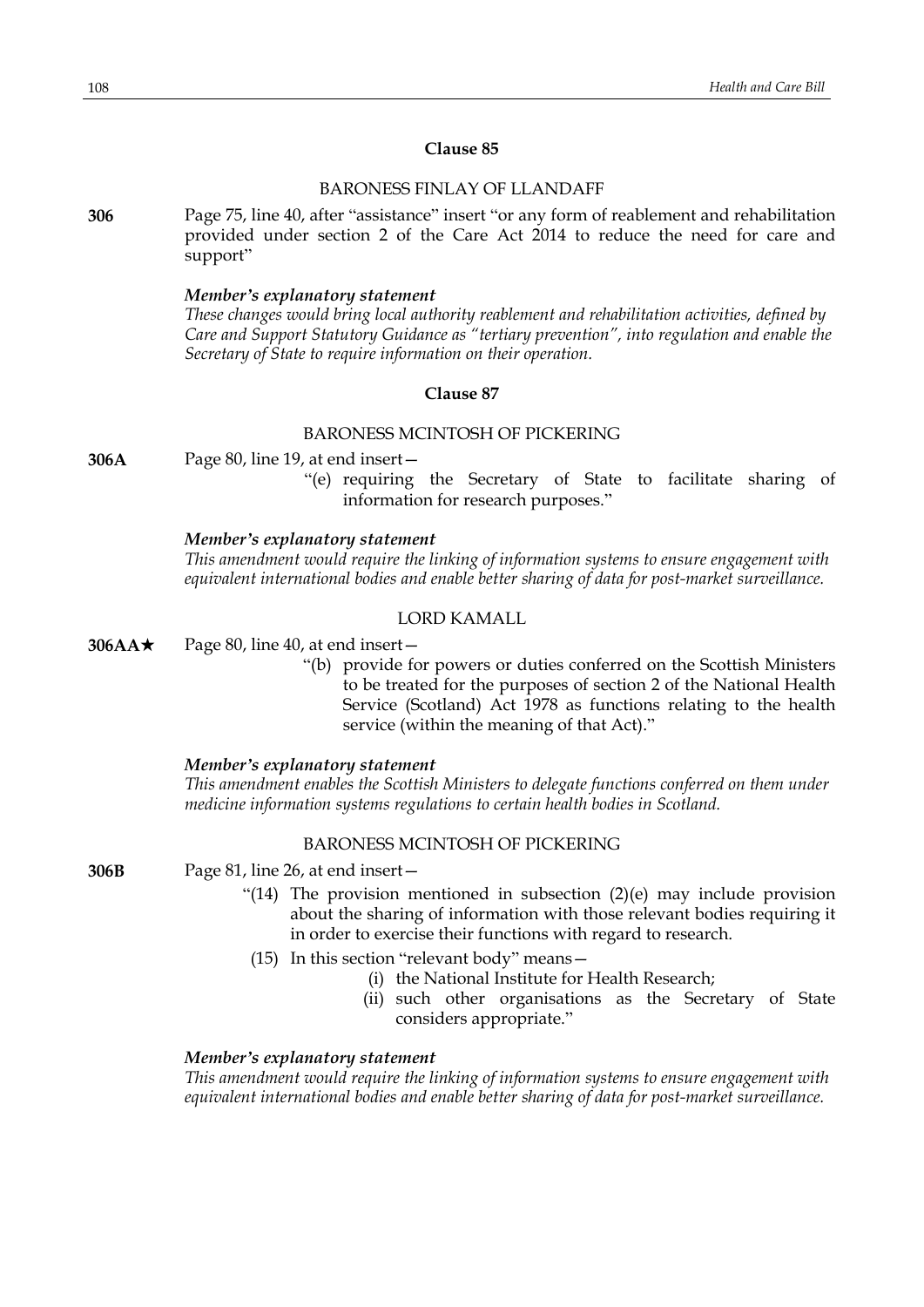## **Clause 85**

## BARONESS FINLAY OF LLANDAFF

**306** Page 75, line 40, after "assistance" insert "or any form of reablement and rehabilitation provided under section 2 of the Care Act 2014 to reduce the need for care and support"

#### *Member's explanatory statement*

*These changes would bring local authority reablement and rehabilitation activities, defined by Care and Support Statutory Guidance as "tertiary prevention", into regulation and enable the Secretary of State to require information on their operation.*

#### **Clause 87**

## BARONESS MCINTOSH OF PICKERING

**306A** Page 80, line 19, at end insert—

"(e) requiring the Secretary of State to facilitate sharing of information for research purposes."

#### *Member's explanatory statement*

*This amendment would require the linking of information systems to ensure engagement with equivalent international bodies and enable better sharing of data for post-market surveillance.*

#### LORD KAMALL

- **306AA** $\star$  Page 80, line 40, at end insert
	- "(b) provide for powers or duties conferred on the Scottish Ministers to be treated for the purposes of section 2 of the National Health Service (Scotland) Act 1978 as functions relating to the health service (within the meaning of that Act)."

#### *Member's explanatory statement*

*This amendment enables the Scottish Ministers to delegate functions conferred on them under medicine information systems regulations to certain health bodies in Scotland.*

### BARONESS MCINTOSH OF PICKERING

**306B** Page 81, line 26, at end insert—

- "(14) The provision mentioned in subsection  $(2)(e)$  may include provision about the sharing of information with those relevant bodies requiring it in order to exercise their functions with regard to research.
- (15) In this section "relevant body" means—
	- (i) the National Institute for Health Research;
	- (ii) such other organisations as the Secretary of State considers appropriate."

#### *Member's explanatory statement*

*This amendment would require the linking of information systems to ensure engagement with equivalent international bodies and enable better sharing of data for post-market surveillance.*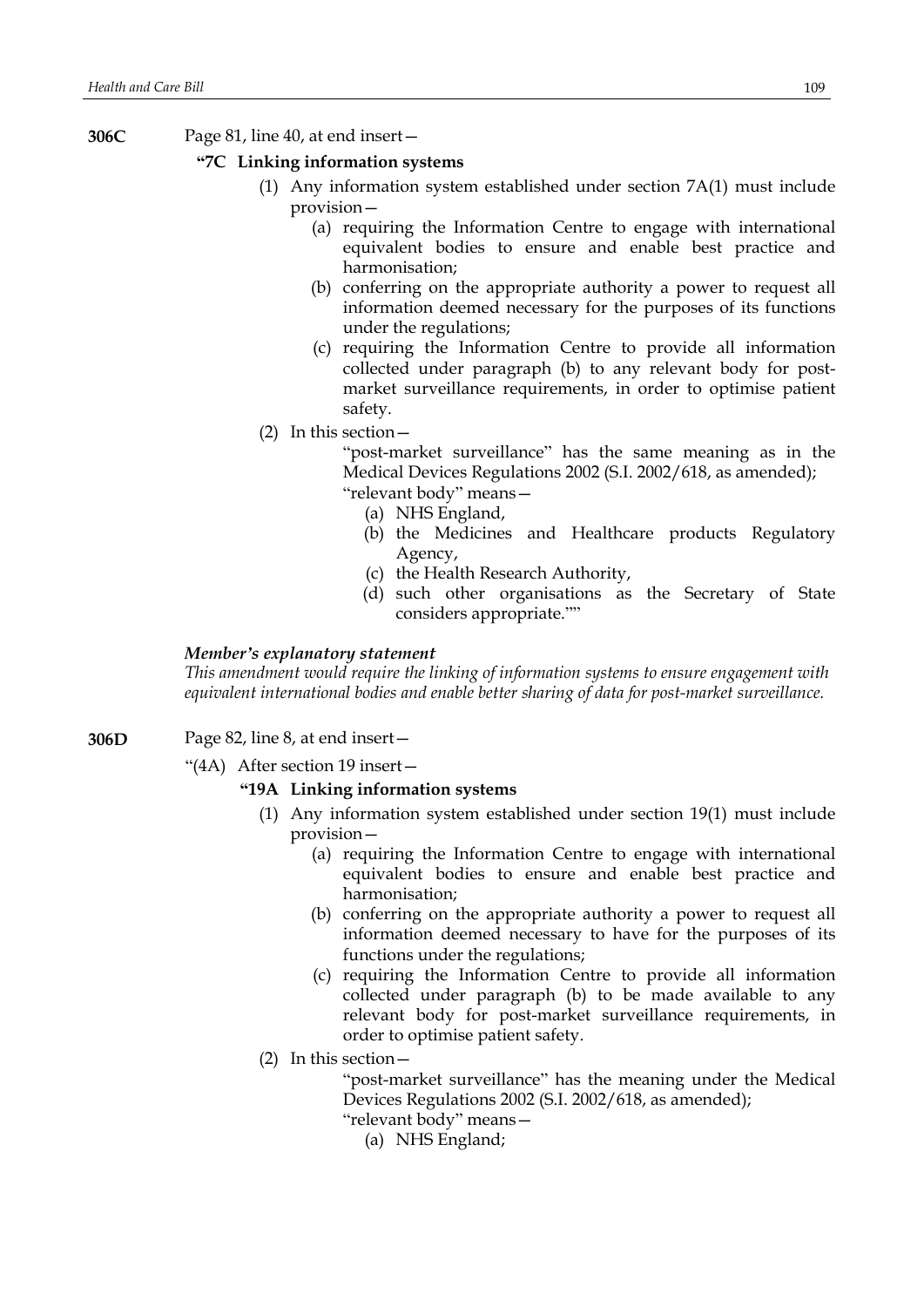**306C** Page 81, line 40, at end insert—

## **"7C Linking information systems**

- (1) Any information system established under section 7A(1) must include provision—
	- (a) requiring the Information Centre to engage with international equivalent bodies to ensure and enable best practice and harmonisation;
	- (b) conferring on the appropriate authority a power to request all information deemed necessary for the purposes of its functions under the regulations;
	- (c) requiring the Information Centre to provide all information collected under paragraph (b) to any relevant body for postmarket surveillance requirements, in order to optimise patient safety.
- (2) In this section—

"post-market surveillance" has the same meaning as in the Medical Devices Regulations 2002 (S.I. 2002/618, as amended); "relevant body" means—

- (a) NHS England,
- (b) the Medicines and Healthcare products Regulatory Agency,
- (c) the Health Research Authority,
- (d) such other organisations as the Secretary of State considers appropriate.""

### *Member's explanatory statement*

*This amendment would require the linking of information systems to ensure engagement with equivalent international bodies and enable better sharing of data for post-market surveillance.*

- **306D** Page 82, line 8, at end insert—
	- "(4A) After section 19 insert—

### **"19A Linking information systems**

- (1) Any information system established under section 19(1) must include provision—
	- (a) requiring the Information Centre to engage with international equivalent bodies to ensure and enable best practice and harmonisation;
	- (b) conferring on the appropriate authority a power to request all information deemed necessary to have for the purposes of its functions under the regulations;
	- (c) requiring the Information Centre to provide all information collected under paragraph (b) to be made available to any relevant body for post-market surveillance requirements, in order to optimise patient safety.
- (2) In this section—

"post-market surveillance" has the meaning under the Medical Devices Regulations 2002 (S.I. 2002/618, as amended);

"relevant body" means—

(a) NHS England;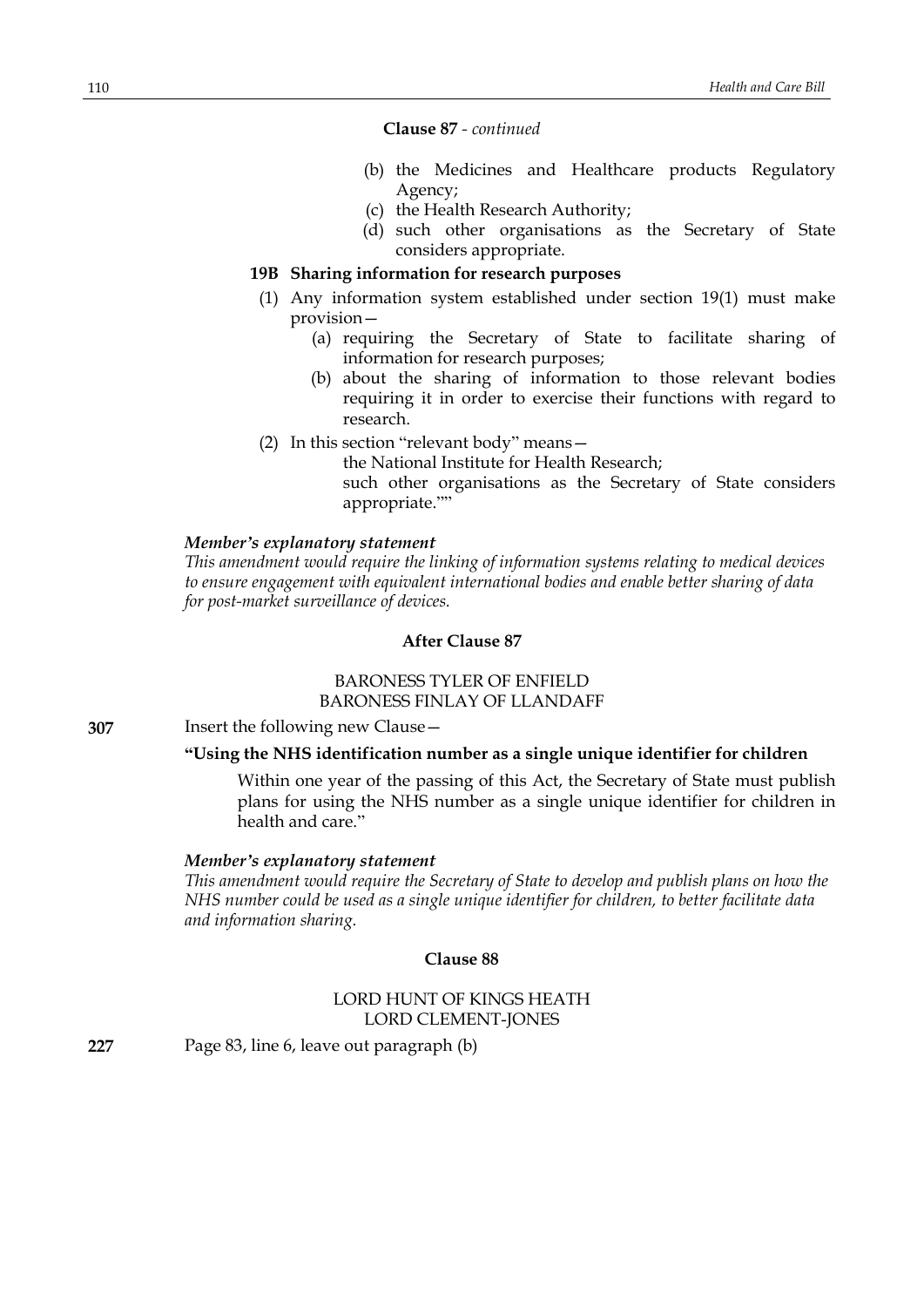**Clause 87** *- continued*

- (b) the Medicines and Healthcare products Regulatory Agency;
- (c) the Health Research Authority;
- (d) such other organisations as the Secretary of State considers appropriate.

# **19B Sharing information for research purposes**

- (1) Any information system established under section 19(1) must make provision—
	- (a) requiring the Secretary of State to facilitate sharing of information for research purposes;
	- (b) about the sharing of information to those relevant bodies requiring it in order to exercise their functions with regard to research.
- (2) In this section "relevant body" means—

the National Institute for Health Research; such other organisations as the Secretary of State considers appropriate.""

### *Member's explanatory statement*

*This amendment would require the linking of information systems relating to medical devices to ensure engagement with equivalent international bodies and enable better sharing of data for post-market surveillance of devices.*

# **After Clause 87**

# BARONESS TYLER OF ENFIELD BARONESS FINLAY OF LLANDAFF

**307** Insert the following new Clause—

# **"Using the NHS identification number as a single unique identifier for children**

Within one year of the passing of this Act, the Secretary of State must publish plans for using the NHS number as a single unique identifier for children in health and care."

### *Member's explanatory statement*

*This amendment would require the Secretary of State to develop and publish plans on how the NHS number could be used as a single unique identifier for children, to better facilitate data and information sharing.*

# **Clause 88**

# LORD HUNT OF KINGS HEATH LORD CLEMENT-JONES

**227** Page 83, line 6, leave out paragraph (b)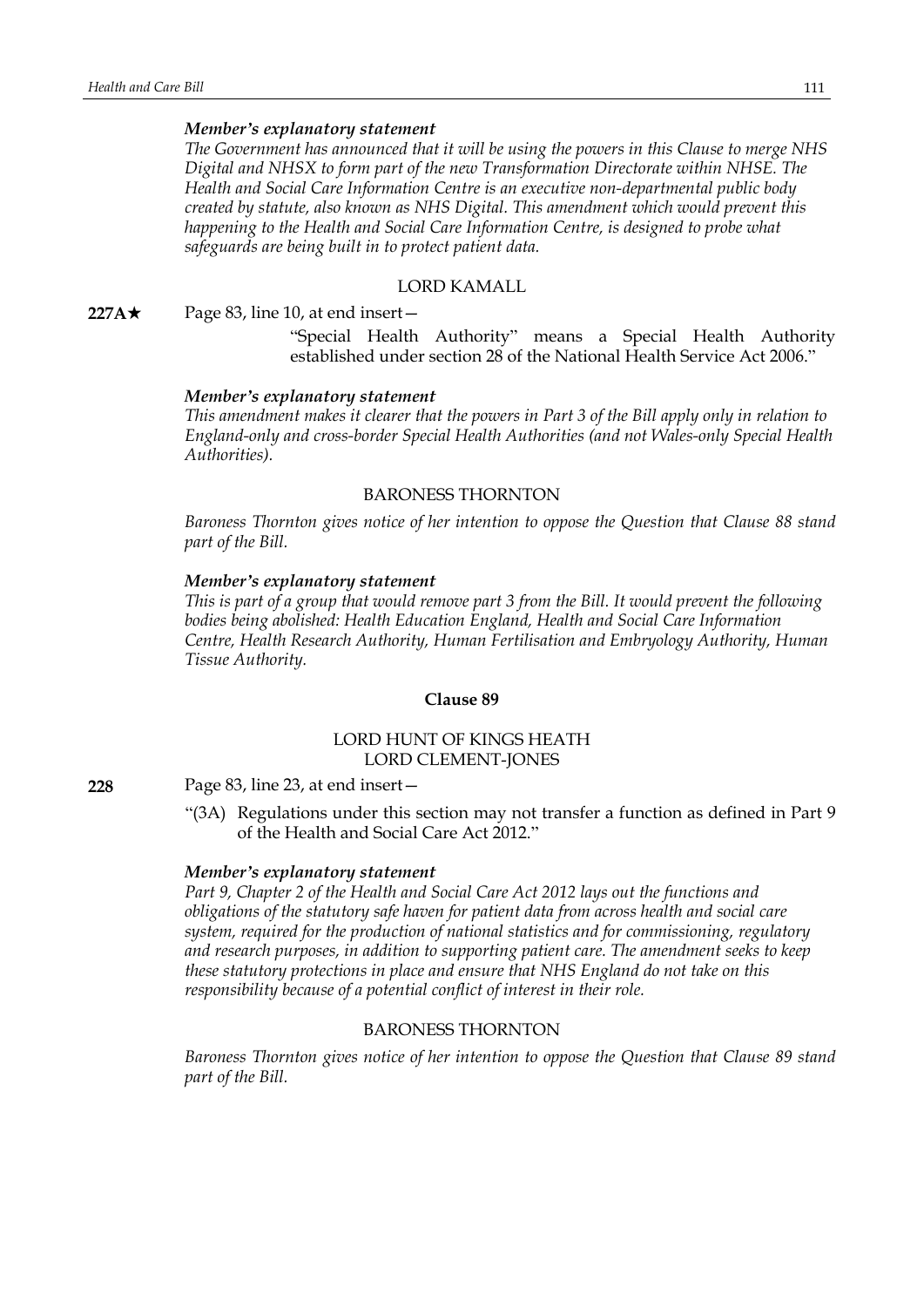*The Government has announced that it will be using the powers in this Clause to merge NHS Digital and NHSX to form part of the new Transformation Directorate within NHSE. The Health and Social Care Information Centre is an executive non-departmental public body created by statute, also known as NHS Digital. This amendment which would prevent this happening to the Health and Social Care Information Centre, is designed to probe what safeguards are being built in to protect patient data.*

#### LORD KAMALL

**227A**★ Page 83, line 10, at end insert —

"Special Health Authority" means a Special Health Authority established under section 28 of the National Health Service Act 2006."

#### *Member's explanatory statement*

This amendment makes it clearer that the powers in Part 3 of the Bill apply only in relation to *England-only and cross-border Special Health Authorities (and not Wales-only Special Health Authorities).*

### BARONESS THORNTON

*Baroness Thornton gives notice of her intention to oppose the Question that Clause 88 stand part of the Bill.*

#### *Member's explanatory statement*

This is part of a group that would remove part 3 from the Bill. It would prevent the following *bodies being abolished: Health Education England, Health and Social Care Information Centre, Health Research Authority, Human Fertilisation and Embryology Authority, Human Tissue Authority.*

### **Clause 89**

# LORD HUNT OF KINGS HEATH LORD CLEMENT-JONES

**228** Page 83, line 23, at end insert—

"(3A) Regulations under this section may not transfer a function as defined in Part 9 of the Health and Social Care Act 2012."

#### *Member's explanatory statement*

*Part 9, Chapter 2 of the Health and Social Care Act 2012 lays out the functions and obligations of the statutory safe haven for patient data from across health and social care system, required for the production of national statistics and for commissioning, regulatory and research purposes, in addition to supporting patient care. The amendment seeks to keep these statutory protections in place and ensure that NHS England do not take on this responsibility because of a potential conflict of interest in their role.*

# BARONESS THORNTON

*Baroness Thornton gives notice of her intention to oppose the Question that Clause 89 stand part of the Bill.*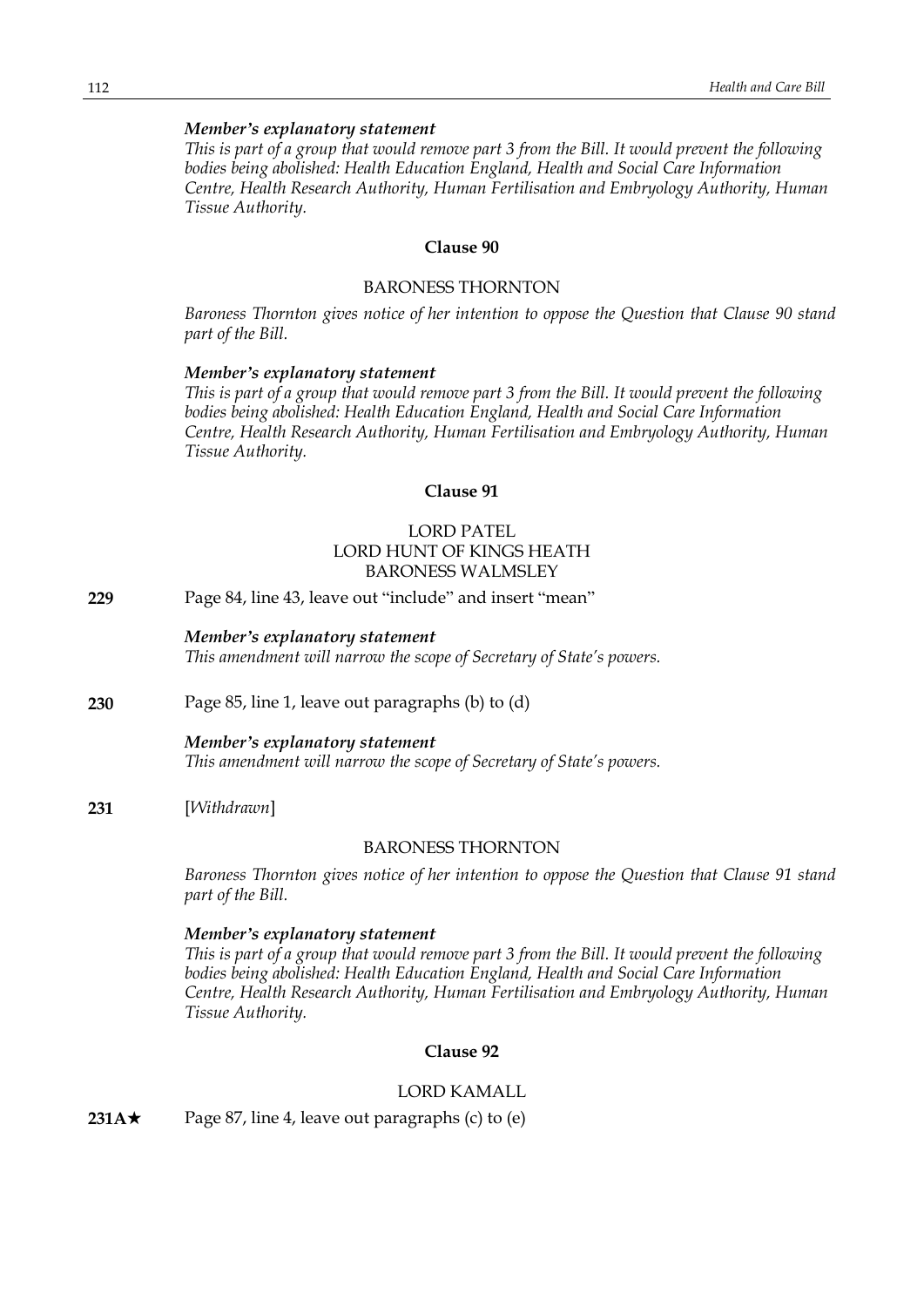This is part of a group that would remove part 3 from the Bill. It would prevent the following *bodies being abolished: Health Education England, Health and Social Care Information Centre, Health Research Authority, Human Fertilisation and Embryology Authority, Human Tissue Authority.*

# **Clause 90**

#### BARONESS THORNTON

*Baroness Thornton gives notice of her intention to oppose the Question that Clause 90 stand part of the Bill.*

#### *Member's explanatory statement*

This is part of a group that would remove part 3 from the Bill. It would prevent the following *bodies being abolished: Health Education England, Health and Social Care Information Centre, Health Research Authority, Human Fertilisation and Embryology Authority, Human Tissue Authority.*

# **Clause 91**

# LORD PATEL LORD HUNT OF KINGS HEATH BARONESS WALMSLEY

**229** Page 84, line 43, leave out "include" and insert "mean"

### *Member's explanatory statement*

*This amendment will narrow the scope of Secretary of State's powers.*

# **230** Page 85, line 1, leave out paragraphs (b) to (d)

#### *Member's explanatory statement*

*This amendment will narrow the scope of Secretary of State's powers.*

**231** [*Withdrawn*]

### BARONESS THORNTON

*Baroness Thornton gives notice of her intention to oppose the Question that Clause 91 stand part of the Bill.*

### *Member's explanatory statement*

This is part of a group that would remove part 3 from the Bill. It would prevent the following *bodies being abolished: Health Education England, Health and Social Care Information Centre, Health Research Authority, Human Fertilisation and Embryology Authority, Human Tissue Authority.*

# **Clause 92**

#### LORD KAMALL

**231A** $\star$  Page 87, line 4, leave out paragraphs (c) to (e)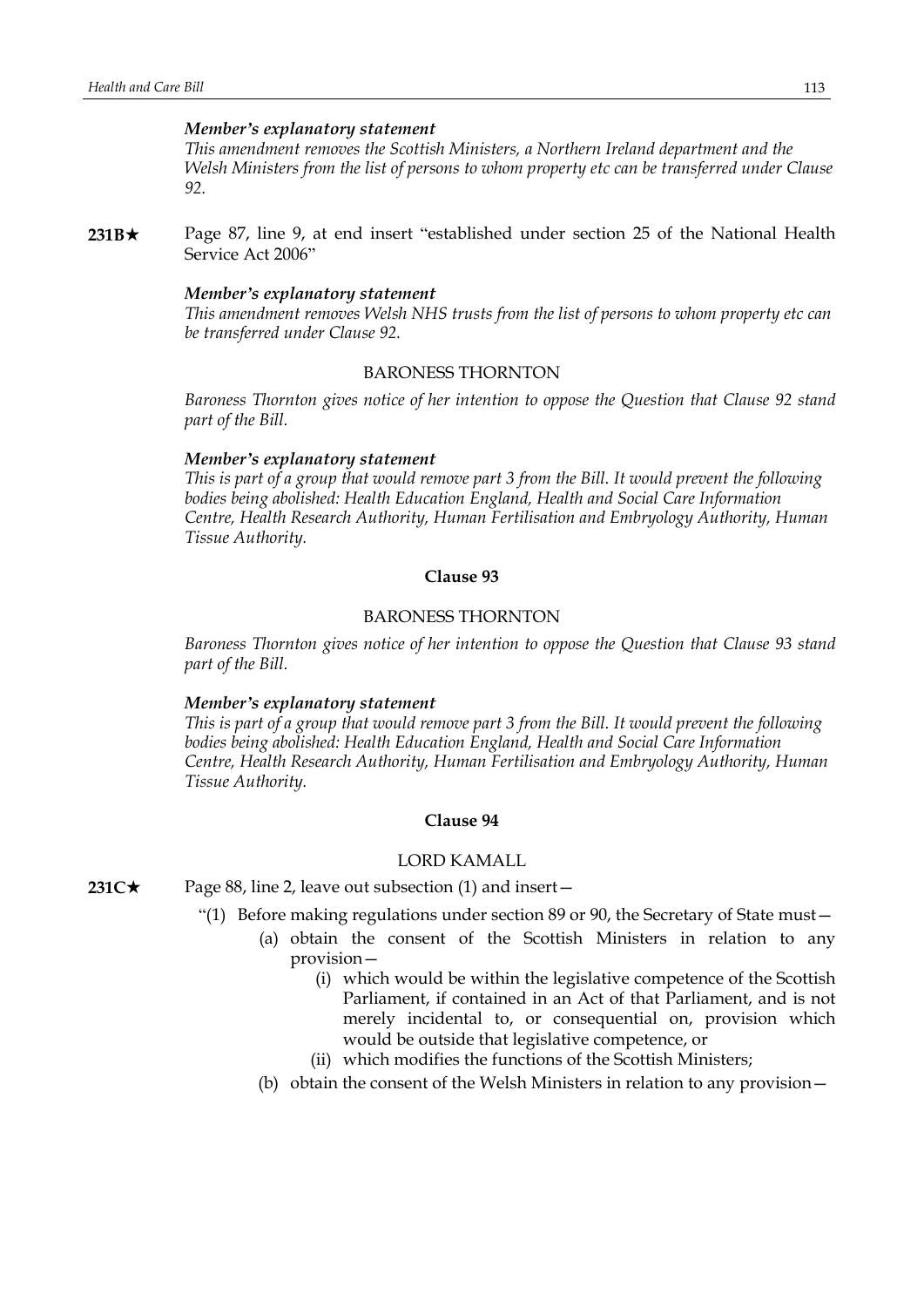*This amendment removes the Scottish Ministers, a Northern Ireland department and the Welsh Ministers from the list of persons to whom property etc can be transferred under Clause 92.*

**231B**<sup>★</sup> Page 87, line 9, at end insert "established under section 25 of the National Health Service Act 2006"

### *Member's explanatory statement*

*This amendment removes Welsh NHS trusts from the list of persons to whom property etc can be transferred under Clause 92.*

# BARONESS THORNTON

*Baroness Thornton gives notice of her intention to oppose the Question that Clause 92 stand part of the Bill.*

### *Member's explanatory statement*

This is part of a group that would remove part 3 from the Bill. It would prevent the following *bodies being abolished: Health Education England, Health and Social Care Information Centre, Health Research Authority, Human Fertilisation and Embryology Authority, Human Tissue Authority.*

# **Clause 93**

### BARONESS THORNTON

*Baroness Thornton gives notice of her intention to oppose the Question that Clause 93 stand part of the Bill.*

### *Member's explanatory statement*

This is part of a group that would remove part 3 from the Bill. It would prevent the following *bodies being abolished: Health Education England, Health and Social Care Information Centre, Health Research Authority, Human Fertilisation and Embryology Authority, Human Tissue Authority.*

#### **Clause 94**

### LORD KAMALL

**231C★** Page 88, line 2, leave out subsection (1) and insert –

- "(1) Before making regulations under section 89 or 90, the Secretary of State must  $-$ 
	- (a) obtain the consent of the Scottish Ministers in relation to any provision—
		- (i) which would be within the legislative competence of the Scottish Parliament, if contained in an Act of that Parliament, and is not merely incidental to, or consequential on, provision which would be outside that legislative competence, or
		- (ii) which modifies the functions of the Scottish Ministers;
		- (b) obtain the consent of the Welsh Ministers in relation to any provision—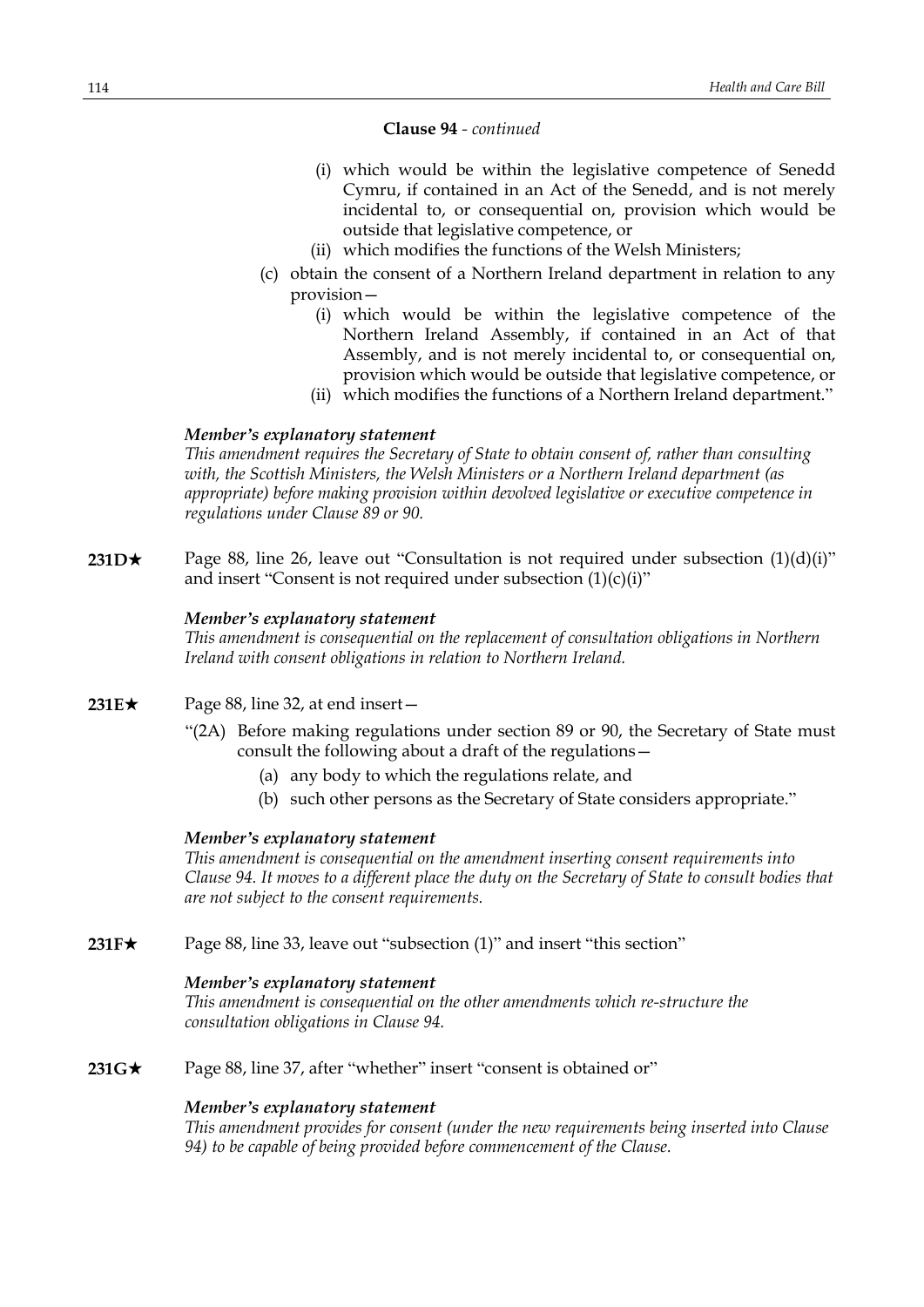# **Clause 94** *- continued*

- (i) which would be within the legislative competence of Senedd Cymru, if contained in an Act of the Senedd, and is not merely incidental to, or consequential on, provision which would be outside that legislative competence, or
- (ii) which modifies the functions of the Welsh Ministers;
- (c) obtain the consent of a Northern Ireland department in relation to any provision—
	- (i) which would be within the legislative competence of the Northern Ireland Assembly, if contained in an Act of that Assembly, and is not merely incidental to, or consequential on, provision which would be outside that legislative competence, or
	- (ii) which modifies the functions of a Northern Ireland department."

### *Member's explanatory statement*

*This amendment requires the Secretary of State to obtain consent of, rather than consulting with, the Scottish Ministers, the Welsh Ministers or a Northern Ireland department (as appropriate) before making provision within devolved legislative or executive competence in regulations under Clause 89 or 90.*

**231D** $\star$  Page 88, line 26, leave out "Consultation is not required under subsection  $(1)(d)(i)$ " and insert "Consent is not required under subsection  $(1)(c)(i)$ "

### *Member's explanatory statement*

*This amendment is consequential on the replacement of consultation obligations in Northern Ireland with consent obligations in relation to Northern Ireland.*

- **231E**★ Page 88, line 32, at end insert
	- "(2A) Before making regulations under section 89 or 90, the Secretary of State must consult the following about a draft of the regulations—
		- (a) any body to which the regulations relate, and
		- (b) such other persons as the Secretary of State considers appropriate."

### *Member's explanatory statement*

*This amendment is consequential on the amendment inserting consent requirements into* Clause 94. It moves to a different place the duty on the Secretary of State to consult bodies that *are not subject to the consent requirements.*

**231F★** Page 88, line 33, leave out "subsection (1)" and insert "this section"

#### *Member's explanatory statement*

*This amendment is consequential on the other amendments which re-structure the consultation obligations in Clause 94.*

**231G**★ Page 88, line 37, after "whether" insert "consent is obtained or"

#### *Member's explanatory statement*

*This amendment provides for consent (under the new requirements being inserted into Clause 94) to be capable of being provided before commencement of the Clause.*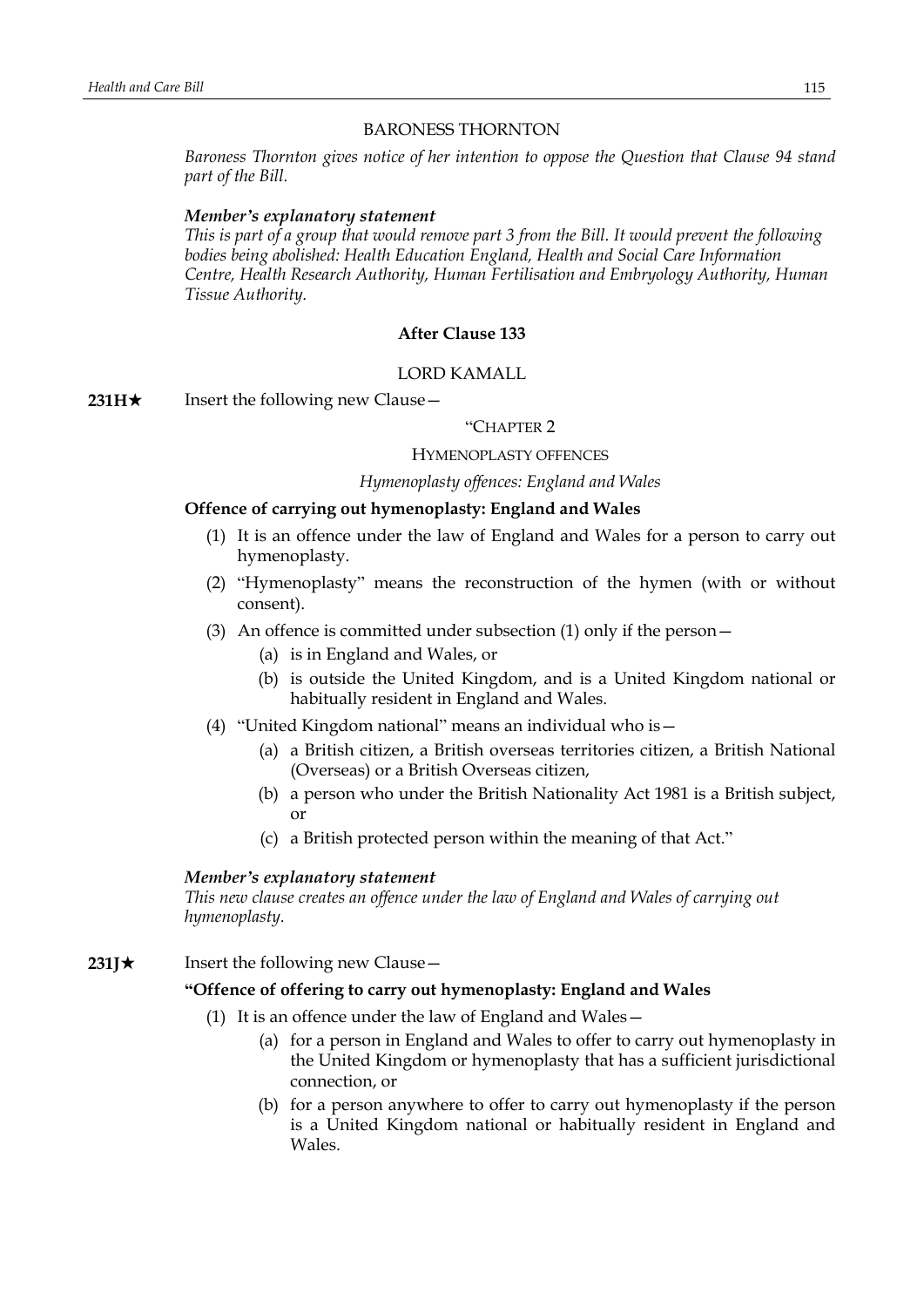### BARONESS THORNTON

*Baroness Thornton gives notice of her intention to oppose the Question that Clause 94 stand part of the Bill.*

### *Member's explanatory statement*

This is part of a group that would remove part 3 from the Bill. It would prevent the following *bodies being abolished: Health Education England, Health and Social Care Information Centre, Health Research Authority, Human Fertilisation and Embryology Authority, Human Tissue Authority.*

### **After Clause 133**

### LORD KAMALL

**231H**★ Insert the following new Clause —

### "CHAPTER 2

#### HYMENOPLASTY OFFENCES

### *Hymenoplasty offences: England and Wales*

#### **Offence of carrying out hymenoplasty: England and Wales**

- (1) It is an offence under the law of England and Wales for a person to carry out hymenoplasty.
- (2) "Hymenoplasty" means the reconstruction of the hymen (with or without consent).
- (3) An offence is committed under subsection (1) only if the person  $-$ 
	- (a) is in England and Wales, or
	- (b) is outside the United Kingdom, and is a United Kingdom national or habitually resident in England and Wales.
- (4) "United Kingdom national" means an individual who is—
	- (a) a British citizen, a British overseas territories citizen, a British National (Overseas) or a British Overseas citizen,
	- (b) a person who under the British Nationality Act 1981 is a British subject, or
	- (c) a British protected person within the meaning of that Act."

#### *Member's explanatory statement*

*This new clause creates an offence under the law of England and Wales of carrying out hymenoplasty.*

**231J**★ Insert the following new Clause —

### **"Offence of offering to carry out hymenoplasty: England and Wales**

- (1) It is an offence under the law of England and Wales—
	- (a) for a person in England and Wales to offer to carry out hymenoplasty in the United Kingdom or hymenoplasty that has a sufficient jurisdictional connection, or
	- (b) for a person anywhere to offer to carry out hymenoplasty if the person is a United Kingdom national or habitually resident in England and Wales.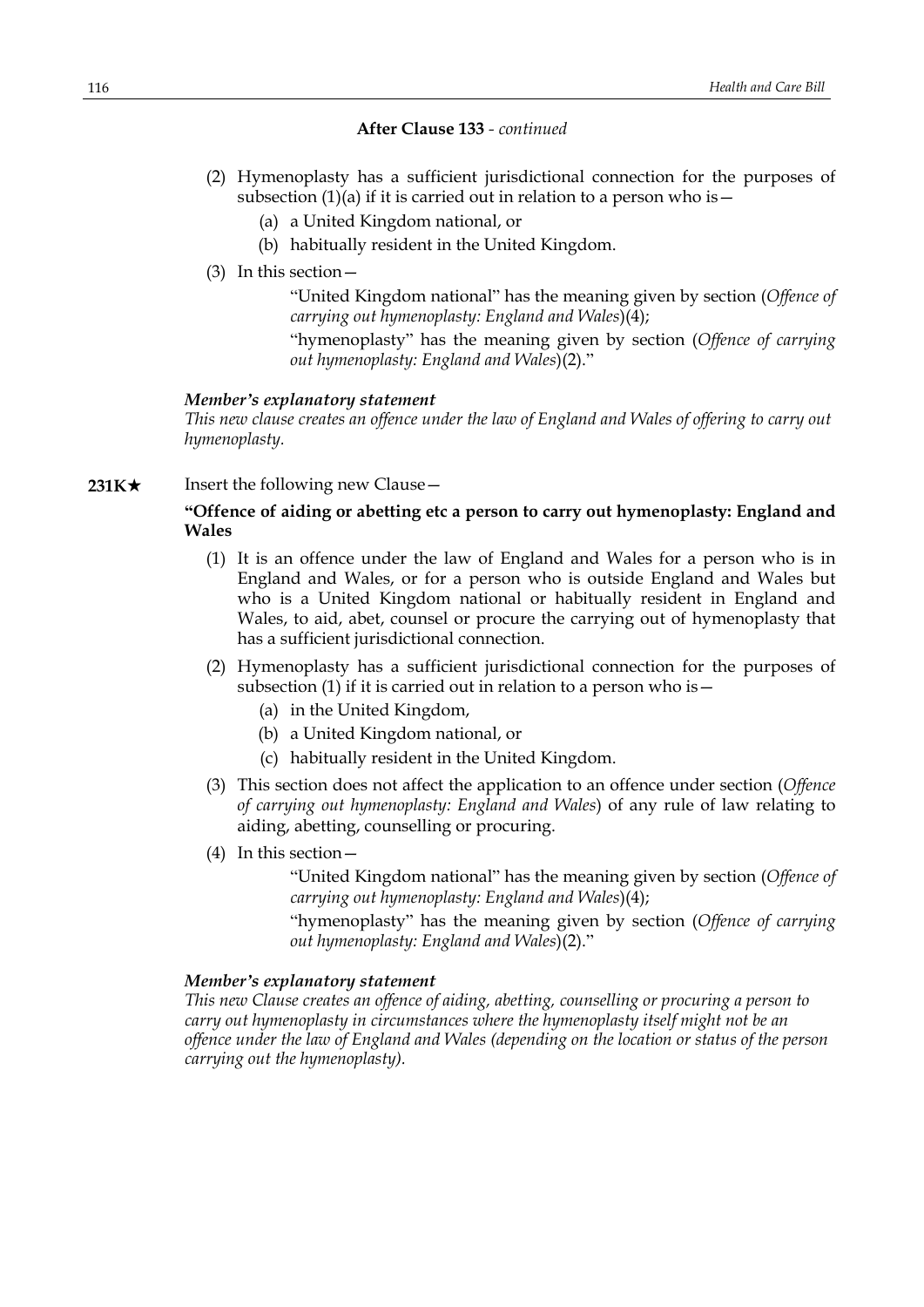### **After Clause 133** *- continued*

- (2) Hymenoplasty has a sufficient jurisdictional connection for the purposes of subsection  $(1)(a)$  if it is carried out in relation to a person who is  $-$ 
	- (a) a United Kingdom national, or
	- (b) habitually resident in the United Kingdom.
- (3) In this section—

"United Kingdom national" has the meaning given by section (*Offence of carrying out hymenoplasty: England and Wales*)(4);

"hymenoplasty" has the meaning given by section (*Offence of carrying out hymenoplasty: England and Wales*)(2)."

### *Member's explanatory statement*

*This new clause creates an offence under the law of England and Wales of offering to carry out hymenoplasty.*

**231K★** Insert the following new Clause —

# **"Offence of aiding or abetting etc a person to carry out hymenoplasty: England and Wales**

- (1) It is an offence under the law of England and Wales for a person who is in England and Wales, or for a person who is outside England and Wales but who is a United Kingdom national or habitually resident in England and Wales, to aid, abet, counsel or procure the carrying out of hymenoplasty that has a sufficient jurisdictional connection.
- (2) Hymenoplasty has a sufficient jurisdictional connection for the purposes of subsection (1) if it is carried out in relation to a person who is  $-$ 
	- (a) in the United Kingdom,
	- (b) a United Kingdom national, or
	- (c) habitually resident in the United Kingdom.
- (3) This section does not affect the application to an offence under section (*Offence of carrying out hymenoplasty: England and Wales*) of any rule of law relating to aiding, abetting, counselling or procuring.
- (4) In this section—

"United Kingdom national" has the meaning given by section (*Offence of carrying out hymenoplasty: England and Wales*)(4);

"hymenoplasty" has the meaning given by section (*Offence of carrying out hymenoplasty: England and Wales*)(2)."

### *Member's explanatory statement*

*This new Clause creates an offence of aiding, abetting, counselling or procuring a person to carry out hymenoplasty in circumstances where the hymenoplasty itself might not be an offence under the law of England and Wales (depending on the location or status of the person carrying out the hymenoplasty).*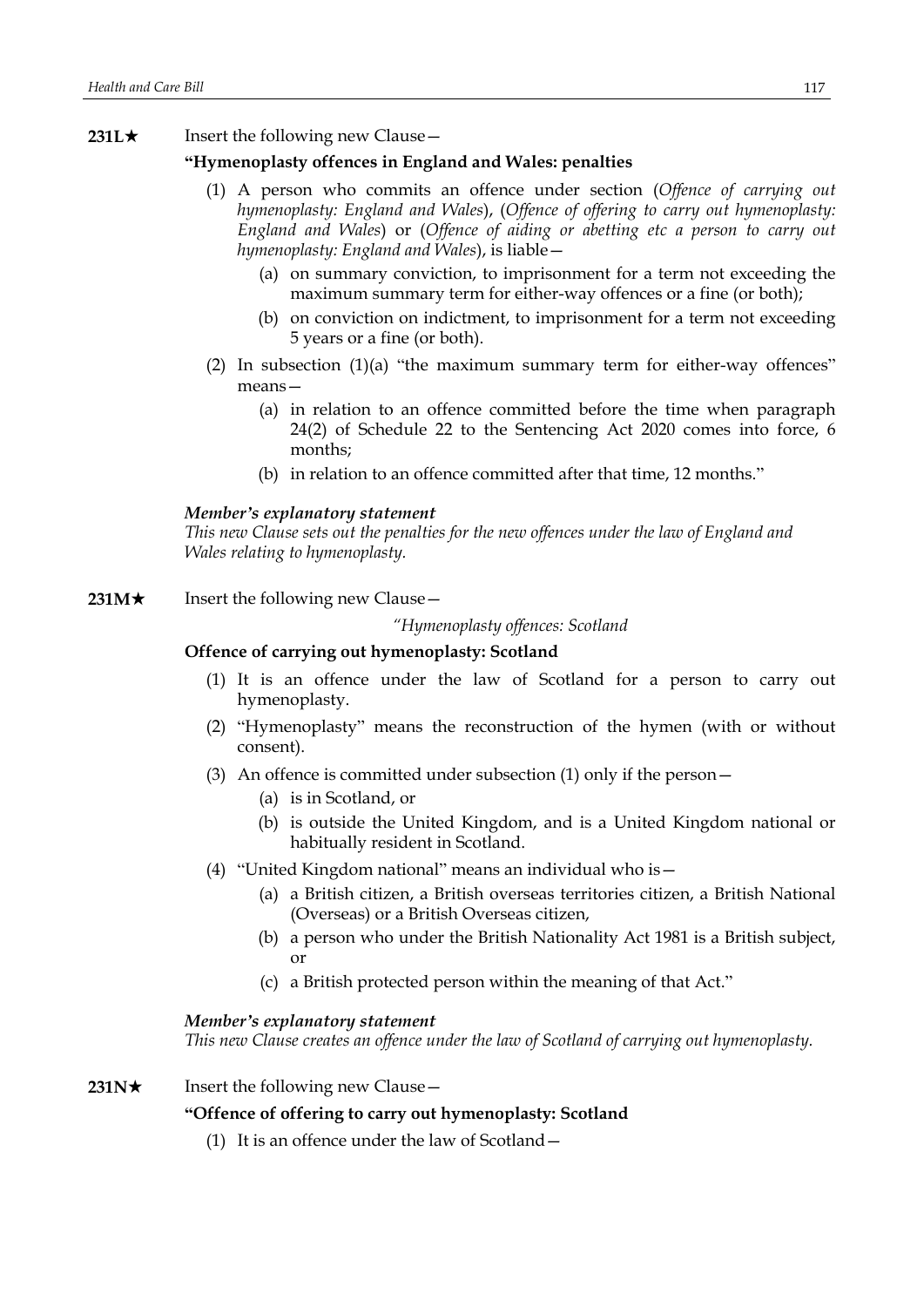# **231L★** Insert the following new Clause

# **"Hymenoplasty offences in England and Wales: penalties**

- (1) A person who commits an offence under section (*Offence of carrying out hymenoplasty: England and Wales*), (*Offence of offering to carry out hymenoplasty: England and Wales*) or (*Offence of aiding or abetting etc a person to carry out hymenoplasty: England and Wales*), is liable—
	- (a) on summary conviction, to imprisonment for a term not exceeding the maximum summary term for either-way offences or a fine (or both);
	- (b) on conviction on indictment, to imprisonment for a term not exceeding 5 years or a fine (or both).
- (2) In subsection  $(1)(a)$  "the maximum summary term for either-way offences" means—
	- (a) in relation to an offence committed before the time when paragraph 24(2) of Schedule 22 to the Sentencing Act 2020 comes into force, 6 months;
	- (b) in relation to an offence committed after that time, 12 months."

### *Member's explanatory statement*

*This new Clause sets out the penalties for the new offences under the law of England and Wales relating to hymenoplasty.*

**231M**★ Insert the following new Clause —

*"Hymenoplasty offences: Scotland*

### **Offence of carrying out hymenoplasty: Scotland**

- (1) It is an offence under the law of Scotland for a person to carry out hymenoplasty.
- (2) "Hymenoplasty" means the reconstruction of the hymen (with or without consent).
- (3) An offence is committed under subsection (1) only if the person—
	- (a) is in Scotland, or
	- (b) is outside the United Kingdom, and is a United Kingdom national or habitually resident in Scotland.
- (4) "United Kingdom national" means an individual who is—
	- (a) a British citizen, a British overseas territories citizen, a British National (Overseas) or a British Overseas citizen,
	- (b) a person who under the British Nationality Act 1981 is a British subject, or
	- (c) a British protected person within the meaning of that Act."

# *Member's explanatory statement*

*This new Clause creates an offence under the law of Scotland of carrying out hymenoplasty.*

**231N**★ Insert the following new Clause —

### **"Offence of offering to carry out hymenoplasty: Scotland**

(1) It is an offence under the law of Scotland—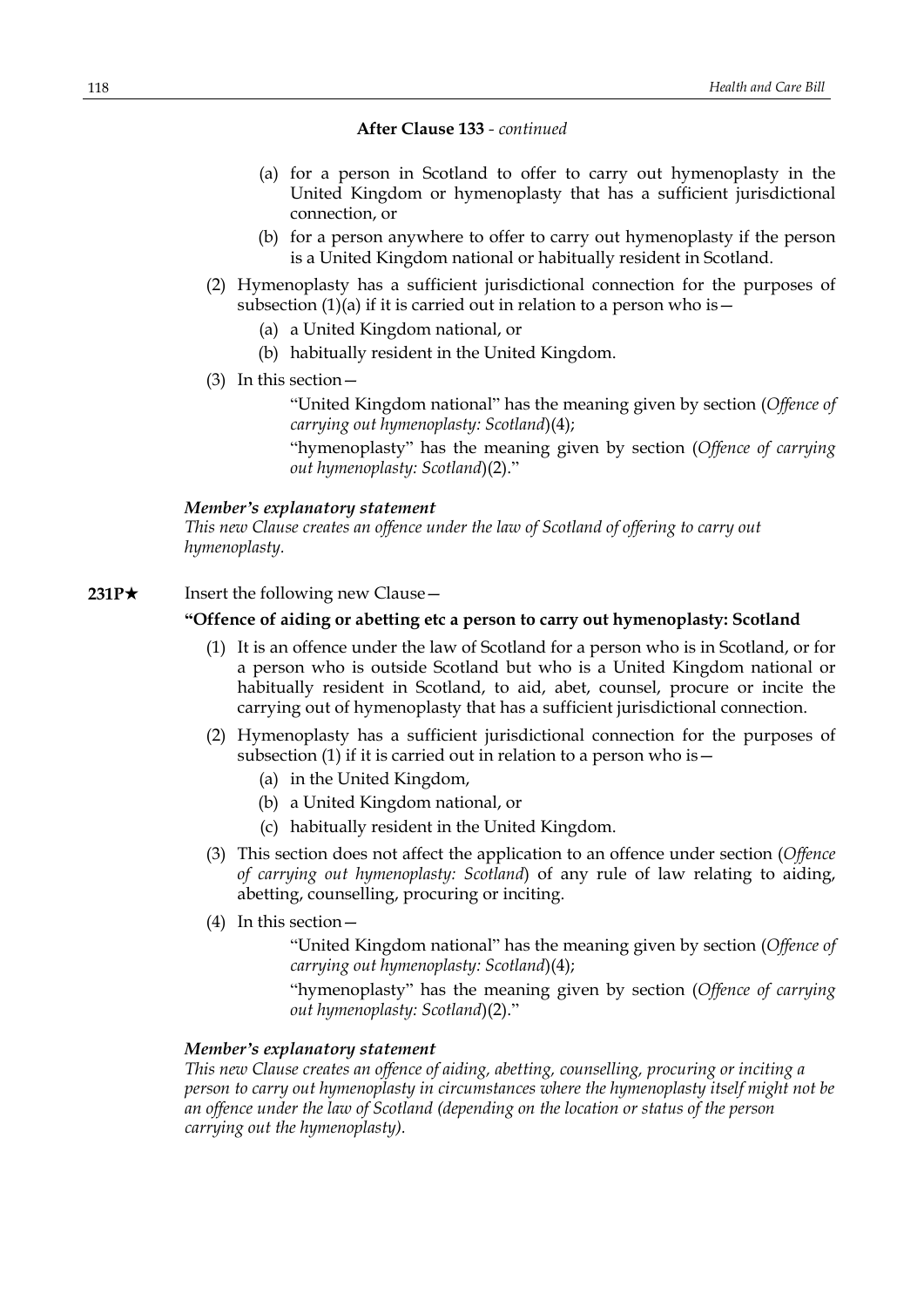### **After Clause 133** *- continued*

- (a) for a person in Scotland to offer to carry out hymenoplasty in the United Kingdom or hymenoplasty that has a sufficient jurisdictional connection, or
- (b) for a person anywhere to offer to carry out hymenoplasty if the person is a United Kingdom national or habitually resident in Scotland.
- (2) Hymenoplasty has a sufficient jurisdictional connection for the purposes of subsection  $(1)(a)$  if it is carried out in relation to a person who is  $-$ 
	- (a) a United Kingdom national, or
	- (b) habitually resident in the United Kingdom.
- (3) In this section—

"United Kingdom national" has the meaning given by section (*Offence of carrying out hymenoplasty: Scotland*)(4);

"hymenoplasty" has the meaning given by section (*Offence of carrying out hymenoplasty: Scotland*)(2)."

### *Member's explanatory statement*

*This new Clause creates an offence under the law of Scotland of offering to carry out hymenoplasty.*

**231P**★ Insert the following new Clause —

# **"Offence of aiding or abetting etc a person to carry out hymenoplasty: Scotland**

- (1) It is an offence under the law of Scotland for a person who is in Scotland, or for a person who is outside Scotland but who is a United Kingdom national or habitually resident in Scotland, to aid, abet, counsel, procure or incite the carrying out of hymenoplasty that has a sufficient jurisdictional connection.
- (2) Hymenoplasty has a sufficient jurisdictional connection for the purposes of subsection (1) if it is carried out in relation to a person who is  $-$ 
	- (a) in the United Kingdom,
	- (b) a United Kingdom national, or
	- (c) habitually resident in the United Kingdom.
- (3) This section does not affect the application to an offence under section (*Offence of carrying out hymenoplasty: Scotland*) of any rule of law relating to aiding, abetting, counselling, procuring or inciting.
- (4) In this section—
	- "United Kingdom national" has the meaning given by section (*Offence of carrying out hymenoplasty: Scotland*)(4);

"hymenoplasty" has the meaning given by section (*Offence of carrying out hymenoplasty: Scotland*)(2)."

### *Member's explanatory statement*

*This new Clause creates an offence of aiding, abetting, counselling, procuring or inciting a person to carry out hymenoplasty in circumstances where the hymenoplasty itself might not be an offence under the law of Scotland (depending on the location or status of the person carrying out the hymenoplasty).*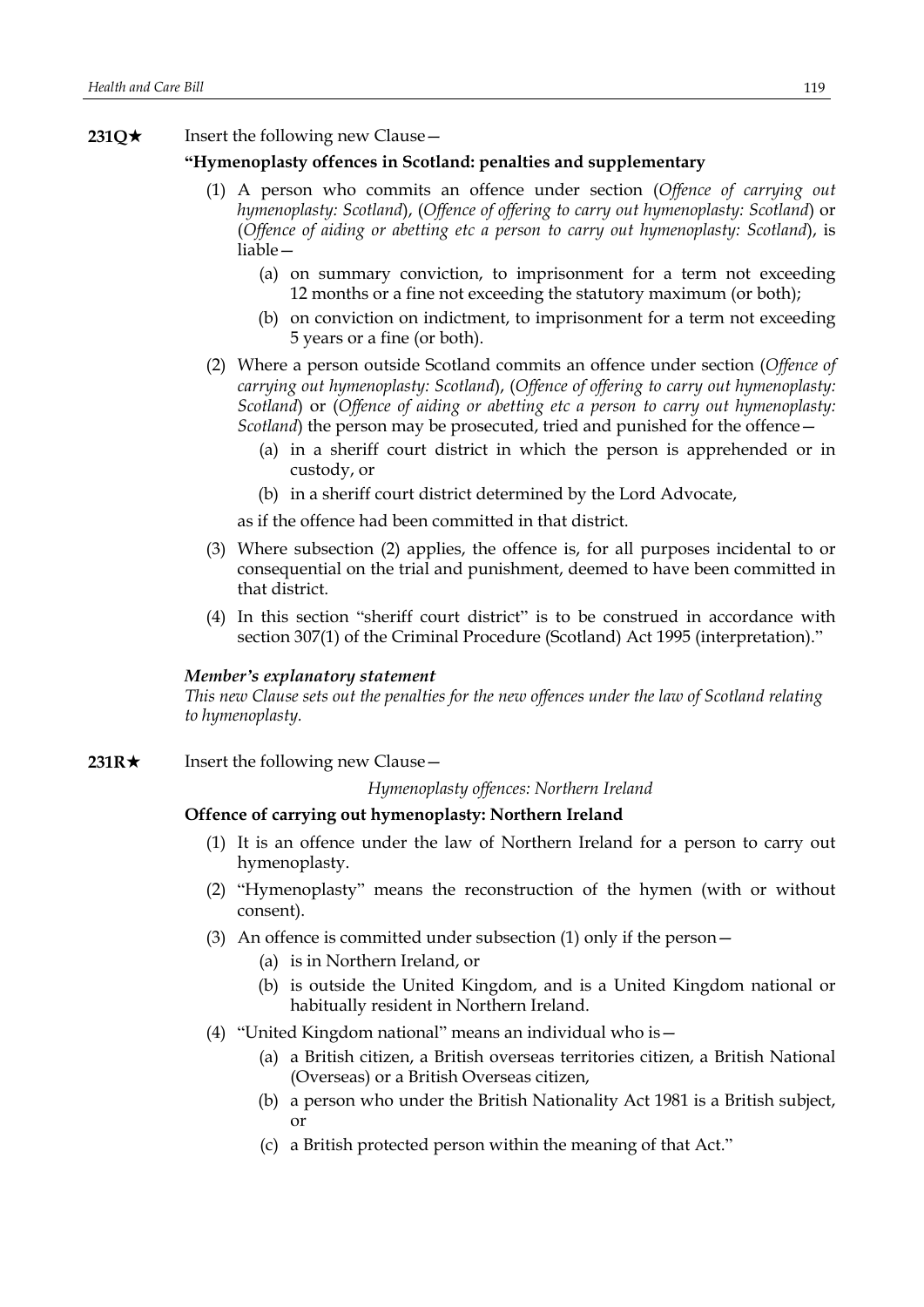**231Q**★ Insert the following new Clause —

# **"Hymenoplasty offences in Scotland: penalties and supplementary**

- (1) A person who commits an offence under section (*Offence of carrying out hymenoplasty: Scotland*), (*Offence of offering to carry out hymenoplasty: Scotland*) or (*Offence of aiding or abetting etc a person to carry out hymenoplasty: Scotland*), is liable—
	- (a) on summary conviction, to imprisonment for a term not exceeding 12 months or a fine not exceeding the statutory maximum (or both);
	- (b) on conviction on indictment, to imprisonment for a term not exceeding 5 years or a fine (or both).
- (2) Where a person outside Scotland commits an offence under section (*Offence of carrying out hymenoplasty: Scotland*), (*Offence of offering to carry out hymenoplasty: Scotland*) or (*Offence of aiding or abetting etc a person to carry out hymenoplasty: Scotland*) the person may be prosecuted, tried and punished for the offence—
	- (a) in a sheriff court district in which the person is apprehended or in custody, or
	- (b) in a sheriff court district determined by the Lord Advocate,

as if the offence had been committed in that district.

- (3) Where subsection (2) applies, the offence is, for all purposes incidental to or consequential on the trial and punishment, deemed to have been committed in that district.
- (4) In this section "sheriff court district" is to be construed in accordance with section 307(1) of the Criminal Procedure (Scotland) Act 1995 (interpretation)."

# *Member's explanatory statement*

*This new Clause sets out the penalties for the new offences under the law of Scotland relating to hymenoplasty.*

**231R**★ Insert the following new Clause

*Hymenoplasty offences: Northern Ireland*

### **Offence of carrying out hymenoplasty: Northern Ireland**

- (1) It is an offence under the law of Northern Ireland for a person to carry out hymenoplasty.
- (2) "Hymenoplasty" means the reconstruction of the hymen (with or without consent).
- (3) An offence is committed under subsection (1) only if the person—
	- (a) is in Northern Ireland, or
	- (b) is outside the United Kingdom, and is a United Kingdom national or habitually resident in Northern Ireland.
- (4) "United Kingdom national" means an individual who is—
	- (a) a British citizen, a British overseas territories citizen, a British National (Overseas) or a British Overseas citizen,
	- (b) a person who under the British Nationality Act 1981 is a British subject, or
	- (c) a British protected person within the meaning of that Act."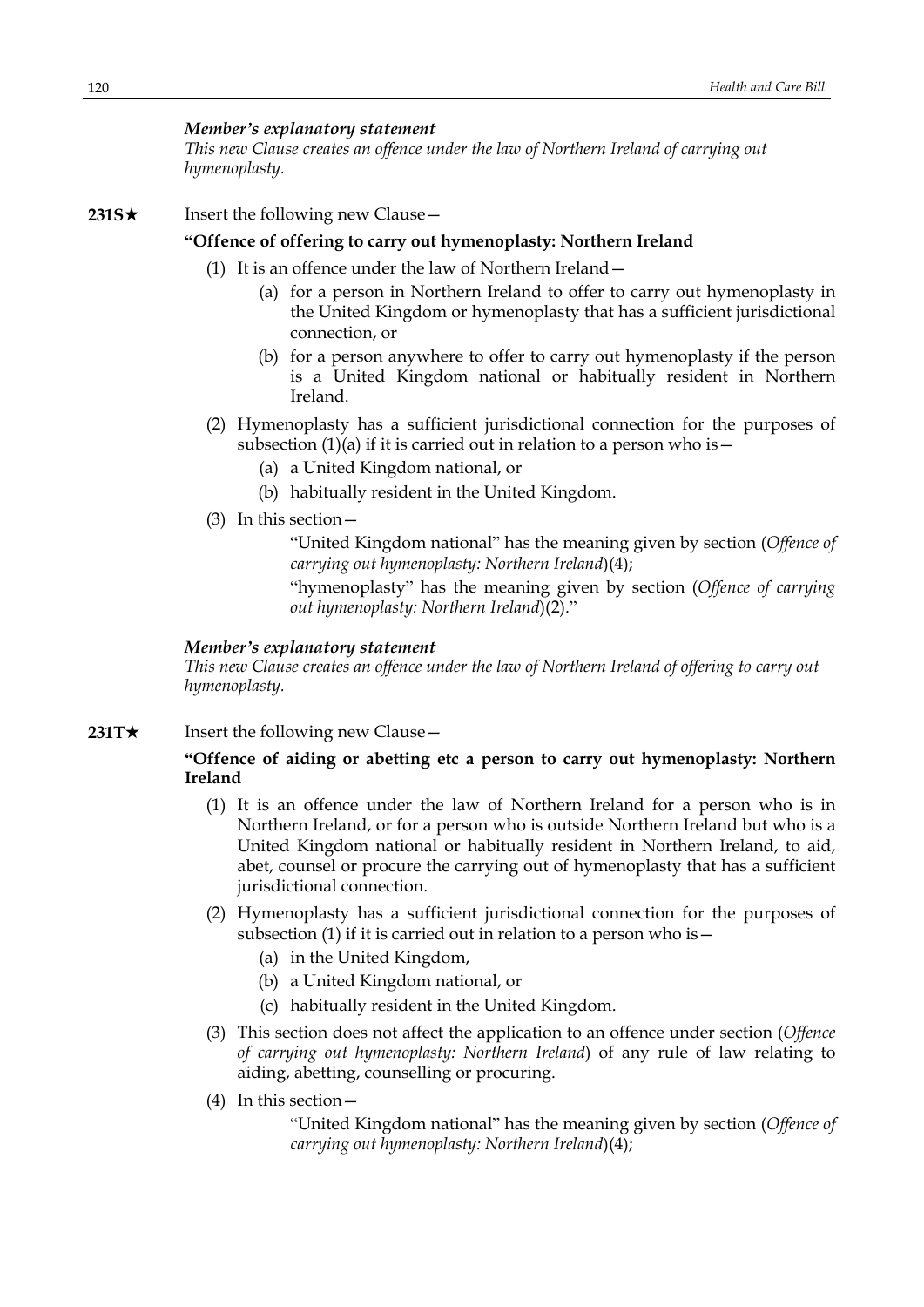*This new Clause creates an offence under the law of Northern Ireland of carrying out hymenoplasty.*

# **231S**★ Insert the following new Clause

## **"Offence of offering to carry out hymenoplasty: Northern Ireland**

- (1) It is an offence under the law of Northern Ireland—
	- (a) for a person in Northern Ireland to offer to carry out hymenoplasty in the United Kingdom or hymenoplasty that has a sufficient jurisdictional connection, or
	- (b) for a person anywhere to offer to carry out hymenoplasty if the person is a United Kingdom national or habitually resident in Northern Ireland.
- (2) Hymenoplasty has a sufficient jurisdictional connection for the purposes of subsection  $(1)(a)$  if it is carried out in relation to a person who is  $-$ 
	- (a) a United Kingdom national, or
	- (b) habitually resident in the United Kingdom.
- (3) In this section—

"United Kingdom national" has the meaning given by section (*Offence of carrying out hymenoplasty: Northern Ireland*)(4);

"hymenoplasty" has the meaning given by section (*Offence of carrying out hymenoplasty: Northern Ireland*)(2)."

# *Member's explanatory statement*

*This new Clause creates an offence under the law of Northern Ireland of offering to carry out hymenoplasty.*

**231T★** Insert the following new Clause —

# **"Offence of aiding or abetting etc a person to carry out hymenoplasty: Northern Ireland**

- (1) It is an offence under the law of Northern Ireland for a person who is in Northern Ireland, or for a person who is outside Northern Ireland but who is a United Kingdom national or habitually resident in Northern Ireland, to aid, abet, counsel or procure the carrying out of hymenoplasty that has a sufficient jurisdictional connection.
- (2) Hymenoplasty has a sufficient jurisdictional connection for the purposes of subsection (1) if it is carried out in relation to a person who is  $-$ 
	- (a) in the United Kingdom,
	- (b) a United Kingdom national, or
	- (c) habitually resident in the United Kingdom.
- (3) This section does not affect the application to an offence under section (*Offence of carrying out hymenoplasty: Northern Ireland*) of any rule of law relating to aiding, abetting, counselling or procuring.
- (4) In this section—

"United Kingdom national" has the meaning given by section (*Offence of carrying out hymenoplasty: Northern Ireland*)(4);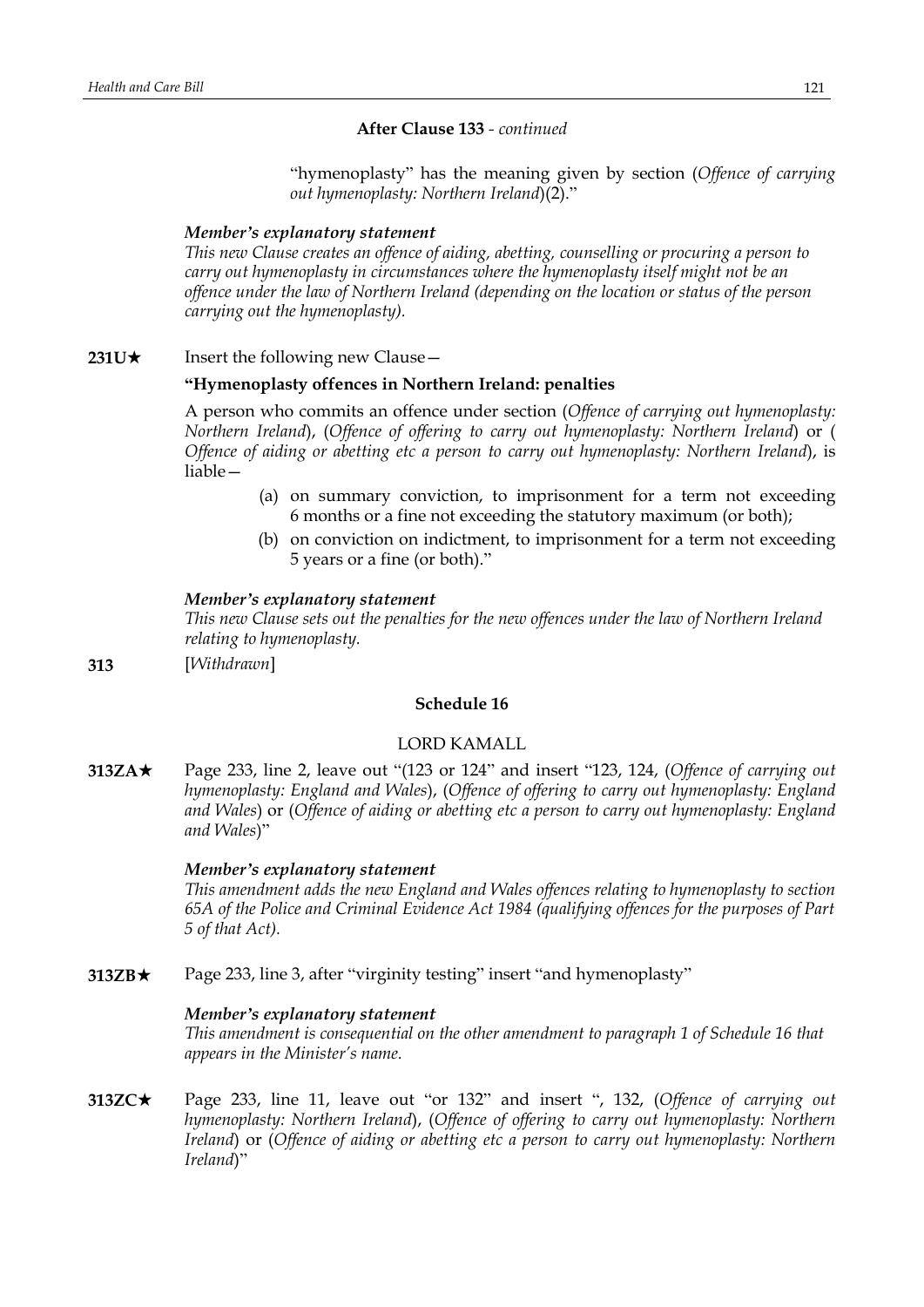# **After Clause 133** *- continued*

"hymenoplasty" has the meaning given by section (*Offence of carrying out hymenoplasty: Northern Ireland*)(2)."

# *Member's explanatory statement*

*This new Clause creates an offence of aiding, abetting, counselling or procuring a person to carry out hymenoplasty in circumstances where the hymenoplasty itself might not be an offence under the law of Northern Ireland (depending on the location or status of the person carrying out the hymenoplasty).*

**231U**★ Insert the following new Clause —

# **"Hymenoplasty offences in Northern Ireland: penalties**

A person who commits an offence under section (*Offence of carrying out hymenoplasty: Northern Ireland*), (*Offence of offering to carry out hymenoplasty: Northern Ireland*) or ( *Offence of aiding or abetting etc a person to carry out hymenoplasty: Northern Ireland*), is liable—

- (a) on summary conviction, to imprisonment for a term not exceeding 6 months or a fine not exceeding the statutory maximum (or both);
- (b) on conviction on indictment, to imprisonment for a term not exceeding 5 years or a fine (or both)."

# *Member's explanatory statement*

*This new Clause sets out the penalties for the new offences under the law of Northern Ireland relating to hymenoplasty.*

**313** [*Withdrawn*]

# **Schedule 16**

# LORD KAMALL

**313ZA**\* Page 233, line 2, leave out "(123 or 124" and insert "123, 124, (*Offence of carrying out hymenoplasty: England and Wales*), (*Offence of offering to carry out hymenoplasty: England and Wales*) or (*Offence of aiding or abetting etc a person to carry out hymenoplasty: England and Wales*)"

# *Member's explanatory statement*

*This amendment adds the new England and Wales offences relating to hymenoplasty to section 65A of the Police and Criminal Evidence Act 1984 (qualifying offences for the purposes of Part 5 of that Act).*

**313ZB**★ Page 233, line 3, after "virginity testing" insert "and hymenoplasty"

# *Member's explanatory statement*

*This amendment is consequential on the other amendment to paragraph 1 of Schedule 16 that appears in the Minister's name.*

**313ZC**\* Page 233, line 11, leave out "or 132" and insert ", 132, (*Offence of carrying out hymenoplasty: Northern Ireland*), (*Offence of offering to carry out hymenoplasty: Northern Ireland*) or (*Offence of aiding or abetting etc a person to carry out hymenoplasty: Northern Ireland*)"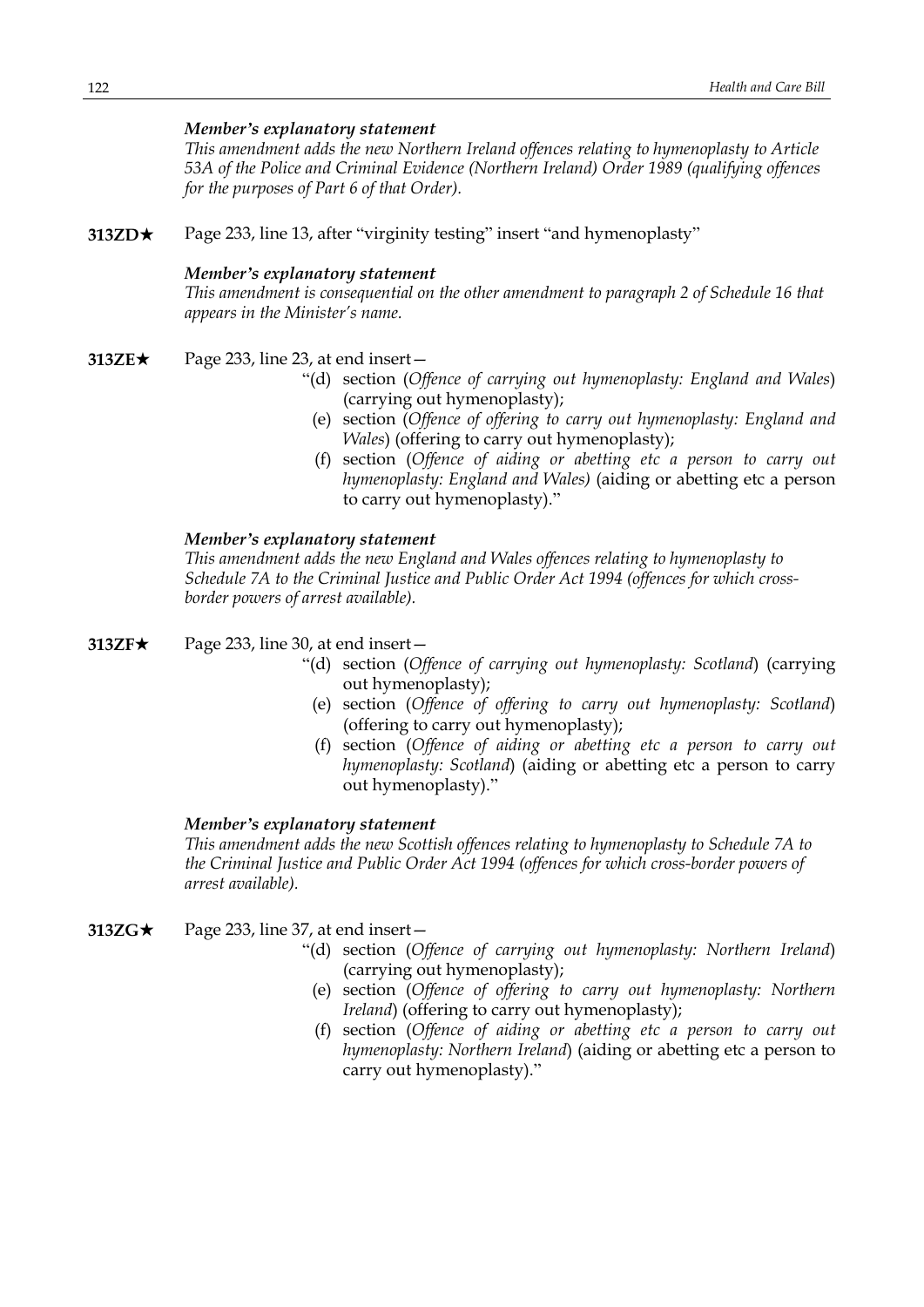*This amendment adds the new Northern Ireland offences relating to hymenoplasty to Article 53A of the Police and Criminal Evidence (Northern Ireland) Order 1989 (qualifying offences for the purposes of Part 6 of that Order).*

**313ZD**\* Page 233, line 13, after "virginity testing" insert "and hymenoplasty"

#### *Member's explanatory statement*

*This amendment is consequential on the other amendment to paragraph 2 of Schedule 16 that appears in the Minister's name.*

### **313ZE**★ Page 233, line 23, at end insert —

- "(d) section (*Offence of carrying out hymenoplasty: England and Wales*) (carrying out hymenoplasty);
	- (e) section (*Offence of offering to carry out hymenoplasty: England and Wales*) (offering to carry out hymenoplasty);
	- (f) section (*Offence of aiding or abetting etc a person to carry out hymenoplasty: England and Wales)* (aiding or abetting etc a person to carry out hymenoplasty)."

### *Member's explanatory statement*

*This amendment adds the new England and Wales offences relating to hymenoplasty to Schedule 7A to the Criminal Justice and Public Order Act 1994 (offences for which crossborder powers of arrest available).*

- **313ZF**★ Page 233, line 30, at end insert
	- "(d) section (*Offence of carrying out hymenoplasty: Scotland*) (carrying out hymenoplasty);
		- (e) section (*Offence of offering to carry out hymenoplasty: Scotland*) (offering to carry out hymenoplasty);
		- (f) section (*Offence of aiding or abetting etc a person to carry out hymenoplasty: Scotland*) (aiding or abetting etc a person to carry out hymenoplasty)."

# *Member's explanatory statement*

*This amendment adds the new Scottish offences relating to hymenoplasty to Schedule 7A to the Criminal Justice and Public Order Act 1994 (offences for which cross-border powers of arrest available).*

- **313ZG**★ Page 233, line 37, at end insert
	- "(d) section (*Offence of carrying out hymenoplasty: Northern Ireland*) (carrying out hymenoplasty);
	- (e) section (*Offence of offering to carry out hymenoplasty: Northern Ireland*) (offering to carry out hymenoplasty);
	- (f) section (*Offence of aiding or abetting etc a person to carry out hymenoplasty: Northern Ireland*) (aiding or abetting etc a person to carry out hymenoplasty)."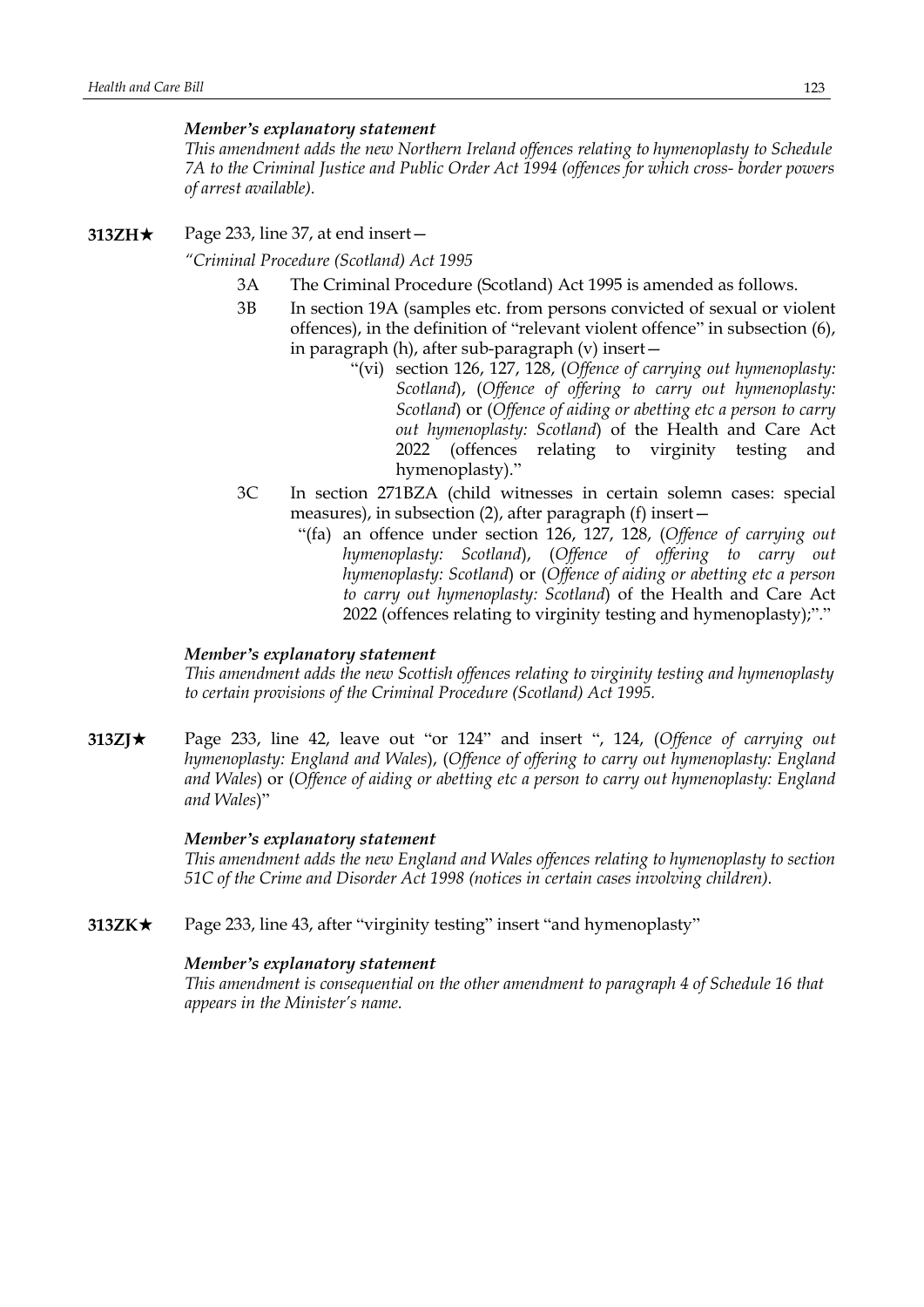*This amendment adds the new Northern Ireland offences relating to hymenoplasty to Schedule 7A to the Criminal Justice and Public Order Act 1994 (offences for which cross- border powers of arrest available).*

**313ZH★** Page 233, line 37, at end insert —

*"Criminal Procedure (Scotland) Act 1995*

- 3A The Criminal Procedure (Scotland) Act 1995 is amended as follows.
- 3B In section 19A (samples etc. from persons convicted of sexual or violent offences), in the definition of "relevant violent offence" in subsection (6), in paragraph (h), after sub-paragraph (v) insert—
	- "(vi) section 126, 127, 128, (*Offence of carrying out hymenoplasty: Scotland*), (*Offence of offering to carry out hymenoplasty: Scotland*) or (*Offence of aiding or abetting etc a person to carry out hymenoplasty: Scotland*) of the Health and Care Act 2022 (offences relating to virginity testing and hymenoplasty)."
- 3C In section 271BZA (child witnesses in certain solemn cases: special measures), in subsection (2), after paragraph (f) insert—
	- "(fa) an offence under section 126, 127, 128, (*Offence of carrying out hymenoplasty: Scotland*), (*Offence of offering to carry out hymenoplasty: Scotland*) or (*Offence of aiding or abetting etc a person to carry out hymenoplasty: Scotland*) of the Health and Care Act 2022 (offences relating to virginity testing and hymenoplasty);"."

# *Member's explanatory statement*

*This amendment adds the new Scottish offences relating to virginity testing and hymenoplasty to certain provisions of the Criminal Procedure (Scotland) Act 1995.*

**313ZJ**\* Page 233, line 42, leave out "or 124" and insert ", 124, (*Offence of carrying out hymenoplasty: England and Wales*), (*Offence of offering to carry out hymenoplasty: England and Wales*) or (*Offence of aiding or abetting etc a person to carry out hymenoplasty: England and Wales*)"

# *Member's explanatory statement*

*This amendment adds the new England and Wales offences relating to hymenoplasty to section 51C of the Crime and Disorder Act 1998 (notices in certain cases involving children).*

**313ZK**\* Page 233, line 43, after "virginity testing" insert "and hymenoplasty"

## *Member's explanatory statement*

*This amendment is consequential on the other amendment to paragraph 4 of Schedule 16 that appears in the Minister's name.*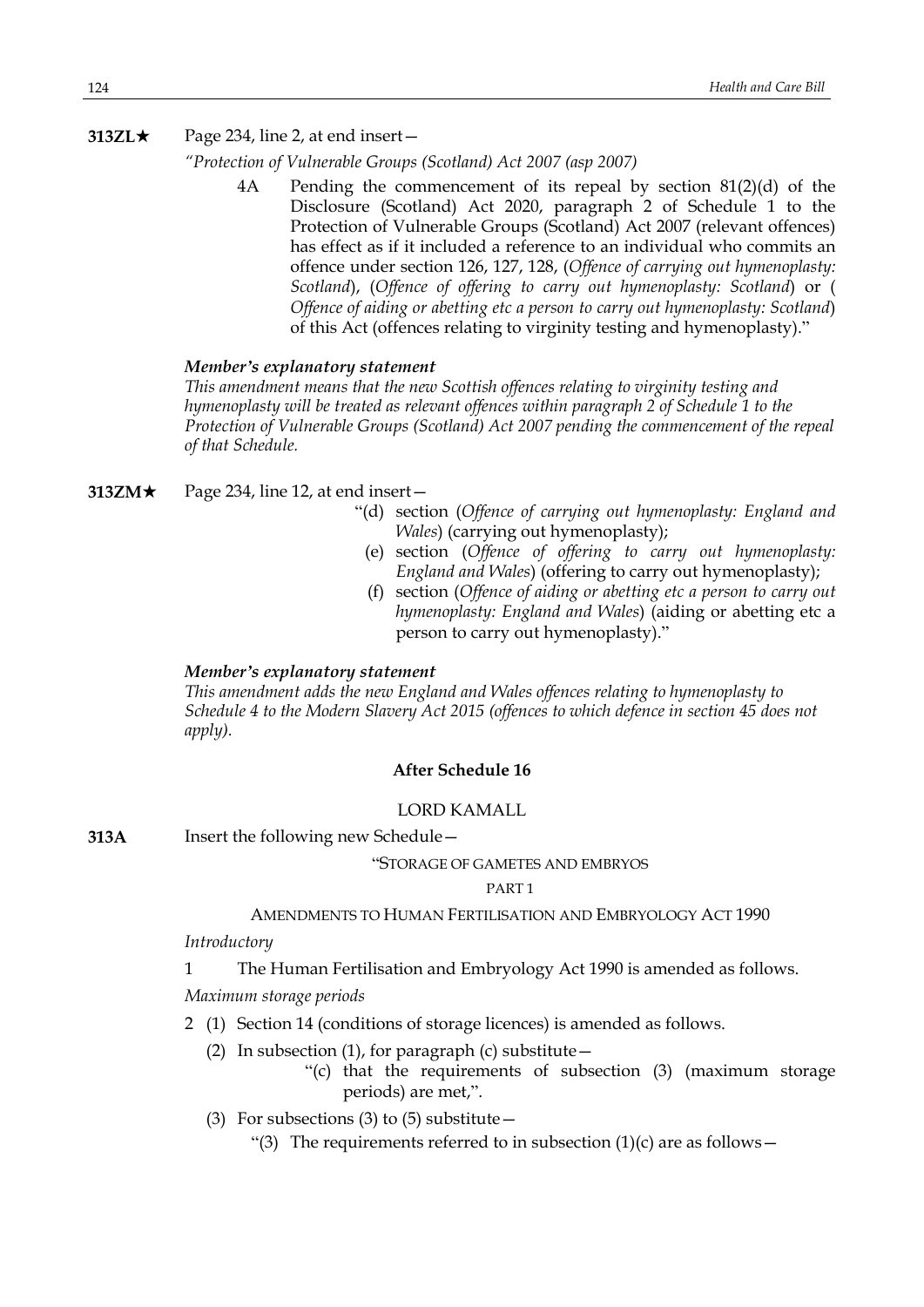# **313ZL★** Page 234, line 2, at end insert —

*"Protection of Vulnerable Groups (Scotland) Act 2007 (asp 2007)*

4A Pending the commencement of its repeal by section 81(2)(d) of the Disclosure (Scotland) Act 2020, paragraph 2 of Schedule 1 to the Protection of Vulnerable Groups (Scotland) Act 2007 (relevant offences) has effect as if it included a reference to an individual who commits an offence under section 126, 127, 128, (*Offence of carrying out hymenoplasty: Scotland*), (*Offence of offering to carry out hymenoplasty: Scotland*) or ( *Offence of aiding or abetting etc a person to carry out hymenoplasty: Scotland*) of this Act (offences relating to virginity testing and hymenoplasty)."

# *Member's explanatory statement*

*This amendment means that the new Scottish offences relating to virginity testing and hymenoplasty will be treated as relevant offences within paragraph 2 of Schedule 1 to the Protection of Vulnerable Groups (Scotland) Act 2007 pending the commencement of the repeal of that Schedule.*

- **313ZM** $\star$  Page 234, line 12, at end insert
	- "(d) section (*Offence of carrying out hymenoplasty: England and Wales*) (carrying out hymenoplasty);
	- (e) section (*Offence of offering to carry out hymenoplasty: England and Wales*) (offering to carry out hymenoplasty);
	- (f) section (*Offence of aiding or abetting etc a person to carry out hymenoplasty: England and Wales*) (aiding or abetting etc a person to carry out hymenoplasty)."

# *Member's explanatory statement*

*This amendment adds the new England and Wales offences relating to hymenoplasty to Schedule 4 to the Modern Slavery Act 2015 (offences to which defence in section 45 does not apply).*

### **After Schedule 16**

### LORD KAMALL

**313A** Insert the following new Schedule—

#### "STORAGE OF GAMETES AND EMBRYOS

### PART 1

### AMENDMENTS TO HUMAN FERTILISATION AND EMBRYOLOGY ACT 1990

### *Introductory*

1 The Human Fertilisation and Embryology Act 1990 is amended as follows.

*Maximum storage periods*

- 2 (1) Section 14 (conditions of storage licences) is amended as follows.
	- (2) In subsection (1), for paragraph (c) substitute  $-$ 
		- "(c) that the requirements of subsection (3) (maximum storage periods) are met,".
	- (3) For subsections (3) to (5) substitute  $-$ 
		- "(3) The requirements referred to in subsection  $(1)(c)$  are as follows -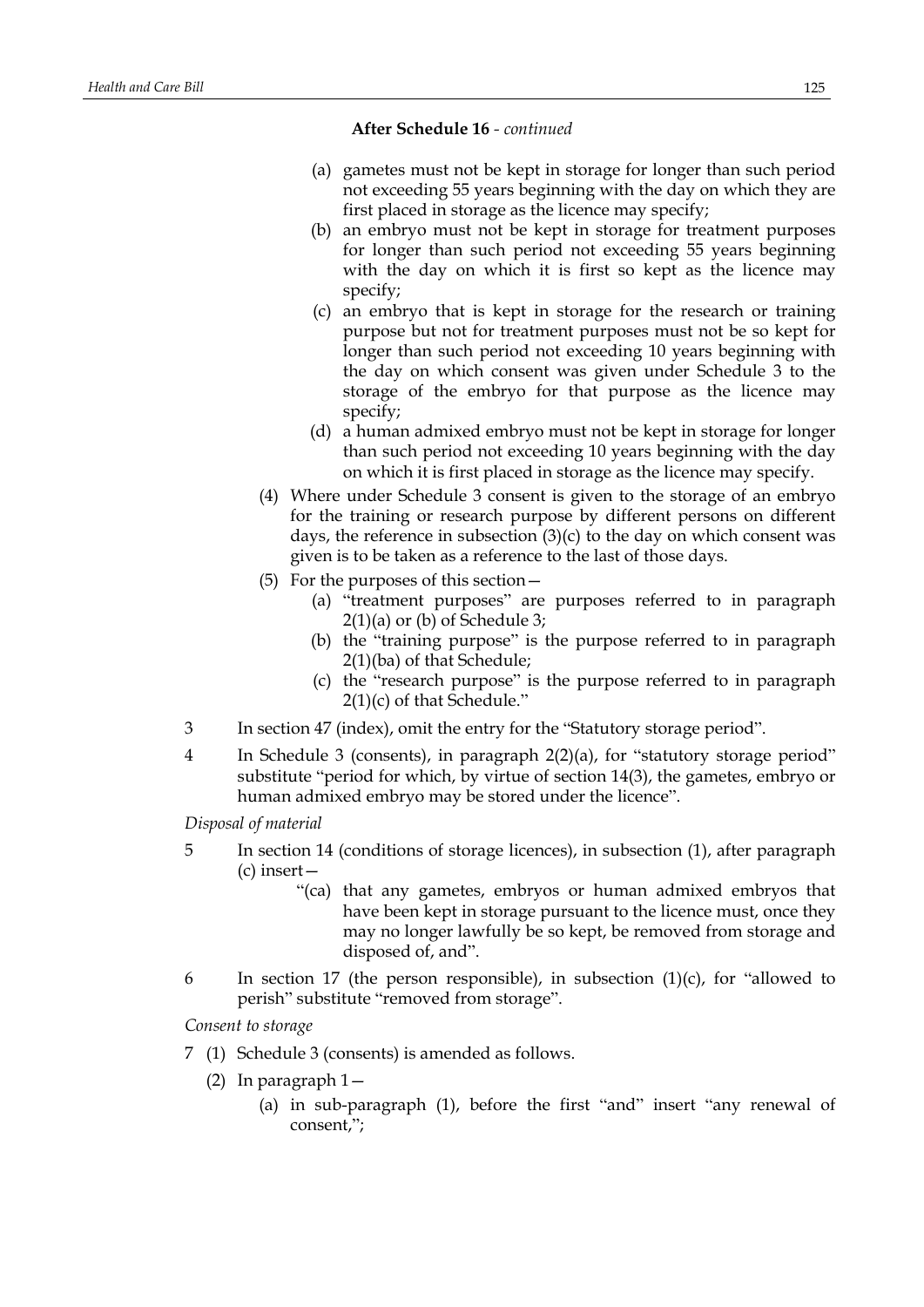- (a) gametes must not be kept in storage for longer than such period not exceeding 55 years beginning with the day on which they are first placed in storage as the licence may specify;
- (b) an embryo must not be kept in storage for treatment purposes for longer than such period not exceeding 55 years beginning with the day on which it is first so kept as the licence may specify;
- (c) an embryo that is kept in storage for the research or training purpose but not for treatment purposes must not be so kept for longer than such period not exceeding 10 years beginning with the day on which consent was given under Schedule 3 to the storage of the embryo for that purpose as the licence may specify;
- (d) a human admixed embryo must not be kept in storage for longer than such period not exceeding 10 years beginning with the day on which it is first placed in storage as the licence may specify.
- (4) Where under Schedule 3 consent is given to the storage of an embryo for the training or research purpose by different persons on different days, the reference in subsection (3)(c) to the day on which consent was given is to be taken as a reference to the last of those days.
- (5) For the purposes of this section—
	- (a) "treatment purposes" are purposes referred to in paragraph  $2(1)(a)$  or (b) of Schedule 3;
	- (b) the "training purpose" is the purpose referred to in paragraph 2(1)(ba) of that Schedule;
	- (c) the "research purpose" is the purpose referred to in paragraph 2(1)(c) of that Schedule."
- 3 In section 47 (index), omit the entry for the "Statutory storage period".
- 4 In Schedule 3 (consents), in paragraph 2(2)(a), for "statutory storage period" substitute "period for which, by virtue of section 14(3), the gametes, embryo or human admixed embryo may be stored under the licence".

*Disposal of material*

- 5 In section 14 (conditions of storage licences), in subsection (1), after paragraph (c) insert—
	- "(ca) that any gametes, embryos or human admixed embryos that have been kept in storage pursuant to the licence must, once they may no longer lawfully be so kept, be removed from storage and disposed of, and".
- 6 In section 17 (the person responsible), in subsection  $(1)(c)$ , for "allowed to perish" substitute "removed from storage".

*Consent to storage*

- 7 (1) Schedule 3 (consents) is amended as follows.
	- (2) In paragraph 1—
		- (a) in sub-paragraph (1), before the first "and" insert "any renewal of consent,";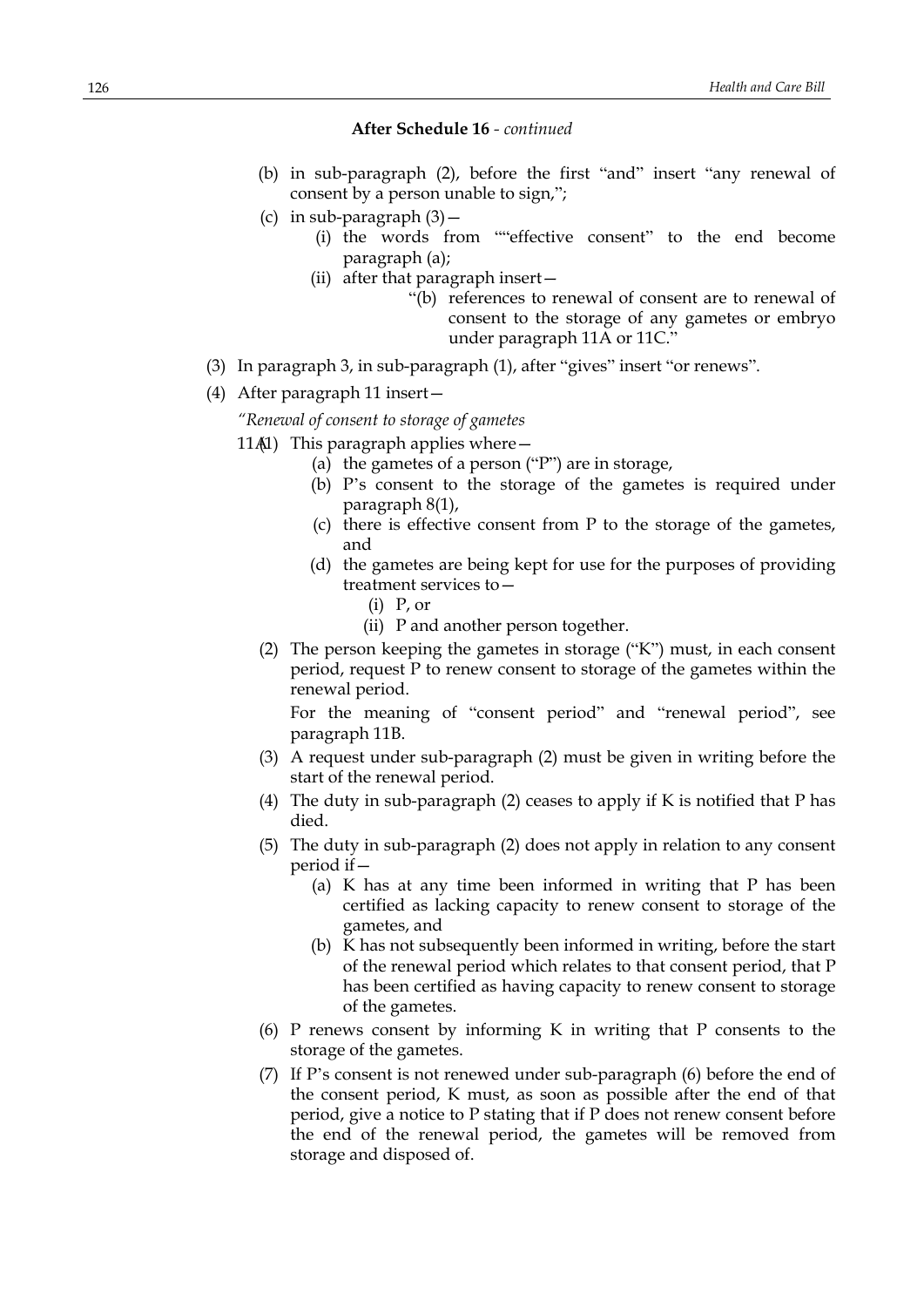- (b) in sub-paragraph (2), before the first "and" insert "any renewal of consent by a person unable to sign,";
- (c) in sub-paragraph  $(3)$  -
	- (i) the words from ""effective consent" to the end become paragraph (a);
	- (ii) after that paragraph insert—
		- "(b) references to renewal of consent are to renewal of consent to the storage of any gametes or embryo under paragraph 11A or 11C."
- (3) In paragraph 3, in sub-paragraph (1), after "gives" insert "or renews".
- (4) After paragraph 11 insert—

*"Renewal of consent to storage of gametes*

- 11 $(A1)$  This paragraph applies where  $-$ 
	- (a) the gametes of a person ("P") are in storage,
	- (b) P's consent to the storage of the gametes is required under paragraph 8(1),
	- (c) there is effective consent from P to the storage of the gametes, and
	- (d) the gametes are being kept for use for the purposes of providing treatment services to—
		- (i) P, or
		- (ii) P and another person together.
	- (2) The person keeping the gametes in storage ("K") must, in each consent period, request P to renew consent to storage of the gametes within the renewal period.

For the meaning of "consent period" and "renewal period", see paragraph 11B.

- (3) A request under sub-paragraph (2) must be given in writing before the start of the renewal period.
- (4) The duty in sub-paragraph (2) ceases to apply if K is notified that P has died.
- (5) The duty in sub-paragraph (2) does not apply in relation to any consent period if—
	- (a) K has at any time been informed in writing that P has been certified as lacking capacity to renew consent to storage of the gametes, and
	- (b) K has not subsequently been informed in writing, before the start of the renewal period which relates to that consent period, that P has been certified as having capacity to renew consent to storage of the gametes.
- (6) P renews consent by informing K in writing that P consents to the storage of the gametes.
- (7) If P's consent is not renewed under sub-paragraph (6) before the end of the consent period, K must, as soon as possible after the end of that period, give a notice to P stating that if P does not renew consent before the end of the renewal period, the gametes will be removed from storage and disposed of.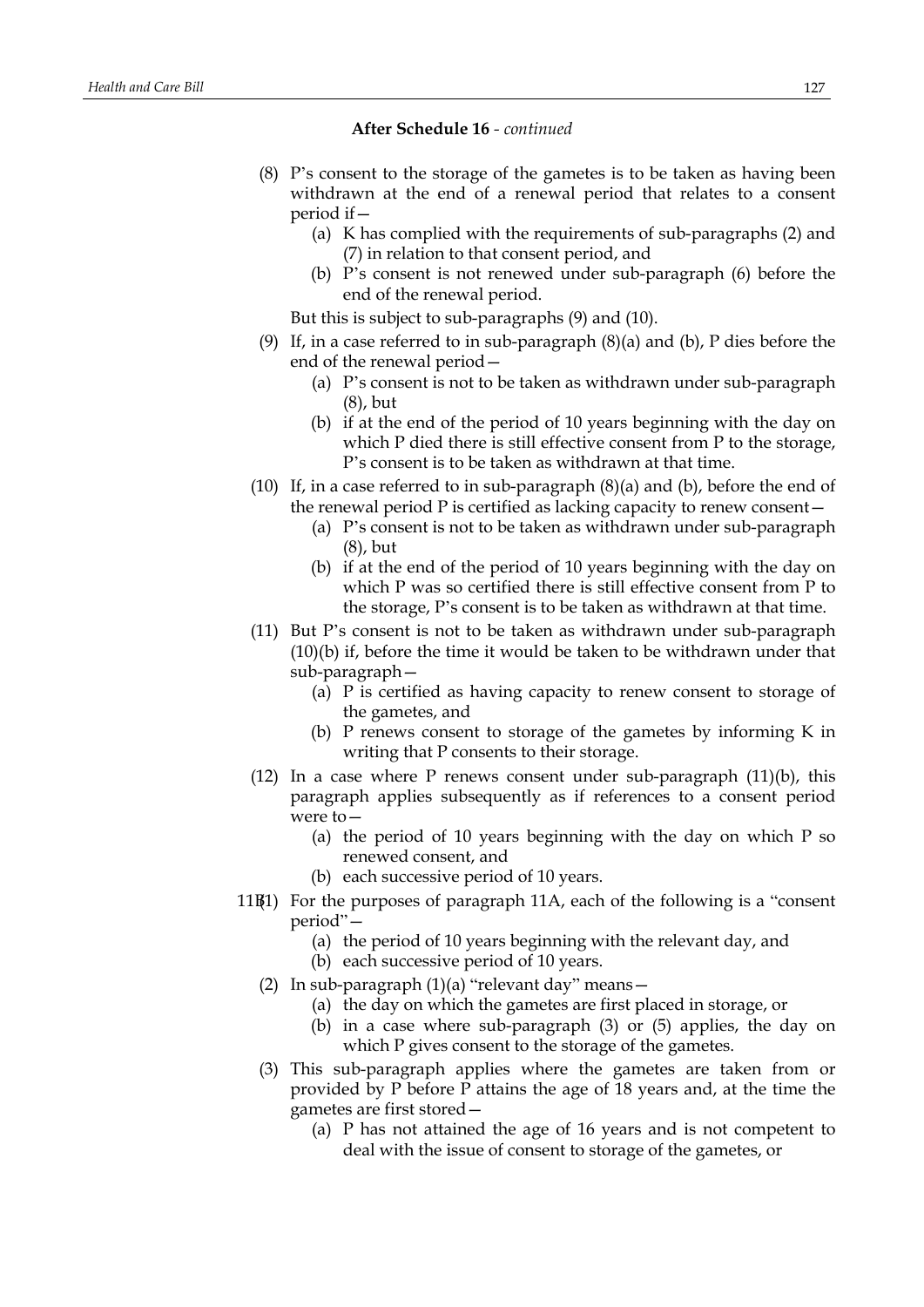- (8) P's consent to the storage of the gametes is to be taken as having been withdrawn at the end of a renewal period that relates to a consent period if—
	- (a) K has complied with the requirements of sub-paragraphs (2) and (7) in relation to that consent period, and
	- (b) P's consent is not renewed under sub-paragraph (6) before the end of the renewal period.

But this is subject to sub-paragraphs (9) and (10).

- (9) If, in a case referred to in sub-paragraph (8)(a) and (b), P dies before the end of the renewal period—
	- (a) P's consent is not to be taken as withdrawn under sub-paragraph (8), but
	- (b) if at the end of the period of 10 years beginning with the day on which P died there is still effective consent from P to the storage, P's consent is to be taken as withdrawn at that time.
- (10) If, in a case referred to in sub-paragraph  $(8)(a)$  and  $(b)$ , before the end of the renewal period P is certified as lacking capacity to renew consent—
	- (a) P's consent is not to be taken as withdrawn under sub-paragraph (8), but
	- (b) if at the end of the period of 10 years beginning with the day on which P was so certified there is still effective consent from P to the storage, P's consent is to be taken as withdrawn at that time.
- (11) But P's consent is not to be taken as withdrawn under sub-paragraph (10)(b) if, before the time it would be taken to be withdrawn under that sub-paragraph—
	- (a) P is certified as having capacity to renew consent to storage of the gametes, and
	- (b) P renews consent to storage of the gametes by informing K in writing that P consents to their storage.
- (12) In a case where P renews consent under sub-paragraph  $(11)(b)$ , this paragraph applies subsequently as if references to a consent period were to—
	- (a) the period of 10 years beginning with the day on which P so renewed consent, and
	- (b) each successive period of 10 years.
- 11B(1) For the purposes of paragraph 11A, each of the following is a "consent period"—
	- (a) the period of 10 years beginning with the relevant day, and
	- (b) each successive period of 10 years.
	- (2) In sub-paragraph (1)(a) "relevant day" means—
		- (a) the day on which the gametes are first placed in storage, or
		- (b) in a case where sub-paragraph (3) or (5) applies, the day on which P gives consent to the storage of the gametes.
	- (3) This sub-paragraph applies where the gametes are taken from or provided by P before P attains the age of 18 years and, at the time the gametes are first stored—
		- (a) P has not attained the age of 16 years and is not competent to deal with the issue of consent to storage of the gametes, or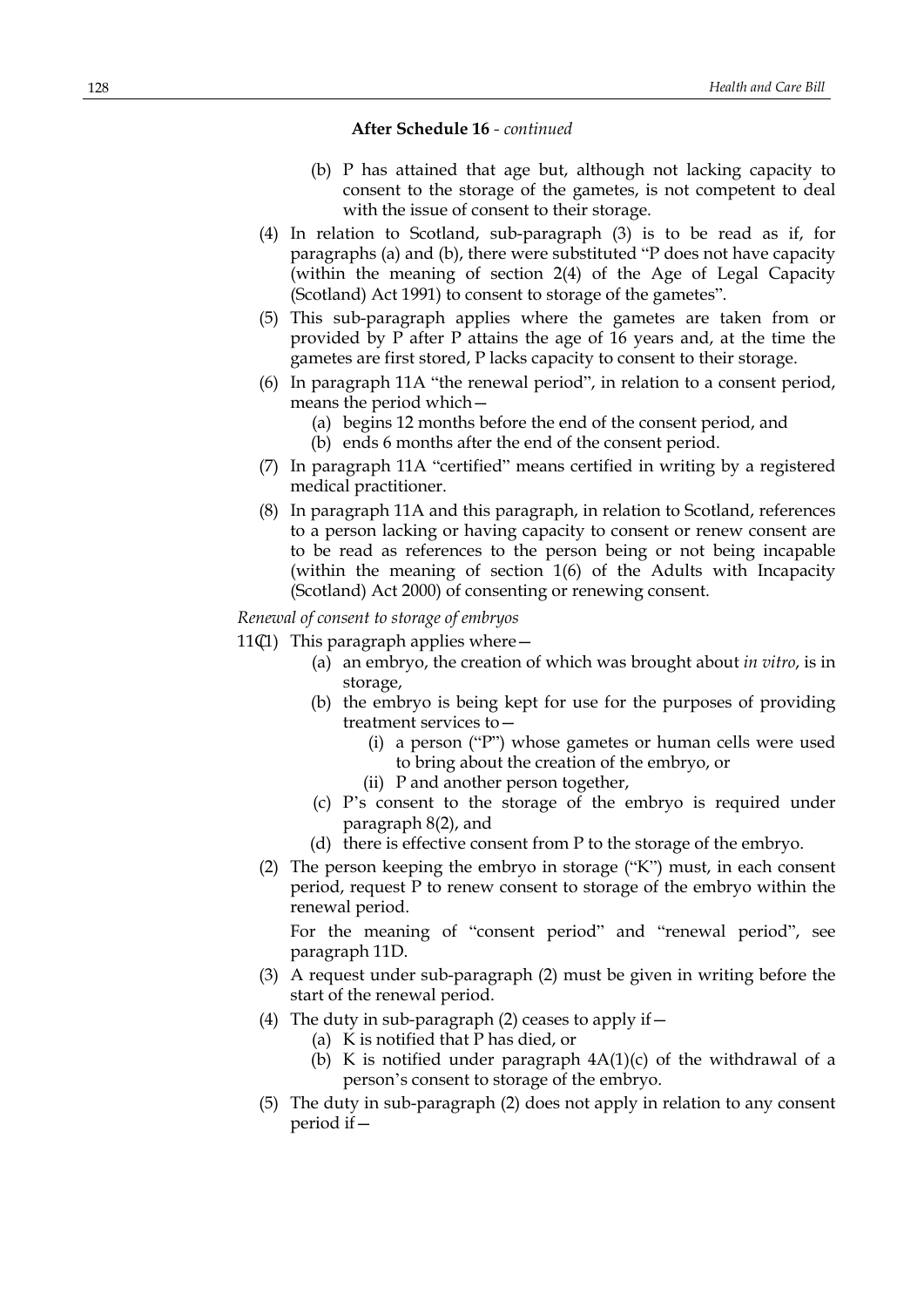- (b) P has attained that age but, although not lacking capacity to consent to the storage of the gametes, is not competent to deal with the issue of consent to their storage.
- (4) In relation to Scotland, sub-paragraph (3) is to be read as if, for paragraphs (a) and (b), there were substituted "P does not have capacity (within the meaning of section 2(4) of the Age of Legal Capacity (Scotland) Act 1991) to consent to storage of the gametes".
- (5) This sub-paragraph applies where the gametes are taken from or provided by P after P attains the age of 16 years and, at the time the gametes are first stored, P lacks capacity to consent to their storage.
- (6) In paragraph 11A "the renewal period", in relation to a consent period, means the period which—
	- (a) begins 12 months before the end of the consent period, and
	- (b) ends 6 months after the end of the consent period.
- (7) In paragraph 11A "certified" means certified in writing by a registered medical practitioner.
- (8) In paragraph 11A and this paragraph, in relation to Scotland, references to a person lacking or having capacity to consent or renew consent are to be read as references to the person being or not being incapable (within the meaning of section 1(6) of the Adults with Incapacity (Scotland) Act 2000) of consenting or renewing consent.

*Renewal of consent to storage of embryos*

11 $(I)$  This paragraph applies where  $-$ 

- (a) an embryo, the creation of which was brought about *in vitro*, is in storage,
- (b) the embryo is being kept for use for the purposes of providing treatment services to—
	- (i) a person ("P") whose gametes or human cells were used to bring about the creation of the embryo, or
	- (ii) P and another person together,
- (c) P's consent to the storage of the embryo is required under paragraph 8(2), and
- (d) there is effective consent from P to the storage of the embryo.
- (2) The person keeping the embryo in storage ("K") must, in each consent period, request P to renew consent to storage of the embryo within the renewal period.

For the meaning of "consent period" and "renewal period", see paragraph 11D.

- (3) A request under sub-paragraph (2) must be given in writing before the start of the renewal period.
- (4) The duty in sub-paragraph (2) ceases to apply if  $-$ 
	- (a) K is notified that P has died, or
	- (b) K is notified under paragraph 4A(1)(c) of the withdrawal of a person's consent to storage of the embryo.
- (5) The duty in sub-paragraph (2) does not apply in relation to any consent period if—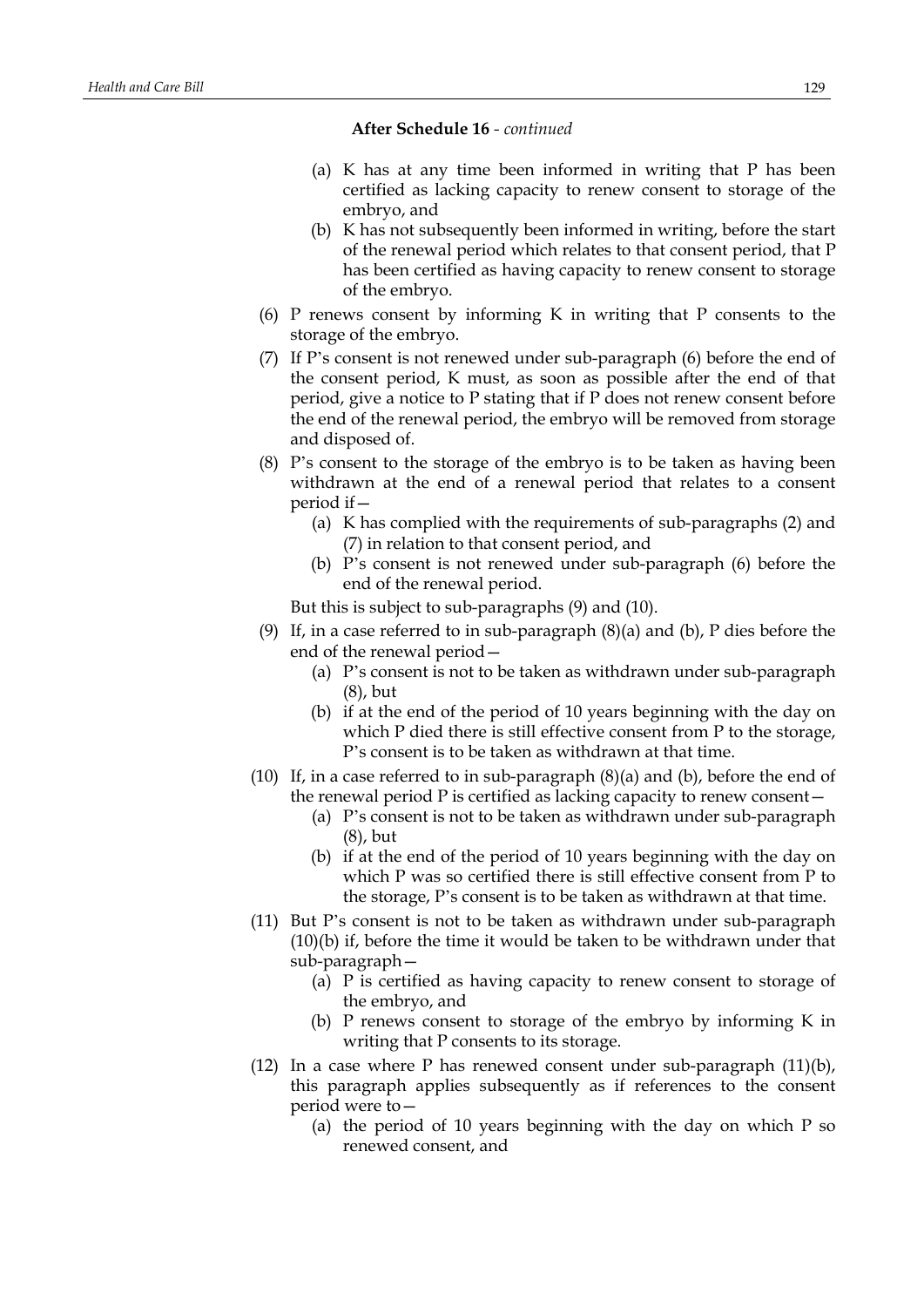- (a) K has at any time been informed in writing that P has been certified as lacking capacity to renew consent to storage of the embryo, and
- (b) K has not subsequently been informed in writing, before the start of the renewal period which relates to that consent period, that P has been certified as having capacity to renew consent to storage of the embryo.
- (6) P renews consent by informing K in writing that P consents to the storage of the embryo.
- (7) If P's consent is not renewed under sub-paragraph (6) before the end of the consent period, K must, as soon as possible after the end of that period, give a notice to P stating that if P does not renew consent before the end of the renewal period, the embryo will be removed from storage and disposed of.
- (8) P's consent to the storage of the embryo is to be taken as having been withdrawn at the end of a renewal period that relates to a consent period if—
	- (a) K has complied with the requirements of sub-paragraphs (2) and (7) in relation to that consent period, and
	- (b) P's consent is not renewed under sub-paragraph (6) before the end of the renewal period.

But this is subject to sub-paragraphs (9) and (10).

- (9) If, in a case referred to in sub-paragraph (8)(a) and (b), P dies before the end of the renewal period—
	- (a) P's consent is not to be taken as withdrawn under sub-paragraph (8), but
	- (b) if at the end of the period of 10 years beginning with the day on which P died there is still effective consent from P to the storage, P's consent is to be taken as withdrawn at that time.
- (10) If, in a case referred to in sub-paragraph (8)(a) and (b), before the end of the renewal period P is certified as lacking capacity to renew consent—
	- (a) P's consent is not to be taken as withdrawn under sub-paragraph (8), but
	- (b) if at the end of the period of 10 years beginning with the day on which P was so certified there is still effective consent from P to the storage, P's consent is to be taken as withdrawn at that time.
- (11) But P's consent is not to be taken as withdrawn under sub-paragraph (10)(b) if, before the time it would be taken to be withdrawn under that sub-paragraph—
	- (a) P is certified as having capacity to renew consent to storage of the embryo, and
	- (b) P renews consent to storage of the embryo by informing K in writing that P consents to its storage.
- (12) In a case where P has renewed consent under sub-paragraph (11)(b), this paragraph applies subsequently as if references to the consent period were to—
	- (a) the period of 10 years beginning with the day on which P so renewed consent, and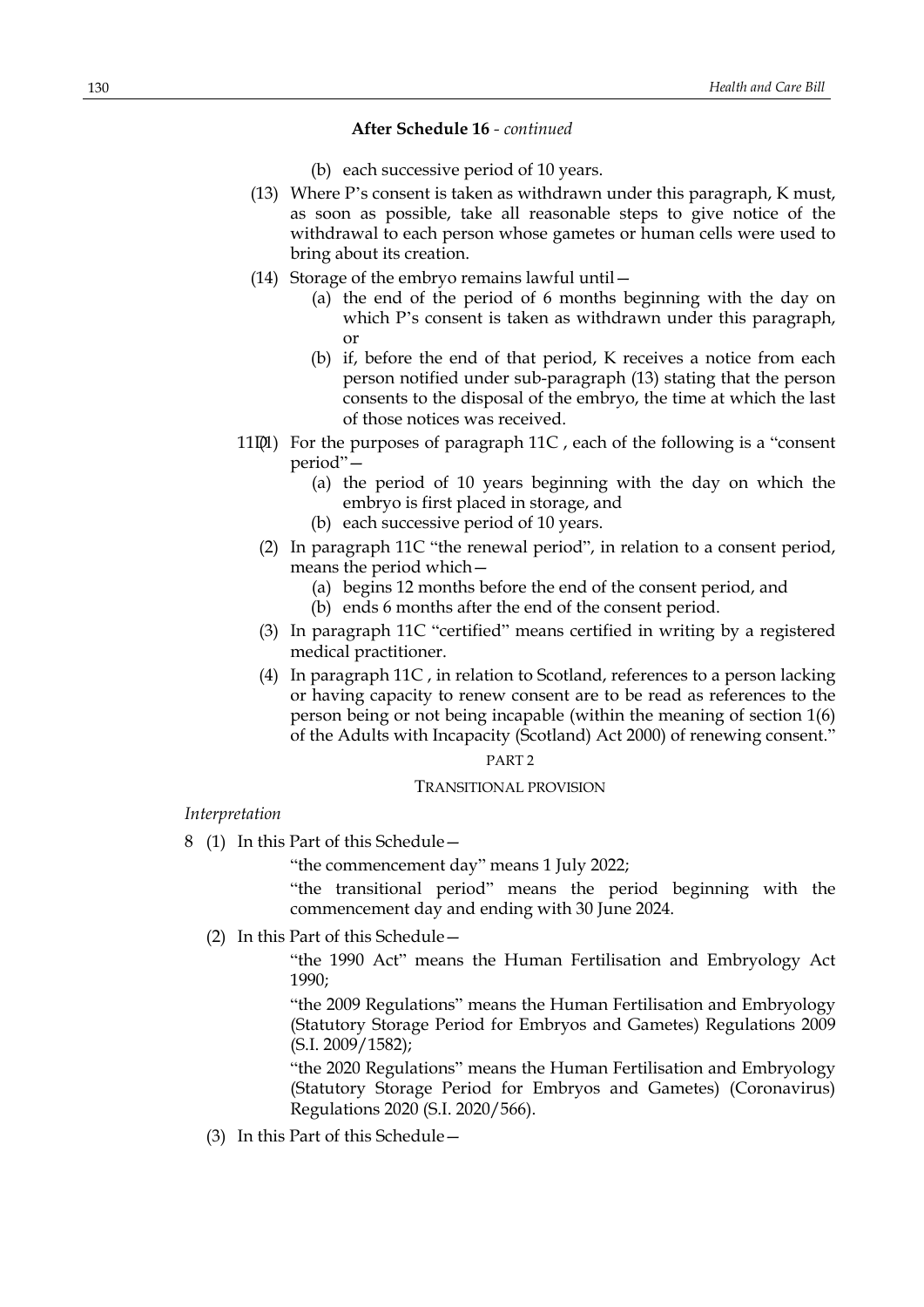- (b) each successive period of 10 years.
- (13) Where P's consent is taken as withdrawn under this paragraph, K must, as soon as possible, take all reasonable steps to give notice of the withdrawal to each person whose gametes or human cells were used to bring about its creation.
- (14) Storage of the embryo remains lawful until—
	- (a) the end of the period of 6 months beginning with the day on which P's consent is taken as withdrawn under this paragraph, or
	- (b) if, before the end of that period, K receives a notice from each person notified under sub-paragraph (13) stating that the person consents to the disposal of the embryo, the time at which the last of those notices was received.
- 11 $[0]$  For the purposes of paragraph 11C, each of the following is a "consent" period"—
	- (a) the period of 10 years beginning with the day on which the embryo is first placed in storage, and
	- (b) each successive period of 10 years.
	- (2) In paragraph 11C "the renewal period", in relation to a consent period, means the period which—
		- (a) begins 12 months before the end of the consent period, and
		- (b) ends 6 months after the end of the consent period.
	- (3) In paragraph 11C "certified" means certified in writing by a registered medical practitioner.
	- (4) In paragraph 11C , in relation to Scotland, references to a person lacking or having capacity to renew consent are to be read as references to the person being or not being incapable (within the meaning of section 1(6) of the Adults with Incapacity (Scotland) Act 2000) of renewing consent."

#### PART 2

#### TRANSITIONAL PROVISION

*Interpretation*

8 (1) In this Part of this Schedule—

"the commencement day" means 1 July 2022;

"the transitional period" means the period beginning with the commencement day and ending with 30 June 2024.

(2) In this Part of this Schedule—

"the 1990 Act" means the Human Fertilisation and Embryology Act 1990;

"the 2009 Regulations" means the Human Fertilisation and Embryology (Statutory Storage Period for Embryos and Gametes) Regulations 2009 (S.I. 2009/1582);

"the 2020 Regulations" means the Human Fertilisation and Embryology (Statutory Storage Period for Embryos and Gametes) (Coronavirus) Regulations 2020 (S.I. 2020/566).

(3) In this Part of this Schedule—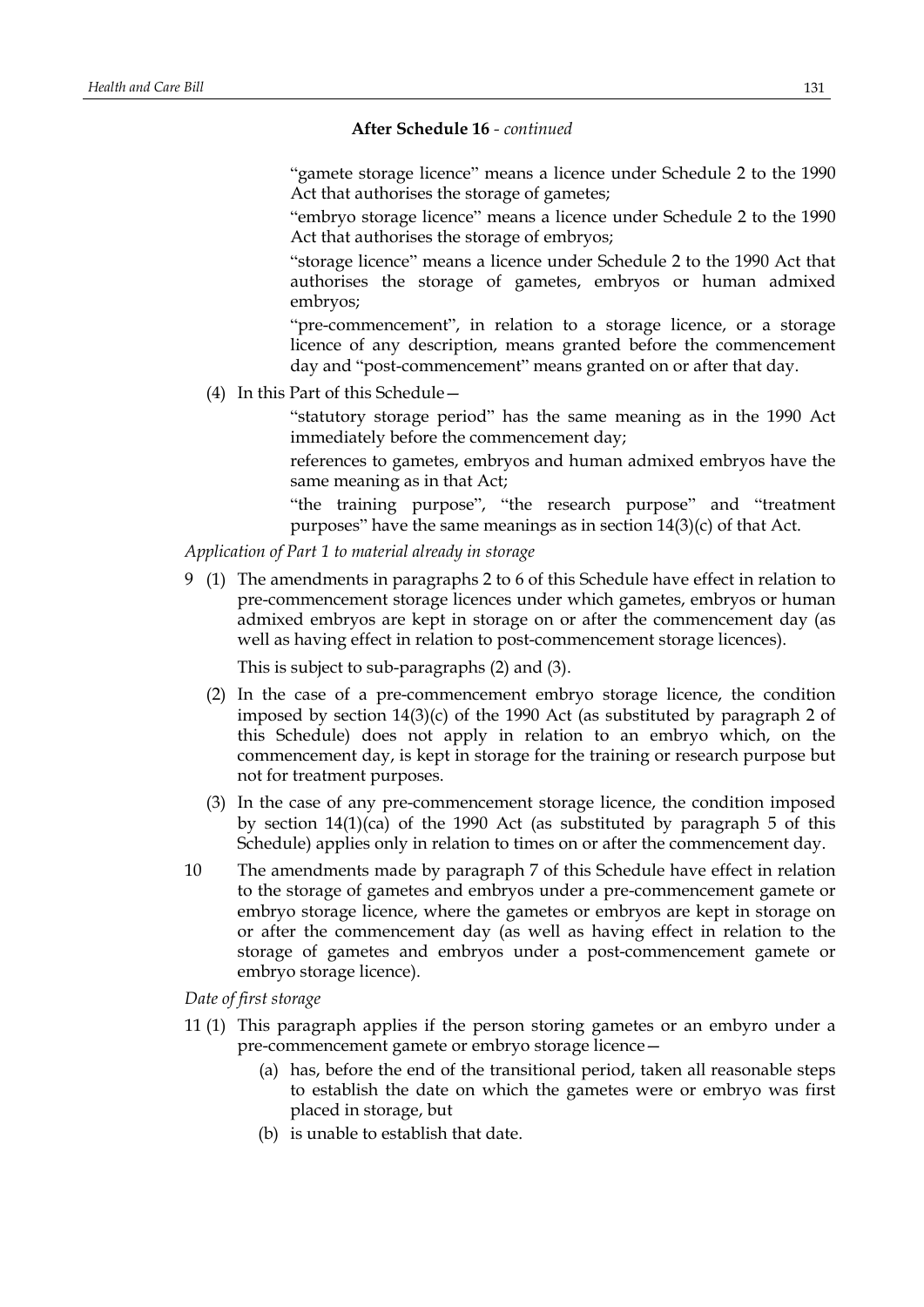"gamete storage licence" means a licence under Schedule 2 to the 1990 Act that authorises the storage of gametes;

"embryo storage licence" means a licence under Schedule 2 to the 1990 Act that authorises the storage of embryos;

"storage licence" means a licence under Schedule 2 to the 1990 Act that authorises the storage of gametes, embryos or human admixed embryos;

"pre-commencement", in relation to a storage licence, or a storage licence of any description, means granted before the commencement day and "post-commencement" means granted on or after that day.

(4) In this Part of this Schedule—

"statutory storage period" has the same meaning as in the 1990 Act immediately before the commencement day;

references to gametes, embryos and human admixed embryos have the same meaning as in that Act;

"the training purpose", "the research purpose" and "treatment purposes" have the same meanings as in section 14(3)(c) of that Act.

*Application of Part 1 to material already in storage*

9 (1) The amendments in paragraphs 2 to 6 of this Schedule have effect in relation to pre-commencement storage licences under which gametes, embryos or human admixed embryos are kept in storage on or after the commencement day (as well as having effect in relation to post-commencement storage licences).

This is subject to sub-paragraphs (2) and (3).

- (2) In the case of a pre-commencement embryo storage licence, the condition imposed by section 14(3)(c) of the 1990 Act (as substituted by paragraph 2 of this Schedule) does not apply in relation to an embryo which, on the commencement day, is kept in storage for the training or research purpose but not for treatment purposes.
- (3) In the case of any pre-commencement storage licence, the condition imposed by section  $14(1)(ca)$  of the 1990 Act (as substituted by paragraph 5 of this Schedule) applies only in relation to times on or after the commencement day.
- 10 The amendments made by paragraph 7 of this Schedule have effect in relation to the storage of gametes and embryos under a pre-commencement gamete or embryo storage licence, where the gametes or embryos are kept in storage on or after the commencement day (as well as having effect in relation to the storage of gametes and embryos under a post-commencement gamete or embryo storage licence).

*Date of first storage*

- 11 (1) This paragraph applies if the person storing gametes or an embyro under a pre-commencement gamete or embryo storage licence—
	- (a) has, before the end of the transitional period, taken all reasonable steps to establish the date on which the gametes were or embryo was first placed in storage, but
	- (b) is unable to establish that date.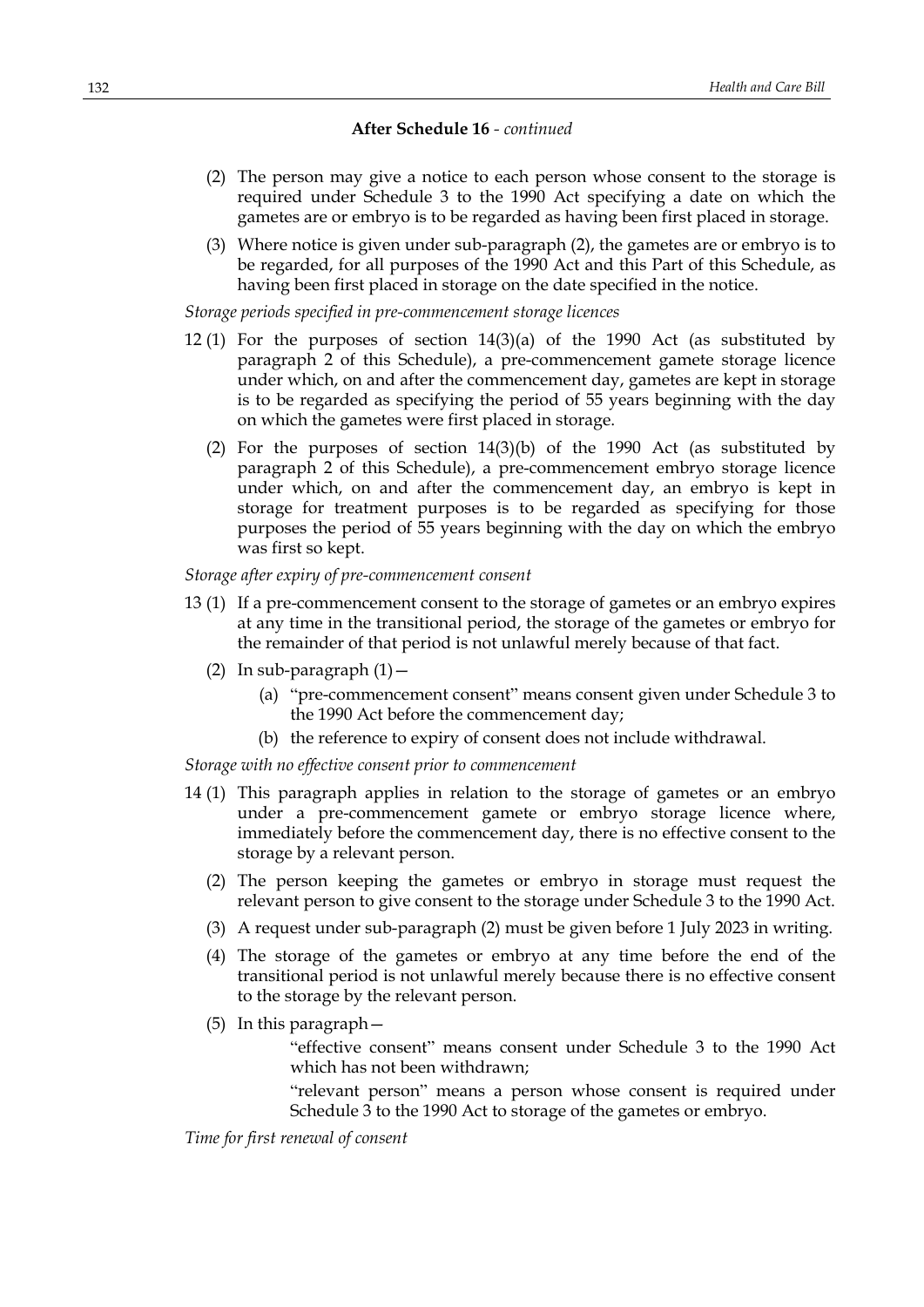- (2) The person may give a notice to each person whose consent to the storage is required under Schedule 3 to the 1990 Act specifying a date on which the gametes are or embryo is to be regarded as having been first placed in storage.
- (3) Where notice is given under sub-paragraph (2), the gametes are or embryo is to be regarded, for all purposes of the 1990 Act and this Part of this Schedule, as having been first placed in storage on the date specified in the notice.

*Storage periods specified in pre-commencement storage licences*

- 12 (1) For the purposes of section 14(3)(a) of the 1990 Act (as substituted by paragraph 2 of this Schedule), a pre-commencement gamete storage licence under which, on and after the commencement day, gametes are kept in storage is to be regarded as specifying the period of 55 years beginning with the day on which the gametes were first placed in storage.
	- (2) For the purposes of section  $14(3)(b)$  of the 1990 Act (as substituted by paragraph 2 of this Schedule), a pre-commencement embryo storage licence under which, on and after the commencement day, an embryo is kept in storage for treatment purposes is to be regarded as specifying for those purposes the period of 55 years beginning with the day on which the embryo was first so kept.

*Storage after expiry of pre-commencement consent*

- 13 (1) If a pre-commencement consent to the storage of gametes or an embryo expires at any time in the transitional period, the storage of the gametes or embryo for the remainder of that period is not unlawful merely because of that fact.
	- (2) In sub-paragraph  $(1)$  -
		- (a) "pre-commencement consent" means consent given under Schedule 3 to the 1990 Act before the commencement day;
		- (b) the reference to expiry of consent does not include withdrawal.

*Storage with no effective consent prior to commencement*

- 14 (1) This paragraph applies in relation to the storage of gametes or an embryo under a pre-commencement gamete or embryo storage licence where, immediately before the commencement day, there is no effective consent to the storage by a relevant person.
	- (2) The person keeping the gametes or embryo in storage must request the relevant person to give consent to the storage under Schedule 3 to the 1990 Act.
	- (3) A request under sub-paragraph (2) must be given before 1 July 2023 in writing.
	- (4) The storage of the gametes or embryo at any time before the end of the transitional period is not unlawful merely because there is no effective consent to the storage by the relevant person.
	- (5) In this paragraph—

"effective consent" means consent under Schedule 3 to the 1990 Act which has not been withdrawn;

"relevant person" means a person whose consent is required under Schedule 3 to the 1990 Act to storage of the gametes or embryo.

*Time for first renewal of consent*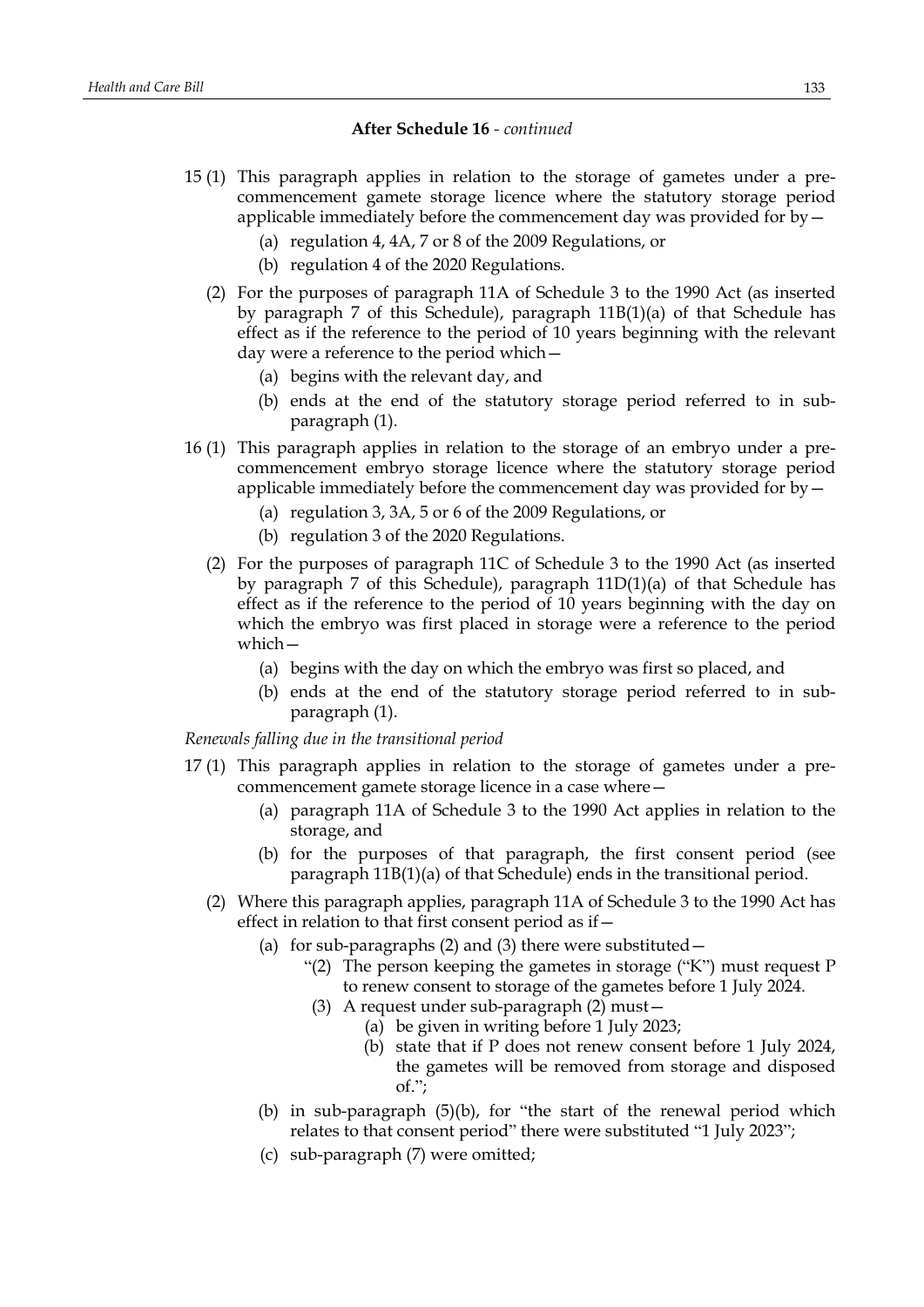- 15 (1) This paragraph applies in relation to the storage of gametes under a precommencement gamete storage licence where the statutory storage period applicable immediately before the commencement day was provided for by—
	- (a) regulation 4, 4A, 7 or 8 of the 2009 Regulations, or
	- (b) regulation 4 of the 2020 Regulations.
	- (2) For the purposes of paragraph 11A of Schedule 3 to the 1990 Act (as inserted by paragraph 7 of this Schedule), paragraph 11B(1)(a) of that Schedule has effect as if the reference to the period of 10 years beginning with the relevant day were a reference to the period which—
		- (a) begins with the relevant day, and
		- (b) ends at the end of the statutory storage period referred to in subparagraph (1).
- 16 (1) This paragraph applies in relation to the storage of an embryo under a precommencement embryo storage licence where the statutory storage period applicable immediately before the commencement day was provided for by—
	- (a) regulation 3, 3A, 5 or 6 of the 2009 Regulations, or
	- (b) regulation 3 of the 2020 Regulations.
	- (2) For the purposes of paragraph 11C of Schedule 3 to the 1990 Act (as inserted by paragraph 7 of this Schedule), paragraph 11D(1)(a) of that Schedule has effect as if the reference to the period of 10 years beginning with the day on which the embryo was first placed in storage were a reference to the period which—
		- (a) begins with the day on which the embryo was first so placed, and
		- (b) ends at the end of the statutory storage period referred to in subparagraph (1).

*Renewals falling due in the transitional period*

- 17 (1) This paragraph applies in relation to the storage of gametes under a precommencement gamete storage licence in a case where—
	- (a) paragraph 11A of Schedule 3 to the 1990 Act applies in relation to the storage, and
	- (b) for the purposes of that paragraph, the first consent period (see paragraph 11B(1)(a) of that Schedule) ends in the transitional period.
	- (2) Where this paragraph applies, paragraph 11A of Schedule 3 to the 1990 Act has effect in relation to that first consent period as if—
		- (a) for sub-paragraphs  $(2)$  and  $(3)$  there were substituted  $-$ 
			- "(2) The person keeping the gametes in storage ("K") must request P to renew consent to storage of the gametes before 1 July 2024.
			- (3) A request under sub-paragraph (2) must—
				- (a) be given in writing before 1 July 2023;
					- (b) state that if P does not renew consent before 1 July 2024, the gametes will be removed from storage and disposed of.";
		- (b) in sub-paragraph (5)(b), for "the start of the renewal period which relates to that consent period" there were substituted "1 July 2023";
		- (c) sub-paragraph (7) were omitted;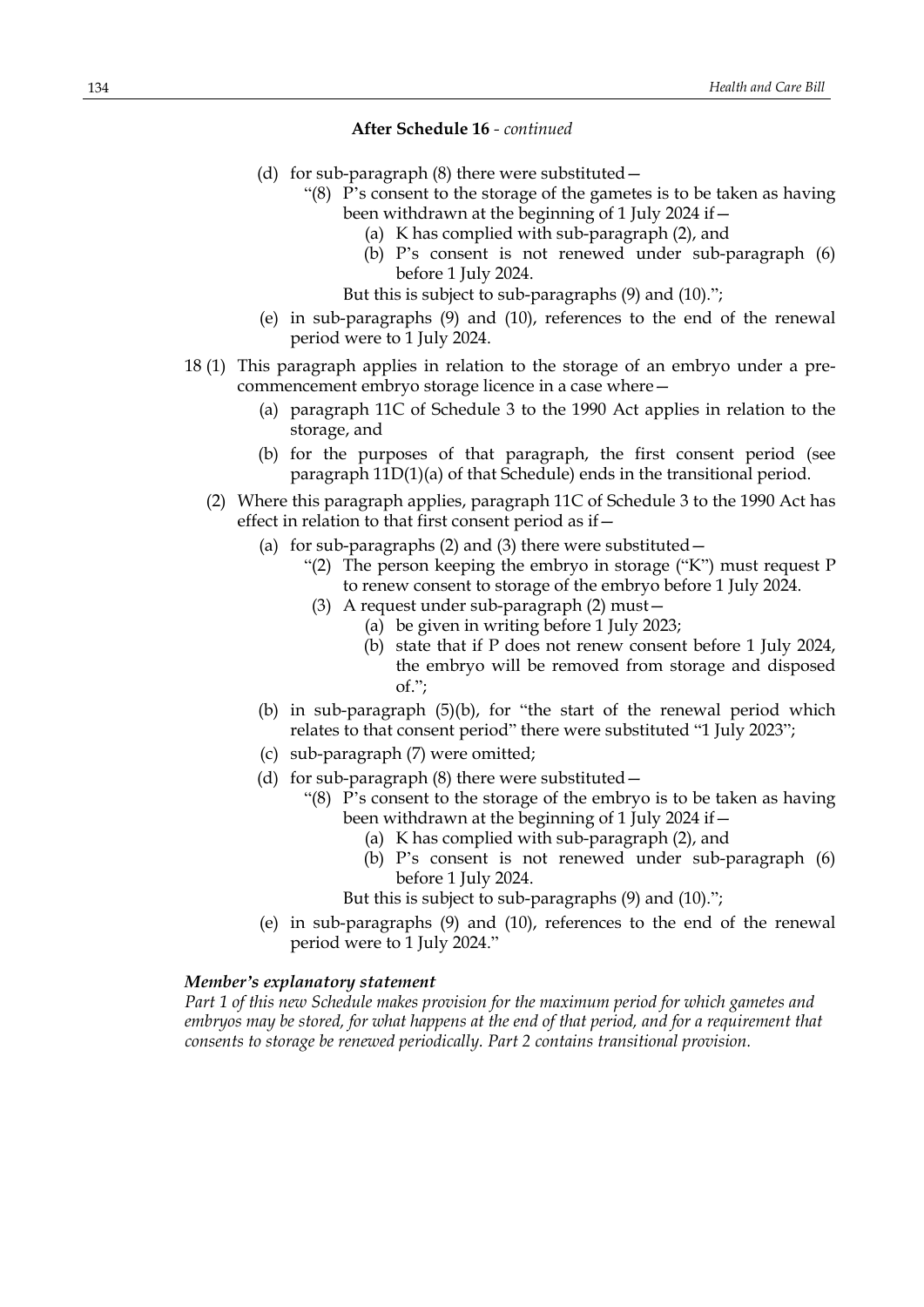- (d) for sub-paragraph (8) there were substituted—
	- "(8) P's consent to the storage of the gametes is to be taken as having been withdrawn at the beginning of 1 July 2024 if—
		- (a) K has complied with sub-paragraph (2), and
		- (b) P's consent is not renewed under sub-paragraph (6) before 1 July 2024.
		- But this is subject to sub-paragraphs (9) and (10).";
- (e) in sub-paragraphs (9) and (10), references to the end of the renewal period were to 1 July 2024.
- 18 (1) This paragraph applies in relation to the storage of an embryo under a precommencement embryo storage licence in a case where—
	- (a) paragraph 11C of Schedule 3 to the 1990 Act applies in relation to the storage, and
	- (b) for the purposes of that paragraph, the first consent period (see paragraph 11D(1)(a) of that Schedule) ends in the transitional period.
	- (2) Where this paragraph applies, paragraph 11C of Schedule 3 to the 1990 Act has effect in relation to that first consent period as if—
		- (a) for sub-paragraphs  $(2)$  and  $(3)$  there were substituted
			- "(2) The person keeping the embryo in storage ("K") must request P to renew consent to storage of the embryo before 1 July 2024.
			- (3) A request under sub-paragraph (2) must—
				- (a) be given in writing before 1 July 2023;
				- (b) state that if P does not renew consent before 1 July 2024, the embryo will be removed from storage and disposed of.";
		- (b) in sub-paragraph (5)(b), for "the start of the renewal period which relates to that consent period" there were substituted "1 July 2023";
		- (c) sub-paragraph (7) were omitted;
		- (d) for sub-paragraph  $(8)$  there were substituted  $-$ 
			- "(8) P's consent to the storage of the embryo is to be taken as having been withdrawn at the beginning of 1 July 2024 if—
				- (a) K has complied with sub-paragraph (2), and
				- (b) P's consent is not renewed under sub-paragraph (6) before 1 July 2024.
				- But this is subject to sub-paragraphs (9) and (10).";
		- (e) in sub-paragraphs (9) and (10), references to the end of the renewal period were to 1 July 2024."

### *Member's explanatory statement*

*Part 1 of this new Schedule makes provision for the maximum period for which gametes and embryos may be stored, for what happens at the end of that period, and for a requirement that consents to storage be renewed periodically. Part 2 contains transitional provision.*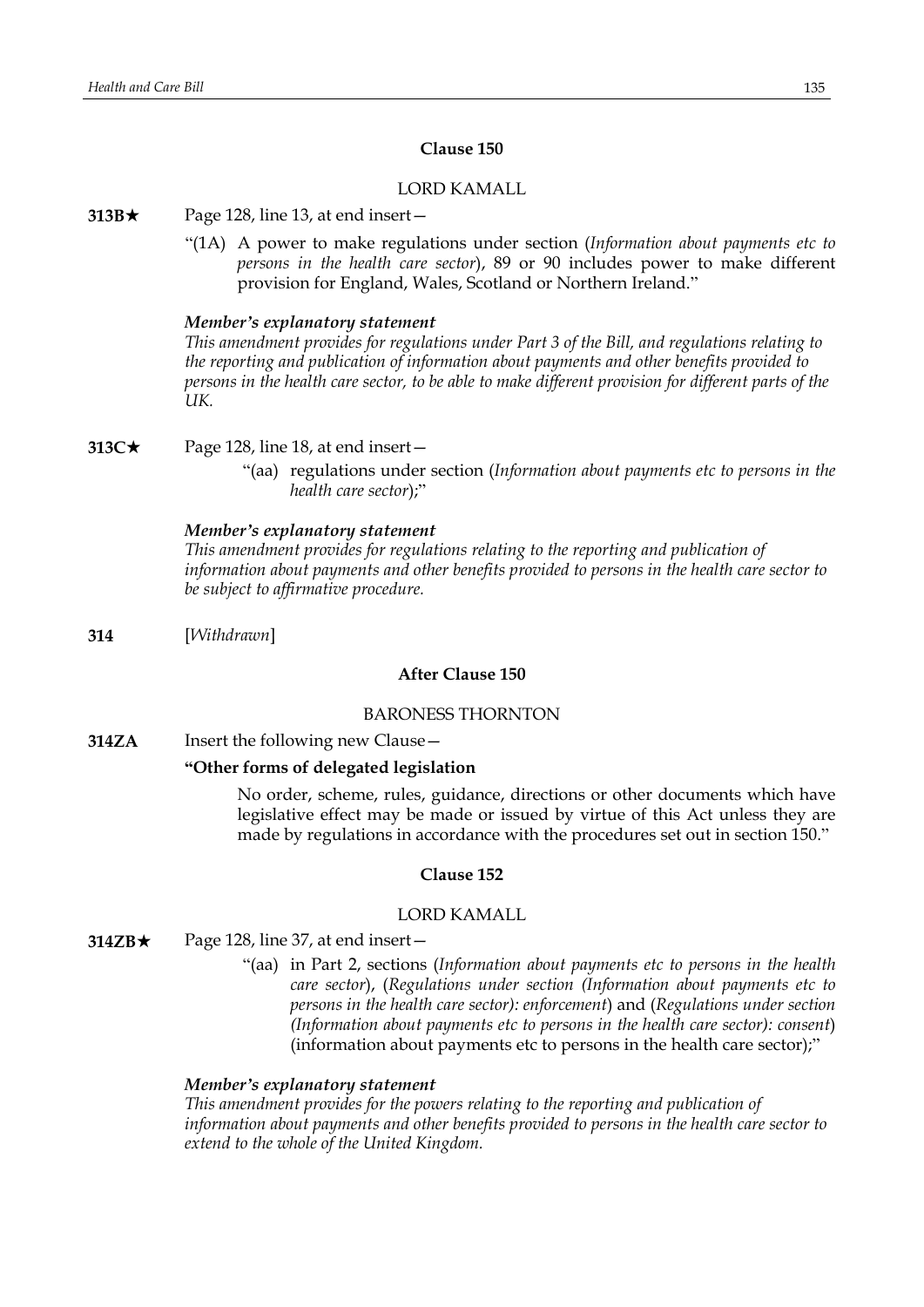# **Clause 150**

### LORD KAMALL

#### **313B** $\star$  Page 128, line 13, at end insert −

"(1A) A power to make regulations under section (*Information about payments etc to persons in the health care sector*), 89 or 90 includes power to make different provision for England, Wales, Scotland or Northern Ireland."

#### *Member's explanatory statement*

*This amendment provides for regulations under Part 3 of the Bill, and regulations relating to the reporting and publication of information about payments and other benefits provided to* persons in the health care sector, to be able to make different provision for different parts of the *UK.*

**313C★** Page 128, line 18, at end insert —

"(aa) regulations under section (*Information about payments etc to persons in the health care sector*);"

#### *Member's explanatory statement*

*This amendment provides for regulations relating to the reporting and publication of information about payments and other benefits provided to persons in the health care sector to be subject to affirmative procedure.*

**314** [*Withdrawn*]

### **After Clause 150**

#### BARONESS THORNTON

**314ZA** Insert the following new Clause -

### **"Other forms of delegated legislation**

No order, scheme, rules, guidance, directions or other documents which have legislative effect may be made or issued by virtue of this Act unless they are made by regulations in accordance with the procedures set out in section 150."

### **Clause 152**

### LORD KAMALL

- **314ZB**\* Page 128, line 37, at end insert—
	- "(aa) in Part 2, sections (*Information about payments etc to persons in the health care sector*), (*Regulations under section (Information about payments etc to persons in the health care sector): enforcement*) and (*Regulations under section (Information about payments etc to persons in the health care sector): consent*) (information about payments etc to persons in the health care sector);"

### *Member's explanatory statement*

*This amendment provides for the powers relating to the reporting and publication of information about payments and other benefits provided to persons in the health care sector to extend to the whole of the United Kingdom.*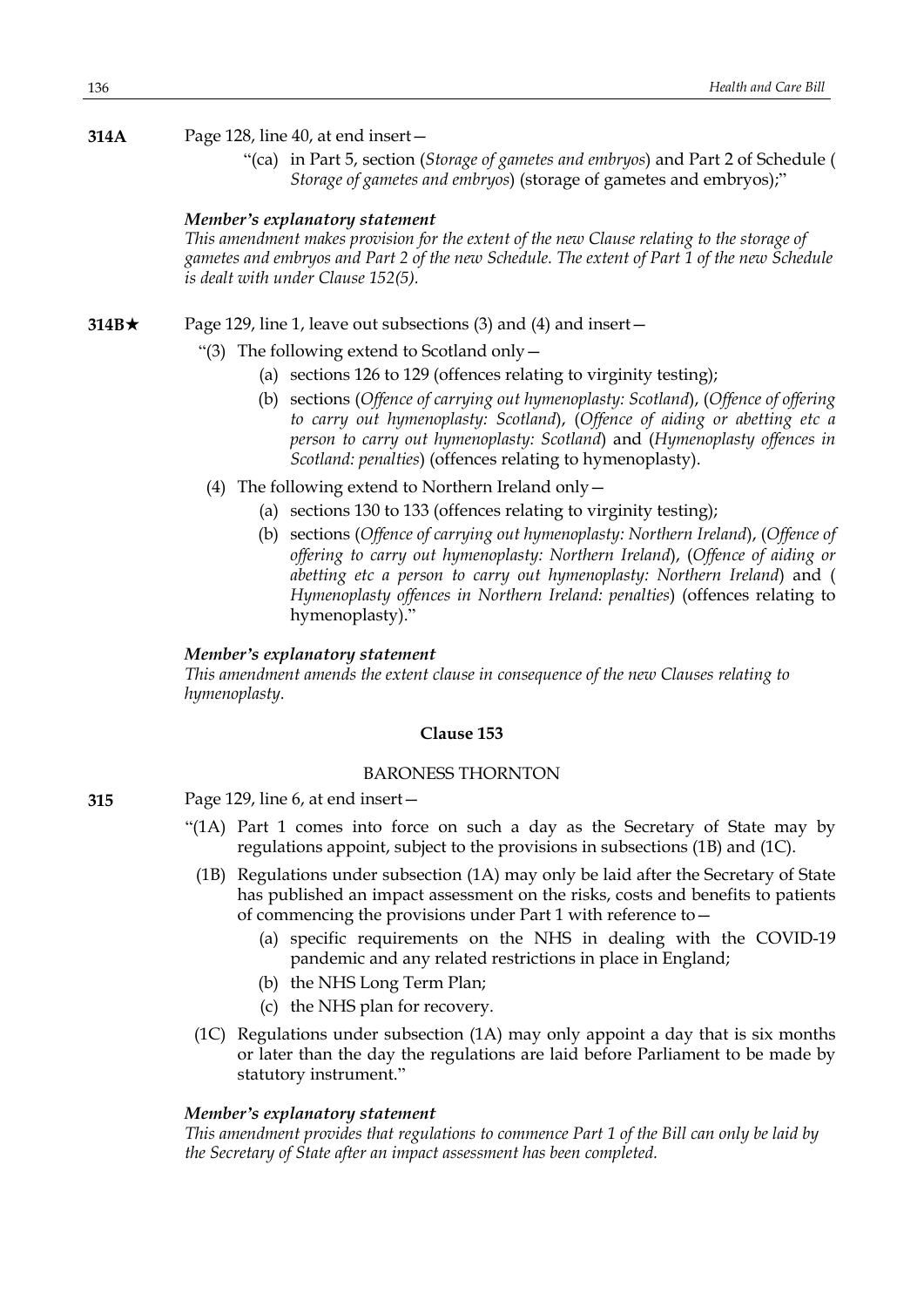**314A** Page 128, line 40, at end insert—

"(ca) in Part 5, section (*Storage of gametes and embryos*) and Part 2 of Schedule ( *Storage of gametes and embryos*) (storage of gametes and embryos);"

### *Member's explanatory statement*

*This amendment makes provision for the extent of the new Clause relating to the storage of* gametes and embryos and Part 2 of the new Schedule. The extent of Part 1 of the new Schedule *is dealt with under Clause 152(5).*

**314B**★ Page 129, line 1, leave out subsections (3) and (4) and insert —

- "(3) The following extend to Scotland only—
	- (a) sections 126 to 129 (offences relating to virginity testing);
	- (b) sections (*Offence of carrying out hymenoplasty: Scotland*), (*Offence of offering to carry out hymenoplasty: Scotland*), (*Offence of aiding or abetting etc a person to carry out hymenoplasty: Scotland*) and (*Hymenoplasty offences in Scotland: penalties*) (offences relating to hymenoplasty).
- (4) The following extend to Northern Ireland only—
	- (a) sections 130 to 133 (offences relating to virginity testing);
	- (b) sections (*Offence of carrying out hymenoplasty: Northern Ireland*), (*Offence of offering to carry out hymenoplasty: Northern Ireland*), (*Offence of aiding or abetting etc a person to carry out hymenoplasty: Northern Ireland*) and ( *Hymenoplasty offences in Northern Ireland: penalties*) (offences relating to hymenoplasty)."

# *Member's explanatory statement*

*This amendment amends the extent clause in consequence of the new Clauses relating to hymenoplasty.*

#### **Clause 153**

# BARONESS THORNTON

- **315** Page 129, line 6, at end insert—
	- "(1A) Part 1 comes into force on such a day as the Secretary of State may by regulations appoint, subject to the provisions in subsections (1B) and (1C).
		- (1B) Regulations under subsection (1A) may only be laid after the Secretary of State has published an impact assessment on the risks, costs and benefits to patients of commencing the provisions under Part 1 with reference to—
			- (a) specific requirements on the NHS in dealing with the COVID-19 pandemic and any related restrictions in place in England;
			- (b) the NHS Long Term Plan;
			- (c) the NHS plan for recovery.
	- (1C) Regulations under subsection (1A) may only appoint a day that is six months or later than the day the regulations are laid before Parliament to be made by statutory instrument."

### *Member's explanatory statement*

*This amendment provides that regulations to commence Part 1 of the Bill can only be laid by the Secretary of State after an impact assessment has been completed.*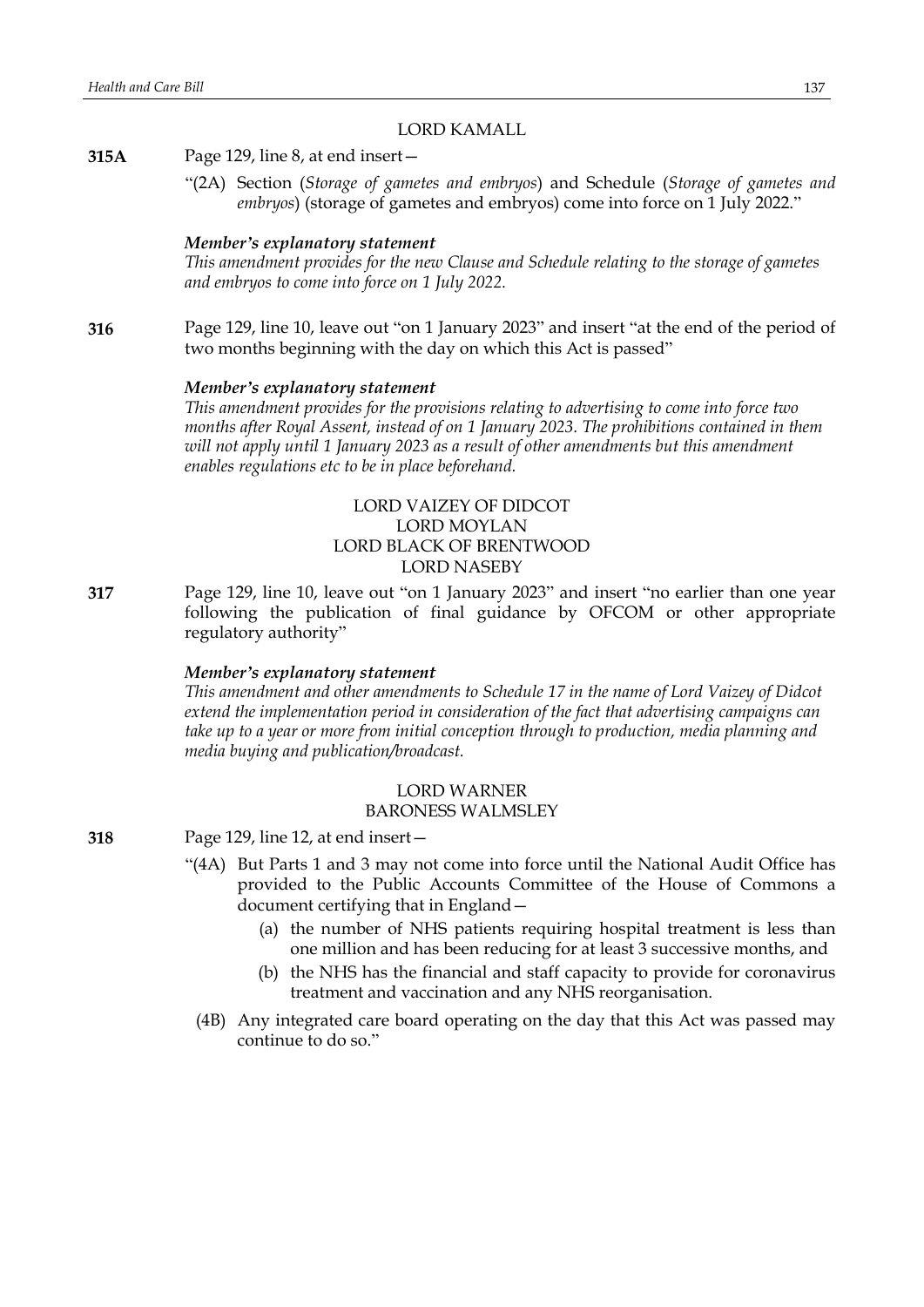### LORD KAMALL

**315A** Page 129, line 8, at end insert—

"(2A) Section (*Storage of gametes and embryos*) and Schedule (*Storage of gametes and embryos*) (storage of gametes and embryos) come into force on 1 July 2022."

#### *Member's explanatory statement*

*This amendment provides for the new Clause and Schedule relating to the storage of gametes and embryos to come into force on 1 July 2022.*

**316** Page 129, line 10, leave out "on 1 January 2023" and insert "at the end of the period of two months beginning with the day on which this Act is passed"

#### *Member's explanatory statement*

*This amendment provides for the provisions relating to advertising to come into force two months after Royal Assent, instead of on 1 January 2023. The prohibitions contained in them will not apply until 1 January 2023 as a result of other amendments but this amendment enables regulations etc to be in place beforehand.*

# LORD VAIZEY OF DIDCOT LORD MOYLAN LORD BLACK OF BRENTWOOD LORD NASEBY

**317** Page 129, line 10, leave out "on 1 January 2023" and insert "no earlier than one year following the publication of final guidance by OFCOM or other appropriate regulatory authority"

### *Member's explanatory statement*

*This amendment and other amendments to Schedule 17 in the name of Lord Vaizey of Didcot extend the implementation period in consideration of the fact that advertising campaigns can take up to a year or more from initial conception through to production, media planning and media buying and publication/broadcast.*

# LORD WARNER

### BARONESS WALMSLEY

- **318** Page 129, line 12, at end insert—
	- "(4A) But Parts 1 and 3 may not come into force until the National Audit Office has provided to the Public Accounts Committee of the House of Commons a document certifying that in England—
		- (a) the number of NHS patients requiring hospital treatment is less than one million and has been reducing for at least 3 successive months, and
		- (b) the NHS has the financial and staff capacity to provide for coronavirus treatment and vaccination and any NHS reorganisation.
		- (4B) Any integrated care board operating on the day that this Act was passed may continue to do so."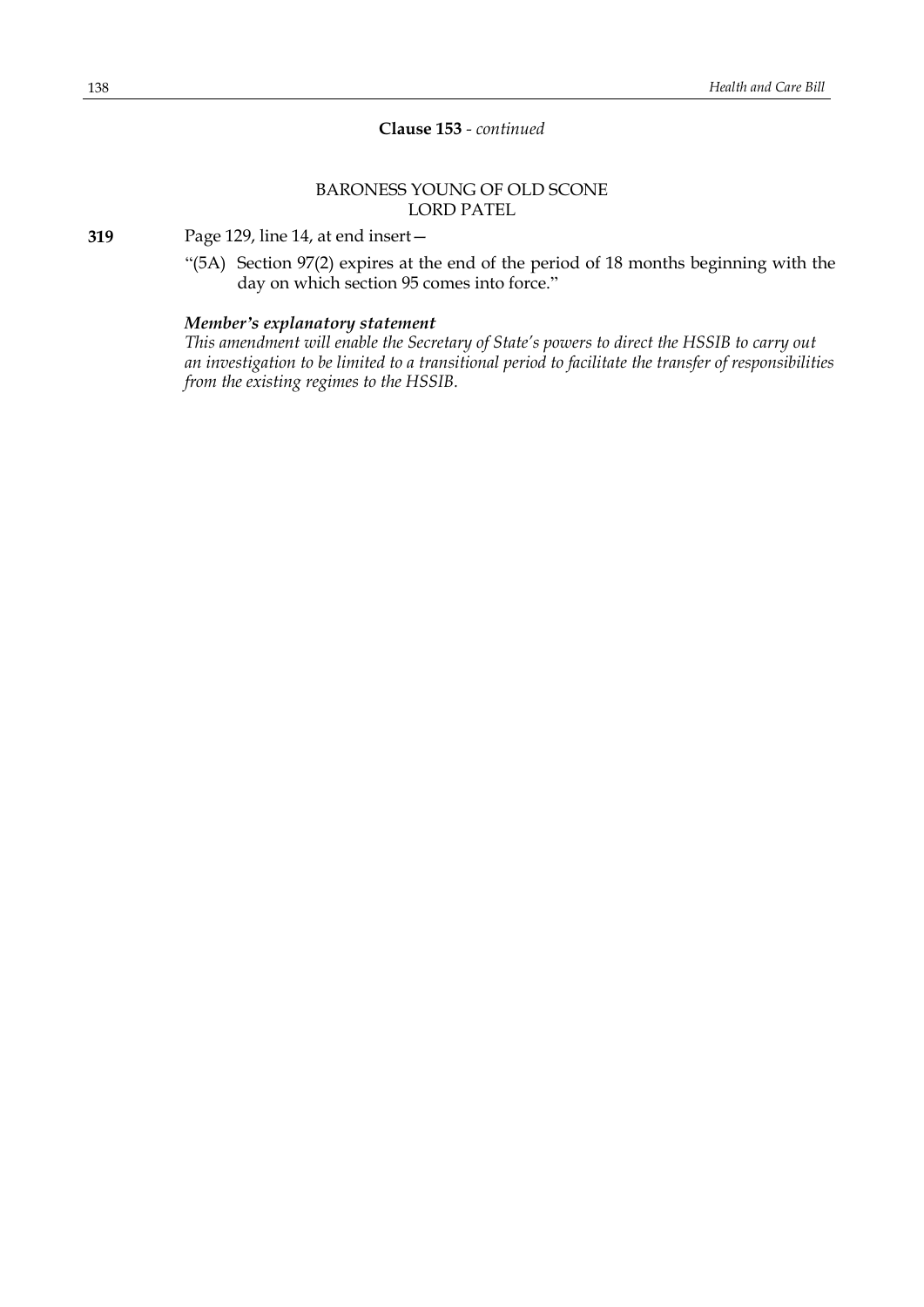# **Clause 153** *- continued*

# BARONESS YOUNG OF OLD SCONE LORD PATEL

**319** Page 129, line 14, at end insert—

"(5A) Section 97(2) expires at the end of the period of 18 months beginning with the day on which section 95 comes into force."

# *Member's explanatory statement*

*This amendment will enable the Secretary of State's powers to direct the HSSIB to carry out an investigation to be limited to a transitional period to facilitate the transfer of responsibilities from the existing regimes to the HSSIB.*